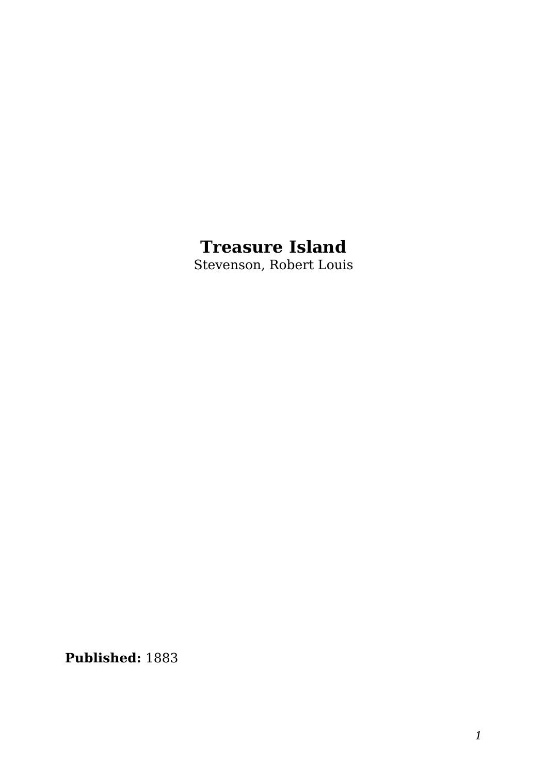#### **Treasure Island**

Stevenson, Robert Louis

**Published:** 1883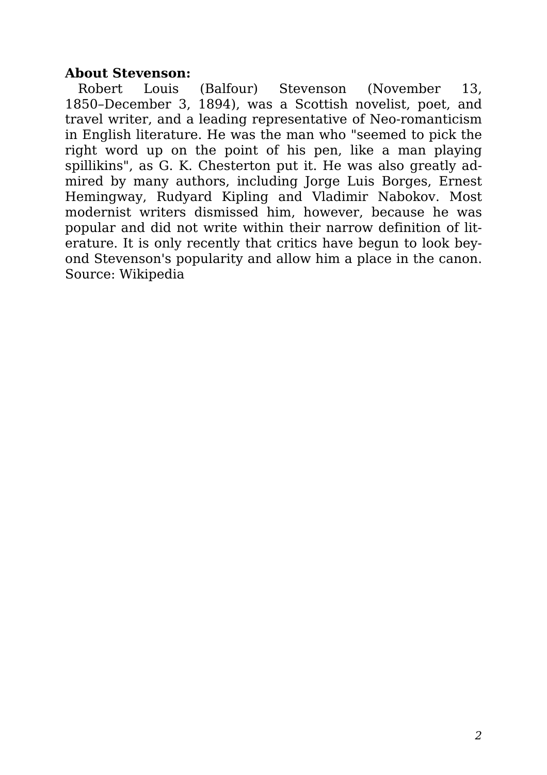#### **About Stevenson:**

Robert Louis (Balfour) Stevenson (November 13, 1850–December 3, 1894), was a Scottish novelist, poet, and travel writer, and a leading representative of Neo-romanticism in English literature. He was the man who "seemed to pick the right word up on the point of his pen, like a man playing spillikins", as G. K. Chesterton put it. He was also greatly admired by many authors, including Jorge Luis Borges, Ernest Hemingway, Rudyard Kipling and Vladimir Nabokov. Most modernist writers dismissed him, however, because he was popular and did not write within their narrow definition of literature. It is only recently that critics have begun to look beyond Stevenson's popularity and allow him a place in the canon. Source: Wikipedia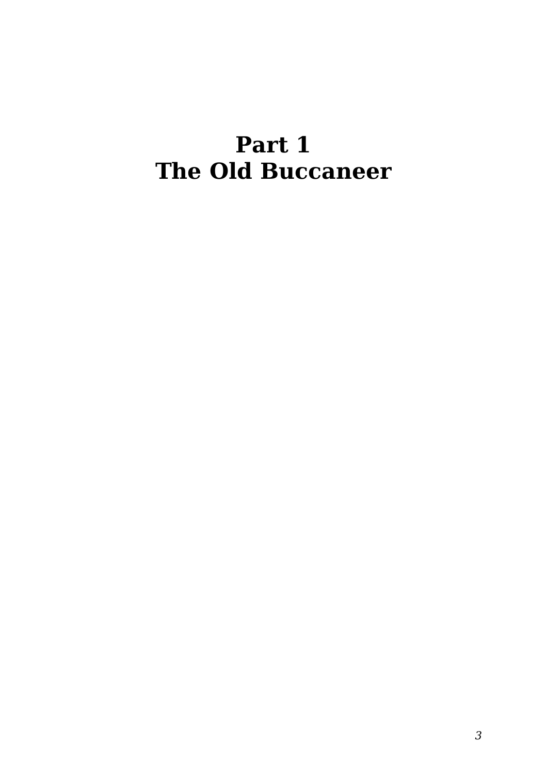#### **Part 1 The Old Buccaneer**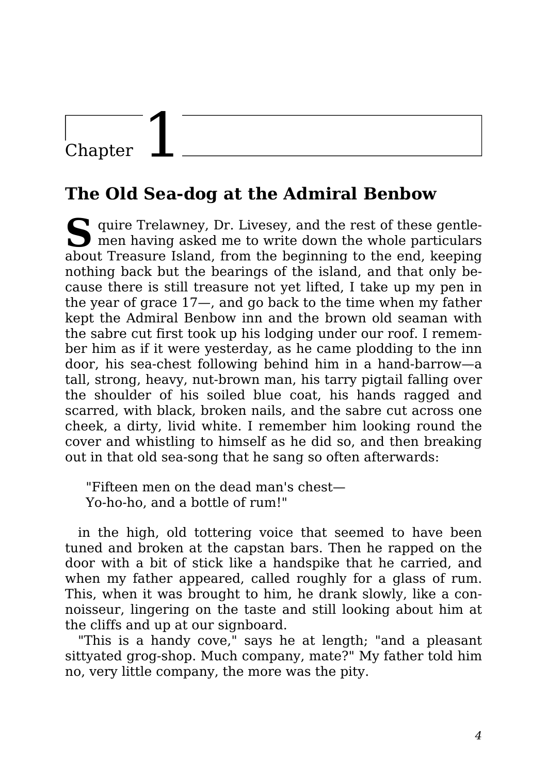### Chapter

#### **The Old Sea-dog at the Admiral Benbow**

S<br>
quire Trelawney, Dr. Livesey, and the rest of these gentle-<br>
men having asked me to write down the whole particulars men having asked me to write down the whole particulars about Treasure Island, from the beginning to the end, keeping nothing back but the bearings of the island, and that only because there is still treasure not yet lifted, I take up my pen in the year of grace 17—, and go back to the time when my father kept the Admiral Benbow inn and the brown old seaman with the sabre cut first took up his lodging under our roof. I remember him as if it were yesterday, as he came plodding to the inn door, his sea-chest following behind him in a hand-barrow—a tall, strong, heavy, nut-brown man, his tarry pigtail falling over the shoulder of his soiled blue coat, his hands ragged and scarred, with black, broken nails, and the sabre cut across one cheek, a dirty, livid white. I remember him looking round the cover and whistling to himself as he did so, and then breaking out in that old sea-song that he sang so often afterwards:

"Fifteen men on the dead man's chest— Yo-ho-ho, and a bottle of rum!"

in the high, old tottering voice that seemed to have been tuned and broken at the capstan bars. Then he rapped on the door with a bit of stick like a handspike that he carried, and when my father appeared, called roughly for a glass of rum. This, when it was brought to him, he drank slowly, like a connoisseur, lingering on the taste and still looking about him at the cliffs and up at our signboard.

"This is a handy cove," says he at length; "and a pleasant sittyated grog-shop. Much company, mate?" My father told him no, very little company, the more was the pity.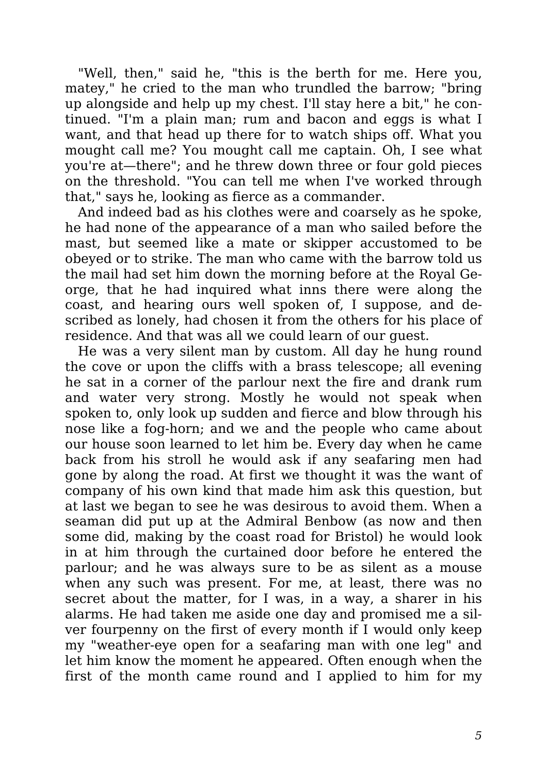"Well, then," said he, "this is the berth for me. Here you, matey," he cried to the man who trundled the barrow; "bring up alongside and help up my chest. I'll stay here a bit," he continued. "I'm a plain man; rum and bacon and eggs is what I want, and that head up there for to watch ships off. What you mought call me? You mought call me captain. Oh, I see what you're at—there"; and he threw down three or four gold pieces on the threshold. "You can tell me when I've worked through that," says he, looking as fierce as a commander.

And indeed bad as his clothes were and coarsely as he spoke, he had none of the appearance of a man who sailed before the mast, but seemed like a mate or skipper accustomed to be obeyed or to strike. The man who came with the barrow told us the mail had set him down the morning before at the Royal George, that he had inquired what inns there were along the coast, and hearing ours well spoken of, I suppose, and described as lonely, had chosen it from the others for his place of residence. And that was all we could learn of our guest.

He was a very silent man by custom. All day he hung round the cove or upon the cliffs with a brass telescope; all evening he sat in a corner of the parlour next the fire and drank rum and water very strong. Mostly he would not speak when spoken to, only look up sudden and fierce and blow through his nose like a fog-horn; and we and the people who came about our house soon learned to let him be. Every day when he came back from his stroll he would ask if any seafaring men had gone by along the road. At first we thought it was the want of company of his own kind that made him ask this question, but at last we began to see he was desirous to avoid them. When a seaman did put up at the Admiral Benbow (as now and then some did, making by the coast road for Bristol) he would look in at him through the curtained door before he entered the parlour; and he was always sure to be as silent as a mouse when any such was present. For me, at least, there was no secret about the matter, for I was, in a way, a sharer in his alarms. He had taken me aside one day and promised me a silver fourpenny on the first of every month if I would only keep my "weather-eye open for a seafaring man with one leg" and let him know the moment he appeared. Often enough when the first of the month came round and I applied to him for my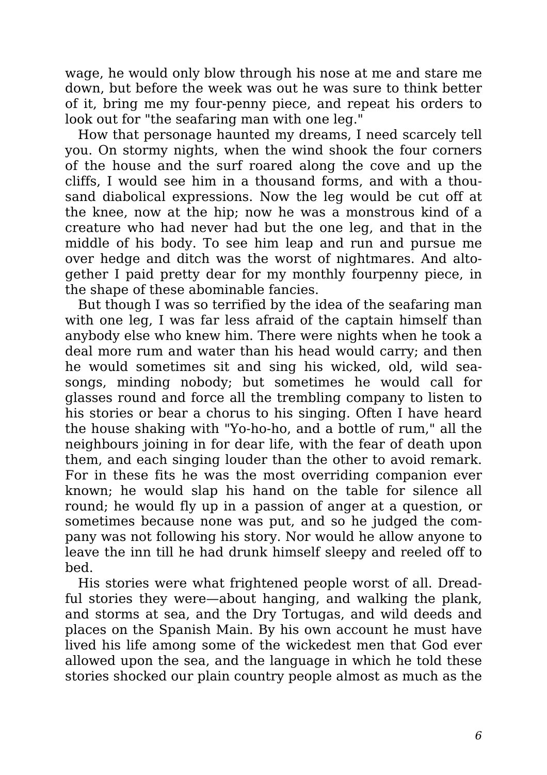wage, he would only blow through his nose at me and stare me down, but before the week was out he was sure to think better of it, bring me my four-penny piece, and repeat his orders to look out for "the seafaring man with one leg."

How that personage haunted my dreams, I need scarcely tell you. On stormy nights, when the wind shook the four corners of the house and the surf roared along the cove and up the cliffs, I would see him in a thousand forms, and with a thousand diabolical expressions. Now the leg would be cut off at the knee, now at the hip; now he was a monstrous kind of a creature who had never had but the one leg, and that in the middle of his body. To see him leap and run and pursue me over hedge and ditch was the worst of nightmares. And altogether I paid pretty dear for my monthly fourpenny piece, in the shape of these abominable fancies.

But though I was so terrified by the idea of the seafaring man with one leg. I was far less afraid of the captain himself than anybody else who knew him. There were nights when he took a deal more rum and water than his head would carry; and then he would sometimes sit and sing his wicked, old, wild seasongs, minding nobody; but sometimes he would call for glasses round and force all the trembling company to listen to his stories or bear a chorus to his singing. Often I have heard the house shaking with "Yo-ho-ho, and a bottle of rum," all the neighbours joining in for dear life, with the fear of death upon them, and each singing louder than the other to avoid remark. For in these fits he was the most overriding companion ever known; he would slap his hand on the table for silence all round; he would fly up in a passion of anger at a question, or sometimes because none was put, and so he judged the company was not following his story. Nor would he allow anyone to leave the inn till he had drunk himself sleepy and reeled off to bed.

His stories were what frightened people worst of all. Dreadful stories they were—about hanging, and walking the plank, and storms at sea, and the Dry Tortugas, and wild deeds and places on the Spanish Main. By his own account he must have lived his life among some of the wickedest men that God ever allowed upon the sea, and the language in which he told these stories shocked our plain country people almost as much as the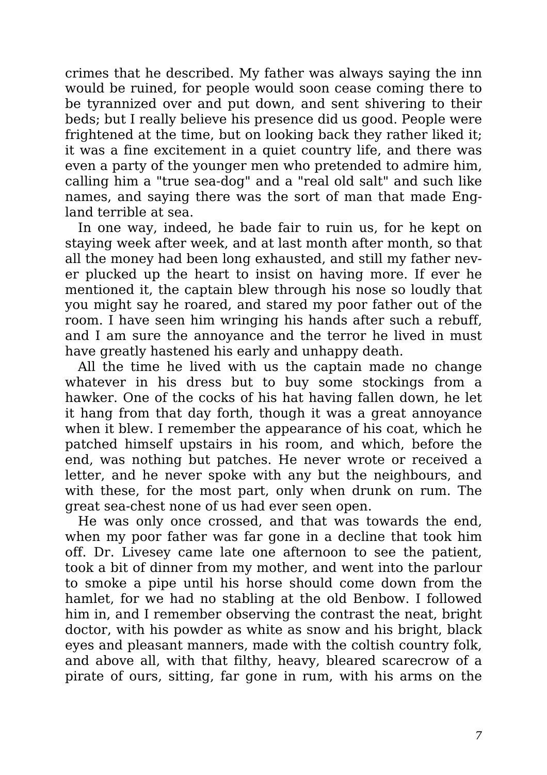crimes that he described. My father was always saying the inn would be ruined, for people would soon cease coming there to be tyrannized over and put down, and sent shivering to their beds; but I really believe his presence did us good. People were frightened at the time, but on looking back they rather liked it; it was a fine excitement in a quiet country life, and there was even a party of the younger men who pretended to admire him, calling him a "true sea-dog" and a "real old salt" and such like names, and saying there was the sort of man that made England terrible at sea.

In one way, indeed, he bade fair to ruin us, for he kept on staying week after week, and at last month after month, so that all the money had been long exhausted, and still my father never plucked up the heart to insist on having more. If ever he mentioned it, the captain blew through his nose so loudly that you might say he roared, and stared my poor father out of the room. I have seen him wringing his hands after such a rebuff, and I am sure the annoyance and the terror he lived in must have greatly hastened his early and unhappy death.

All the time he lived with us the captain made no change whatever in his dress but to buy some stockings from a hawker. One of the cocks of his hat having fallen down, he let it hang from that day forth, though it was a great annoyance when it blew. I remember the appearance of his coat, which he patched himself upstairs in his room, and which, before the end, was nothing but patches. He never wrote or received a letter, and he never spoke with any but the neighbours, and with these, for the most part, only when drunk on rum. The great sea-chest none of us had ever seen open.

He was only once crossed, and that was towards the end, when my poor father was far gone in a decline that took him off. Dr. Livesey came late one afternoon to see the patient, took a bit of dinner from my mother, and went into the parlour to smoke a pipe until his horse should come down from the hamlet, for we had no stabling at the old Benbow. I followed him in, and I remember observing the contrast the neat, bright doctor, with his powder as white as snow and his bright, black eyes and pleasant manners, made with the coltish country folk, and above all, with that filthy, heavy, bleared scarecrow of a pirate of ours, sitting, far gone in rum, with his arms on the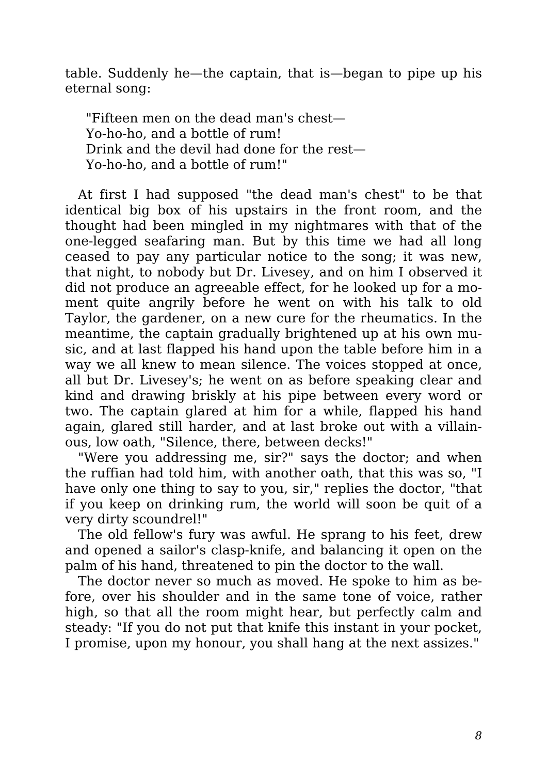table. Suddenly he—the captain, that is—began to pipe up his eternal song:

"Fifteen men on the dead man's chest— Yo-ho-ho, and a bottle of rum! Drink and the devil had done for the rest— Yo-ho-ho, and a bottle of rum!"

At first I had supposed "the dead man's chest" to be that identical big box of his upstairs in the front room, and the thought had been mingled in my nightmares with that of the one-legged seafaring man. But by this time we had all long ceased to pay any particular notice to the song; it was new, that night, to nobody but Dr. Livesey, and on him I observed it did not produce an agreeable effect, for he looked up for a moment quite angrily before he went on with his talk to old Taylor, the gardener, on a new cure for the rheumatics. In the meantime, the captain gradually brightened up at his own music, and at last flapped his hand upon the table before him in a way we all knew to mean silence. The voices stopped at once, all but Dr. Livesey's; he went on as before speaking clear and kind and drawing briskly at his pipe between every word or two. The captain glared at him for a while, flapped his hand again, glared still harder, and at last broke out with a villainous, low oath, "Silence, there, between decks!"

"Were you addressing me, sir?" says the doctor; and when the ruffian had told him, with another oath, that this was so, "I have only one thing to say to you, sir," replies the doctor, "that if you keep on drinking rum, the world will soon be quit of a very dirty scoundrel!"

The old fellow's fury was awful. He sprang to his feet, drew and opened a sailor's clasp-knife, and balancing it open on the palm of his hand, threatened to pin the doctor to the wall.

The doctor never so much as moved. He spoke to him as before, over his shoulder and in the same tone of voice, rather high, so that all the room might hear, but perfectly calm and steady: "If you do not put that knife this instant in your pocket, I promise, upon my honour, you shall hang at the next assizes."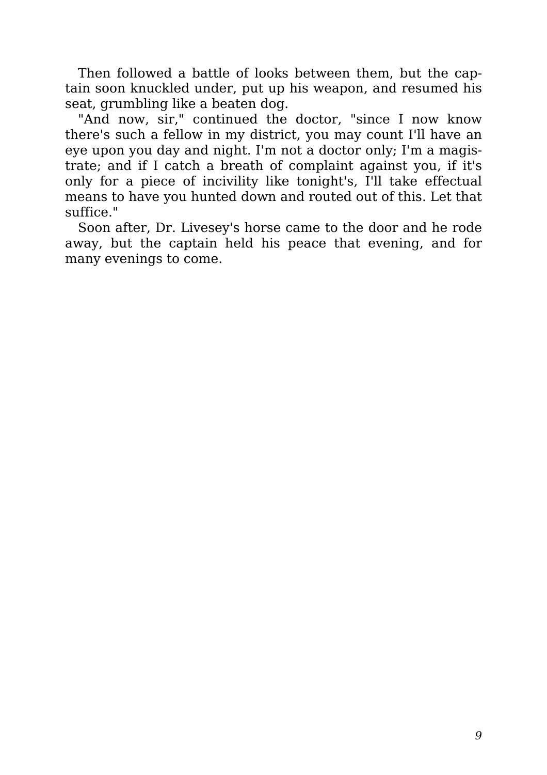Then followed a battle of looks between them, but the captain soon knuckled under, put up his weapon, and resumed his seat, grumbling like a beaten dog.

"And now, sir," continued the doctor, "since I now know there's such a fellow in my district, you may count I'll have an eye upon you day and night. I'm not a doctor only; I'm a magistrate; and if I catch a breath of complaint against you, if it's only for a piece of incivility like tonight's, I'll take effectual means to have you hunted down and routed out of this. Let that suffice."

Soon after, Dr. Livesey's horse came to the door and he rode away, but the captain held his peace that evening, and for many evenings to come.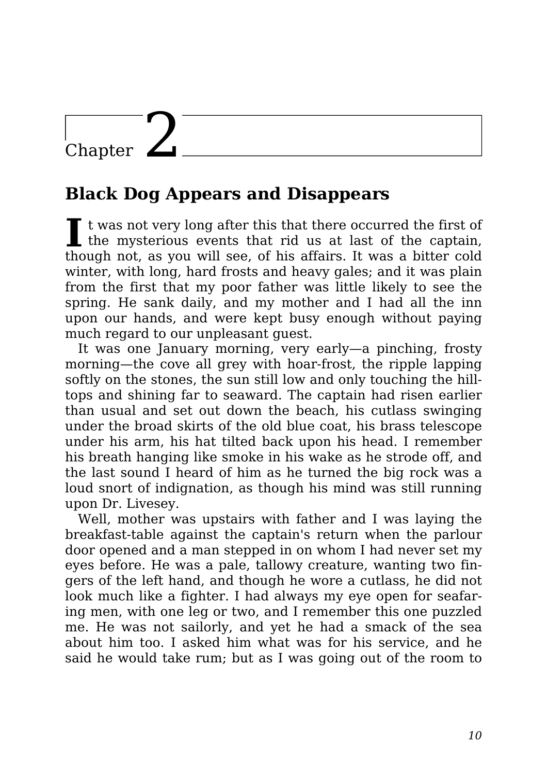### Chapter  $\mathbf{Z}$

#### **Black Dog Appears and Disappears**

 $\blacksquare$  t was not very long after this that there occurred the first of the mysterious events that rid us at last of the captain,  $\mathsf{\Gamma}$  t was not very long after this that there occurred the first of though not, as you will see, of his affairs. It was a bitter cold winter, with long, hard frosts and heavy gales; and it was plain from the first that my poor father was little likely to see the spring. He sank daily, and my mother and I had all the inn upon our hands, and were kept busy enough without paying much regard to our unpleasant guest.

It was one January morning, very early—a pinching, frosty morning—the cove all grey with hoar-frost, the ripple lapping softly on the stones, the sun still low and only touching the hilltops and shining far to seaward. The captain had risen earlier than usual and set out down the beach, his cutlass swinging under the broad skirts of the old blue coat, his brass telescope under his arm, his hat tilted back upon his head. I remember his breath hanging like smoke in his wake as he strode off, and the last sound I heard of him as he turned the big rock was a loud snort of indignation, as though his mind was still running upon Dr. Livesey.

Well, mother was upstairs with father and I was laying the breakfast-table against the captain's return when the parlour door opened and a man stepped in on whom I had never set my eyes before. He was a pale, tallowy creature, wanting two fingers of the left hand, and though he wore a cutlass, he did not look much like a fighter. I had always my eye open for seafaring men, with one leg or two, and I remember this one puzzled me. He was not sailorly, and yet he had a smack of the sea about him too. I asked him what was for his service, and he said he would take rum; but as I was going out of the room to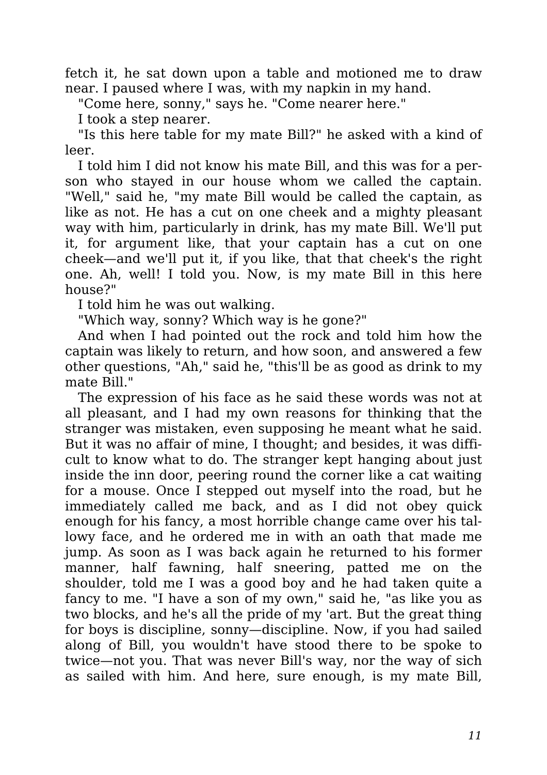fetch it, he sat down upon a table and motioned me to draw near. I paused where I was, with my napkin in my hand.

"Come here, sonny," says he. "Come nearer here."

I took a step nearer.

"Is this here table for my mate Bill?" he asked with a kind of leer.

I told him I did not know his mate Bill, and this was for a person who stayed in our house whom we called the captain. "Well," said he, "my mate Bill would be called the captain, as like as not. He has a cut on one cheek and a mighty pleasant way with him, particularly in drink, has my mate Bill. We'll put it, for argument like, that your captain has a cut on one cheek—and we'll put it, if you like, that that cheek's the right one. Ah, well! I told you. Now, is my mate Bill in this here house?"

I told him he was out walking.

"Which way, sonny? Which way is he gone?"

And when I had pointed out the rock and told him how the captain was likely to return, and how soon, and answered a few other questions, "Ah," said he, "this'll be as good as drink to my mate Bill."

The expression of his face as he said these words was not at all pleasant, and I had my own reasons for thinking that the stranger was mistaken, even supposing he meant what he said. But it was no affair of mine, I thought; and besides, it was difficult to know what to do. The stranger kept hanging about just inside the inn door, peering round the corner like a cat waiting for a mouse. Once I stepped out myself into the road, but he immediately called me back, and as I did not obey quick enough for his fancy, a most horrible change came over his tallowy face, and he ordered me in with an oath that made me jump. As soon as I was back again he returned to his former manner, half fawning, half sneering, patted me on the shoulder, told me I was a good boy and he had taken quite a fancy to me. "I have a son of my own," said he, "as like you as two blocks, and he's all the pride of my 'art. But the great thing for boys is discipline, sonny—discipline. Now, if you had sailed along of Bill, you wouldn't have stood there to be spoke to twice—not you. That was never Bill's way, nor the way of sich as sailed with him. And here, sure enough, is my mate Bill,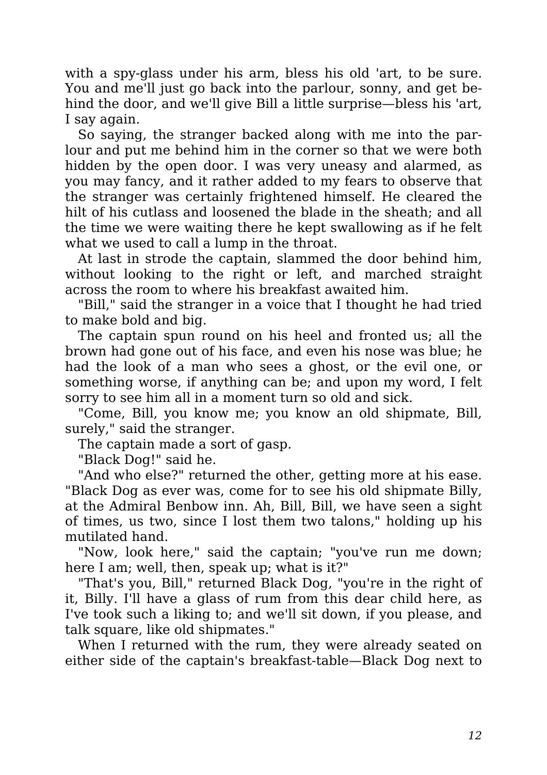with a spy-glass under his arm, bless his old 'art, to be sure. You and me'll just go back into the parlour, sonny, and get behind the door, and we'll give Bill a little surprise—bless his 'art, I say again.

So saying, the stranger backed along with me into the parlour and put me behind him in the corner so that we were both hidden by the open door. I was very uneasy and alarmed, as you may fancy, and it rather added to my fears to observe that the stranger was certainly frightened himself. He cleared the hilt of his cutlass and loosened the blade in the sheath; and all the time we were waiting there he kept swallowing as if he felt what we used to call a lump in the throat.

At last in strode the captain, slammed the door behind him, without looking to the right or left, and marched straight across the room to where his breakfast awaited him.

"Bill," said the stranger in a voice that I thought he had tried to make bold and big.

The captain spun round on his heel and fronted us; all the brown had gone out of his face, and even his nose was blue; he had the look of a man who sees a ghost, or the evil one, or something worse, if anything can be; and upon my word, I felt sorry to see him all in a moment turn so old and sick.

"Come, Bill, you know me; you know an old shipmate, Bill, surely," said the stranger.

The captain made a sort of gasp.

"Black Dog!" said he.

"And who else?" returned the other, getting more at his ease. "Black Dog as ever was, come for to see his old shipmate Billy, at the Admiral Benbow inn. Ah, Bill, Bill, we have seen a sight of times, us two, since I lost them two talons," holding up his mutilated hand.

"Now, look here," said the captain; "you've run me down; here I am; well, then, speak up; what is it?"

"That's you, Bill," returned Black Dog, "you're in the right of it, Billy. I'll have a glass of rum from this dear child here, as I've took such a liking to; and we'll sit down, if you please, and talk square, like old shipmates."

When I returned with the rum, they were already seated on either side of the captain's breakfast-table—Black Dog next to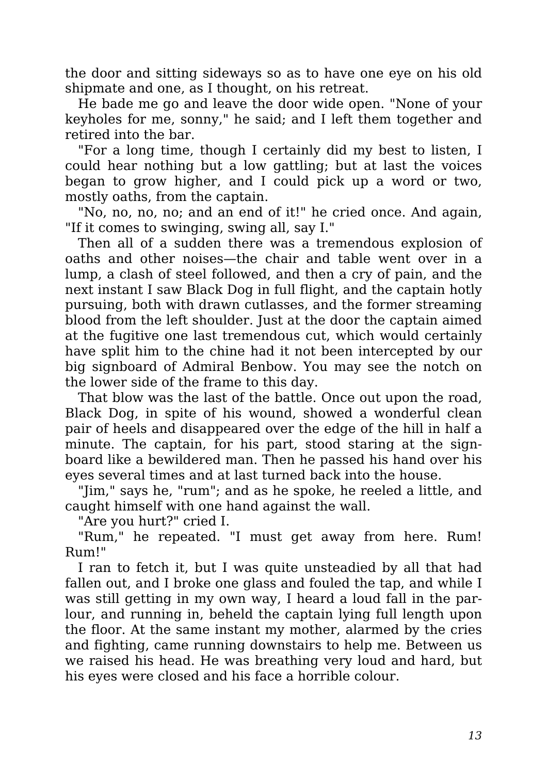the door and sitting sideways so as to have one eye on his old shipmate and one, as I thought, on his retreat.

He bade me go and leave the door wide open. "None of your keyholes for me, sonny," he said; and I left them together and retired into the bar.

"For a long time, though I certainly did my best to listen, I could hear nothing but a low gattling; but at last the voices began to grow higher, and I could pick up a word or two, mostly oaths, from the captain.

"No, no, no, no; and an end of it!" he cried once. And again, "If it comes to swinging, swing all, say I."

Then all of a sudden there was a tremendous explosion of oaths and other noises—the chair and table went over in a lump, a clash of steel followed, and then a cry of pain, and the next instant I saw Black Dog in full flight, and the captain hotly pursuing, both with drawn cutlasses, and the former streaming blood from the left shoulder. Just at the door the captain aimed at the fugitive one last tremendous cut, which would certainly have split him to the chine had it not been intercepted by our big signboard of Admiral Benbow. You may see the notch on the lower side of the frame to this day.

That blow was the last of the battle. Once out upon the road, Black Dog, in spite of his wound, showed a wonderful clean pair of heels and disappeared over the edge of the hill in half a minute. The captain, for his part, stood staring at the signboard like a bewildered man. Then he passed his hand over his eyes several times and at last turned back into the house.

"Jim," says he, "rum"; and as he spoke, he reeled a little, and caught himself with one hand against the wall.

"Are you hurt?" cried I.

"Rum," he repeated. "I must get away from here. Rum! Rum!"

I ran to fetch it, but I was quite unsteadied by all that had fallen out, and I broke one glass and fouled the tap, and while I was still getting in my own way, I heard a loud fall in the parlour, and running in, beheld the captain lying full length upon the floor. At the same instant my mother, alarmed by the cries and fighting, came running downstairs to help me. Between us we raised his head. He was breathing very loud and hard, but his eyes were closed and his face a horrible colour.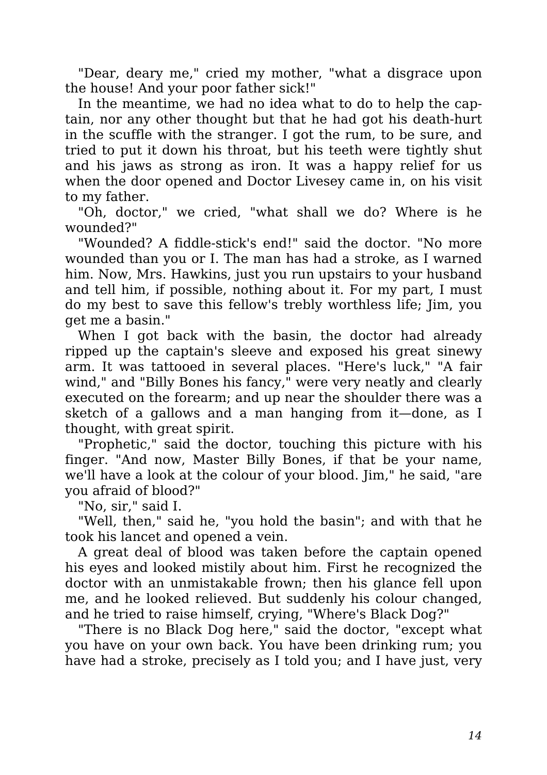"Dear, deary me," cried my mother, "what a disgrace upon the house! And your poor father sick!"

In the meantime, we had no idea what to do to help the captain, nor any other thought but that he had got his death-hurt in the scuffle with the stranger. I got the rum, to be sure, and tried to put it down his throat, but his teeth were tightly shut and his jaws as strong as iron. It was a happy relief for us when the door opened and Doctor Livesey came in, on his visit to my father.

"Oh, doctor," we cried, "what shall we do? Where is he wounded?"

"Wounded? A fiddle-stick's end!" said the doctor. "No more wounded than you or I. The man has had a stroke, as I warned him. Now, Mrs. Hawkins, just you run upstairs to your husband and tell him, if possible, nothing about it. For my part, I must do my best to save this fellow's trebly worthless life; Jim, you get me a basin."

When I got back with the basin, the doctor had already ripped up the captain's sleeve and exposed his great sinewy arm. It was tattooed in several places. "Here's luck," "A fair wind," and "Billy Bones his fancy," were very neatly and clearly executed on the forearm; and up near the shoulder there was a sketch of a gallows and a man hanging from it—done, as I thought, with great spirit.

"Prophetic," said the doctor, touching this picture with his finger. "And now, Master Billy Bones, if that be your name, we'll have a look at the colour of your blood. Jim," he said, "are you afraid of blood?"

"No, sir," said I.

"Well, then," said he, "you hold the basin"; and with that he took his lancet and opened a vein.

A great deal of blood was taken before the captain opened his eyes and looked mistily about him. First he recognized the doctor with an unmistakable frown; then his glance fell upon me, and he looked relieved. But suddenly his colour changed, and he tried to raise himself, crying, "Where's Black Dog?"

"There is no Black Dog here," said the doctor, "except what you have on your own back. You have been drinking rum; you have had a stroke, precisely as I told you; and I have just, very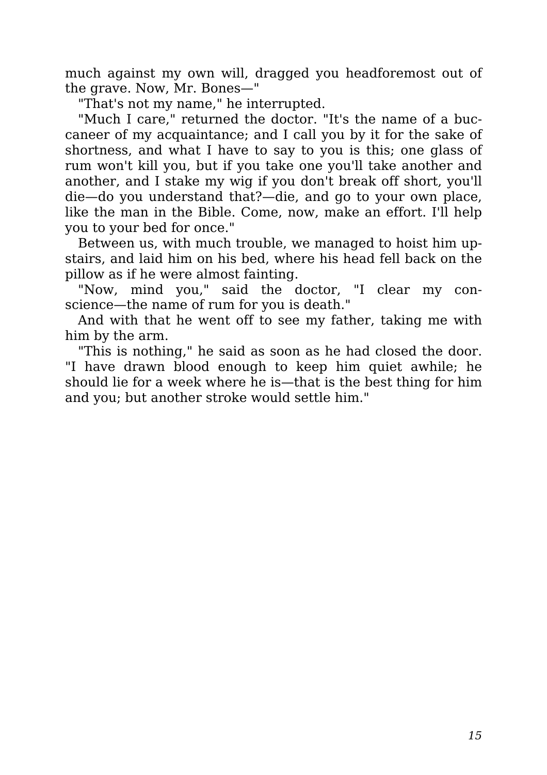much against my own will, dragged you headforemost out of the grave. Now, Mr. Bones—"

"That's not my name," he interrupted.

"Much I care," returned the doctor. "It's the name of a buccaneer of my acquaintance; and I call you by it for the sake of shortness, and what I have to say to you is this; one glass of rum won't kill you, but if you take one you'll take another and another, and I stake my wig if you don't break off short, you'll die—do you understand that?—die, and go to your own place, like the man in the Bible. Come, now, make an effort. I'll help you to your bed for once."

Between us, with much trouble, we managed to hoist him upstairs, and laid him on his bed, where his head fell back on the pillow as if he were almost fainting.

"Now, mind you," said the doctor, "I clear my conscience—the name of rum for you is death."

And with that he went off to see my father, taking me with him by the arm.

"This is nothing," he said as soon as he had closed the door. "I have drawn blood enough to keep him quiet awhile; he should lie for a week where he is—that is the best thing for him and you; but another stroke would settle him."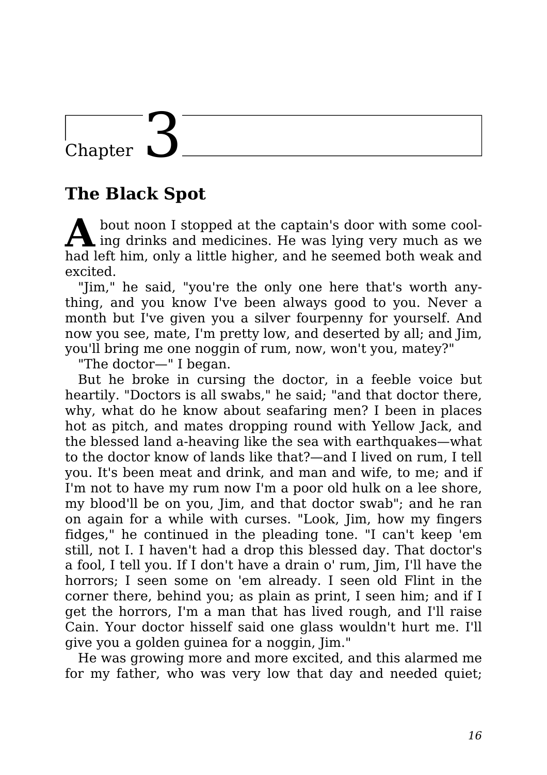### Chapter

#### **The Black Spot**

**A** bout noon I stopped at the captain's door with some cooling drinks and medicines. He was lying very much as we bout noon I stopped at the captain's door with some coolhad left him, only a little higher, and he seemed both weak and excited.

"Jim," he said, "you're the only one here that's worth anything, and you know I've been always good to you. Never a month but I've given you a silver fourpenny for yourself. And now you see, mate, I'm pretty low, and deserted by all; and Jim, you'll bring me one noggin of rum, now, won't you, matey?"

"The doctor—" I began.

But he broke in cursing the doctor, in a feeble voice but heartily. "Doctors is all swabs," he said; "and that doctor there, why, what do he know about seafaring men? I been in places hot as pitch, and mates dropping round with Yellow Jack, and the blessed land a-heaving like the sea with earthquakes—what to the doctor know of lands like that?—and I lived on rum, I tell you. It's been meat and drink, and man and wife, to me; and if I'm not to have my rum now I'm a poor old hulk on a lee shore, my blood'll be on you, Jim, and that doctor swab"; and he ran on again for a while with curses. "Look, Jim, how my fingers fidges," he continued in the pleading tone. "I can't keep 'em still, not I. I haven't had a drop this blessed day. That doctor's a fool, I tell you. If I don't have a drain o' rum, Jim, I'll have the horrors; I seen some on 'em already. I seen old Flint in the corner there, behind you; as plain as print, I seen him; and if I get the horrors, I'm a man that has lived rough, and I'll raise Cain. Your doctor hisself said one glass wouldn't hurt me. I'll give you a golden guinea for a noggin, Jim."

He was growing more and more excited, and this alarmed me for my father, who was very low that day and needed quiet;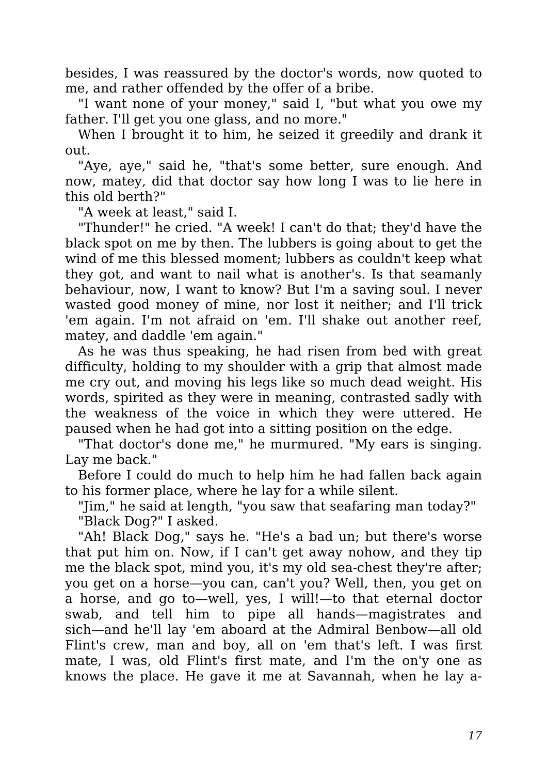besides, I was reassured by the doctor's words, now quoted to me, and rather offended by the offer of a bribe.

"I want none of your money," said I, "but what you owe my father. I'll get you one glass, and no more."

When I brought it to him, he seized it greedily and drank it out.

"Aye, aye," said he, "that's some better, sure enough. And now, matey, did that doctor say how long I was to lie here in this old berth?"

"A week at least," said I.

"Thunder!" he cried. "A week! I can't do that; they'd have the black spot on me by then. The lubbers is going about to get the wind of me this blessed moment; lubbers as couldn't keep what they got, and want to nail what is another's. Is that seamanly behaviour, now, I want to know? But I'm a saving soul. I never wasted good money of mine, nor lost it neither; and I'll trick 'em again. I'm not afraid on 'em. I'll shake out another reef, matey, and daddle 'em again."

As he was thus speaking, he had risen from bed with great difficulty, holding to my shoulder with a grip that almost made me cry out, and moving his legs like so much dead weight. His words, spirited as they were in meaning, contrasted sadly with the weakness of the voice in which they were uttered. He paused when he had got into a sitting position on the edge.

"That doctor's done me," he murmured. "My ears is singing. Lay me back."

Before I could do much to help him he had fallen back again to his former place, where he lay for a while silent.

"Jim," he said at length, "you saw that seafaring man today?" "Black Dog?" I asked.

"Ah! Black Dog," says he. "He's a bad un; but there's worse that put him on. Now, if I can't get away nohow, and they tip me the black spot, mind you, it's my old sea-chest they're after; you get on a horse—you can, can't you? Well, then, you get on a horse, and go to—well, yes, I will!—to that eternal doctor swab, and tell him to pipe all hands—magistrates and sich—and he'll lay 'em aboard at the Admiral Benbow—all old Flint's crew, man and boy, all on 'em that's left. I was first mate, I was, old Flint's first mate, and I'm the on'y one as knows the place. He gave it me at Savannah, when he lay a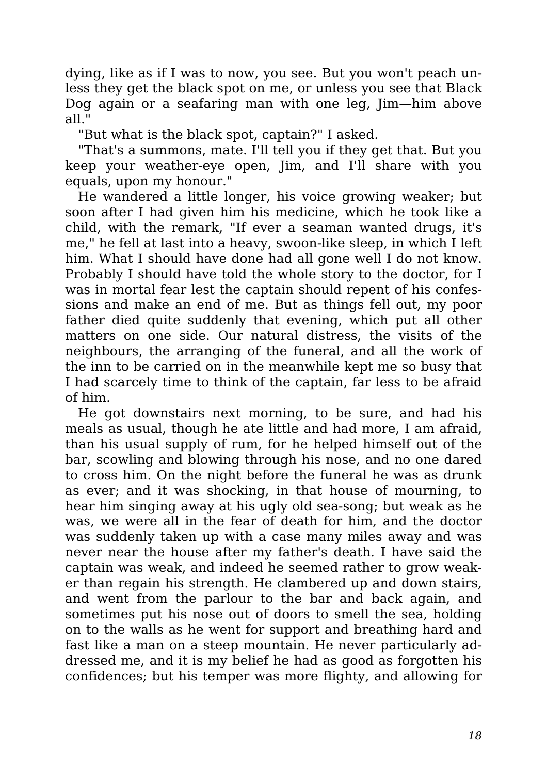dying, like as if I was to now, you see. But you won't peach unless they get the black spot on me, or unless you see that Black Dog again or a seafaring man with one leg, Jim—him above all."

"But what is the black spot, captain?" I asked.

"That's a summons, mate. I'll tell you if they get that. But you keep your weather-eye open, Jim, and I'll share with you equals, upon my honour."

He wandered a little longer, his voice growing weaker; but soon after I had given him his medicine, which he took like a child, with the remark, "If ever a seaman wanted drugs, it's me," he fell at last into a heavy, swoon-like sleep, in which I left him. What I should have done had all gone well I do not know. Probably I should have told the whole story to the doctor, for I was in mortal fear lest the captain should repent of his confessions and make an end of me. But as things fell out, my poor father died quite suddenly that evening, which put all other matters on one side. Our natural distress, the visits of the neighbours, the arranging of the funeral, and all the work of the inn to be carried on in the meanwhile kept me so busy that I had scarcely time to think of the captain, far less to be afraid of him.

He got downstairs next morning, to be sure, and had his meals as usual, though he ate little and had more, I am afraid, than his usual supply of rum, for he helped himself out of the bar, scowling and blowing through his nose, and no one dared to cross him. On the night before the funeral he was as drunk as ever; and it was shocking, in that house of mourning, to hear him singing away at his ugly old sea-song; but weak as he was, we were all in the fear of death for him, and the doctor was suddenly taken up with a case many miles away and was never near the house after my father's death. I have said the captain was weak, and indeed he seemed rather to grow weaker than regain his strength. He clambered up and down stairs, and went from the parlour to the bar and back again, and sometimes put his nose out of doors to smell the sea, holding on to the walls as he went for support and breathing hard and fast like a man on a steep mountain. He never particularly addressed me, and it is my belief he had as good as forgotten his confidences; but his temper was more flighty, and allowing for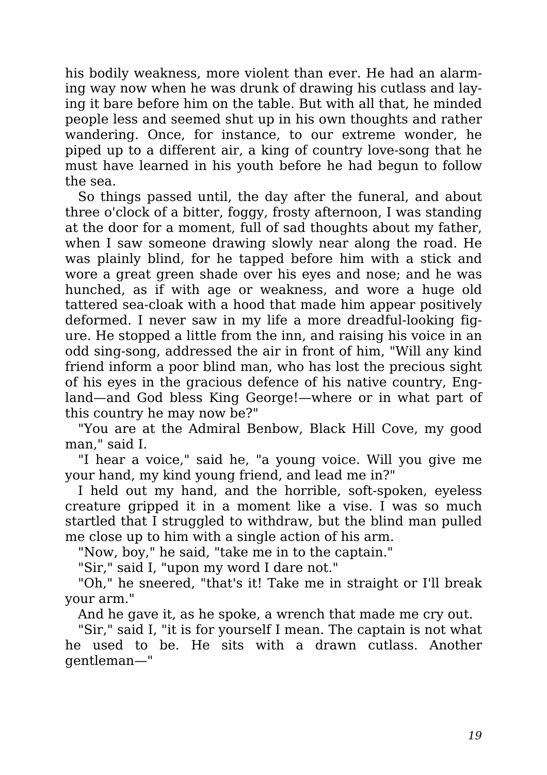his bodily weakness, more violent than ever. He had an alarming way now when he was drunk of drawing his cutlass and laying it bare before him on the table. But with all that, he minded people less and seemed shut up in his own thoughts and rather wandering. Once, for instance, to our extreme wonder, he piped up to a different air, a king of country love-song that he must have learned in his youth before he had begun to follow the sea.

So things passed until, the day after the funeral, and about three o'clock of a bitter, foggy, frosty afternoon, I was standing at the door for a moment, full of sad thoughts about my father, when I saw someone drawing slowly near along the road. He was plainly blind, for he tapped before him with a stick and wore a great green shade over his eyes and nose; and he was hunched, as if with age or weakness, and wore a huge old tattered sea-cloak with a hood that made him appear positively deformed. I never saw in my life a more dreadful-looking figure. He stopped a little from the inn, and raising his voice in an odd sing-song, addressed the air in front of him, "Will any kind friend inform a poor blind man, who has lost the precious sight of his eyes in the gracious defence of his native country, England—and God bless King George!—where or in what part of this country he may now be?"

"You are at the Admiral Benbow, Black Hill Cove, my good man," said I.

"I hear a voice," said he, "a young voice. Will you give me your hand, my kind young friend, and lead me in?"

I held out my hand, and the horrible, soft-spoken, eyeless creature gripped it in a moment like a vise. I was so much startled that I struggled to withdraw, but the blind man pulled me close up to him with a single action of his arm.

"Now, boy," he said, "take me in to the captain."

"Sir," said I, "upon my word I dare not."

"Oh," he sneered, "that's it! Take me in straight or I'll break your arm."

And he gave it, as he spoke, a wrench that made me cry out.

"Sir," said I, "it is for yourself I mean. The captain is not what he used to be. He sits with a drawn cutlass. Another gentleman—"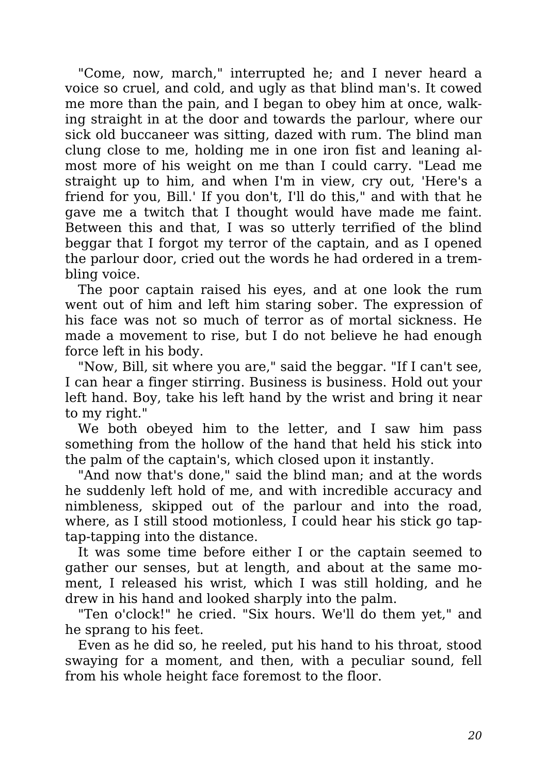"Come, now, march," interrupted he; and I never heard a voice so cruel, and cold, and ugly as that blind man's. It cowed me more than the pain, and I began to obey him at once, walking straight in at the door and towards the parlour, where our sick old buccaneer was sitting, dazed with rum. The blind man clung close to me, holding me in one iron fist and leaning almost more of his weight on me than I could carry. "Lead me straight up to him, and when I'm in view, cry out, 'Here's a friend for you, Bill.' If you don't, I'll do this," and with that he gave me a twitch that I thought would have made me faint. Between this and that, I was so utterly terrified of the blind beggar that I forgot my terror of the captain, and as I opened the parlour door, cried out the words he had ordered in a trembling voice.

The poor captain raised his eyes, and at one look the rum went out of him and left him staring sober. The expression of his face was not so much of terror as of mortal sickness. He made a movement to rise, but I do not believe he had enough force left in his body.

"Now, Bill, sit where you are," said the beggar. "If I can't see, I can hear a finger stirring. Business is business. Hold out your left hand. Boy, take his left hand by the wrist and bring it near to my right."

We both obeyed him to the letter, and I saw him pass something from the hollow of the hand that held his stick into the palm of the captain's, which closed upon it instantly.

"And now that's done," said the blind man; and at the words he suddenly left hold of me, and with incredible accuracy and nimbleness, skipped out of the parlour and into the road, where, as I still stood motionless, I could hear his stick go taptap-tapping into the distance.

It was some time before either I or the captain seemed to gather our senses, but at length, and about at the same moment, I released his wrist, which I was still holding, and he drew in his hand and looked sharply into the palm.

"Ten o'clock!" he cried. "Six hours. We'll do them yet," and he sprang to his feet.

Even as he did so, he reeled, put his hand to his throat, stood swaying for a moment, and then, with a peculiar sound, fell from his whole height face foremost to the floor.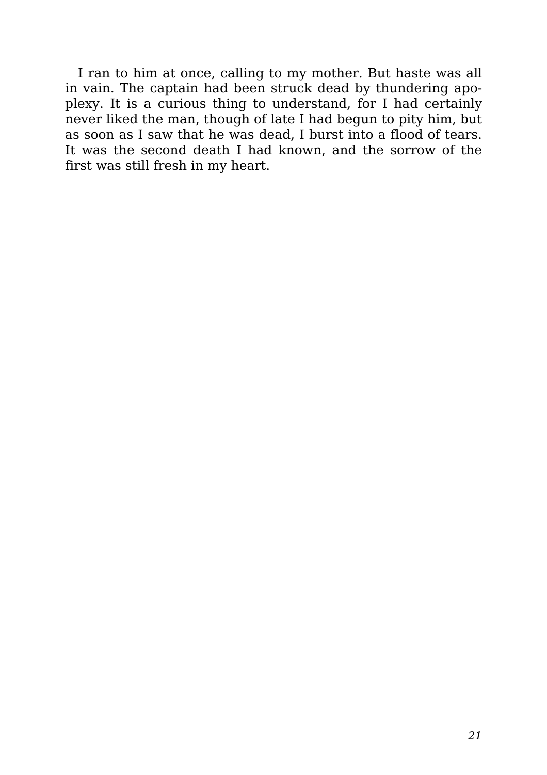I ran to him at once, calling to my mother. But haste was all in vain. The captain had been struck dead by thundering apoplexy. It is a curious thing to understand, for I had certainly never liked the man, though of late I had begun to pity him, but as soon as I saw that he was dead, I burst into a flood of tears. It was the second death I had known, and the sorrow of the first was still fresh in my heart.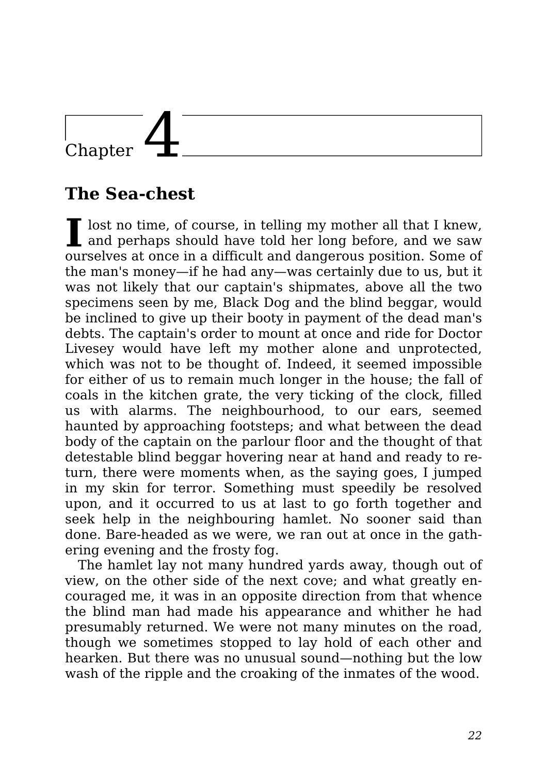## Chapter 4

#### **The Sea-chest**

I lost no time, of course, in telling my mother all that I knew, and perhaps should have told her long before, and we saw and perhaps should have told her long before, and we saw ourselves at once in a difficult and dangerous position. Some of the man's money—if he had any—was certainly due to us, but it was not likely that our captain's shipmates, above all the two specimens seen by me, Black Dog and the blind beggar, would be inclined to give up their booty in payment of the dead man's debts. The captain's order to mount at once and ride for Doctor Livesey would have left my mother alone and unprotected, which was not to be thought of. Indeed, it seemed impossible for either of us to remain much longer in the house; the fall of coals in the kitchen grate, the very ticking of the clock, filled us with alarms. The neighbourhood, to our ears, seemed haunted by approaching footsteps; and what between the dead body of the captain on the parlour floor and the thought of that detestable blind beggar hovering near at hand and ready to return, there were moments when, as the saying goes, I jumped in my skin for terror. Something must speedily be resolved upon, and it occurred to us at last to go forth together and seek help in the neighbouring hamlet. No sooner said than done. Bare-headed as we were, we ran out at once in the gathering evening and the frosty fog.

The hamlet lay not many hundred yards away, though out of view, on the other side of the next cove; and what greatly encouraged me, it was in an opposite direction from that whence the blind man had made his appearance and whither he had presumably returned. We were not many minutes on the road, though we sometimes stopped to lay hold of each other and hearken. But there was no unusual sound—nothing but the low wash of the ripple and the croaking of the inmates of the wood.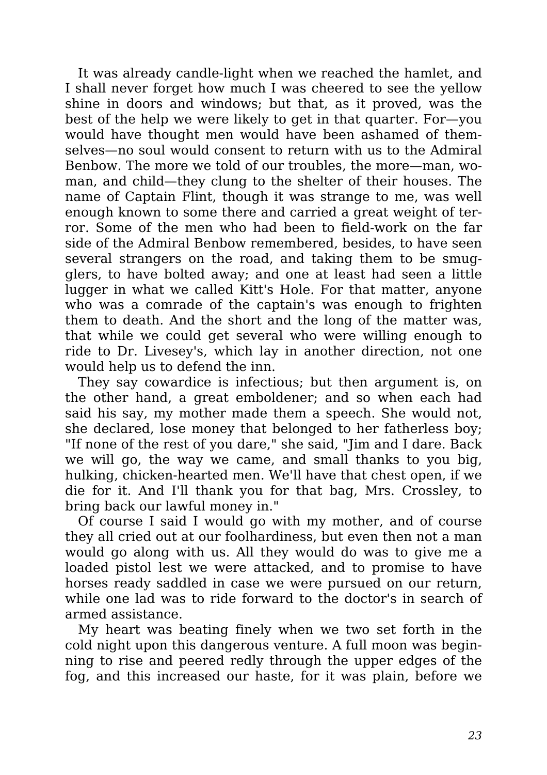It was already candle-light when we reached the hamlet, and I shall never forget how much I was cheered to see the yellow shine in doors and windows; but that, as it proved, was the best of the help we were likely to get in that quarter. For—you would have thought men would have been ashamed of themselves—no soul would consent to return with us to the Admiral Benbow. The more we told of our troubles, the more—man, woman, and child—they clung to the shelter of their houses. The name of Captain Flint, though it was strange to me, was well enough known to some there and carried a great weight of terror. Some of the men who had been to field-work on the far side of the Admiral Benbow remembered, besides, to have seen several strangers on the road, and taking them to be smugglers, to have bolted away; and one at least had seen a little lugger in what we called Kitt's Hole. For that matter, anyone who was a comrade of the captain's was enough to frighten them to death. And the short and the long of the matter was, that while we could get several who were willing enough to ride to Dr. Livesey's, which lay in another direction, not one would help us to defend the inn.

They say cowardice is infectious; but then argument is, on the other hand, a great emboldener; and so when each had said his say, my mother made them a speech. She would not, she declared, lose money that belonged to her fatherless boy; "If none of the rest of you dare," she said, "Jim and I dare. Back we will go, the way we came, and small thanks to you big, hulking, chicken-hearted men. We'll have that chest open, if we die for it. And I'll thank you for that bag, Mrs. Crossley, to bring back our lawful money in."

Of course I said I would go with my mother, and of course they all cried out at our foolhardiness, but even then not a man would go along with us. All they would do was to give me a loaded pistol lest we were attacked, and to promise to have horses ready saddled in case we were pursued on our return, while one lad was to ride forward to the doctor's in search of armed assistance.

My heart was beating finely when we two set forth in the cold night upon this dangerous venture. A full moon was beginning to rise and peered redly through the upper edges of the fog, and this increased our haste, for it was plain, before we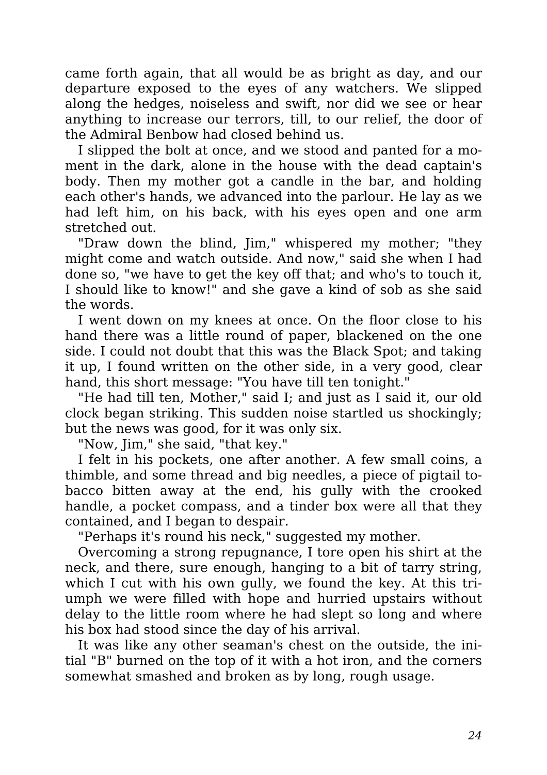came forth again, that all would be as bright as day, and our departure exposed to the eyes of any watchers. We slipped along the hedges, noiseless and swift, nor did we see or hear anything to increase our terrors, till, to our relief, the door of the Admiral Benbow had closed behind us.

I slipped the bolt at once, and we stood and panted for a moment in the dark, alone in the house with the dead captain's body. Then my mother got a candle in the bar, and holding each other's hands, we advanced into the parlour. He lay as we had left him, on his back, with his eyes open and one arm stretched out.

"Draw down the blind, Jim," whispered my mother; "they might come and watch outside. And now," said she when I had done so, "we have to get the key off that; and who's to touch it, I should like to know!" and she gave a kind of sob as she said the words.

I went down on my knees at once. On the floor close to his hand there was a little round of paper, blackened on the one side. I could not doubt that this was the Black Spot; and taking it up, I found written on the other side, in a very good, clear hand, this short message: "You have till ten tonight."

"He had till ten, Mother," said I; and just as I said it, our old clock began striking. This sudden noise startled us shockingly; but the news was good, for it was only six.

"Now, Jim," she said, "that key."

I felt in his pockets, one after another. A few small coins, a thimble, and some thread and big needles, a piece of pigtail tobacco bitten away at the end, his gully with the crooked handle, a pocket compass, and a tinder box were all that they contained, and I began to despair.

"Perhaps it's round his neck," suggested my mother.

Overcoming a strong repugnance, I tore open his shirt at the neck, and there, sure enough, hanging to a bit of tarry string, which I cut with his own gully, we found the key. At this triumph we were filled with hope and hurried upstairs without delay to the little room where he had slept so long and where his box had stood since the day of his arrival.

It was like any other seaman's chest on the outside, the initial "B" burned on the top of it with a hot iron, and the corners somewhat smashed and broken as by long, rough usage.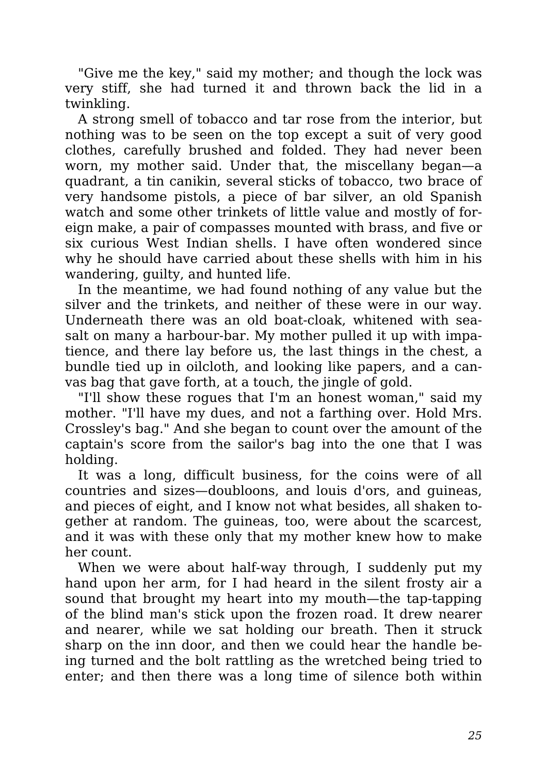"Give me the key," said my mother; and though the lock was very stiff, she had turned it and thrown back the lid in a twinkling.

A strong smell of tobacco and tar rose from the interior, but nothing was to be seen on the top except a suit of very good clothes, carefully brushed and folded. They had never been worn, my mother said. Under that, the miscellany began—a quadrant, a tin canikin, several sticks of tobacco, two brace of very handsome pistols, a piece of bar silver, an old Spanish watch and some other trinkets of little value and mostly of foreign make, a pair of compasses mounted with brass, and five or six curious West Indian shells. I have often wondered since why he should have carried about these shells with him in his wandering, guilty, and hunted life.

In the meantime, we had found nothing of any value but the silver and the trinkets, and neither of these were in our way. Underneath there was an old boat-cloak, whitened with seasalt on many a harbour-bar. My mother pulled it up with impatience, and there lay before us, the last things in the chest, a bundle tied up in oilcloth, and looking like papers, and a canvas bag that gave forth, at a touch, the jingle of gold.

"I'll show these rogues that I'm an honest woman," said my mother. "I'll have my dues, and not a farthing over. Hold Mrs. Crossley's bag." And she began to count over the amount of the captain's score from the sailor's bag into the one that I was holding.

It was a long, difficult business, for the coins were of all countries and sizes—doubloons, and louis d'ors, and guineas, and pieces of eight, and I know not what besides, all shaken together at random. The guineas, too, were about the scarcest, and it was with these only that my mother knew how to make her count.

When we were about half-way through, I suddenly put my hand upon her arm, for I had heard in the silent frosty air a sound that brought my heart into my mouth—the tap-tapping of the blind man's stick upon the frozen road. It drew nearer and nearer, while we sat holding our breath. Then it struck sharp on the inn door, and then we could hear the handle being turned and the bolt rattling as the wretched being tried to enter; and then there was a long time of silence both within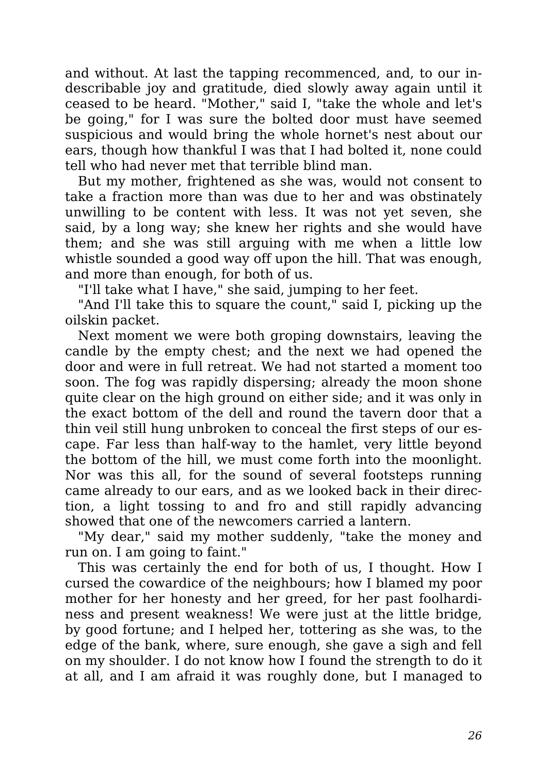and without. At last the tapping recommenced, and, to our indescribable joy and gratitude, died slowly away again until it ceased to be heard. "Mother," said I, "take the whole and let's be going," for I was sure the bolted door must have seemed suspicious and would bring the whole hornet's nest about our ears, though how thankful I was that I had bolted it, none could tell who had never met that terrible blind man.

But my mother, frightened as she was, would not consent to take a fraction more than was due to her and was obstinately unwilling to be content with less. It was not yet seven, she said, by a long way; she knew her rights and she would have them; and she was still arguing with me when a little low whistle sounded a good way off upon the hill. That was enough, and more than enough, for both of us.

"I'll take what I have," she said, jumping to her feet.

"And I'll take this to square the count," said I, picking up the oilskin packet.

Next moment we were both groping downstairs, leaving the candle by the empty chest; and the next we had opened the door and were in full retreat. We had not started a moment too soon. The fog was rapidly dispersing; already the moon shone quite clear on the high ground on either side; and it was only in the exact bottom of the dell and round the tavern door that a thin veil still hung unbroken to conceal the first steps of our escape. Far less than half-way to the hamlet, very little beyond the bottom of the hill, we must come forth into the moonlight. Nor was this all, for the sound of several footsteps running came already to our ears, and as we looked back in their direction, a light tossing to and fro and still rapidly advancing showed that one of the newcomers carried a lantern.

"My dear," said my mother suddenly, "take the money and run on. I am going to faint."

This was certainly the end for both of us, I thought. How I cursed the cowardice of the neighbours; how I blamed my poor mother for her honesty and her greed, for her past foolhardiness and present weakness! We were just at the little bridge, by good fortune; and I helped her, tottering as she was, to the edge of the bank, where, sure enough, she gave a sigh and fell on my shoulder. I do not know how I found the strength to do it at all, and I am afraid it was roughly done, but I managed to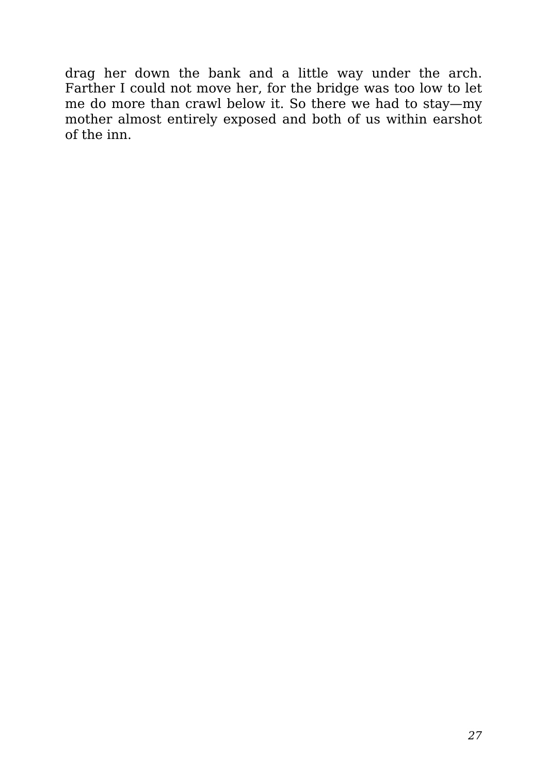drag her down the bank and a little way under the arch. Farther I could not move her, for the bridge was too low to let me do more than crawl below it. So there we had to stay—my mother almost entirely exposed and both of us within earshot of the inn.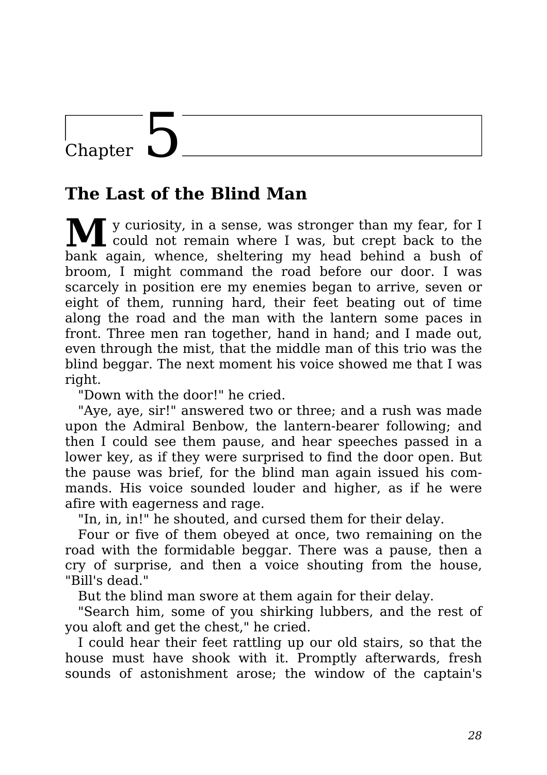### Chapter

#### **The Last of the Blind Man**

**M**<sup>y</sup> curiosity, in <sup>a</sup> sense, was stronger than my fear, for <sup>I</sup> could not remain where I was, but crept back to the bank again, whence, sheltering my head behind a bush of broom, I might command the road before our door. I was scarcely in position ere my enemies began to arrive, seven or eight of them, running hard, their feet beating out of time along the road and the man with the lantern some paces in front. Three men ran together, hand in hand; and I made out, even through the mist, that the middle man of this trio was the blind beggar. The next moment his voice showed me that I was right.

"Down with the door!" he cried.

"Aye, aye, sir!" answered two or three; and a rush was made upon the Admiral Benbow, the lantern-bearer following; and then I could see them pause, and hear speeches passed in a lower key, as if they were surprised to find the door open. But the pause was brief, for the blind man again issued his commands. His voice sounded louder and higher, as if he were afire with eagerness and rage.

"In, in, in!" he shouted, and cursed them for their delay.

Four or five of them obeyed at once, two remaining on the road with the formidable beggar. There was a pause, then a cry of surprise, and then a voice shouting from the house, "Bill's dead."

But the blind man swore at them again for their delay.

"Search him, some of you shirking lubbers, and the rest of you aloft and get the chest," he cried.

I could hear their feet rattling up our old stairs, so that the house must have shook with it. Promptly afterwards, fresh sounds of astonishment arose; the window of the captain's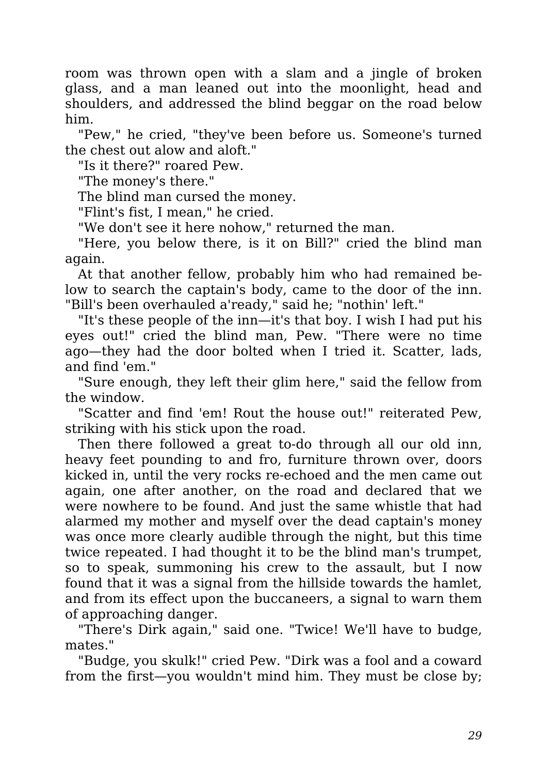room was thrown open with a slam and a jingle of broken glass, and a man leaned out into the moonlight, head and shoulders, and addressed the blind beggar on the road below him.

"Pew," he cried, "they've been before us. Someone's turned the chest out alow and aloft."

"Is it there?" roared Pew.

"The money's there."

The blind man cursed the money.

"Flint's fist, I mean," he cried.

"We don't see it here nohow," returned the man.

"Here, you below there, is it on Bill?" cried the blind man again.

At that another fellow, probably him who had remained below to search the captain's body, came to the door of the inn. "Bill's been overhauled a'ready," said he; "nothin' left."

"It's these people of the inn—it's that boy. I wish I had put his eyes out!" cried the blind man, Pew. "There were no time ago—they had the door bolted when I tried it. Scatter, lads, and find 'em."

"Sure enough, they left their glim here," said the fellow from the window.

"Scatter and find 'em! Rout the house out!" reiterated Pew, striking with his stick upon the road.

Then there followed a great to-do through all our old inn, heavy feet pounding to and fro, furniture thrown over, doors kicked in, until the very rocks re-echoed and the men came out again, one after another, on the road and declared that we were nowhere to be found. And just the same whistle that had alarmed my mother and myself over the dead captain's money was once more clearly audible through the night, but this time twice repeated. I had thought it to be the blind man's trumpet, so to speak, summoning his crew to the assault, but I now found that it was a signal from the hillside towards the hamlet, and from its effect upon the buccaneers, a signal to warn them of approaching danger.

"There's Dirk again," said one. "Twice! We'll have to budge, mates."

"Budge, you skulk!" cried Pew. "Dirk was a fool and a coward from the first—you wouldn't mind him. They must be close by;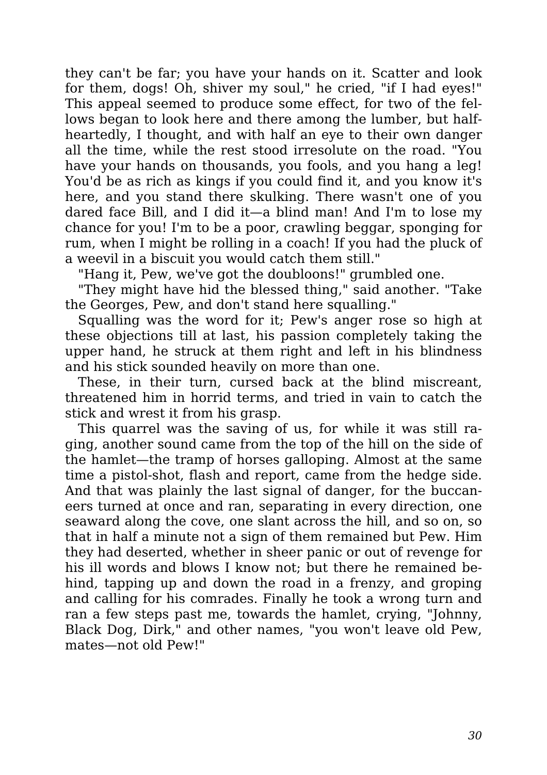they can't be far; you have your hands on it. Scatter and look for them, dogs! Oh, shiver my soul," he cried, "if I had eyes!" This appeal seemed to produce some effect, for two of the fellows began to look here and there among the lumber, but halfheartedly, I thought, and with half an eye to their own danger all the time, while the rest stood irresolute on the road. "You have your hands on thousands, you fools, and you hang a leg! You'd be as rich as kings if you could find it, and you know it's here, and you stand there skulking. There wasn't one of you dared face Bill, and I did it—a blind man! And I'm to lose my chance for you! I'm to be a poor, crawling beggar, sponging for rum, when I might be rolling in a coach! If you had the pluck of a weevil in a biscuit you would catch them still."

"Hang it, Pew, we've got the doubloons!" grumbled one.

"They might have hid the blessed thing," said another. "Take the Georges, Pew, and don't stand here squalling."

Squalling was the word for it; Pew's anger rose so high at these objections till at last, his passion completely taking the upper hand, he struck at them right and left in his blindness and his stick sounded heavily on more than one.

These, in their turn, cursed back at the blind miscreant, threatened him in horrid terms, and tried in vain to catch the stick and wrest it from his grasp.

This quarrel was the saving of us, for while it was still raging, another sound came from the top of the hill on the side of the hamlet—the tramp of horses galloping. Almost at the same time a pistol-shot, flash and report, came from the hedge side. And that was plainly the last signal of danger, for the buccaneers turned at once and ran, separating in every direction, one seaward along the cove, one slant across the hill, and so on, so that in half a minute not a sign of them remained but Pew. Him they had deserted, whether in sheer panic or out of revenge for his ill words and blows I know not; but there he remained behind, tapping up and down the road in a frenzy, and groping and calling for his comrades. Finally he took a wrong turn and ran a few steps past me, towards the hamlet, crying, "Johnny, Black Dog, Dirk," and other names, "you won't leave old Pew, mates—not old Pew!"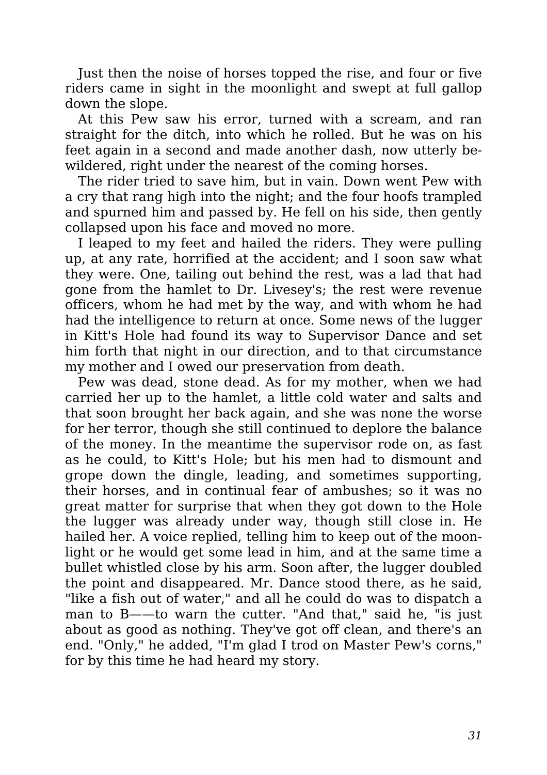Just then the noise of horses topped the rise, and four or five riders came in sight in the moonlight and swept at full gallop down the slope.

At this Pew saw his error, turned with a scream, and ran straight for the ditch, into which he rolled. But he was on his feet again in a second and made another dash, now utterly bewildered, right under the nearest of the coming horses.

The rider tried to save him, but in vain. Down went Pew with a cry that rang high into the night; and the four hoofs trampled and spurned him and passed by. He fell on his side, then gently collapsed upon his face and moved no more.

I leaped to my feet and hailed the riders. They were pulling up, at any rate, horrified at the accident; and I soon saw what they were. One, tailing out behind the rest, was a lad that had gone from the hamlet to Dr. Livesey's; the rest were revenue officers, whom he had met by the way, and with whom he had had the intelligence to return at once. Some news of the lugger in Kitt's Hole had found its way to Supervisor Dance and set him forth that night in our direction, and to that circumstance my mother and I owed our preservation from death.

Pew was dead, stone dead. As for my mother, when we had carried her up to the hamlet, a little cold water and salts and that soon brought her back again, and she was none the worse for her terror, though she still continued to deplore the balance of the money. In the meantime the supervisor rode on, as fast as he could, to Kitt's Hole; but his men had to dismount and grope down the dingle, leading, and sometimes supporting, their horses, and in continual fear of ambushes; so it was no great matter for surprise that when they got down to the Hole the lugger was already under way, though still close in. He hailed her. A voice replied, telling him to keep out of the moonlight or he would get some lead in him, and at the same time a bullet whistled close by his arm. Soon after, the lugger doubled the point and disappeared. Mr. Dance stood there, as he said, "like a fish out of water," and all he could do was to dispatch a man to B——to warn the cutter. "And that," said he, "is just about as good as nothing. They've got off clean, and there's an end. "Only," he added, "I'm glad I trod on Master Pew's corns," for by this time he had heard my story.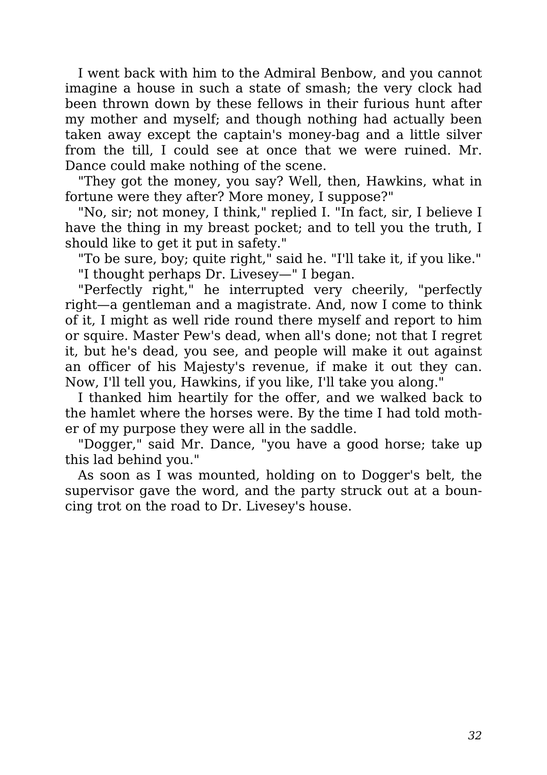I went back with him to the Admiral Benbow, and you cannot imagine a house in such a state of smash; the very clock had been thrown down by these fellows in their furious hunt after my mother and myself; and though nothing had actually been taken away except the captain's money-bag and a little silver from the till, I could see at once that we were ruined. Mr. Dance could make nothing of the scene.

"They got the money, you say? Well, then, Hawkins, what in fortune were they after? More money, I suppose?"

"No, sir; not money, I think," replied I. "In fact, sir, I believe I have the thing in my breast pocket; and to tell you the truth, I should like to get it put in safety."

"To be sure, boy; quite right," said he. "I'll take it, if you like." "I thought perhaps Dr. Livesey—" I began.

"Perfectly right," he interrupted very cheerily, "perfectly right—a gentleman and a magistrate. And, now I come to think of it, I might as well ride round there myself and report to him or squire. Master Pew's dead, when all's done; not that I regret it, but he's dead, you see, and people will make it out against an officer of his Majesty's revenue, if make it out they can. Now, I'll tell you, Hawkins, if you like, I'll take you along."

I thanked him heartily for the offer, and we walked back to the hamlet where the horses were. By the time I had told mother of my purpose they were all in the saddle.

"Dogger," said Mr. Dance, "you have a good horse; take up this lad behind you."

As soon as I was mounted, holding on to Dogger's belt, the supervisor gave the word, and the party struck out at a bouncing trot on the road to Dr. Livesey's house.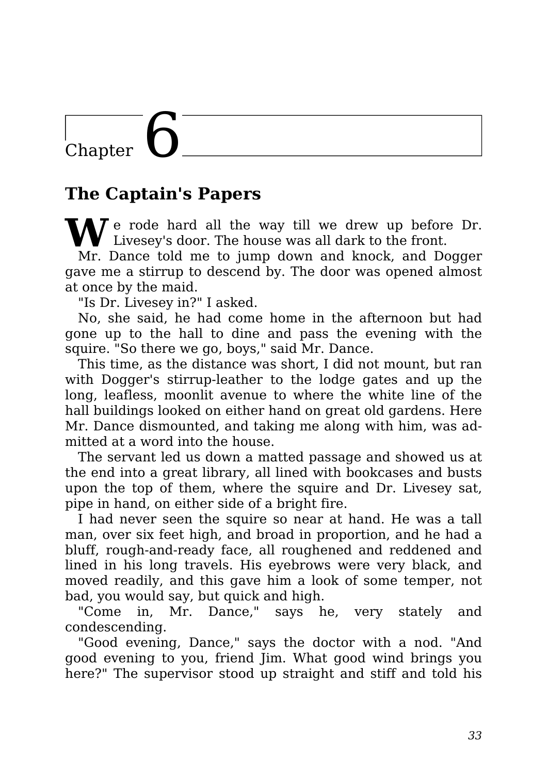# Chapter

#### **The Captain's Papers**

**A** *T* e rode hard all the way till we drew up before Dr. Livesey's door. The house was all dark to the front.

Mr. Dance told me to jump down and knock, and Dogger gave me a stirrup to descend by. The door was opened almost at once by the maid.

"Is Dr. Livesey in?" I asked.

No, she said, he had come home in the afternoon but had gone up to the hall to dine and pass the evening with the squire. "So there we go, boys," said Mr. Dance.

This time, as the distance was short, I did not mount, but ran with Dogger's stirrup-leather to the lodge gates and up the long, leafless, moonlit avenue to where the white line of the hall buildings looked on either hand on great old gardens. Here Mr. Dance dismounted, and taking me along with him, was admitted at a word into the house.

The servant led us down a matted passage and showed us at the end into a great library, all lined with bookcases and busts upon the top of them, where the squire and Dr. Livesey sat, pipe in hand, on either side of a bright fire.

I had never seen the squire so near at hand. He was a tall man, over six feet high, and broad in proportion, and he had a bluff, rough-and-ready face, all roughened and reddened and lined in his long travels. His eyebrows were very black, and moved readily, and this gave him a look of some temper, not bad, you would say, but quick and high.

"Come in, Mr. Dance," says he, very stately and condescending.

"Good evening, Dance," says the doctor with a nod. "And good evening to you, friend Jim. What good wind brings you here?" The supervisor stood up straight and stiff and told his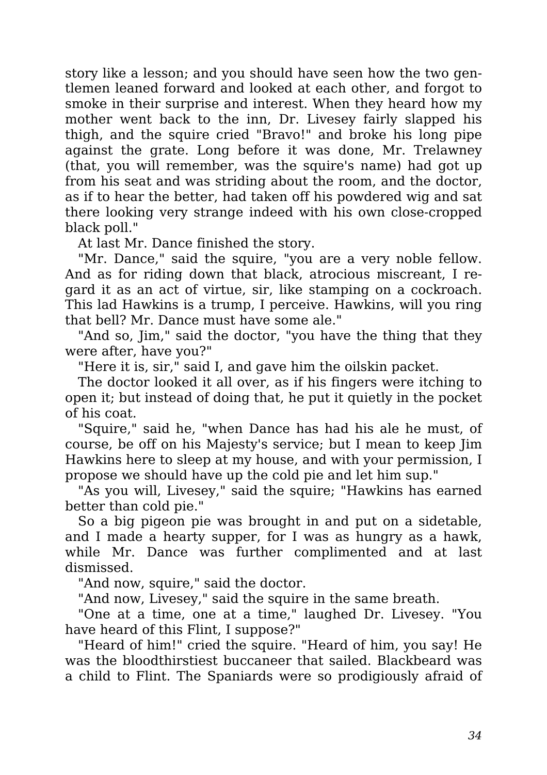story like a lesson; and you should have seen how the two gentlemen leaned forward and looked at each other, and forgot to smoke in their surprise and interest. When they heard how my mother went back to the inn, Dr. Livesey fairly slapped his thigh, and the squire cried "Bravo!" and broke his long pipe against the grate. Long before it was done, Mr. Trelawney (that, you will remember, was the squire's name) had got up from his seat and was striding about the room, and the doctor, as if to hear the better, had taken off his powdered wig and sat there looking very strange indeed with his own close-cropped black poll."

At last Mr. Dance finished the story.

"Mr. Dance," said the squire, "you are a very noble fellow. And as for riding down that black, atrocious miscreant, I regard it as an act of virtue, sir, like stamping on a cockroach. This lad Hawkins is a trump, I perceive. Hawkins, will you ring that bell? Mr. Dance must have some ale."

"And so, Jim," said the doctor, "you have the thing that they were after, have you?"

"Here it is, sir," said I, and gave him the oilskin packet.

The doctor looked it all over, as if his fingers were itching to open it; but instead of doing that, he put it quietly in the pocket of his coat.

"Squire," said he, "when Dance has had his ale he must, of course, be off on his Majesty's service; but I mean to keep Jim Hawkins here to sleep at my house, and with your permission, I propose we should have up the cold pie and let him sup."

"As you will, Livesey," said the squire; "Hawkins has earned better than cold pie."

So a big pigeon pie was brought in and put on a sidetable, and I made a hearty supper, for I was as hungry as a hawk, while Mr. Dance was further complimented and at last dismissed.

"And now, squire," said the doctor.

"And now, Livesey," said the squire in the same breath.

"One at a time, one at a time," laughed Dr. Livesey. "You have heard of this Flint, I suppose?"

"Heard of him!" cried the squire. "Heard of him, you say! He was the bloodthirstiest buccaneer that sailed. Blackbeard was a child to Flint. The Spaniards were so prodigiously afraid of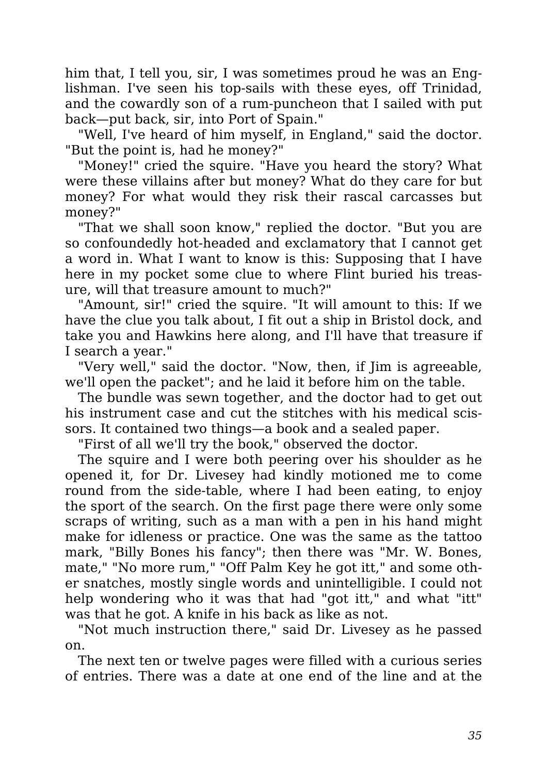him that, I tell you, sir, I was sometimes proud he was an Englishman. I've seen his top-sails with these eyes, off Trinidad, and the cowardly son of a rum-puncheon that I sailed with put back—put back, sir, into Port of Spain."

"Well, I've heard of him myself, in England," said the doctor. "But the point is, had he money?"

"Money!" cried the squire. "Have you heard the story? What were these villains after but money? What do they care for but money? For what would they risk their rascal carcasses but money?"

"That we shall soon know," replied the doctor. "But you are so confoundedly hot-headed and exclamatory that I cannot get a word in. What I want to know is this: Supposing that I have here in my pocket some clue to where Flint buried his treasure, will that treasure amount to much?"

"Amount, sir!" cried the squire. "It will amount to this: If we have the clue you talk about, I fit out a ship in Bristol dock, and take you and Hawkins here along, and I'll have that treasure if I search a year."

"Very well," said the doctor. "Now, then, if Jim is agreeable, we'll open the packet"; and he laid it before him on the table.

The bundle was sewn together, and the doctor had to get out his instrument case and cut the stitches with his medical scissors. It contained two things—a book and a sealed paper.

"First of all we'll try the book," observed the doctor.

The squire and I were both peering over his shoulder as he opened it, for Dr. Livesey had kindly motioned me to come round from the side-table, where I had been eating, to enjoy the sport of the search. On the first page there were only some scraps of writing, such as a man with a pen in his hand might make for idleness or practice. One was the same as the tattoo mark, "Billy Bones his fancy"; then there was "Mr. W. Bones, mate," "No more rum," "Off Palm Key he got itt," and some other snatches, mostly single words and unintelligible. I could not help wondering who it was that had "got itt," and what "itt" was that he got. A knife in his back as like as not.

"Not much instruction there," said Dr. Livesey as he passed on.

The next ten or twelve pages were filled with a curious series of entries. There was a date at one end of the line and at the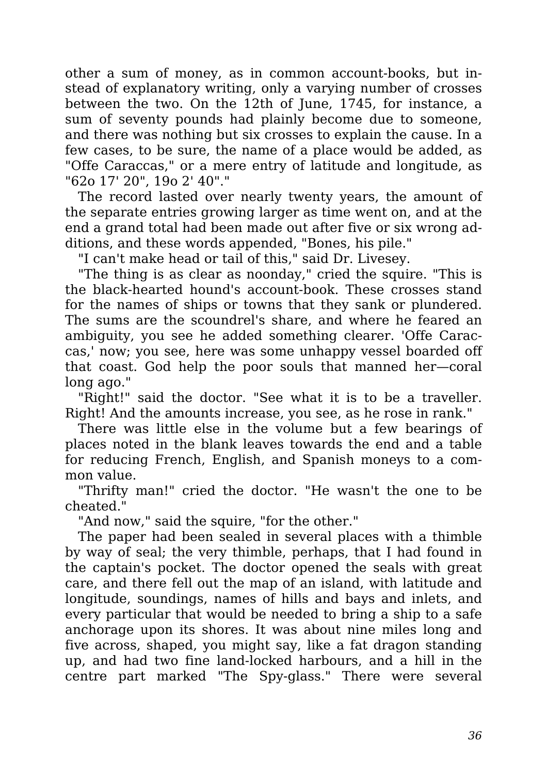other a sum of money, as in common account-books, but instead of explanatory writing, only a varying number of crosses between the two. On the 12th of June, 1745, for instance, a sum of seventy pounds had plainly become due to someone, and there was nothing but six crosses to explain the cause. In a few cases, to be sure, the name of a place would be added, as "Offe Caraccas," or a mere entry of latitude and longitude, as "62o 17' 20", 19o 2' 40"."

The record lasted over nearly twenty years, the amount of the separate entries growing larger as time went on, and at the end a grand total had been made out after five or six wrong additions, and these words appended, "Bones, his pile."

"I can't make head or tail of this," said Dr. Livesey.

"The thing is as clear as noonday," cried the squire. "This is the black-hearted hound's account-book. These crosses stand for the names of ships or towns that they sank or plundered. The sums are the scoundrel's share, and where he feared an ambiguity, you see he added something clearer. 'Offe Caraccas,' now; you see, here was some unhappy vessel boarded off that coast. God help the poor souls that manned her—coral long ago."

"Right!" said the doctor. "See what it is to be a traveller. Right! And the amounts increase, you see, as he rose in rank."

There was little else in the volume but a few bearings of places noted in the blank leaves towards the end and a table for reducing French, English, and Spanish moneys to a common value.

"Thrifty man!" cried the doctor. "He wasn't the one to be cheated."

"And now," said the squire, "for the other."

The paper had been sealed in several places with a thimble by way of seal; the very thimble, perhaps, that I had found in the captain's pocket. The doctor opened the seals with great care, and there fell out the map of an island, with latitude and longitude, soundings, names of hills and bays and inlets, and every particular that would be needed to bring a ship to a safe anchorage upon its shores. It was about nine miles long and five across, shaped, you might say, like a fat dragon standing up, and had two fine land-locked harbours, and a hill in the centre part marked "The Spy-glass." There were several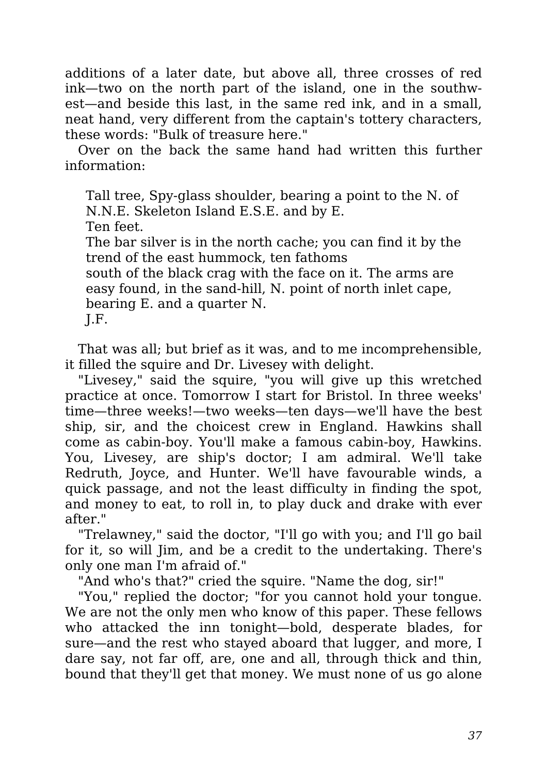additions of a later date, but above all, three crosses of red ink—two on the north part of the island, one in the southwest—and beside this last, in the same red ink, and in a small, neat hand, very different from the captain's tottery characters, these words: "Bulk of treasure here."

Over on the back the same hand had written this further information:

Tall tree, Spy-glass shoulder, bearing a point to the N. of N.N.E. Skeleton Island E.S.E. and by E.

Ten feet.

The bar silver is in the north cache; you can find it by the trend of the east hummock, ten fathoms

south of the black crag with the face on it. The arms are easy found, in the sand-hill, N. point of north inlet cape, bearing E. and a quarter N.

J.F.

That was all; but brief as it was, and to me incomprehensible, it filled the squire and Dr. Livesey with delight.

"Livesey," said the squire, "you will give up this wretched practice at once. Tomorrow I start for Bristol. In three weeks' time—three weeks!—two weeks—ten days—we'll have the best ship, sir, and the choicest crew in England. Hawkins shall come as cabin-boy. You'll make a famous cabin-boy, Hawkins. You, Livesey, are ship's doctor; I am admiral. We'll take Redruth, Joyce, and Hunter. We'll have favourable winds, a quick passage, and not the least difficulty in finding the spot, and money to eat, to roll in, to play duck and drake with ever after."

"Trelawney," said the doctor, "I'll go with you; and I'll go bail for it, so will Jim, and be a credit to the undertaking. There's only one man I'm afraid of."

"And who's that?" cried the squire. "Name the dog, sir!"

"You," replied the doctor; "for you cannot hold your tongue. We are not the only men who know of this paper. These fellows who attacked the inn tonight—bold, desperate blades, for sure—and the rest who stayed aboard that lugger, and more, I dare say, not far off, are, one and all, through thick and thin, bound that they'll get that money. We must none of us go alone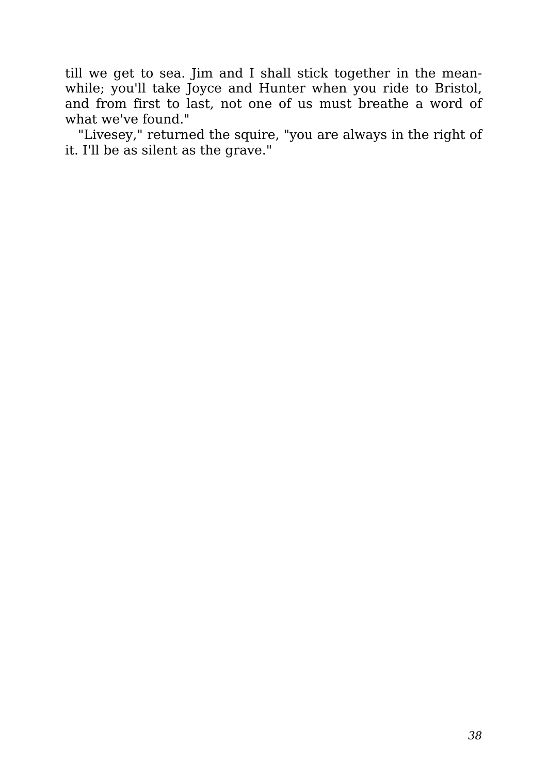till we get to sea. Jim and I shall stick together in the meanwhile; you'll take Joyce and Hunter when you ride to Bristol, and from first to last, not one of us must breathe a word of what we've found."

"Livesey," returned the squire, "you are always in the right of it. I'll be as silent as the grave."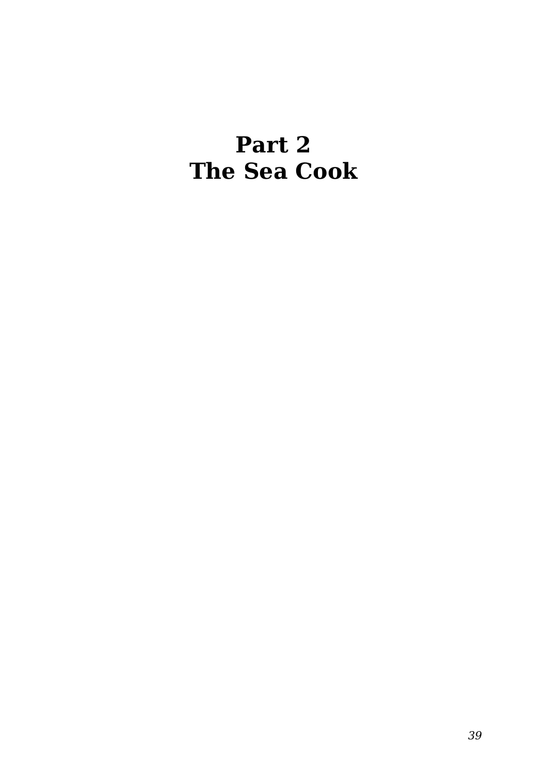#### **Part 2 The Sea Cook**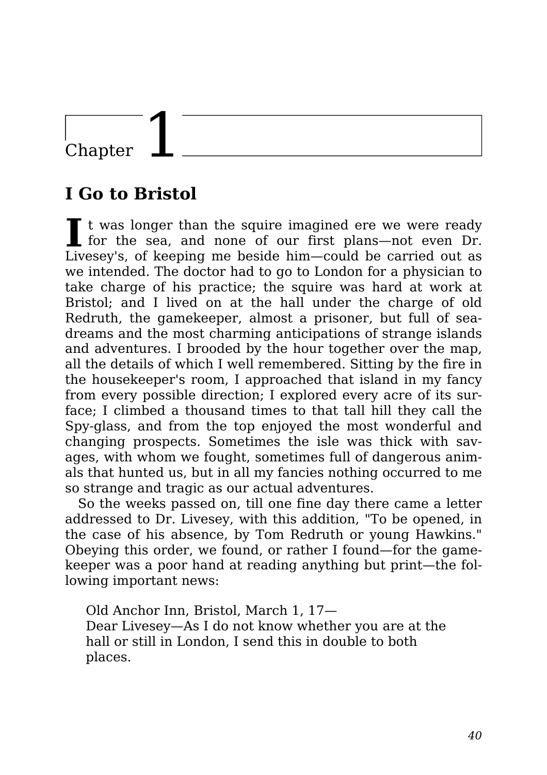### Chapter

#### **I Go to Bristol**

I t was longer than the squire imagined ere we were ready for the sea, and none of our first plans—not even Dr. t was longer than the squire imagined ere we were ready Livesey's, of keeping me beside him—could be carried out as we intended. The doctor had to go to London for a physician to take charge of his practice; the squire was hard at work at Bristol; and I lived on at the hall under the charge of old Redruth, the gamekeeper, almost a prisoner, but full of seadreams and the most charming anticipations of strange islands and adventures. I brooded by the hour together over the map, all the details of which I well remembered. Sitting by the fire in the housekeeper's room, I approached that island in my fancy from every possible direction; I explored every acre of its surface; I climbed a thousand times to that tall hill they call the Spy-glass, and from the top enjoyed the most wonderful and changing prospects. Sometimes the isle was thick with savages, with whom we fought, sometimes full of dangerous animals that hunted us, but in all my fancies nothing occurred to me so strange and tragic as our actual adventures.

So the weeks passed on, till one fine day there came a letter addressed to Dr. Livesey, with this addition, "To be opened, in the case of his absence, by Tom Redruth or young Hawkins." Obeying this order, we found, or rather I found—for the gamekeeper was a poor hand at reading anything but print—the following important news:

Old Anchor Inn, Bristol, March 1, 17— Dear Livesey—As I do not know whether you are at the hall or still in London, I send this in double to both places.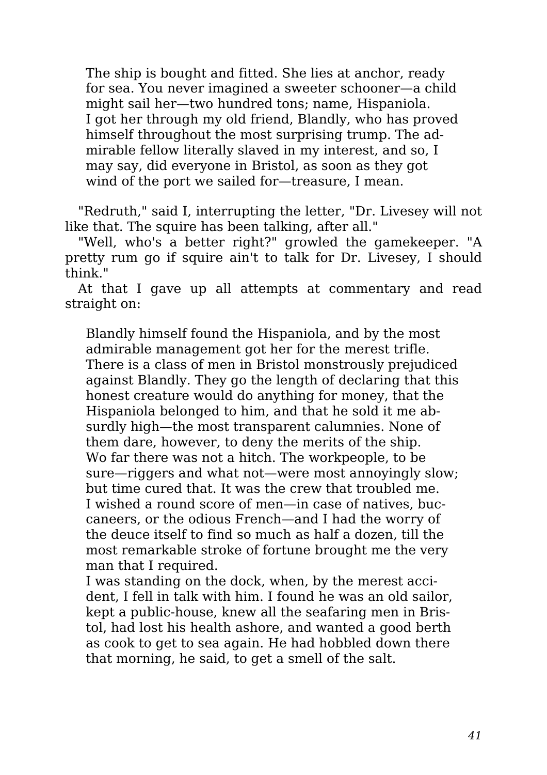The ship is bought and fitted. She lies at anchor, ready for sea. You never imagined a sweeter schooner—a child might sail her—two hundred tons; name, Hispaniola. I got her through my old friend, Blandly, who has proved himself throughout the most surprising trump. The admirable fellow literally slaved in my interest, and so, I may say, did everyone in Bristol, as soon as they got wind of the port we sailed for—treasure, I mean.

"Redruth," said I, interrupting the letter, "Dr. Livesey will not like that. The squire has been talking, after all."

"Well, who's a better right?" growled the gamekeeper. "A pretty rum go if squire ain't to talk for Dr. Livesey, I should think."

At that I gave up all attempts at commentary and read straight on:

Blandly himself found the Hispaniola, and by the most admirable management got her for the merest trifle. There is a class of men in Bristol monstrously prejudiced against Blandly. They go the length of declaring that this honest creature would do anything for money, that the Hispaniola belonged to him, and that he sold it me absurdly high—the most transparent calumnies. None of them dare, however, to deny the merits of the ship. Wo far there was not a hitch. The workpeople, to be sure—riggers and what not—were most annoyingly slow; but time cured that. It was the crew that troubled me. I wished a round score of men—in case of natives, buccaneers, or the odious French—and I had the worry of the deuce itself to find so much as half a dozen, till the most remarkable stroke of fortune brought me the very man that I required.

I was standing on the dock, when, by the merest accident, I fell in talk with him. I found he was an old sailor, kept a public-house, knew all the seafaring men in Bristol, had lost his health ashore, and wanted a good berth as cook to get to sea again. He had hobbled down there that morning, he said, to get a smell of the salt.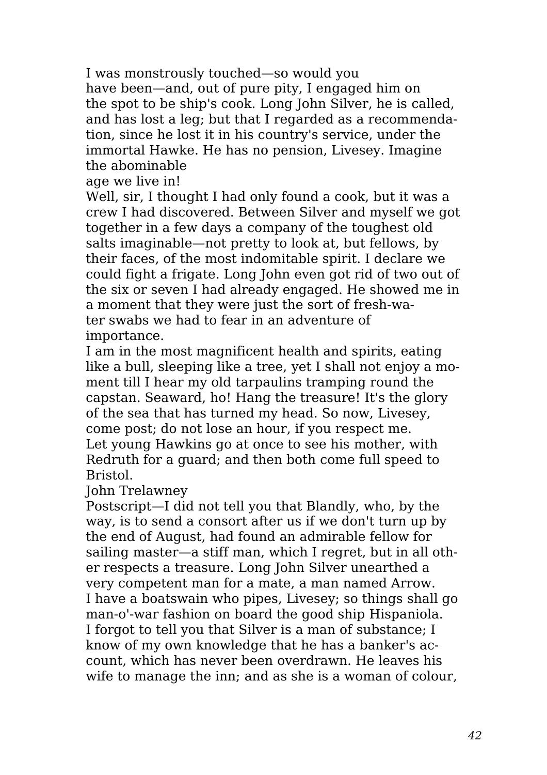I was monstrously touched—so would you have been—and, out of pure pity, I engaged him on the spot to be ship's cook. Long John Silver, he is called, and has lost a leg; but that I regarded as a recommendation, since he lost it in his country's service, under the immortal Hawke. He has no pension, Livesey. Imagine the abominable

age we live in!

Well, sir, I thought I had only found a cook, but it was a crew I had discovered. Between Silver and myself we got together in a few days a company of the toughest old salts imaginable—not pretty to look at, but fellows, by their faces, of the most indomitable spirit. I declare we could fight a frigate. Long John even got rid of two out of the six or seven I had already engaged. He showed me in a moment that they were just the sort of fresh-water swabs we had to fear in an adventure of importance.

I am in the most magnificent health and spirits, eating like a bull, sleeping like a tree, yet I shall not enjoy a moment till I hear my old tarpaulins tramping round the capstan. Seaward, ho! Hang the treasure! It's the glory of the sea that has turned my head. So now, Livesey, come post; do not lose an hour, if you respect me. Let young Hawkins go at once to see his mother, with Redruth for a guard; and then both come full speed to Bristol.

John Trelawney

Postscript—I did not tell you that Blandly, who, by the way, is to send a consort after us if we don't turn up by the end of August, had found an admirable fellow for sailing master—a stiff man, which I regret, but in all other respects a treasure. Long John Silver unearthed a very competent man for a mate, a man named Arrow. I have a boatswain who pipes, Livesey; so things shall go man-o'-war fashion on board the good ship Hispaniola. I forgot to tell you that Silver is a man of substance; I know of my own knowledge that he has a banker's account, which has never been overdrawn. He leaves his wife to manage the inn; and as she is a woman of colour,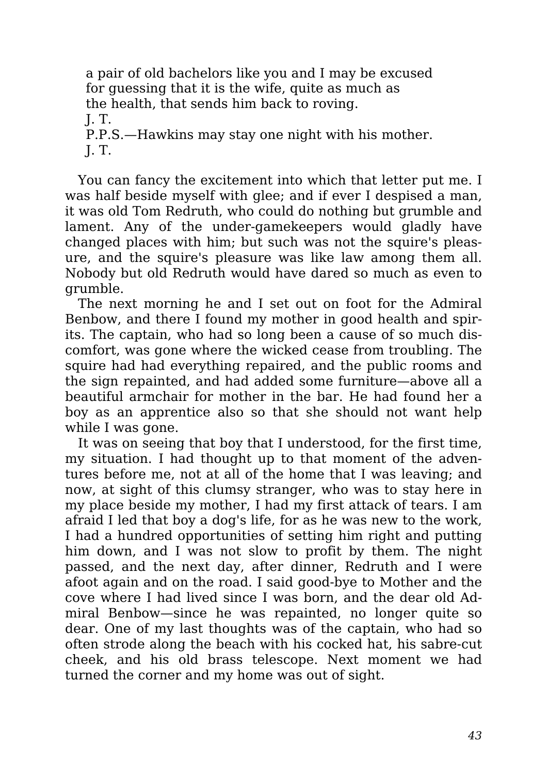a pair of old bachelors like you and I may be excused for guessing that it is the wife, quite as much as the health, that sends him back to roving. J. T. P.P.S.—Hawkins may stay one night with his mother. J. T.

You can fancy the excitement into which that letter put me. I was half beside myself with glee; and if ever I despised a man, it was old Tom Redruth, who could do nothing but grumble and lament. Any of the under-gamekeepers would gladly have changed places with him; but such was not the squire's pleasure, and the squire's pleasure was like law among them all. Nobody but old Redruth would have dared so much as even to grumble.

The next morning he and I set out on foot for the Admiral Benbow, and there I found my mother in good health and spirits. The captain, who had so long been a cause of so much discomfort, was gone where the wicked cease from troubling. The squire had had everything repaired, and the public rooms and the sign repainted, and had added some furniture—above all a beautiful armchair for mother in the bar. He had found her a boy as an apprentice also so that she should not want help while I was gone.

It was on seeing that boy that I understood, for the first time, my situation. I had thought up to that moment of the adventures before me, not at all of the home that I was leaving; and now, at sight of this clumsy stranger, who was to stay here in my place beside my mother, I had my first attack of tears. I am afraid I led that boy a dog's life, for as he was new to the work, I had a hundred opportunities of setting him right and putting him down, and I was not slow to profit by them. The night passed, and the next day, after dinner, Redruth and I were afoot again and on the road. I said good-bye to Mother and the cove where I had lived since I was born, and the dear old Admiral Benbow—since he was repainted, no longer quite so dear. One of my last thoughts was of the captain, who had so often strode along the beach with his cocked hat, his sabre-cut cheek, and his old brass telescope. Next moment we had turned the corner and my home was out of sight.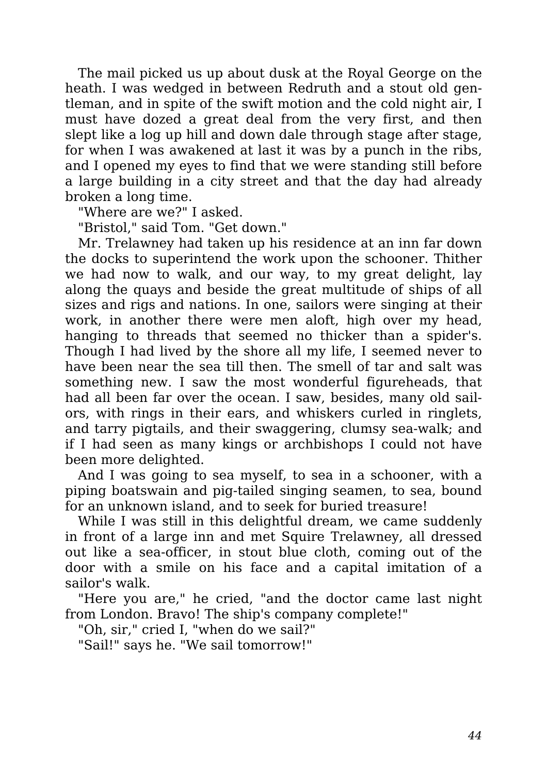The mail picked us up about dusk at the Royal George on the heath. I was wedged in between Redruth and a stout old gentleman, and in spite of the swift motion and the cold night air, I must have dozed a great deal from the very first, and then slept like a log up hill and down dale through stage after stage, for when I was awakened at last it was by a punch in the ribs, and I opened my eyes to find that we were standing still before a large building in a city street and that the day had already broken a long time.

"Where are we?" I asked.

"Bristol," said Tom. "Get down."

Mr. Trelawney had taken up his residence at an inn far down the docks to superintend the work upon the schooner. Thither we had now to walk, and our way, to my great delight, lay along the quays and beside the great multitude of ships of all sizes and rigs and nations. In one, sailors were singing at their work, in another there were men aloft, high over my head, hanging to threads that seemed no thicker than a spider's. Though I had lived by the shore all my life, I seemed never to have been near the sea till then. The smell of tar and salt was something new. I saw the most wonderful figureheads, that had all been far over the ocean. I saw, besides, many old sailors, with rings in their ears, and whiskers curled in ringlets, and tarry pigtails, and their swaggering, clumsy sea-walk; and if I had seen as many kings or archbishops I could not have been more delighted.

And I was going to sea myself, to sea in a schooner, with a piping boatswain and pig-tailed singing seamen, to sea, bound for an unknown island, and to seek for buried treasure!

While I was still in this delightful dream, we came suddenly in front of a large inn and met Squire Trelawney, all dressed out like a sea-officer, in stout blue cloth, coming out of the door with a smile on his face and a capital imitation of a sailor's walk.

"Here you are," he cried, "and the doctor came last night from London. Bravo! The ship's company complete!"

"Oh, sir," cried I, "when do we sail?"

"Sail!" says he. "We sail tomorrow!"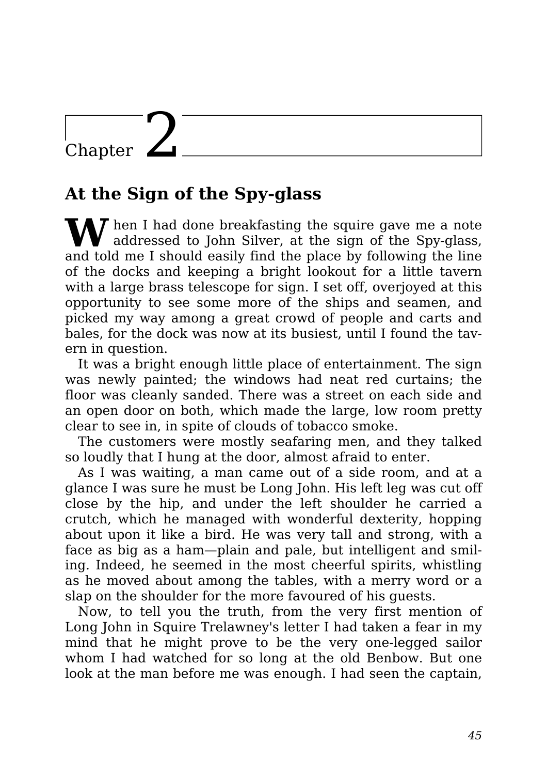### Chapter  $\angle$

#### **At the Sign of the Spy-glass**

W hen I had done breakfasting the squire gave me a note<br>addressed to John Silver, at the sign of the Spy-glass, and told me I should easily find the place by following the line of the docks and keeping a bright lookout for a little tavern with a large brass telescope for sign. I set off, overjoved at this opportunity to see some more of the ships and seamen, and picked my way among a great crowd of people and carts and bales, for the dock was now at its busiest, until I found the tavern in question.

It was a bright enough little place of entertainment. The sign was newly painted; the windows had neat red curtains; the floor was cleanly sanded. There was a street on each side and an open door on both, which made the large, low room pretty clear to see in, in spite of clouds of tobacco smoke.

The customers were mostly seafaring men, and they talked so loudly that I hung at the door, almost afraid to enter.

As I was waiting, a man came out of a side room, and at a glance I was sure he must be Long John. His left leg was cut off close by the hip, and under the left shoulder he carried a crutch, which he managed with wonderful dexterity, hopping about upon it like a bird. He was very tall and strong, with a face as big as a ham—plain and pale, but intelligent and smiling. Indeed, he seemed in the most cheerful spirits, whistling as he moved about among the tables, with a merry word or a slap on the shoulder for the more favoured of his guests.

Now, to tell you the truth, from the very first mention of Long John in Squire Trelawney's letter I had taken a fear in my mind that he might prove to be the very one-legged sailor whom I had watched for so long at the old Benbow. But one look at the man before me was enough. I had seen the captain,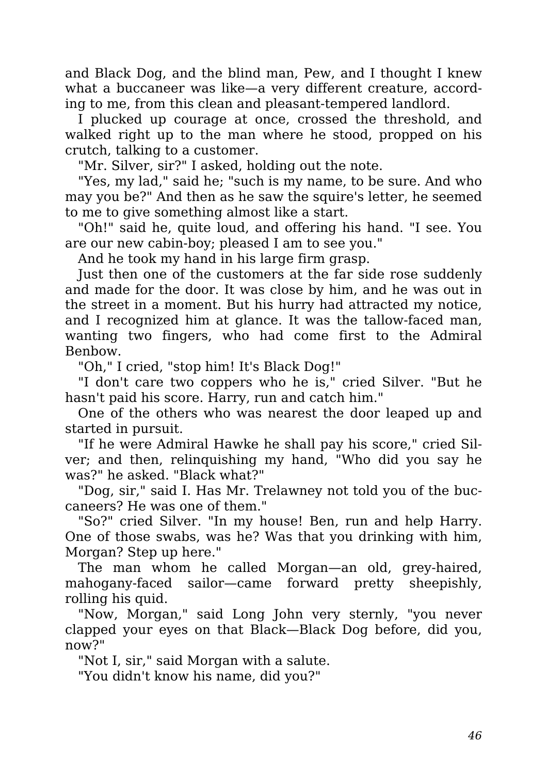and Black Dog, and the blind man, Pew, and I thought I knew what a buccaneer was like—a very different creature, according to me, from this clean and pleasant-tempered landlord.

I plucked up courage at once, crossed the threshold, and walked right up to the man where he stood, propped on his crutch, talking to a customer.

"Mr. Silver, sir?" I asked, holding out the note.

"Yes, my lad," said he; "such is my name, to be sure. And who may you be?" And then as he saw the squire's letter, he seemed to me to give something almost like a start.

"Oh!" said he, quite loud, and offering his hand. "I see. You are our new cabin-boy; pleased I am to see you."

And he took my hand in his large firm grasp.

Just then one of the customers at the far side rose suddenly and made for the door. It was close by him, and he was out in the street in a moment. But his hurry had attracted my notice, and I recognized him at glance. It was the tallow-faced man, wanting two fingers, who had come first to the Admiral Benbow.

"Oh," I cried, "stop him! It's Black Dog!"

"I don't care two coppers who he is," cried Silver. "But he hasn't paid his score. Harry, run and catch him."

One of the others who was nearest the door leaped up and started in pursuit.

"If he were Admiral Hawke he shall pay his score," cried Silver; and then, relinquishing my hand, "Who did you say he was?" he asked. "Black what?"

"Dog, sir," said I. Has Mr. Trelawney not told you of the buccaneers? He was one of them."

"So?" cried Silver. "In my house! Ben, run and help Harry. One of those swabs, was he? Was that you drinking with him, Morgan? Step up here."

The man whom he called Morgan—an old, grey-haired, mahogany-faced sailor—came forward pretty sheepishly, rolling his quid.

"Now, Morgan," said Long John very sternly, "you never clapped your eyes on that Black—Black Dog before, did you, now?"

"Not I, sir," said Morgan with a salute.

"You didn't know his name, did you?"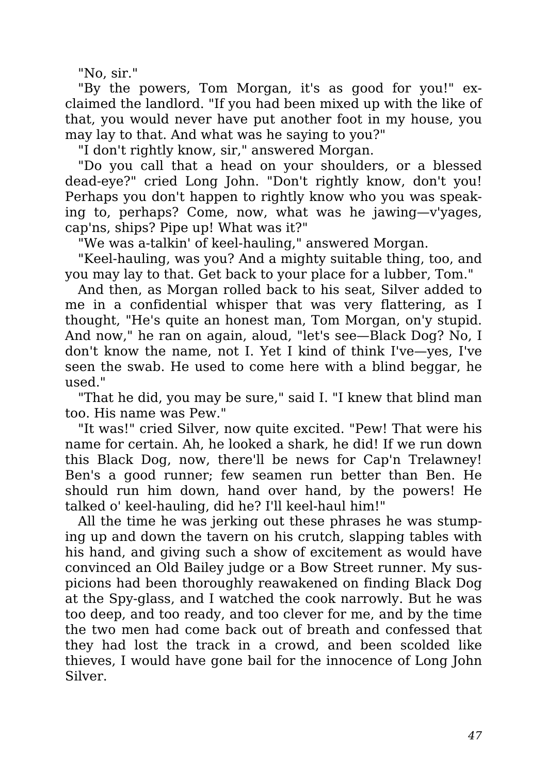"No, sir."

"By the powers, Tom Morgan, it's as good for you!" exclaimed the landlord. "If you had been mixed up with the like of that, you would never have put another foot in my house, you may lay to that. And what was he saying to you?"

"I don't rightly know, sir," answered Morgan.

"Do you call that a head on your shoulders, or a blessed dead-eye?" cried Long John. "Don't rightly know, don't you! Perhaps you don't happen to rightly know who you was speaking to, perhaps? Come, now, what was he jawing—v'yages, cap'ns, ships? Pipe up! What was it?"

"We was a-talkin' of keel-hauling," answered Morgan.

"Keel-hauling, was you? And a mighty suitable thing, too, and you may lay to that. Get back to your place for a lubber, Tom."

And then, as Morgan rolled back to his seat, Silver added to me in a confidential whisper that was very flattering, as I thought, "He's quite an honest man, Tom Morgan, on'y stupid. And now," he ran on again, aloud, "let's see—Black Dog? No, I don't know the name, not I. Yet I kind of think I've—yes, I've seen the swab. He used to come here with a blind beggar, he used."

"That he did, you may be sure," said I. "I knew that blind man too. His name was Pew."

"It was!" cried Silver, now quite excited. "Pew! That were his name for certain. Ah, he looked a shark, he did! If we run down this Black Dog, now, there'll be news for Cap'n Trelawney! Ben's a good runner; few seamen run better than Ben. He should run him down, hand over hand, by the powers! He talked o' keel-hauling, did he? I'll keel-haul him!"

All the time he was jerking out these phrases he was stumping up and down the tavern on his crutch, slapping tables with his hand, and giving such a show of excitement as would have convinced an Old Bailey judge or a Bow Street runner. My suspicions had been thoroughly reawakened on finding Black Dog at the Spy-glass, and I watched the cook narrowly. But he was too deep, and too ready, and too clever for me, and by the time the two men had come back out of breath and confessed that they had lost the track in a crowd, and been scolded like thieves, I would have gone bail for the innocence of Long John Silver.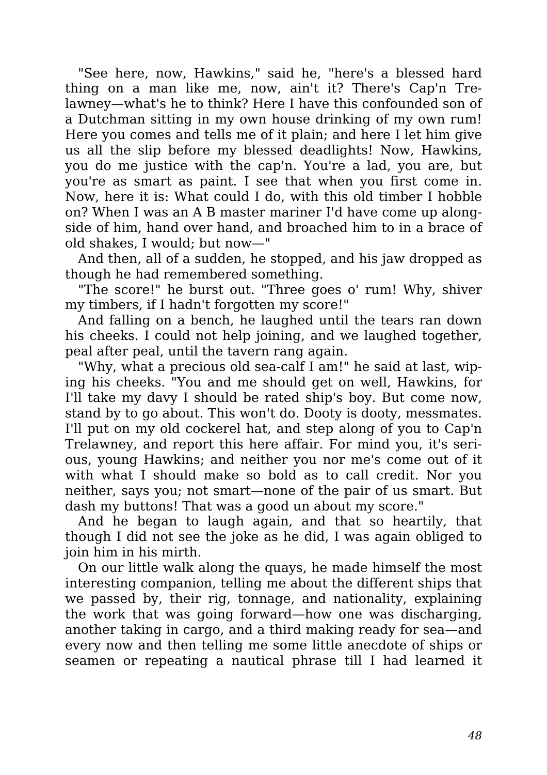"See here, now, Hawkins," said he, "here's a blessed hard thing on a man like me, now, ain't it? There's Cap'n Trelawney—what's he to think? Here I have this confounded son of a Dutchman sitting in my own house drinking of my own rum! Here you comes and tells me of it plain; and here I let him give us all the slip before my blessed deadlights! Now, Hawkins, you do me justice with the cap'n. You're a lad, you are, but you're as smart as paint. I see that when you first come in. Now, here it is: What could I do, with this old timber I hobble on? When I was an A B master mariner I'd have come up alongside of him, hand over hand, and broached him to in a brace of old shakes, I would; but now—"

And then, all of a sudden, he stopped, and his jaw dropped as though he had remembered something.

"The score!" he burst out. "Three goes o' rum! Why, shiver my timbers, if I hadn't forgotten my score!"

And falling on a bench, he laughed until the tears ran down his cheeks. I could not help joining, and we laughed together, peal after peal, until the tavern rang again.

"Why, what a precious old sea-calf I am!" he said at last, wiping his cheeks. "You and me should get on well, Hawkins, for I'll take my davy I should be rated ship's boy. But come now, stand by to go about. This won't do. Dooty is dooty, messmates. I'll put on my old cockerel hat, and step along of you to Cap'n Trelawney, and report this here affair. For mind you, it's serious, young Hawkins; and neither you nor me's come out of it with what I should make so bold as to call credit. Nor you neither, says you; not smart—none of the pair of us smart. But dash my buttons! That was a good un about my score."

And he began to laugh again, and that so heartily, that though I did not see the joke as he did, I was again obliged to join him in his mirth.

On our little walk along the quays, he made himself the most interesting companion, telling me about the different ships that we passed by, their rig, tonnage, and nationality, explaining the work that was going forward—how one was discharging, another taking in cargo, and a third making ready for sea—and every now and then telling me some little anecdote of ships or seamen or repeating a nautical phrase till I had learned it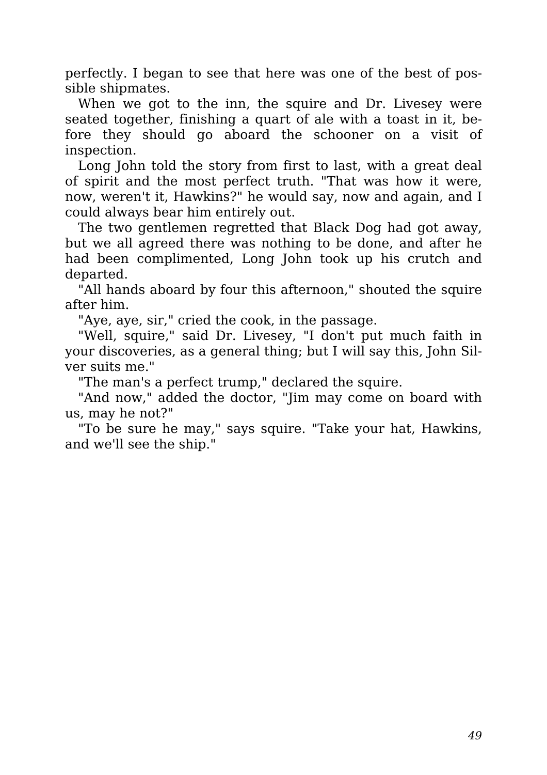perfectly. I began to see that here was one of the best of possible shipmates.

When we got to the inn, the squire and Dr. Livesey were seated together, finishing a quart of ale with a toast in it, before they should go aboard the schooner on a visit of inspection.

Long John told the story from first to last, with a great deal of spirit and the most perfect truth. "That was how it were, now, weren't it, Hawkins?" he would say, now and again, and I could always bear him entirely out.

The two gentlemen regretted that Black Dog had got away, but we all agreed there was nothing to be done, and after he had been complimented, Long John took up his crutch and departed.

"All hands aboard by four this afternoon," shouted the squire after him.

"Aye, aye, sir," cried the cook, in the passage.

"Well, squire," said Dr. Livesey, "I don't put much faith in your discoveries, as a general thing; but I will say this, John Silver suits me."

"The man's a perfect trump," declared the squire.

"And now," added the doctor, "Jim may come on board with us, may he not?"

"To be sure he may," says squire. "Take your hat, Hawkins, and we'll see the ship."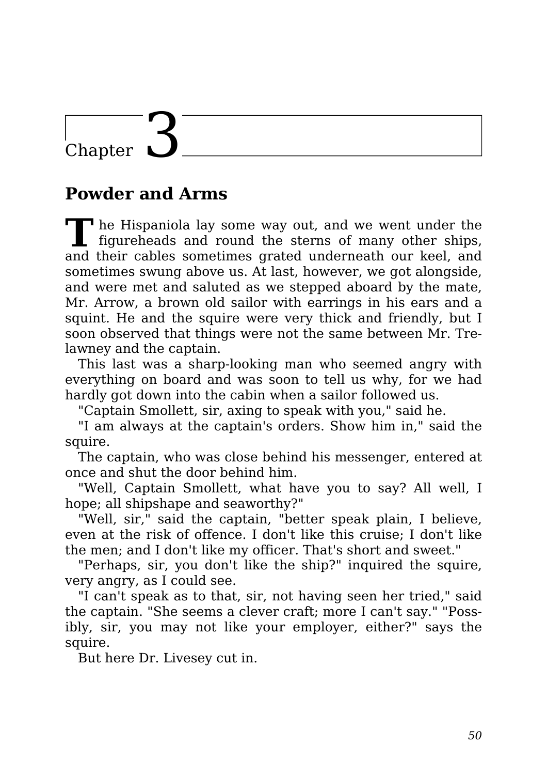## Chapter 1

#### **Powder and Arms**

**T h** he Hispaniola lay some way out, and we went under the figureheads and round the sterns of many other ships, and their cables sometimes grated underneath our keel, and sometimes swung above us. At last, however, we got alongside, and were met and saluted as we stepped aboard by the mate, Mr. Arrow, a brown old sailor with earrings in his ears and a squint. He and the squire were very thick and friendly, but I soon observed that things were not the same between Mr. Trelawney and the captain.

This last was a sharp-looking man who seemed angry with everything on board and was soon to tell us why, for we had hardly got down into the cabin when a sailor followed us.

"Captain Smollett, sir, axing to speak with you," said he.

"I am always at the captain's orders. Show him in," said the squire.

The captain, who was close behind his messenger, entered at once and shut the door behind him.

"Well, Captain Smollett, what have you to say? All well, I hope; all shipshape and seaworthy?"

"Well, sir," said the captain, "better speak plain, I believe, even at the risk of offence. I don't like this cruise; I don't like the men; and I don't like my officer. That's short and sweet."

"Perhaps, sir, you don't like the ship?" inquired the squire, very angry, as I could see.

"I can't speak as to that, sir, not having seen her tried," said the captain. "She seems a clever craft; more I can't say." "Possibly, sir, you may not like your employer, either?" says the squire.

But here Dr. Livesey cut in.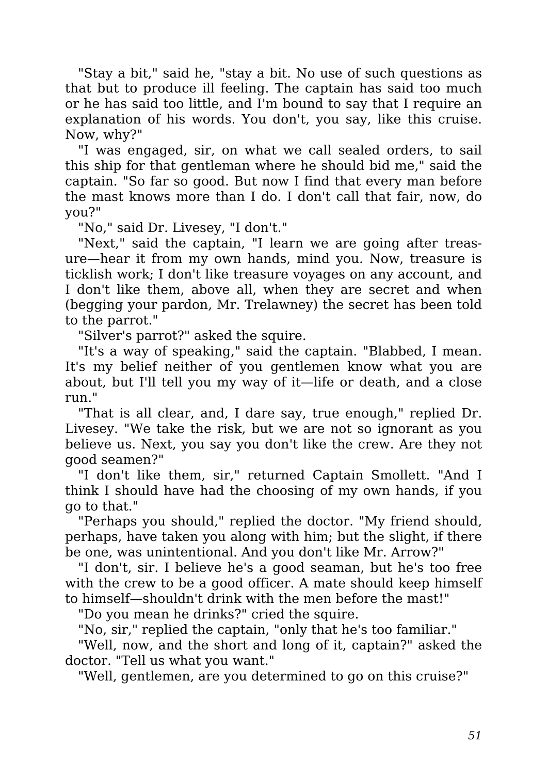"Stay a bit," said he, "stay a bit. No use of such questions as that but to produce ill feeling. The captain has said too much or he has said too little, and I'm bound to say that I require an explanation of his words. You don't, you say, like this cruise. Now, why?"

"I was engaged, sir, on what we call sealed orders, to sail this ship for that gentleman where he should bid me," said the captain. "So far so good. But now I find that every man before the mast knows more than I do. I don't call that fair, now, do you?"

"No," said Dr. Livesey, "I don't."

"Next," said the captain, "I learn we are going after treasure—hear it from my own hands, mind you. Now, treasure is ticklish work; I don't like treasure voyages on any account, and I don't like them, above all, when they are secret and when (begging your pardon, Mr. Trelawney) the secret has been told to the parrot."

"Silver's parrot?" asked the squire.

"It's a way of speaking," said the captain. "Blabbed, I mean. It's my belief neither of you gentlemen know what you are about, but I'll tell you my way of it—life or death, and a close run."

"That is all clear, and, I dare say, true enough," replied Dr. Livesey. "We take the risk, but we are not so ignorant as you believe us. Next, you say you don't like the crew. Are they not good seamen?"

"I don't like them, sir," returned Captain Smollett. "And I think I should have had the choosing of my own hands, if you go to that."

"Perhaps you should," replied the doctor. "My friend should, perhaps, have taken you along with him; but the slight, if there be one, was unintentional. And you don't like Mr. Arrow?"

"I don't, sir. I believe he's a good seaman, but he's too free with the crew to be a good officer. A mate should keep himself to himself—shouldn't drink with the men before the mast!"

"Do you mean he drinks?" cried the squire.

"No, sir," replied the captain, "only that he's too familiar."

"Well, now, and the short and long of it, captain?" asked the doctor. "Tell us what you want."

"Well, gentlemen, are you determined to go on this cruise?"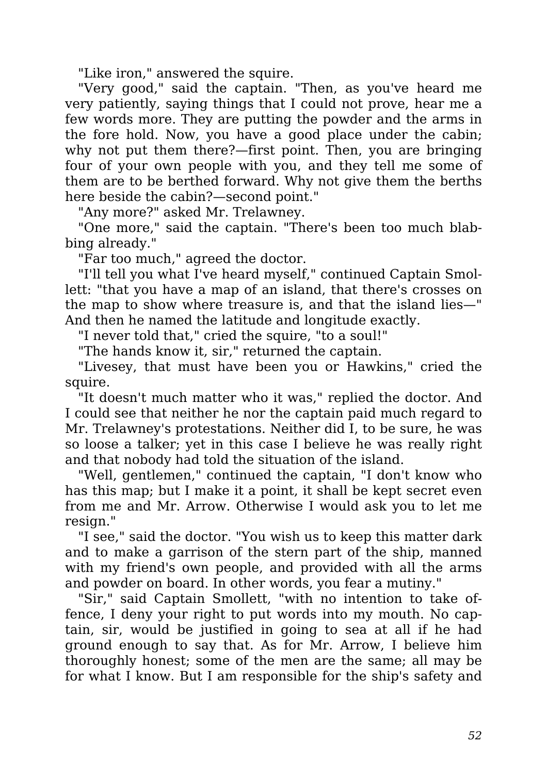"Like iron," answered the squire.

"Very good," said the captain. "Then, as you've heard me very patiently, saying things that I could not prove, hear me a few words more. They are putting the powder and the arms in the fore hold. Now, you have a good place under the cabin; why not put them there?—first point. Then, you are bringing four of your own people with you, and they tell me some of them are to be berthed forward. Why not give them the berths here beside the cabin?—second point."

"Any more?" asked Mr. Trelawney.

"One more," said the captain. "There's been too much blabbing already."

"Far too much," agreed the doctor.

"I'll tell you what I've heard myself," continued Captain Smollett: "that you have a map of an island, that there's crosses on the map to show where treasure is, and that the island lies—" And then he named the latitude and longitude exactly.

"I never told that," cried the squire, "to a soul!"

"The hands know it, sir," returned the captain.

"Livesey, that must have been you or Hawkins," cried the squire.

"It doesn't much matter who it was," replied the doctor. And I could see that neither he nor the captain paid much regard to Mr. Trelawney's protestations. Neither did I, to be sure, he was so loose a talker; yet in this case I believe he was really right and that nobody had told the situation of the island.

"Well, gentlemen," continued the captain, "I don't know who has this map; but I make it a point, it shall be kept secret even from me and Mr. Arrow. Otherwise I would ask you to let me resign."

"I see," said the doctor. "You wish us to keep this matter dark and to make a garrison of the stern part of the ship, manned with my friend's own people, and provided with all the arms and powder on board. In other words, you fear a mutiny."

"Sir," said Captain Smollett, "with no intention to take offence, I deny your right to put words into my mouth. No captain, sir, would be justified in going to sea at all if he had ground enough to say that. As for Mr. Arrow, I believe him thoroughly honest; some of the men are the same; all may be for what I know. But I am responsible for the ship's safety and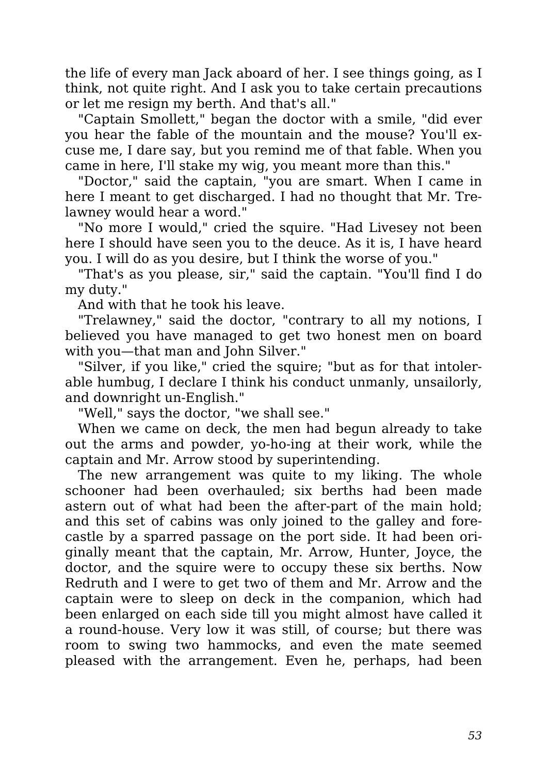the life of every man Jack aboard of her. I see things going, as I think, not quite right. And I ask you to take certain precautions or let me resign my berth. And that's all."

"Captain Smollett," began the doctor with a smile, "did ever you hear the fable of the mountain and the mouse? You'll excuse me, I dare say, but you remind me of that fable. When you came in here, I'll stake my wig, you meant more than this."

"Doctor," said the captain, "you are smart. When I came in here I meant to get discharged. I had no thought that Mr. Trelawney would hear a word."

"No more I would," cried the squire. "Had Livesey not been here I should have seen you to the deuce. As it is, I have heard you. I will do as you desire, but I think the worse of you."

"That's as you please, sir," said the captain. "You'll find I do my duty."

And with that he took his leave.

"Trelawney," said the doctor, "contrary to all my notions, I believed you have managed to get two honest men on board with you—that man and John Silver."

"Silver, if you like," cried the squire; "but as for that intolerable humbug, I declare I think his conduct unmanly, unsailorly, and downright un-English."

"Well," says the doctor, "we shall see."

When we came on deck, the men had begun already to take out the arms and powder, yo-ho-ing at their work, while the captain and Mr. Arrow stood by superintending.

The new arrangement was quite to my liking. The whole schooner had been overhauled; six berths had been made astern out of what had been the after-part of the main hold; and this set of cabins was only joined to the galley and forecastle by a sparred passage on the port side. It had been originally meant that the captain, Mr. Arrow, Hunter, Joyce, the doctor, and the squire were to occupy these six berths. Now Redruth and I were to get two of them and Mr. Arrow and the captain were to sleep on deck in the companion, which had been enlarged on each side till you might almost have called it a round-house. Very low it was still, of course; but there was room to swing two hammocks, and even the mate seemed pleased with the arrangement. Even he, perhaps, had been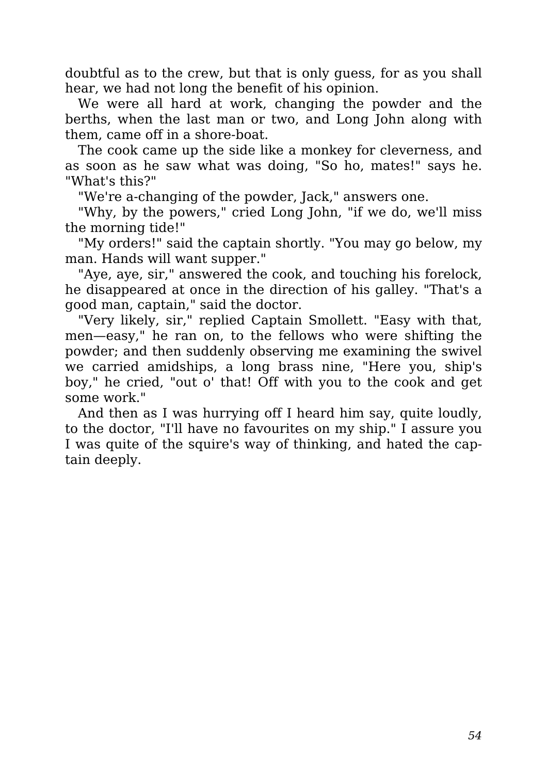doubtful as to the crew, but that is only guess, for as you shall hear, we had not long the benefit of his opinion.

We were all hard at work, changing the powder and the berths, when the last man or two, and Long John along with them, came off in a shore-boat.

The cook came up the side like a monkey for cleverness, and as soon as he saw what was doing, "So ho, mates!" says he. "What's this?"

"We're a-changing of the powder, Jack," answers one.

"Why, by the powers," cried Long John, "if we do, we'll miss the morning tide!"

"My orders!" said the captain shortly. "You may go below, my man. Hands will want supper."

"Aye, aye, sir," answered the cook, and touching his forelock, he disappeared at once in the direction of his galley. "That's a good man, captain," said the doctor.

"Very likely, sir," replied Captain Smollett. "Easy with that, men—easy," he ran on, to the fellows who were shifting the powder; and then suddenly observing me examining the swivel we carried amidships, a long brass nine, "Here you, ship's boy," he cried, "out o' that! Off with you to the cook and get some work."

And then as I was hurrying off I heard him say, quite loudly, to the doctor, "I'll have no favourites on my ship." I assure you I was quite of the squire's way of thinking, and hated the captain deeply.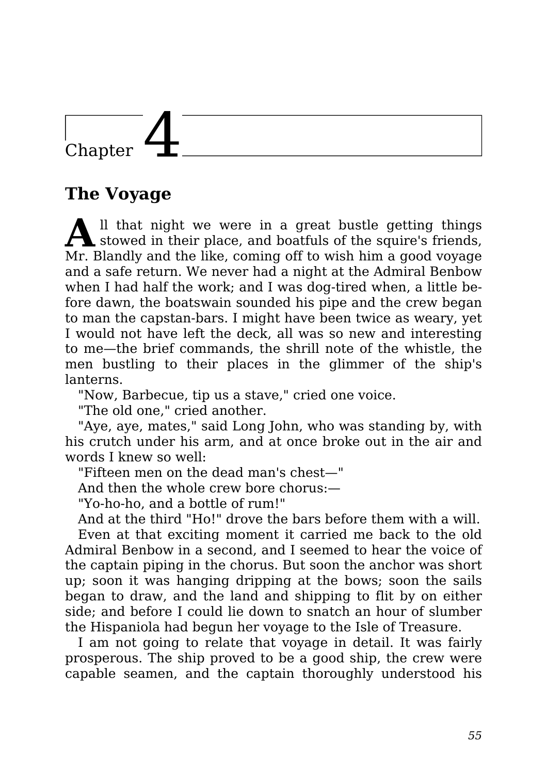## Chapter

#### **The Voyage**

**A** ll that night we were in a great bustle getting things stowed in their place, and boatfuls of the squire's friends, Mr. Blandly and the like, coming off to wish him a good voyage and a safe return. We never had a night at the Admiral Benbow when I had half the work; and I was dog-tired when, a little before dawn, the boatswain sounded his pipe and the crew began to man the capstan-bars. I might have been twice as weary, yet I would not have left the deck, all was so new and interesting to me—the brief commands, the shrill note of the whistle, the men bustling to their places in the glimmer of the ship's lanterns.

"Now, Barbecue, tip us a stave," cried one voice.

"The old one," cried another.

"Aye, aye, mates," said Long John, who was standing by, with his crutch under his arm, and at once broke out in the air and words I knew so well:

"Fifteen men on the dead man's chest—"

And then the whole crew bore chorus:—

"Yo-ho-ho, and a bottle of rum!"

And at the third "Ho!" drove the bars before them with a will.

Even at that exciting moment it carried me back to the old Admiral Benbow in a second, and I seemed to hear the voice of the captain piping in the chorus. But soon the anchor was short up; soon it was hanging dripping at the bows; soon the sails began to draw, and the land and shipping to flit by on either side; and before I could lie down to snatch an hour of slumber the Hispaniola had begun her voyage to the Isle of Treasure.

I am not going to relate that voyage in detail. It was fairly prosperous. The ship proved to be a good ship, the crew were capable seamen, and the captain thoroughly understood his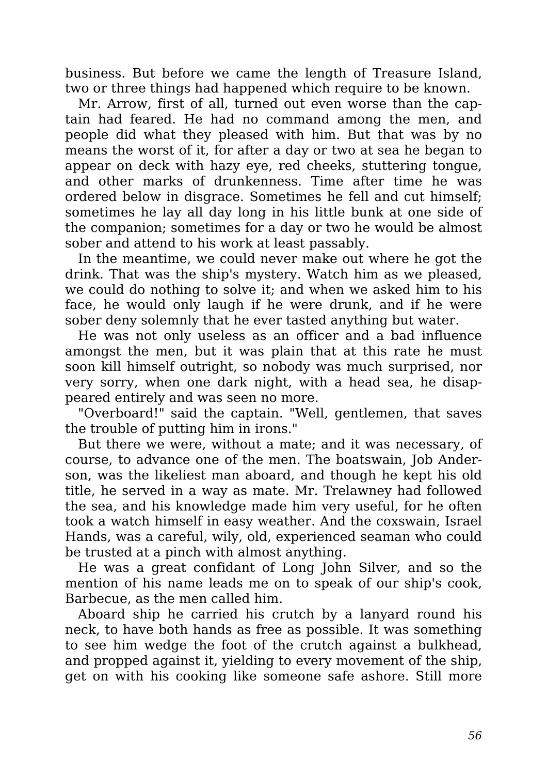business. But before we came the length of Treasure Island, two or three things had happened which require to be known.

Mr. Arrow, first of all, turned out even worse than the captain had feared. He had no command among the men, and people did what they pleased with him. But that was by no means the worst of it, for after a day or two at sea he began to appear on deck with hazy eye, red cheeks, stuttering tongue, and other marks of drunkenness. Time after time he was ordered below in disgrace. Sometimes he fell and cut himself; sometimes he lay all day long in his little bunk at one side of the companion; sometimes for a day or two he would be almost sober and attend to his work at least passably.

In the meantime, we could never make out where he got the drink. That was the ship's mystery. Watch him as we pleased, we could do nothing to solve it; and when we asked him to his face, he would only laugh if he were drunk, and if he were sober deny solemnly that he ever tasted anything but water.

He was not only useless as an officer and a bad influence amongst the men, but it was plain that at this rate he must soon kill himself outright, so nobody was much surprised, nor very sorry, when one dark night, with a head sea, he disappeared entirely and was seen no more.

"Overboard!" said the captain. "Well, gentlemen, that saves the trouble of putting him in irons."

But there we were, without a mate; and it was necessary, of course, to advance one of the men. The boatswain, Job Anderson, was the likeliest man aboard, and though he kept his old title, he served in a way as mate. Mr. Trelawney had followed the sea, and his knowledge made him very useful, for he often took a watch himself in easy weather. And the coxswain, Israel Hands, was a careful, wily, old, experienced seaman who could be trusted at a pinch with almost anything.

He was a great confidant of Long John Silver, and so the mention of his name leads me on to speak of our ship's cook, Barbecue, as the men called him.

Aboard ship he carried his crutch by a lanyard round his neck, to have both hands as free as possible. It was something to see him wedge the foot of the crutch against a bulkhead, and propped against it, yielding to every movement of the ship, get on with his cooking like someone safe ashore. Still more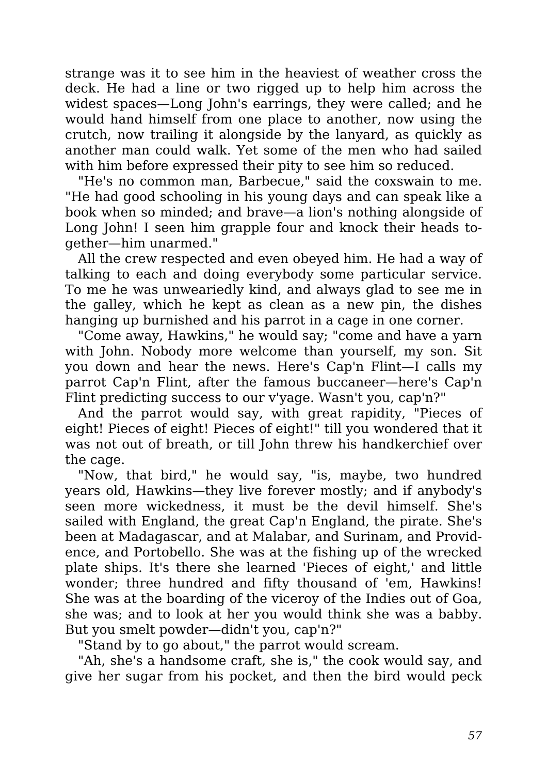strange was it to see him in the heaviest of weather cross the deck. He had a line or two rigged up to help him across the widest spaces—Long John's earrings, they were called; and he would hand himself from one place to another, now using the crutch, now trailing it alongside by the lanyard, as quickly as another man could walk. Yet some of the men who had sailed with him before expressed their pity to see him so reduced.

"He's no common man, Barbecue," said the coxswain to me. "He had good schooling in his young days and can speak like a book when so minded; and brave—a lion's nothing alongside of Long John! I seen him grapple four and knock their heads together—him unarmed."

All the crew respected and even obeyed him. He had a way of talking to each and doing everybody some particular service. To me he was unweariedly kind, and always glad to see me in the galley, which he kept as clean as a new pin, the dishes hanging up burnished and his parrot in a cage in one corner.

"Come away, Hawkins," he would say; "come and have a yarn with John. Nobody more welcome than yourself, my son. Sit you down and hear the news. Here's Cap'n Flint—I calls my parrot Cap'n Flint, after the famous buccaneer—here's Cap'n Flint predicting success to our v'yage. Wasn't you, cap'n?"

And the parrot would say, with great rapidity, "Pieces of eight! Pieces of eight! Pieces of eight!" till you wondered that it was not out of breath, or till John threw his handkerchief over the cage.

"Now, that bird," he would say, "is, maybe, two hundred years old, Hawkins—they live forever mostly; and if anybody's seen more wickedness, it must be the devil himself. She's sailed with England, the great Cap'n England, the pirate. She's been at Madagascar, and at Malabar, and Surinam, and Providence, and Portobello. She was at the fishing up of the wrecked plate ships. It's there she learned 'Pieces of eight,' and little wonder; three hundred and fifty thousand of 'em, Hawkins! She was at the boarding of the viceroy of the Indies out of Goa, she was; and to look at her you would think she was a babby. But you smelt powder—didn't you, cap'n?"

"Stand by to go about," the parrot would scream.

"Ah, she's a handsome craft, she is," the cook would say, and give her sugar from his pocket, and then the bird would peck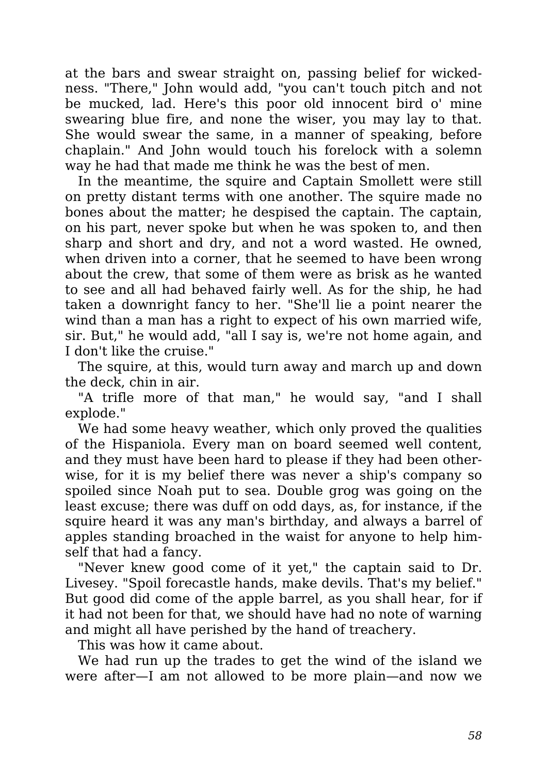at the bars and swear straight on, passing belief for wickedness. "There," John would add, "you can't touch pitch and not be mucked, lad. Here's this poor old innocent bird o' mine swearing blue fire, and none the wiser, you may lay to that. She would swear the same, in a manner of speaking, before chaplain." And John would touch his forelock with a solemn way he had that made me think he was the best of men.

In the meantime, the squire and Captain Smollett were still on pretty distant terms with one another. The squire made no bones about the matter; he despised the captain. The captain, on his part, never spoke but when he was spoken to, and then sharp and short and dry, and not a word wasted. He owned, when driven into a corner, that he seemed to have been wrong about the crew, that some of them were as brisk as he wanted to see and all had behaved fairly well. As for the ship, he had taken a downright fancy to her. "She'll lie a point nearer the wind than a man has a right to expect of his own married wife, sir. But," he would add, "all I say is, we're not home again, and I don't like the cruise."

The squire, at this, would turn away and march up and down the deck, chin in air.

"A trifle more of that man," he would say, "and I shall explode."

We had some heavy weather, which only proved the qualities of the Hispaniola. Every man on board seemed well content, and they must have been hard to please if they had been otherwise, for it is my belief there was never a ship's company so spoiled since Noah put to sea. Double grog was going on the least excuse; there was duff on odd days, as, for instance, if the squire heard it was any man's birthday, and always a barrel of apples standing broached in the waist for anyone to help himself that had a fancy.

"Never knew good come of it yet," the captain said to Dr. Livesey. "Spoil forecastle hands, make devils. That's my belief." But good did come of the apple barrel, as you shall hear, for if it had not been for that, we should have had no note of warning and might all have perished by the hand of treachery.

This was how it came about.

We had run up the trades to get the wind of the island we were after—I am not allowed to be more plain—and now we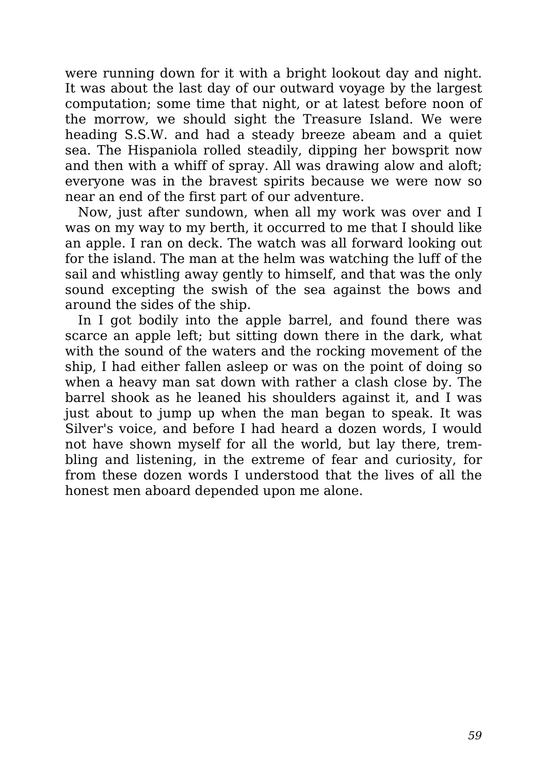were running down for it with a bright lookout day and night. It was about the last day of our outward voyage by the largest computation; some time that night, or at latest before noon of the morrow, we should sight the Treasure Island. We were heading S.S.W. and had a steady breeze abeam and a quiet sea. The Hispaniola rolled steadily, dipping her bowsprit now and then with a whiff of spray. All was drawing alow and aloft; everyone was in the bravest spirits because we were now so near an end of the first part of our adventure.

Now, just after sundown, when all my work was over and I was on my way to my berth, it occurred to me that I should like an apple. I ran on deck. The watch was all forward looking out for the island. The man at the helm was watching the luff of the sail and whistling away gently to himself, and that was the only sound excepting the swish of the sea against the bows and around the sides of the ship.

In I got bodily into the apple barrel, and found there was scarce an apple left; but sitting down there in the dark, what with the sound of the waters and the rocking movement of the ship, I had either fallen asleep or was on the point of doing so when a heavy man sat down with rather a clash close by. The barrel shook as he leaned his shoulders against it, and I was just about to jump up when the man began to speak. It was Silver's voice, and before I had heard a dozen words, I would not have shown myself for all the world, but lay there, trembling and listening, in the extreme of fear and curiosity, for from these dozen words I understood that the lives of all the honest men aboard depended upon me alone.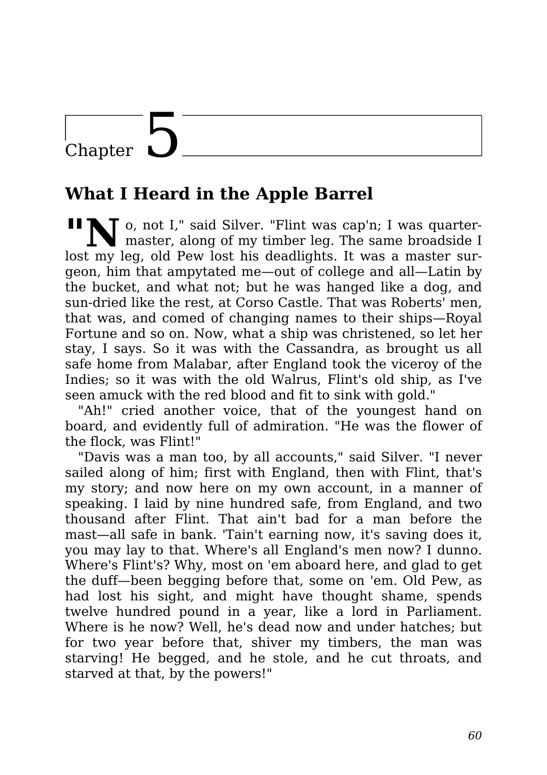### Chapter  $\mathbf{\mathsf{L}}$

#### **What I Heard in the Apple Barrel**

**No.** not I," said Silver. "Flint was cap'n; I was quartermaster, along of my timber leg. The same broadside I lost my leg, old Pew lost his deadlights. It was a master surgeon, him that ampytated me—out of college and all—Latin by the bucket, and what not; but he was hanged like a dog, and sun-dried like the rest, at Corso Castle. That was Roberts' men, that was, and comed of changing names to their ships—Royal Fortune and so on. Now, what a ship was christened, so let her stay, I says. So it was with the Cassandra, as brought us all safe home from Malabar, after England took the viceroy of the Indies; so it was with the old Walrus, Flint's old ship, as I've seen amuck with the red blood and fit to sink with gold."

"Ah!" cried another voice, that of the youngest hand on board, and evidently full of admiration. "He was the flower of the flock, was Flint!"

"Davis was a man too, by all accounts," said Silver. "I never sailed along of him; first with England, then with Flint, that's my story; and now here on my own account, in a manner of speaking. I laid by nine hundred safe, from England, and two thousand after Flint. That ain't bad for a man before the mast—all safe in bank. 'Tain't earning now, it's saving does it, you may lay to that. Where's all England's men now? I dunno. Where's Flint's? Why, most on 'em aboard here, and glad to get the duff—been begging before that, some on 'em. Old Pew, as had lost his sight, and might have thought shame, spends twelve hundred pound in a year, like a lord in Parliament. Where is he now? Well, he's dead now and under hatches; but for two year before that, shiver my timbers, the man was starving! He begged, and he stole, and he cut throats, and starved at that, by the powers!"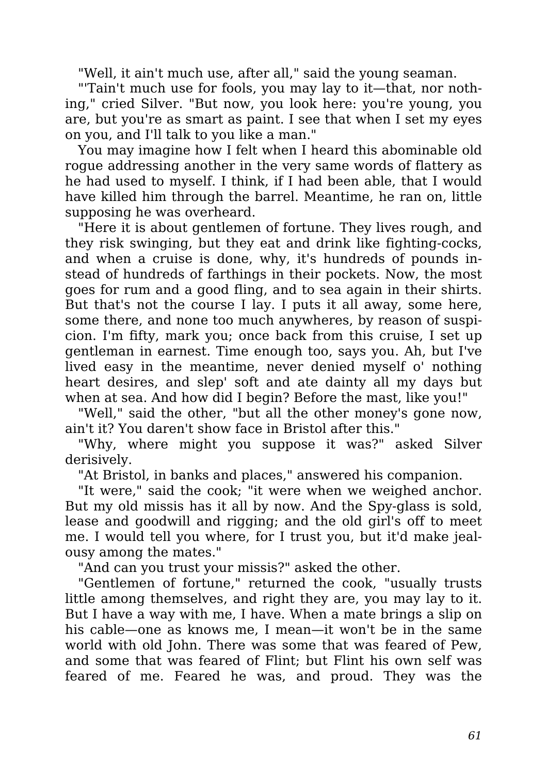"Well, it ain't much use, after all," said the young seaman.

"'Tain't much use for fools, you may lay to it—that, nor nothing," cried Silver. "But now, you look here: you're young, you are, but you're as smart as paint. I see that when I set my eyes on you, and I'll talk to you like a man."

You may imagine how I felt when I heard this abominable old rogue addressing another in the very same words of flattery as he had used to myself. I think, if I had been able, that I would have killed him through the barrel. Meantime, he ran on, little supposing he was overheard.

"Here it is about gentlemen of fortune. They lives rough, and they risk swinging, but they eat and drink like fighting-cocks, and when a cruise is done, why, it's hundreds of pounds instead of hundreds of farthings in their pockets. Now, the most goes for rum and a good fling, and to sea again in their shirts. But that's not the course I lay. I puts it all away, some here, some there, and none too much anywheres, by reason of suspicion. I'm fifty, mark you; once back from this cruise, I set up gentleman in earnest. Time enough too, says you. Ah, but I've lived easy in the meantime, never denied myself o' nothing heart desires, and slep' soft and ate dainty all my days but when at sea. And how did I begin? Before the mast, like you!"

"Well," said the other, "but all the other money's gone now, ain't it? You daren't show face in Bristol after this."

"Why, where might you suppose it was?" asked Silver derisively.

"At Bristol, in banks and places," answered his companion.

"It were," said the cook; "it were when we weighed anchor. But my old missis has it all by now. And the Spy-glass is sold, lease and goodwill and rigging; and the old girl's off to meet me. I would tell you where, for I trust you, but it'd make jealousy among the mates."

"And can you trust your missis?" asked the other.

"Gentlemen of fortune," returned the cook, "usually trusts little among themselves, and right they are, you may lay to it. But I have a way with me, I have. When a mate brings a slip on his cable—one as knows me, I mean—it won't be in the same world with old John. There was some that was feared of Pew, and some that was feared of Flint; but Flint his own self was feared of me. Feared he was, and proud. They was the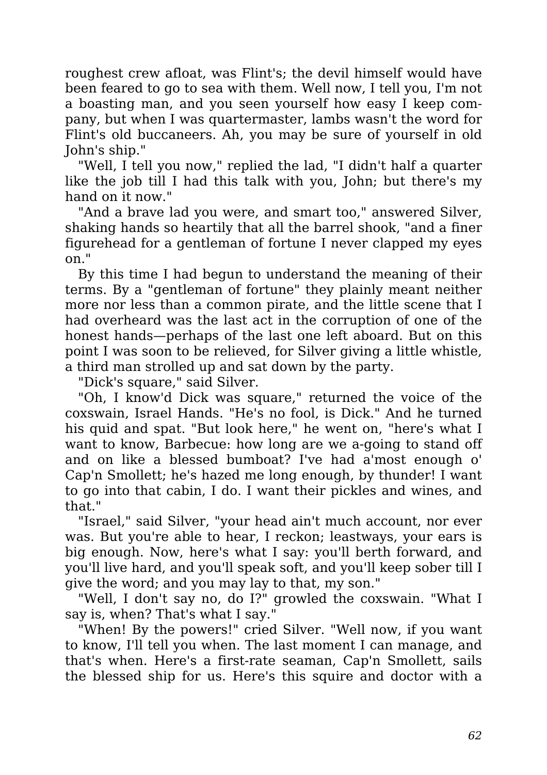roughest crew afloat, was Flint's; the devil himself would have been feared to go to sea with them. Well now, I tell you, I'm not a boasting man, and you seen yourself how easy I keep company, but when I was quartermaster, lambs wasn't the word for Flint's old buccaneers. Ah, you may be sure of yourself in old John's ship."

"Well, I tell you now," replied the lad, "I didn't half a quarter like the job till I had this talk with you, John; but there's my hand on it now."

"And a brave lad you were, and smart too," answered Silver, shaking hands so heartily that all the barrel shook, "and a finer figurehead for a gentleman of fortune I never clapped my eyes on."

By this time I had begun to understand the meaning of their terms. By a "gentleman of fortune" they plainly meant neither more nor less than a common pirate, and the little scene that I had overheard was the last act in the corruption of one of the honest hands—perhaps of the last one left aboard. But on this point I was soon to be relieved, for Silver giving a little whistle, a third man strolled up and sat down by the party.

"Dick's square," said Silver.

"Oh, I know'd Dick was square," returned the voice of the coxswain, Israel Hands. "He's no fool, is Dick." And he turned his quid and spat. "But look here," he went on, "here's what I want to know, Barbecue: how long are we a-going to stand off and on like a blessed bumboat? I've had a'most enough o' Cap'n Smollett; he's hazed me long enough, by thunder! I want to go into that cabin, I do. I want their pickles and wines, and that."

"Israel," said Silver, "your head ain't much account, nor ever was. But you're able to hear, I reckon; leastways, your ears is big enough. Now, here's what I say: you'll berth forward, and you'll live hard, and you'll speak soft, and you'll keep sober till I give the word; and you may lay to that, my son."

"Well, I don't say no, do I?" growled the coxswain. "What I say is, when? That's what I say."

"When! By the powers!" cried Silver. "Well now, if you want to know, I'll tell you when. The last moment I can manage, and that's when. Here's a first-rate seaman, Cap'n Smollett, sails the blessed ship for us. Here's this squire and doctor with a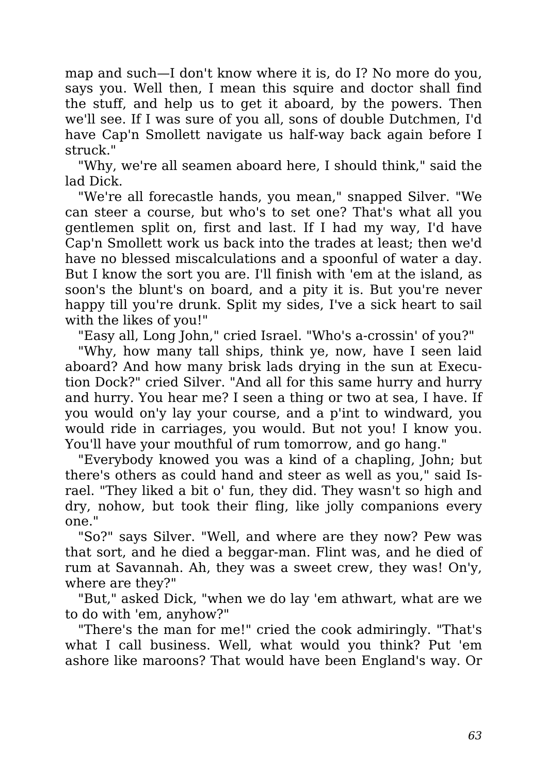map and such—I don't know where it is, do I? No more do you, says you. Well then, I mean this squire and doctor shall find the stuff, and help us to get it aboard, by the powers. Then we'll see. If I was sure of you all, sons of double Dutchmen, I'd have Cap'n Smollett navigate us half-way back again before I struck."

"Why, we're all seamen aboard here, I should think," said the lad Dick.

"We're all forecastle hands, you mean," snapped Silver. "We can steer a course, but who's to set one? That's what all you gentlemen split on, first and last. If I had my way, I'd have Cap'n Smollett work us back into the trades at least; then we'd have no blessed miscalculations and a spoonful of water a day. But I know the sort you are. I'll finish with 'em at the island, as soon's the blunt's on board, and a pity it is. But you're never happy till you're drunk. Split my sides, I've a sick heart to sail with the likes of you!"

"Easy all, Long John," cried Israel. "Who's a-crossin' of you?"

"Why, how many tall ships, think ye, now, have I seen laid aboard? And how many brisk lads drying in the sun at Execution Dock?" cried Silver. "And all for this same hurry and hurry and hurry. You hear me? I seen a thing or two at sea, I have. If you would on'y lay your course, and a p'int to windward, you would ride in carriages, you would. But not you! I know you. You'll have your mouthful of rum tomorrow, and go hang."

"Everybody knowed you was a kind of a chapling, John; but there's others as could hand and steer as well as you," said Israel. "They liked a bit o' fun, they did. They wasn't so high and dry, nohow, but took their fling, like jolly companions every one."

"So?" says Silver. "Well, and where are they now? Pew was that sort, and he died a beggar-man. Flint was, and he died of rum at Savannah. Ah, they was a sweet crew, they was! On'y, where are they?"

"But," asked Dick, "when we do lay 'em athwart, what are we to do with 'em, anyhow?"

"There's the man for me!" cried the cook admiringly. "That's what I call business. Well, what would you think? Put 'em ashore like maroons? That would have been England's way. Or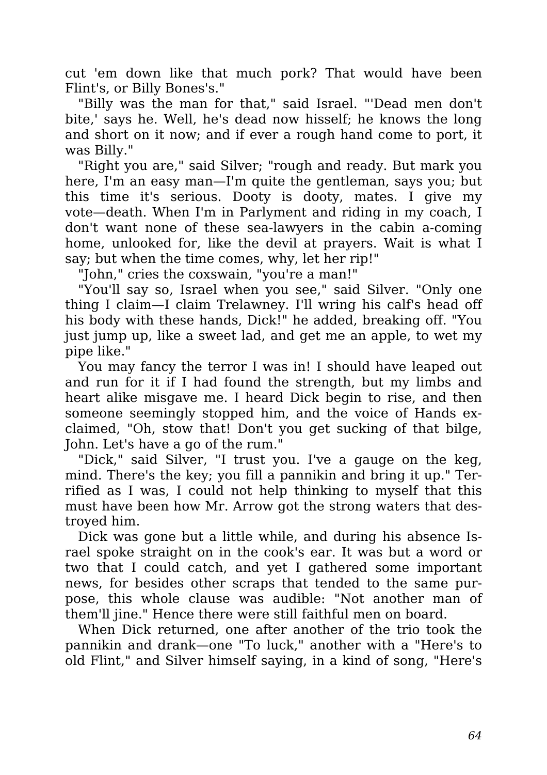cut 'em down like that much pork? That would have been Flint's, or Billy Bones's."

"Billy was the man for that," said Israel. "'Dead men don't bite,' says he. Well, he's dead now hisself; he knows the long and short on it now; and if ever a rough hand come to port, it was Billy."

"Right you are," said Silver; "rough and ready. But mark you here, I'm an easy man—I'm quite the gentleman, says you; but this time it's serious. Dooty is dooty, mates. I give my vote—death. When I'm in Parlyment and riding in my coach, I don't want none of these sea-lawyers in the cabin a-coming home, unlooked for, like the devil at prayers. Wait is what I say; but when the time comes, why, let her rip!"

"John," cries the coxswain, "you're a man!"

"You'll say so, Israel when you see," said Silver. "Only one thing I claim—I claim Trelawney. I'll wring his calf's head off his body with these hands, Dick!" he added, breaking off. "You just jump up, like a sweet lad, and get me an apple, to wet my pipe like."

You may fancy the terror I was in! I should have leaped out and run for it if I had found the strength, but my limbs and heart alike misgave me. I heard Dick begin to rise, and then someone seemingly stopped him, and the voice of Hands exclaimed, "Oh, stow that! Don't you get sucking of that bilge, John. Let's have a go of the rum."

"Dick," said Silver, "I trust you. I've a gauge on the keg, mind. There's the key; you fill a pannikin and bring it up." Terrified as I was, I could not help thinking to myself that this must have been how Mr. Arrow got the strong waters that destroyed him.

Dick was gone but a little while, and during his absence Israel spoke straight on in the cook's ear. It was but a word or two that I could catch, and yet I gathered some important news, for besides other scraps that tended to the same purpose, this whole clause was audible: "Not another man of them'll jine." Hence there were still faithful men on board.

When Dick returned, one after another of the trio took the pannikin and drank—one "To luck," another with a "Here's to old Flint," and Silver himself saying, in a kind of song, "Here's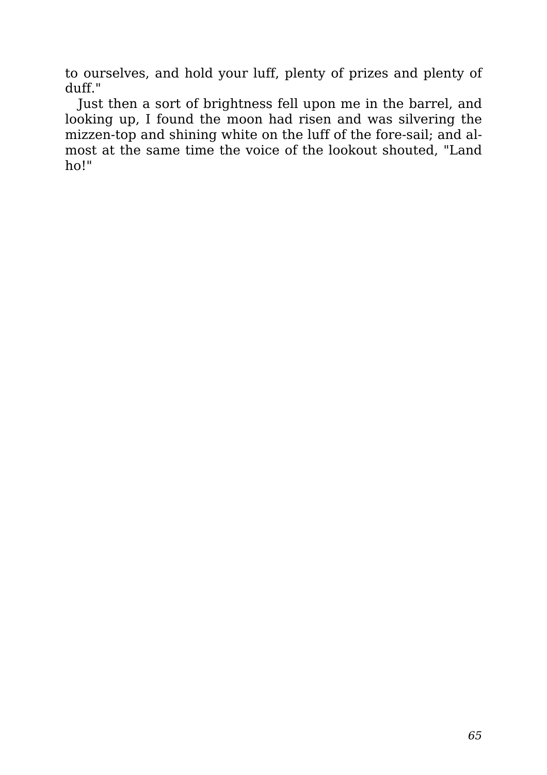to ourselves, and hold your luff, plenty of prizes and plenty of duff."

Just then a sort of brightness fell upon me in the barrel, and looking up, I found the moon had risen and was silvering the mizzen-top and shining white on the luff of the fore-sail; and almost at the same time the voice of the lookout shouted, "Land ho!"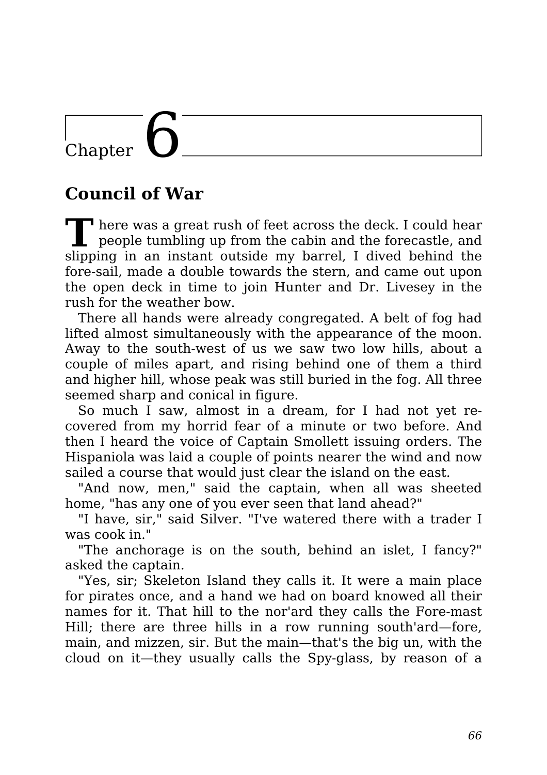# $\overline{\text{Chapter}}$

#### **Council of War**

**T** There was a great rush of feet across the deck. I could hear people tumbling up from the cabin and the forecastle, and slipping in an instant outside my barrel, I dived behind the fore-sail, made a double towards the stern, and came out upon the open deck in time to join Hunter and Dr. Livesey in the rush for the weather bow.

There all hands were already congregated. A belt of fog had lifted almost simultaneously with the appearance of the moon. Away to the south-west of us we saw two low hills, about a couple of miles apart, and rising behind one of them a third and higher hill, whose peak was still buried in the fog. All three seemed sharp and conical in figure.

So much I saw, almost in a dream, for I had not yet recovered from my horrid fear of a minute or two before. And then I heard the voice of Captain Smollett issuing orders. The Hispaniola was laid a couple of points nearer the wind and now sailed a course that would just clear the island on the east.

"And now, men," said the captain, when all was sheeted home, "has any one of you ever seen that land ahead?"

"I have, sir," said Silver. "I've watered there with a trader I was cook in."

"The anchorage is on the south, behind an islet, I fancy?" asked the captain.

"Yes, sir; Skeleton Island they calls it. It were a main place for pirates once, and a hand we had on board knowed all their names for it. That hill to the nor'ard they calls the Fore-mast Hill; there are three hills in a row running south'ard—fore, main, and mizzen, sir. But the main—that's the big un, with the cloud on it—they usually calls the Spy-glass, by reason of a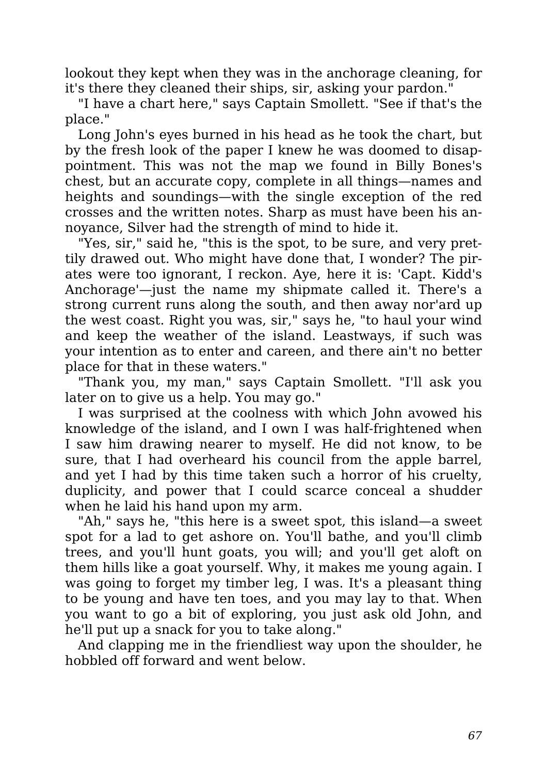lookout they kept when they was in the anchorage cleaning, for it's there they cleaned their ships, sir, asking your pardon."

"I have a chart here," says Captain Smollett. "See if that's the place."

Long John's eyes burned in his head as he took the chart, but by the fresh look of the paper I knew he was doomed to disappointment. This was not the map we found in Billy Bones's chest, but an accurate copy, complete in all things—names and heights and soundings—with the single exception of the red crosses and the written notes. Sharp as must have been his annoyance, Silver had the strength of mind to hide it.

"Yes, sir," said he, "this is the spot, to be sure, and very prettily drawed out. Who might have done that, I wonder? The pirates were too ignorant, I reckon. Aye, here it is: 'Capt. Kidd's Anchorage'—just the name my shipmate called it. There's a strong current runs along the south, and then away nor'ard up the west coast. Right you was, sir," says he, "to haul your wind and keep the weather of the island. Leastways, if such was your intention as to enter and careen, and there ain't no better place for that in these waters."

"Thank you, my man," says Captain Smollett. "I'll ask you later on to give us a help. You may go."

I was surprised at the coolness with which John avowed his knowledge of the island, and I own I was half-frightened when I saw him drawing nearer to myself. He did not know, to be sure, that I had overheard his council from the apple barrel, and yet I had by this time taken such a horror of his cruelty, duplicity, and power that I could scarce conceal a shudder when he laid his hand upon my arm.

"Ah," says he, "this here is a sweet spot, this island—a sweet spot for a lad to get ashore on. You'll bathe, and you'll climb trees, and you'll hunt goats, you will; and you'll get aloft on them hills like a goat yourself. Why, it makes me young again. I was going to forget my timber leg, I was. It's a pleasant thing to be young and have ten toes, and you may lay to that. When you want to go a bit of exploring, you just ask old John, and he'll put up a snack for you to take along."

And clapping me in the friendliest way upon the shoulder, he hobbled off forward and went below.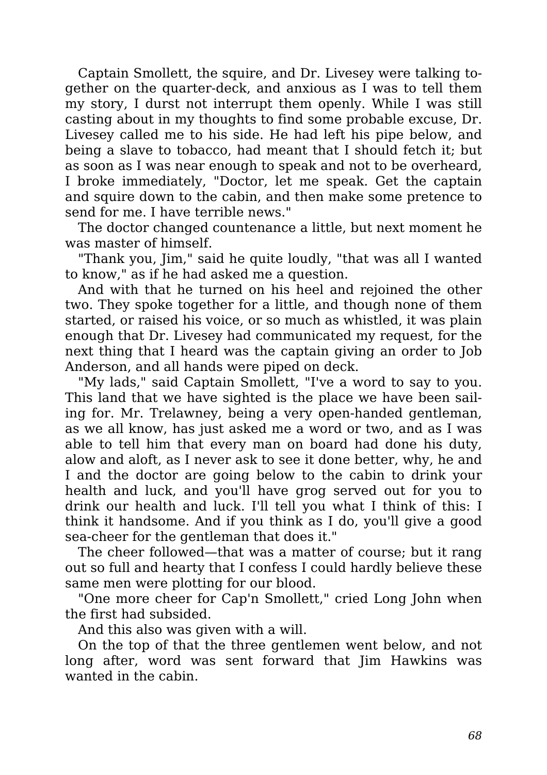Captain Smollett, the squire, and Dr. Livesey were talking together on the quarter-deck, and anxious as I was to tell them my story, I durst not interrupt them openly. While I was still casting about in my thoughts to find some probable excuse, Dr. Livesey called me to his side. He had left his pipe below, and being a slave to tobacco, had meant that I should fetch it; but as soon as I was near enough to speak and not to be overheard, I broke immediately, "Doctor, let me speak. Get the captain and squire down to the cabin, and then make some pretence to send for me. I have terrible news."

The doctor changed countenance a little, but next moment he was master of himself.

"Thank you, Jim," said he quite loudly, "that was all I wanted to know," as if he had asked me a question.

And with that he turned on his heel and rejoined the other two. They spoke together for a little, and though none of them started, or raised his voice, or so much as whistled, it was plain enough that Dr. Livesey had communicated my request, for the next thing that I heard was the captain giving an order to Job Anderson, and all hands were piped on deck.

"My lads," said Captain Smollett, "I've a word to say to you. This land that we have sighted is the place we have been sailing for. Mr. Trelawney, being a very open-handed gentleman, as we all know, has just asked me a word or two, and as I was able to tell him that every man on board had done his duty, alow and aloft, as I never ask to see it done better, why, he and I and the doctor are going below to the cabin to drink your health and luck, and you'll have grog served out for you to drink our health and luck. I'll tell you what I think of this: I think it handsome. And if you think as I do, you'll give a good sea-cheer for the gentleman that does it."

The cheer followed—that was a matter of course; but it rang out so full and hearty that I confess I could hardly believe these same men were plotting for our blood.

"One more cheer for Cap'n Smollett," cried Long John when the first had subsided.

And this also was given with a will.

On the top of that the three gentlemen went below, and not long after, word was sent forward that Jim Hawkins was wanted in the cabin.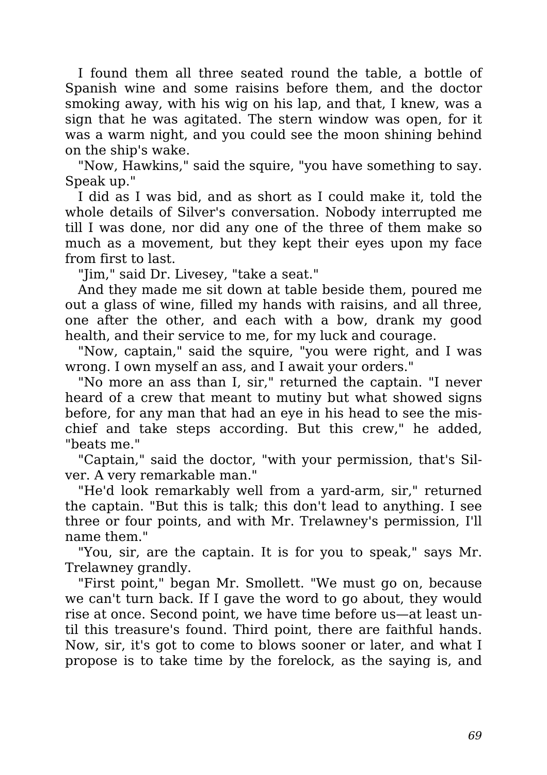I found them all three seated round the table, a bottle of Spanish wine and some raisins before them, and the doctor smoking away, with his wig on his lap, and that, I knew, was a sign that he was agitated. The stern window was open, for it was a warm night, and you could see the moon shining behind on the ship's wake.

"Now, Hawkins," said the squire, "you have something to say. Speak up."

I did as I was bid, and as short as I could make it, told the whole details of Silver's conversation. Nobody interrupted me till I was done, nor did any one of the three of them make so much as a movement, but they kept their eyes upon my face from first to last.

"Jim," said Dr. Livesey, "take a seat."

And they made me sit down at table beside them, poured me out a glass of wine, filled my hands with raisins, and all three, one after the other, and each with a bow, drank my good health, and their service to me, for my luck and courage.

"Now, captain," said the squire, "you were right, and I was wrong. I own myself an ass, and I await your orders."

"No more an ass than I, sir," returned the captain. "I never heard of a crew that meant to mutiny but what showed signs before, for any man that had an eye in his head to see the mischief and take steps according. But this crew," he added, "beats me."

"Captain," said the doctor, "with your permission, that's Silver. A very remarkable man."

"He'd look remarkably well from a yard-arm, sir," returned the captain. "But this is talk; this don't lead to anything. I see three or four points, and with Mr. Trelawney's permission, I'll name them."

"You, sir, are the captain. It is for you to speak," says Mr. Trelawney grandly.

"First point," began Mr. Smollett. "We must go on, because we can't turn back. If I gave the word to go about, they would rise at once. Second point, we have time before us—at least until this treasure's found. Third point, there are faithful hands. Now, sir, it's got to come to blows sooner or later, and what I propose is to take time by the forelock, as the saying is, and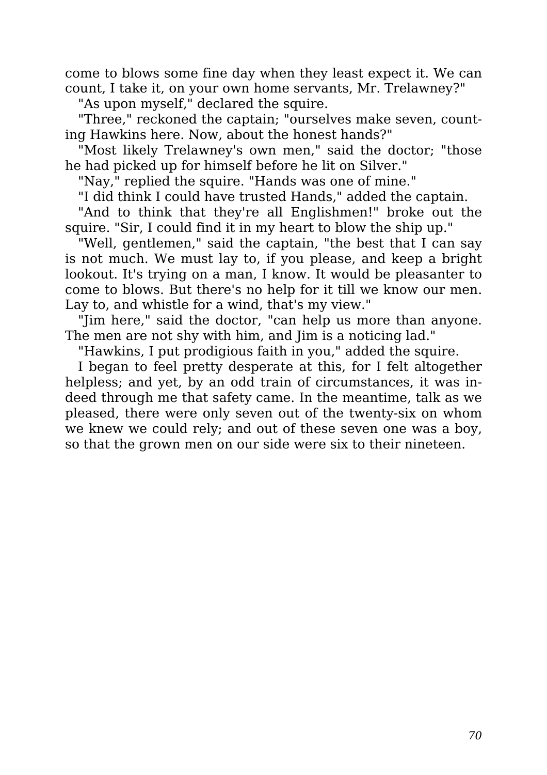come to blows some fine day when they least expect it. We can count, I take it, on your own home servants, Mr. Trelawney?"

"As upon myself," declared the squire.

"Three," reckoned the captain; "ourselves make seven, counting Hawkins here. Now, about the honest hands?"

"Most likely Trelawney's own men," said the doctor; "those he had picked up for himself before he lit on Silver."

"Nay," replied the squire. "Hands was one of mine."

"I did think I could have trusted Hands," added the captain.

"And to think that they're all Englishmen!" broke out the squire. "Sir, I could find it in my heart to blow the ship up."

"Well, gentlemen," said the captain, "the best that I can say is not much. We must lay to, if you please, and keep a bright lookout. It's trying on a man, I know. It would be pleasanter to come to blows. But there's no help for it till we know our men. Lay to, and whistle for a wind, that's my view."

"Jim here," said the doctor, "can help us more than anyone. The men are not shy with him, and Jim is a noticing lad."

"Hawkins, I put prodigious faith in you," added the squire.

I began to feel pretty desperate at this, for I felt altogether helpless; and yet, by an odd train of circumstances, it was indeed through me that safety came. In the meantime, talk as we pleased, there were only seven out of the twenty-six on whom we knew we could rely; and out of these seven one was a boy, so that the grown men on our side were six to their nineteen.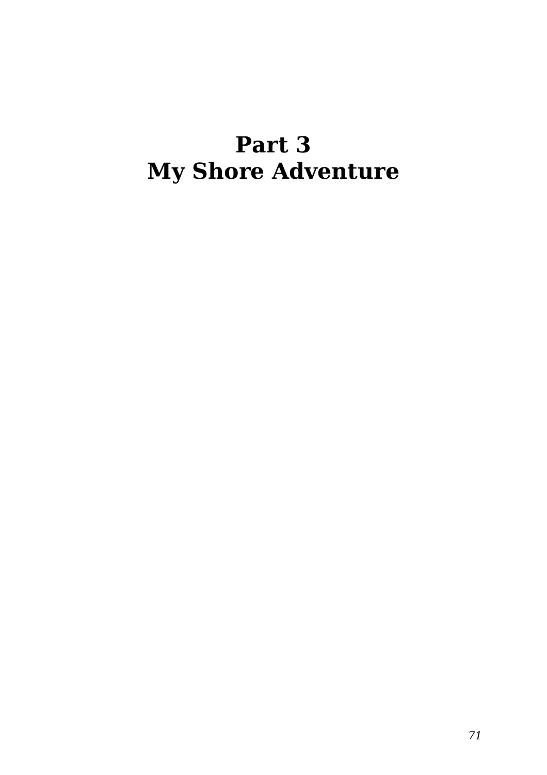#### **Part 3 My Shore Adventure**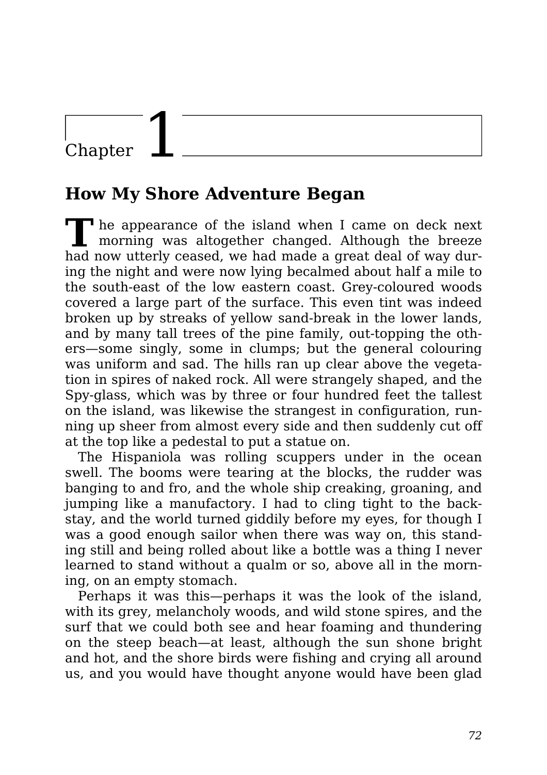### Chapter

#### **How My Shore Adventure Began**

**T** he appearance of the island when I came on deck next morning was altogether changed. Although the breeze had now utterly ceased, we had made a great deal of way during the night and were now lying becalmed about half a mile to the south-east of the low eastern coast. Grey-coloured woods covered a large part of the surface. This even tint was indeed broken up by streaks of yellow sand-break in the lower lands, and by many tall trees of the pine family, out-topping the others—some singly, some in clumps; but the general colouring was uniform and sad. The hills ran up clear above the vegetation in spires of naked rock. All were strangely shaped, and the Spy-glass, which was by three or four hundred feet the tallest on the island, was likewise the strangest in configuration, running up sheer from almost every side and then suddenly cut off at the top like a pedestal to put a statue on.

The Hispaniola was rolling scuppers under in the ocean swell. The booms were tearing at the blocks, the rudder was banging to and fro, and the whole ship creaking, groaning, and jumping like a manufactory. I had to cling tight to the backstay, and the world turned giddily before my eyes, for though I was a good enough sailor when there was way on, this standing still and being rolled about like a bottle was a thing I never learned to stand without a qualm or so, above all in the morning, on an empty stomach.

Perhaps it was this—perhaps it was the look of the island, with its grey, melancholy woods, and wild stone spires, and the surf that we could both see and hear foaming and thundering on the steep beach—at least, although the sun shone bright and hot, and the shore birds were fishing and crying all around us, and you would have thought anyone would have been glad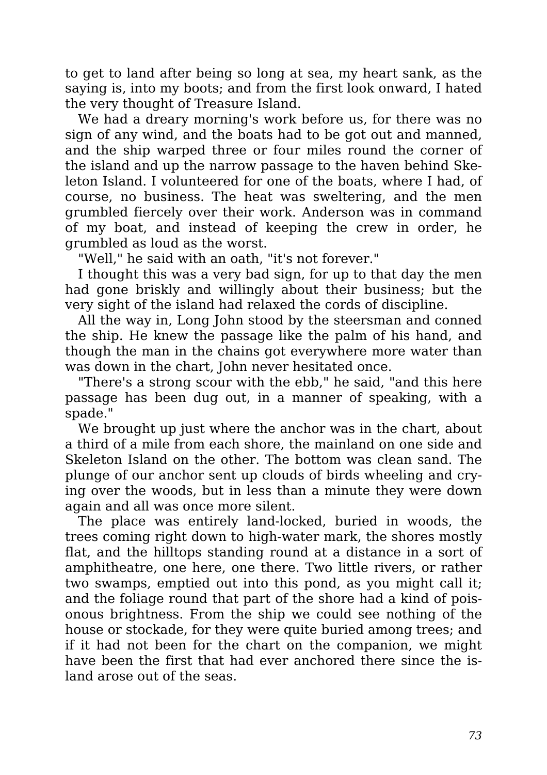to get to land after being so long at sea, my heart sank, as the saying is, into my boots; and from the first look onward, I hated the very thought of Treasure Island.

We had a dreary morning's work before us, for there was no sign of any wind, and the boats had to be got out and manned, and the ship warped three or four miles round the corner of the island and up the narrow passage to the haven behind Skeleton Island. I volunteered for one of the boats, where I had, of course, no business. The heat was sweltering, and the men grumbled fiercely over their work. Anderson was in command of my boat, and instead of keeping the crew in order, he grumbled as loud as the worst.

"Well," he said with an oath, "it's not forever."

I thought this was a very bad sign, for up to that day the men had gone briskly and willingly about their business; but the very sight of the island had relaxed the cords of discipline.

All the way in, Long John stood by the steersman and conned the ship. He knew the passage like the palm of his hand, and though the man in the chains got everywhere more water than was down in the chart, John never hesitated once.

"There's a strong scour with the ebb," he said, "and this here passage has been dug out, in a manner of speaking, with a spade."

We brought up just where the anchor was in the chart, about a third of a mile from each shore, the mainland on one side and Skeleton Island on the other. The bottom was clean sand. The plunge of our anchor sent up clouds of birds wheeling and crying over the woods, but in less than a minute they were down again and all was once more silent.

The place was entirely land-locked, buried in woods, the trees coming right down to high-water mark, the shores mostly flat, and the hilltops standing round at a distance in a sort of amphitheatre, one here, one there. Two little rivers, or rather two swamps, emptied out into this pond, as you might call it; and the foliage round that part of the shore had a kind of poisonous brightness. From the ship we could see nothing of the house or stockade, for they were quite buried among trees; and if it had not been for the chart on the companion, we might have been the first that had ever anchored there since the island arose out of the seas.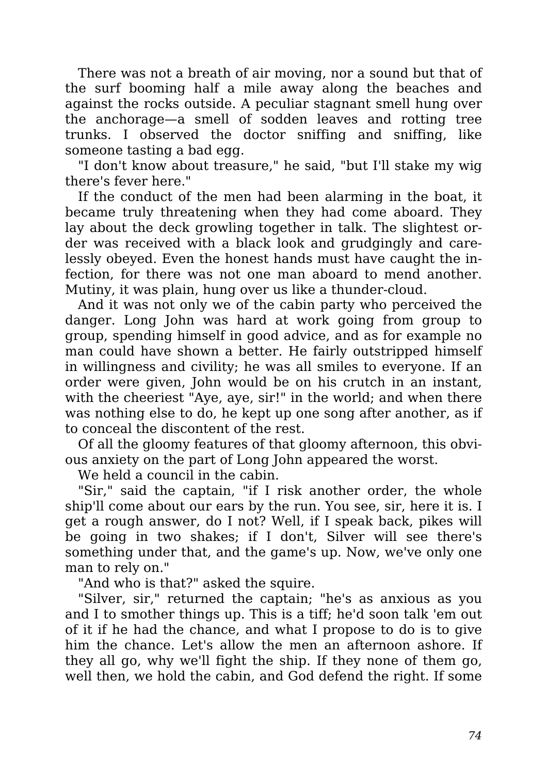There was not a breath of air moving, nor a sound but that of the surf booming half a mile away along the beaches and against the rocks outside. A peculiar stagnant smell hung over the anchorage—a smell of sodden leaves and rotting tree trunks. I observed the doctor sniffing and sniffing, like someone tasting a bad egg.

"I don't know about treasure," he said, "but I'll stake my wig there's fever here."

If the conduct of the men had been alarming in the boat, it became truly threatening when they had come aboard. They lay about the deck growling together in talk. The slightest order was received with a black look and grudgingly and carelessly obeyed. Even the honest hands must have caught the infection, for there was not one man aboard to mend another. Mutiny, it was plain, hung over us like a thunder-cloud.

And it was not only we of the cabin party who perceived the danger. Long John was hard at work going from group to group, spending himself in good advice, and as for example no man could have shown a better. He fairly outstripped himself in willingness and civility; he was all smiles to everyone. If an order were given, John would be on his crutch in an instant, with the cheeriest "Aye, aye, sir!" in the world; and when there was nothing else to do, he kept up one song after another, as if to conceal the discontent of the rest.

Of all the gloomy features of that gloomy afternoon, this obvious anxiety on the part of Long John appeared the worst.

We held a council in the cabin.

"Sir," said the captain, "if I risk another order, the whole ship'll come about our ears by the run. You see, sir, here it is. I get a rough answer, do I not? Well, if I speak back, pikes will be going in two shakes; if I don't, Silver will see there's something under that, and the game's up. Now, we've only one man to rely on."

"And who is that?" asked the squire.

"Silver, sir," returned the captain; "he's as anxious as you and I to smother things up. This is a tiff; he'd soon talk 'em out of it if he had the chance, and what I propose to do is to give him the chance. Let's allow the men an afternoon ashore. If they all go, why we'll fight the ship. If they none of them go, well then, we hold the cabin, and God defend the right. If some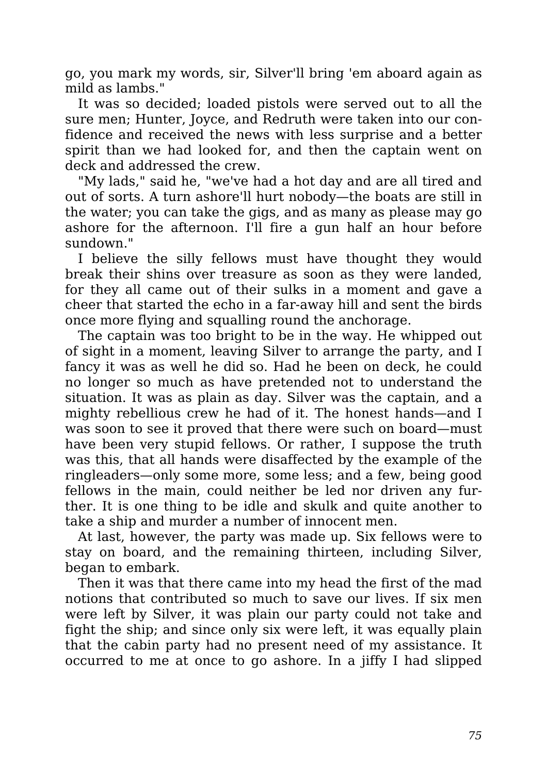go, you mark my words, sir, Silver'll bring 'em aboard again as mild as lambs."

It was so decided; loaded pistols were served out to all the sure men; Hunter, Joyce, and Redruth were taken into our confidence and received the news with less surprise and a better spirit than we had looked for, and then the captain went on deck and addressed the crew.

"My lads," said he, "we've had a hot day and are all tired and out of sorts. A turn ashore'll hurt nobody—the boats are still in the water; you can take the gigs, and as many as please may go ashore for the afternoon. I'll fire a gun half an hour before sundown."

I believe the silly fellows must have thought they would break their shins over treasure as soon as they were landed, for they all came out of their sulks in a moment and gave a cheer that started the echo in a far-away hill and sent the birds once more flying and squalling round the anchorage.

The captain was too bright to be in the way. He whipped out of sight in a moment, leaving Silver to arrange the party, and I fancy it was as well he did so. Had he been on deck, he could no longer so much as have pretended not to understand the situation. It was as plain as day. Silver was the captain, and a mighty rebellious crew he had of it. The honest hands—and I was soon to see it proved that there were such on board—must have been very stupid fellows. Or rather, I suppose the truth was this, that all hands were disaffected by the example of the ringleaders—only some more, some less; and a few, being good fellows in the main, could neither be led nor driven any further. It is one thing to be idle and skulk and quite another to take a ship and murder a number of innocent men.

At last, however, the party was made up. Six fellows were to stay on board, and the remaining thirteen, including Silver, began to embark.

Then it was that there came into my head the first of the mad notions that contributed so much to save our lives. If six men were left by Silver, it was plain our party could not take and fight the ship; and since only six were left, it was equally plain that the cabin party had no present need of my assistance. It occurred to me at once to go ashore. In a jiffy I had slipped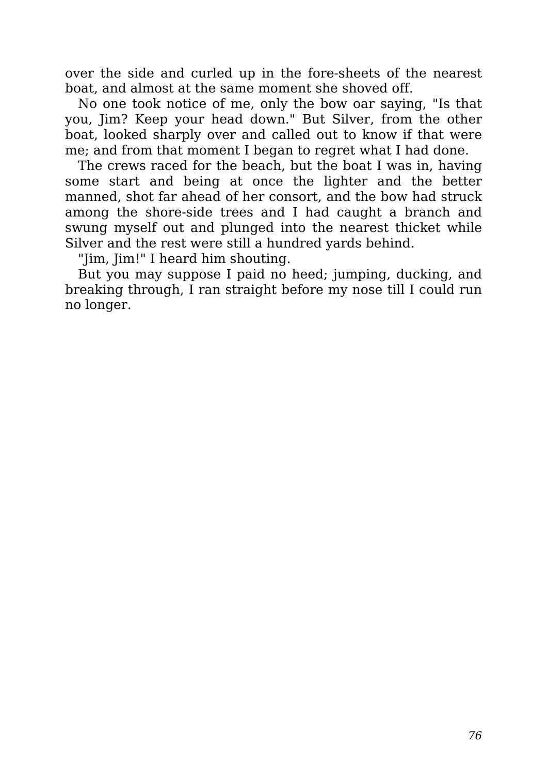over the side and curled up in the fore-sheets of the nearest boat, and almost at the same moment she shoved off.

No one took notice of me, only the bow oar saying, "Is that you, Jim? Keep your head down." But Silver, from the other boat, looked sharply over and called out to know if that were me; and from that moment I began to regret what I had done.

The crews raced for the beach, but the boat I was in, having some start and being at once the lighter and the better manned, shot far ahead of her consort, and the bow had struck among the shore-side trees and I had caught a branch and swung myself out and plunged into the nearest thicket while Silver and the rest were still a hundred yards behind.

"Jim, Jim!" I heard him shouting.

But you may suppose I paid no heed; jumping, ducking, and breaking through, I ran straight before my nose till I could run no longer.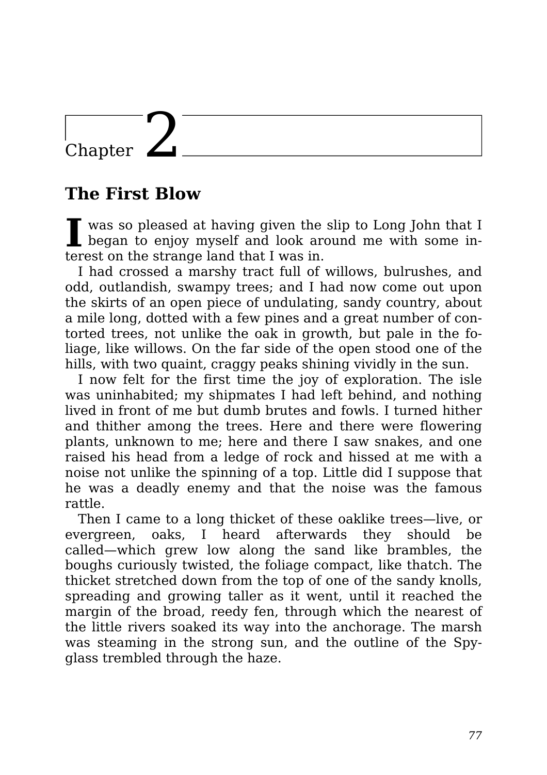### Chapter  $\mathbf{\angle}$

#### **The First Blow**

I was so pleased at having given the slip to Long John that I began to enjoy myself and look around me with some inwas so pleased at having given the slip to Long John that I terest on the strange land that I was in.

I had crossed a marshy tract full of willows, bulrushes, and odd, outlandish, swampy trees; and I had now come out upon the skirts of an open piece of undulating, sandy country, about a mile long, dotted with a few pines and a great number of contorted trees, not unlike the oak in growth, but pale in the foliage, like willows. On the far side of the open stood one of the hills, with two quaint, craggy peaks shining vividly in the sun.

I now felt for the first time the joy of exploration. The isle was uninhabited; my shipmates I had left behind, and nothing lived in front of me but dumb brutes and fowls. I turned hither and thither among the trees. Here and there were flowering plants, unknown to me; here and there I saw snakes, and one raised his head from a ledge of rock and hissed at me with a noise not unlike the spinning of a top. Little did I suppose that he was a deadly enemy and that the noise was the famous rattle.

Then I came to a long thicket of these oaklike trees—live, or evergreen, oaks, I heard afterwards they should be called—which grew low along the sand like brambles, the boughs curiously twisted, the foliage compact, like thatch. The thicket stretched down from the top of one of the sandy knolls, spreading and growing taller as it went, until it reached the margin of the broad, reedy fen, through which the nearest of the little rivers soaked its way into the anchorage. The marsh was steaming in the strong sun, and the outline of the Spyglass trembled through the haze.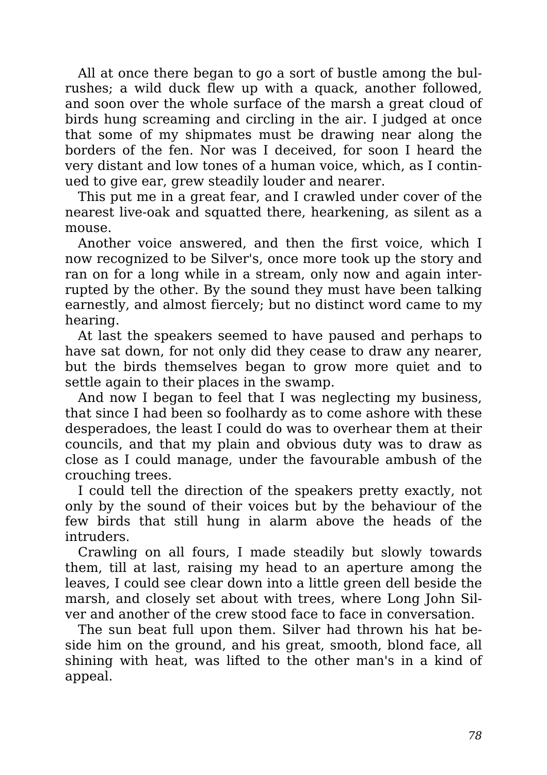All at once there began to go a sort of bustle among the bulrushes; a wild duck flew up with a quack, another followed, and soon over the whole surface of the marsh a great cloud of birds hung screaming and circling in the air. I judged at once that some of my shipmates must be drawing near along the borders of the fen. Nor was I deceived, for soon I heard the very distant and low tones of a human voice, which, as I continued to give ear, grew steadily louder and nearer.

This put me in a great fear, and I crawled under cover of the nearest live-oak and squatted there, hearkening, as silent as a mouse.

Another voice answered, and then the first voice, which I now recognized to be Silver's, once more took up the story and ran on for a long while in a stream, only now and again interrupted by the other. By the sound they must have been talking earnestly, and almost fiercely; but no distinct word came to my hearing.

At last the speakers seemed to have paused and perhaps to have sat down, for not only did they cease to draw any nearer, but the birds themselves began to grow more quiet and to settle again to their places in the swamp.

And now I began to feel that I was neglecting my business, that since I had been so foolhardy as to come ashore with these desperadoes, the least I could do was to overhear them at their councils, and that my plain and obvious duty was to draw as close as I could manage, under the favourable ambush of the crouching trees.

I could tell the direction of the speakers pretty exactly, not only by the sound of their voices but by the behaviour of the few birds that still hung in alarm above the heads of the intruders.

Crawling on all fours, I made steadily but slowly towards them, till at last, raising my head to an aperture among the leaves, I could see clear down into a little green dell beside the marsh, and closely set about with trees, where Long John Silver and another of the crew stood face to face in conversation.

The sun beat full upon them. Silver had thrown his hat beside him on the ground, and his great, smooth, blond face, all shining with heat, was lifted to the other man's in a kind of appeal.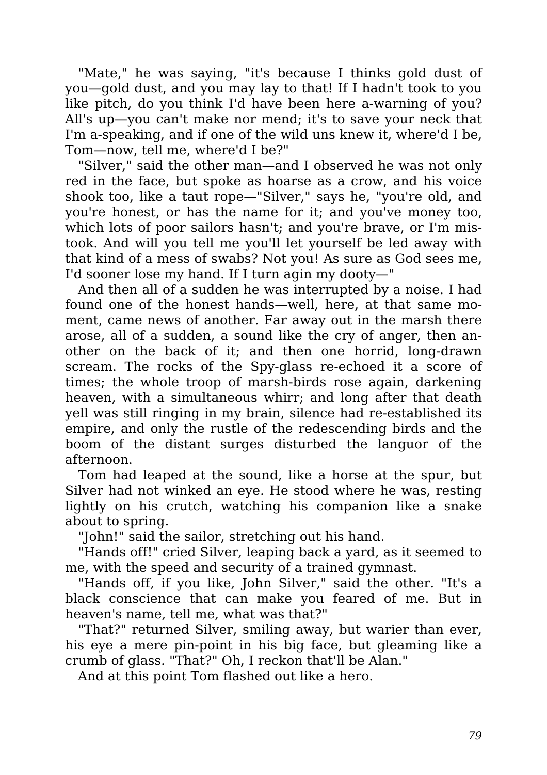"Mate," he was saying, "it's because I thinks gold dust of you—gold dust, and you may lay to that! If I hadn't took to you like pitch, do you think I'd have been here a-warning of you? All's up—you can't make nor mend; it's to save your neck that I'm a-speaking, and if one of the wild uns knew it, where'd I be, Tom—now, tell me, where'd I be?"

"Silver," said the other man—and I observed he was not only red in the face, but spoke as hoarse as a crow, and his voice shook too, like a taut rope—"Silver," says he, "you're old, and you're honest, or has the name for it; and you've money too, which lots of poor sailors hasn't; and you're brave, or I'm mistook. And will you tell me you'll let yourself be led away with that kind of a mess of swabs? Not you! As sure as God sees me, I'd sooner lose my hand. If I turn agin my dooty—"

And then all of a sudden he was interrupted by a noise. I had found one of the honest hands—well, here, at that same moment, came news of another. Far away out in the marsh there arose, all of a sudden, a sound like the cry of anger, then another on the back of it; and then one horrid, long-drawn scream. The rocks of the Spy-glass re-echoed it a score of times; the whole troop of marsh-birds rose again, darkening heaven, with a simultaneous whirr; and long after that death yell was still ringing in my brain, silence had re-established its empire, and only the rustle of the redescending birds and the boom of the distant surges disturbed the languor of the afternoon.

Tom had leaped at the sound, like a horse at the spur, but Silver had not winked an eye. He stood where he was, resting lightly on his crutch, watching his companion like a snake about to spring.

"John!" said the sailor, stretching out his hand.

"Hands off!" cried Silver, leaping back a yard, as it seemed to me, with the speed and security of a trained gymnast.

"Hands off, if you like, John Silver," said the other. "It's a black conscience that can make you feared of me. But in heaven's name, tell me, what was that?"

"That?" returned Silver, smiling away, but warier than ever, his eye a mere pin-point in his big face, but gleaming like a crumb of glass. "That?" Oh, I reckon that'll be Alan."

And at this point Tom flashed out like a hero.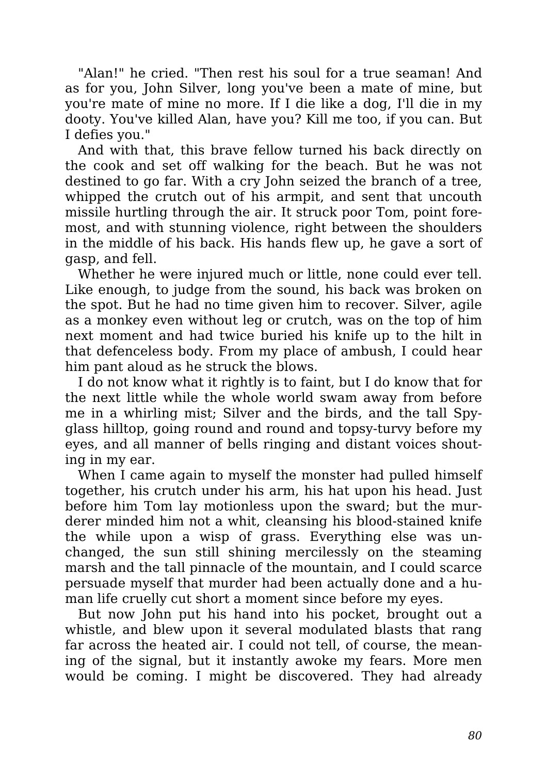"Alan!" he cried. "Then rest his soul for a true seaman! And as for you, John Silver, long you've been a mate of mine, but you're mate of mine no more. If I die like a dog, I'll die in my dooty. You've killed Alan, have you? Kill me too, if you can. But I defies you."

And with that, this brave fellow turned his back directly on the cook and set off walking for the beach. But he was not destined to go far. With a cry John seized the branch of a tree, whipped the crutch out of his armpit, and sent that uncouth missile hurtling through the air. It struck poor Tom, point foremost, and with stunning violence, right between the shoulders in the middle of his back. His hands flew up, he gave a sort of gasp, and fell.

Whether he were injured much or little, none could ever tell. Like enough, to judge from the sound, his back was broken on the spot. But he had no time given him to recover. Silver, agile as a monkey even without leg or crutch, was on the top of him next moment and had twice buried his knife up to the hilt in that defenceless body. From my place of ambush, I could hear him pant aloud as he struck the blows.

I do not know what it rightly is to faint, but I do know that for the next little while the whole world swam away from before me in a whirling mist; Silver and the birds, and the tall Spyglass hilltop, going round and round and topsy-turvy before my eyes, and all manner of bells ringing and distant voices shouting in my ear.

When I came again to myself the monster had pulled himself together, his crutch under his arm, his hat upon his head. Just before him Tom lay motionless upon the sward; but the murderer minded him not a whit, cleansing his blood-stained knife the while upon a wisp of grass. Everything else was unchanged, the sun still shining mercilessly on the steaming marsh and the tall pinnacle of the mountain, and I could scarce persuade myself that murder had been actually done and a human life cruelly cut short a moment since before my eyes.

But now John put his hand into his pocket, brought out a whistle, and blew upon it several modulated blasts that rang far across the heated air. I could not tell, of course, the meaning of the signal, but it instantly awoke my fears. More men would be coming. I might be discovered. They had already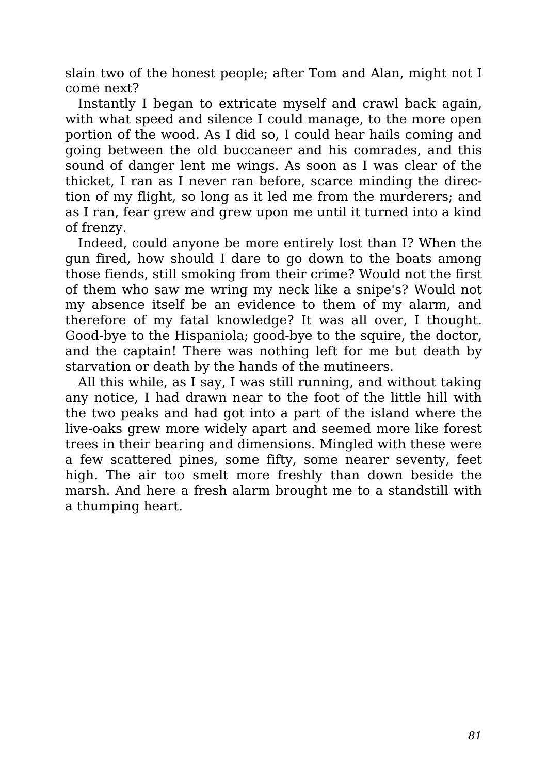slain two of the honest people; after Tom and Alan, might not I come next?

Instantly I began to extricate myself and crawl back again, with what speed and silence I could manage, to the more open portion of the wood. As I did so, I could hear hails coming and going between the old buccaneer and his comrades, and this sound of danger lent me wings. As soon as I was clear of the thicket, I ran as I never ran before, scarce minding the direction of my flight, so long as it led me from the murderers; and as I ran, fear grew and grew upon me until it turned into a kind of frenzy.

Indeed, could anyone be more entirely lost than I? When the gun fired, how should I dare to go down to the boats among those fiends, still smoking from their crime? Would not the first of them who saw me wring my neck like a snipe's? Would not my absence itself be an evidence to them of my alarm, and therefore of my fatal knowledge? It was all over, I thought. Good-bye to the Hispaniola; good-bye to the squire, the doctor, and the captain! There was nothing left for me but death by starvation or death by the hands of the mutineers.

All this while, as I say, I was still running, and without taking any notice, I had drawn near to the foot of the little hill with the two peaks and had got into a part of the island where the live-oaks grew more widely apart and seemed more like forest trees in their bearing and dimensions. Mingled with these were a few scattered pines, some fifty, some nearer seventy, feet high. The air too smelt more freshly than down beside the marsh. And here a fresh alarm brought me to a standstill with a thumping heart.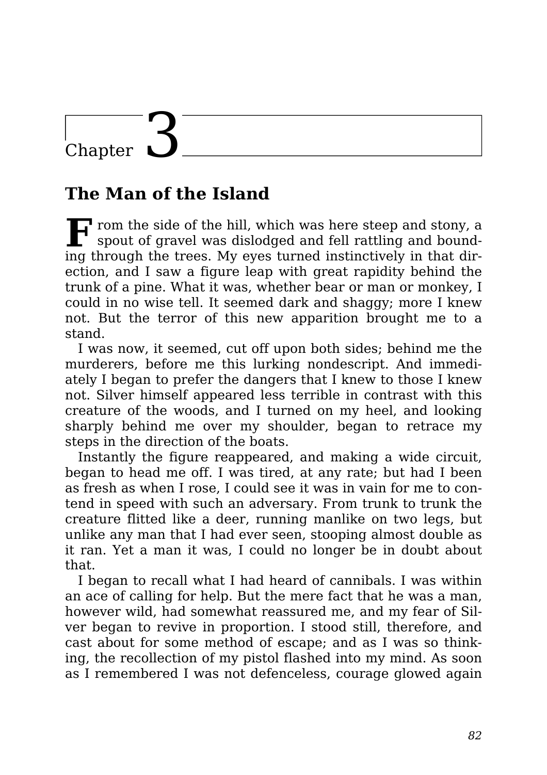# Chapter

#### **The Man of the Island**

**F** rom the side of the hill, which was here steep and stony, a spout of gravel was dislodged and fell rattling and boundspout of gravel was dislodged and fell rattling and bounding through the trees. My eyes turned instinctively in that direction, and I saw a figure leap with great rapidity behind the trunk of a pine. What it was, whether bear or man or monkey, I could in no wise tell. It seemed dark and shaggy; more I knew not. But the terror of this new apparition brought me to a stand.

I was now, it seemed, cut off upon both sides; behind me the murderers, before me this lurking nondescript. And immediately I began to prefer the dangers that I knew to those I knew not. Silver himself appeared less terrible in contrast with this creature of the woods, and I turned on my heel, and looking sharply behind me over my shoulder, began to retrace my steps in the direction of the boats.

Instantly the figure reappeared, and making a wide circuit, began to head me off. I was tired, at any rate; but had I been as fresh as when I rose, I could see it was in vain for me to contend in speed with such an adversary. From trunk to trunk the creature flitted like a deer, running manlike on two legs, but unlike any man that I had ever seen, stooping almost double as it ran. Yet a man it was, I could no longer be in doubt about that.

I began to recall what I had heard of cannibals. I was within an ace of calling for help. But the mere fact that he was a man, however wild, had somewhat reassured me, and my fear of Silver began to revive in proportion. I stood still, therefore, and cast about for some method of escape; and as I was so thinking, the recollection of my pistol flashed into my mind. As soon as I remembered I was not defenceless, courage glowed again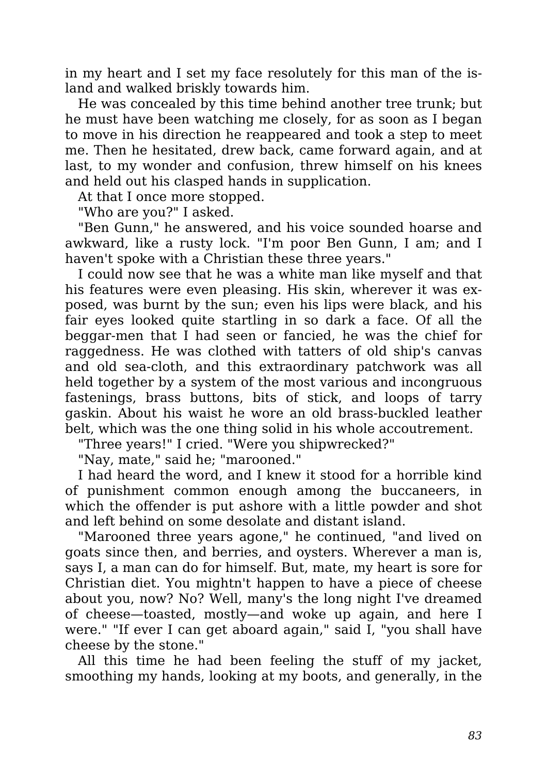in my heart and I set my face resolutely for this man of the island and walked briskly towards him.

He was concealed by this time behind another tree trunk; but he must have been watching me closely, for as soon as I began to move in his direction he reappeared and took a step to meet me. Then he hesitated, drew back, came forward again, and at last, to my wonder and confusion, threw himself on his knees and held out his clasped hands in supplication.

At that I once more stopped.

"Who are you?" I asked.

"Ben Gunn," he answered, and his voice sounded hoarse and awkward, like a rusty lock. "I'm poor Ben Gunn, I am; and I haven't spoke with a Christian these three years."

I could now see that he was a white man like myself and that his features were even pleasing. His skin, wherever it was exposed, was burnt by the sun; even his lips were black, and his fair eyes looked quite startling in so dark a face. Of all the beggar-men that I had seen or fancied, he was the chief for raggedness. He was clothed with tatters of old ship's canvas and old sea-cloth, and this extraordinary patchwork was all held together by a system of the most various and incongruous fastenings, brass buttons, bits of stick, and loops of tarry gaskin. About his waist he wore an old brass-buckled leather belt, which was the one thing solid in his whole accoutrement.

"Three years!" I cried. "Were you shipwrecked?"

"Nay, mate," said he; "marooned."

I had heard the word, and I knew it stood for a horrible kind of punishment common enough among the buccaneers, in which the offender is put ashore with a little powder and shot and left behind on some desolate and distant island.

"Marooned three years agone," he continued, "and lived on goats since then, and berries, and oysters. Wherever a man is, says I, a man can do for himself. But, mate, my heart is sore for Christian diet. You mightn't happen to have a piece of cheese about you, now? No? Well, many's the long night I've dreamed of cheese—toasted, mostly—and woke up again, and here I were." "If ever I can get aboard again," said I, "you shall have cheese by the stone."

All this time he had been feeling the stuff of my jacket, smoothing my hands, looking at my boots, and generally, in the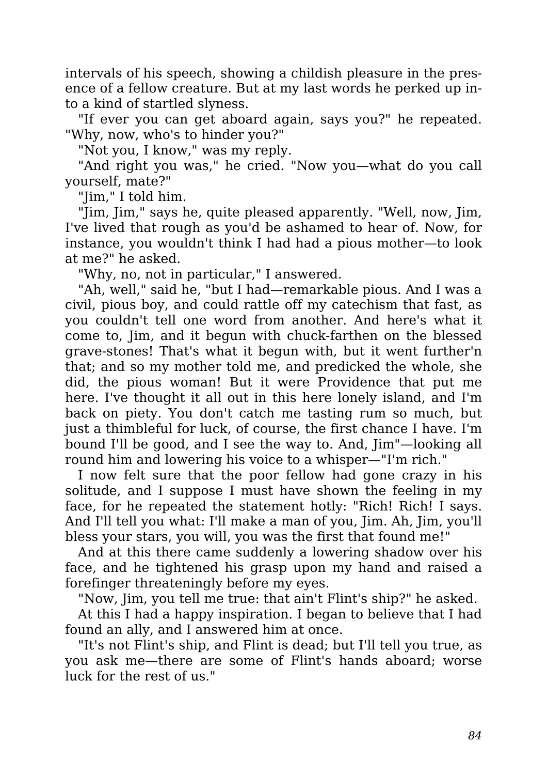intervals of his speech, showing a childish pleasure in the presence of a fellow creature. But at my last words he perked up into a kind of startled slyness.

"If ever you can get aboard again, says you?" he repeated. "Why, now, who's to hinder you?"

"Not you, I know," was my reply.

"And right you was," he cried. "Now you—what do you call yourself, mate?"

"Jim," I told him.

"Jim, Jim," says he, quite pleased apparently. "Well, now, Jim, I've lived that rough as you'd be ashamed to hear of. Now, for instance, you wouldn't think I had had a pious mother—to look at me?" he asked.

"Why, no, not in particular," I answered.

"Ah, well," said he, "but I had—remarkable pious. And I was a civil, pious boy, and could rattle off my catechism that fast, as you couldn't tell one word from another. And here's what it come to, Jim, and it begun with chuck-farthen on the blessed grave-stones! That's what it begun with, but it went further'n that; and so my mother told me, and predicked the whole, she did, the pious woman! But it were Providence that put me here. I've thought it all out in this here lonely island, and I'm back on piety. You don't catch me tasting rum so much, but just a thimbleful for luck, of course, the first chance I have. I'm bound I'll be good, and I see the way to. And, Jim"—looking all round him and lowering his voice to a whisper—"I'm rich."

I now felt sure that the poor fellow had gone crazy in his solitude, and I suppose I must have shown the feeling in my face, for he repeated the statement hotly: "Rich! Rich! I says. And I'll tell you what: I'll make a man of you, Jim. Ah, Jim, you'll bless your stars, you will, you was the first that found me!"

And at this there came suddenly a lowering shadow over his face, and he tightened his grasp upon my hand and raised a forefinger threateningly before my eyes.

"Now, Jim, you tell me true: that ain't Flint's ship?" he asked.

At this I had a happy inspiration. I began to believe that I had found an ally, and I answered him at once.

"It's not Flint's ship, and Flint is dead; but I'll tell you true, as you ask me—there are some of Flint's hands aboard; worse luck for the rest of us."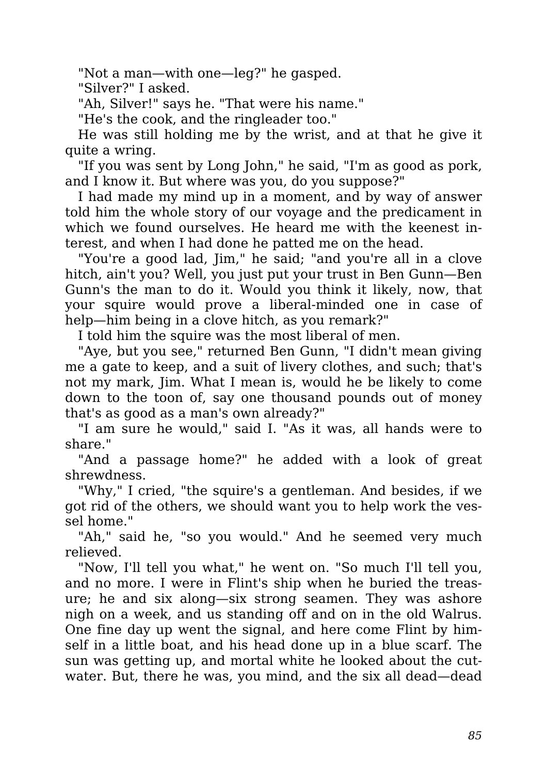"Not a man—with one—leg?" he gasped.

"Silver?" I asked.

"Ah, Silver!" says he. "That were his name."

"He's the cook, and the ringleader too."

He was still holding me by the wrist, and at that he give it quite a wring.

"If you was sent by Long John," he said, "I'm as good as pork, and I know it. But where was you, do you suppose?"

I had made my mind up in a moment, and by way of answer told him the whole story of our voyage and the predicament in which we found ourselves. He heard me with the keenest interest, and when I had done he patted me on the head.

"You're a good lad, Jim," he said; "and you're all in a clove hitch, ain't you? Well, you just put your trust in Ben Gunn—Ben Gunn's the man to do it. Would you think it likely, now, that your squire would prove a liberal-minded one in case of help—him being in a clove hitch, as you remark?"

I told him the squire was the most liberal of men.

"Aye, but you see," returned Ben Gunn, "I didn't mean giving me a gate to keep, and a suit of livery clothes, and such; that's not my mark, Jim. What I mean is, would he be likely to come down to the toon of, say one thousand pounds out of money that's as good as a man's own already?"

"I am sure he would," said I. "As it was, all hands were to share."

"And a passage home?" he added with a look of great shrewdness.

"Why," I cried, "the squire's a gentleman. And besides, if we got rid of the others, we should want you to help work the vessel home."

"Ah," said he, "so you would." And he seemed very much relieved.

"Now, I'll tell you what," he went on. "So much I'll tell you, and no more. I were in Flint's ship when he buried the treasure; he and six along—six strong seamen. They was ashore nigh on a week, and us standing off and on in the old Walrus. One fine day up went the signal, and here come Flint by himself in a little boat, and his head done up in a blue scarf. The sun was getting up, and mortal white he looked about the cutwater. But, there he was, you mind, and the six all dead—dead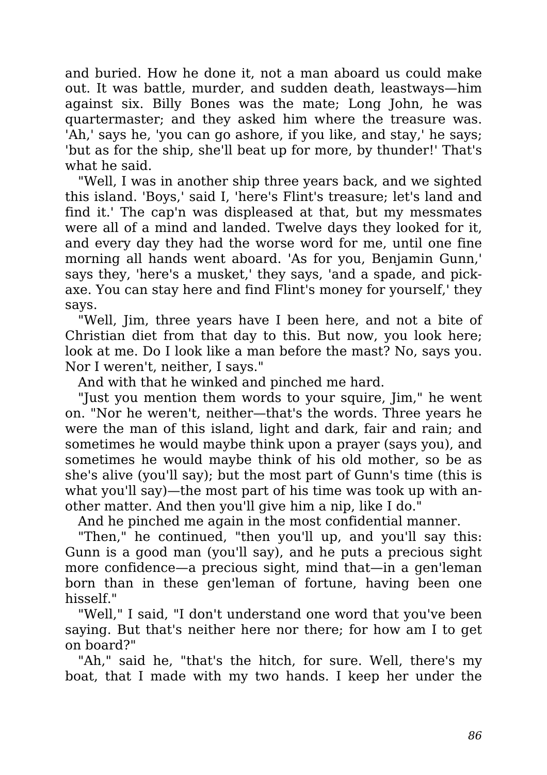and buried. How he done it, not a man aboard us could make out. It was battle, murder, and sudden death, leastways—him against six. Billy Bones was the mate; Long John, he was quartermaster; and they asked him where the treasure was. 'Ah,' says he, 'you can go ashore, if you like, and stay,' he says; 'but as for the ship, she'll beat up for more, by thunder!' That's what he said.

"Well, I was in another ship three years back, and we sighted this island. 'Boys,' said I, 'here's Flint's treasure; let's land and find it.' The cap'n was displeased at that, but my messmates were all of a mind and landed. Twelve days they looked for it, and every day they had the worse word for me, until one fine morning all hands went aboard. 'As for you, Benjamin Gunn,' says they, 'here's a musket,' they says, 'and a spade, and pickaxe. You can stay here and find Flint's money for yourself,' they says.

"Well, Jim, three years have I been here, and not a bite of Christian diet from that day to this. But now, you look here; look at me. Do I look like a man before the mast? No, says you. Nor I weren't, neither, I says."

And with that he winked and pinched me hard.

"Just you mention them words to your squire, Jim," he went on. "Nor he weren't, neither—that's the words. Three years he were the man of this island, light and dark, fair and rain; and sometimes he would maybe think upon a prayer (says you), and sometimes he would maybe think of his old mother, so be as she's alive (you'll say); but the most part of Gunn's time (this is what you'll say)—the most part of his time was took up with another matter. And then you'll give him a nip, like I do."

And he pinched me again in the most confidential manner.

"Then," he continued, "then you'll up, and you'll say this: Gunn is a good man (you'll say), and he puts a precious sight more confidence—a precious sight, mind that—in a gen'leman born than in these gen'leman of fortune, having been one hisself."

"Well," I said, "I don't understand one word that you've been saying. But that's neither here nor there; for how am I to get on board?"

"Ah," said he, "that's the hitch, for sure. Well, there's my boat, that I made with my two hands. I keep her under the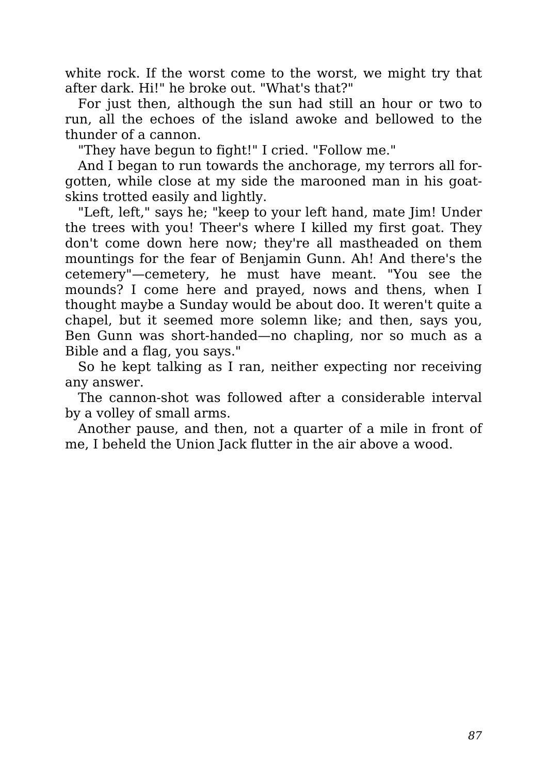white rock. If the worst come to the worst, we might try that after dark. Hi!" he broke out. "What's that?"

For just then, although the sun had still an hour or two to run, all the echoes of the island awoke and bellowed to the thunder of a cannon.

"They have begun to fight!" I cried. "Follow me."

And I began to run towards the anchorage, my terrors all forgotten, while close at my side the marooned man in his goatskins trotted easily and lightly.

"Left, left," says he; "keep to your left hand, mate Jim! Under the trees with you! Theer's where I killed my first goat. They don't come down here now; they're all mastheaded on them mountings for the fear of Benjamin Gunn. Ah! And there's the cetemery"—cemetery, he must have meant. "You see the mounds? I come here and prayed, nows and thens, when I thought maybe a Sunday would be about doo. It weren't quite a chapel, but it seemed more solemn like; and then, says you, Ben Gunn was short-handed—no chapling, nor so much as a Bible and a flag, you says."

So he kept talking as I ran, neither expecting nor receiving any answer.

The cannon-shot was followed after a considerable interval by a volley of small arms.

Another pause, and then, not a quarter of a mile in front of me, I beheld the Union Jack flutter in the air above a wood.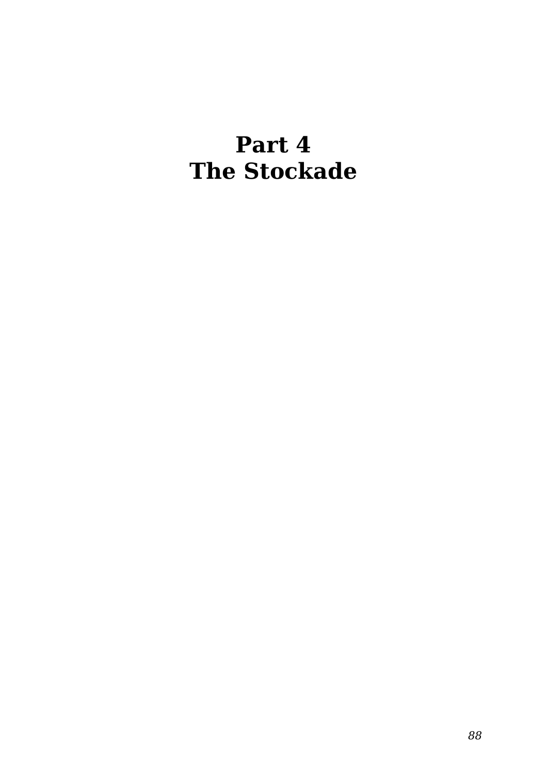### **Part 4 The Stockade**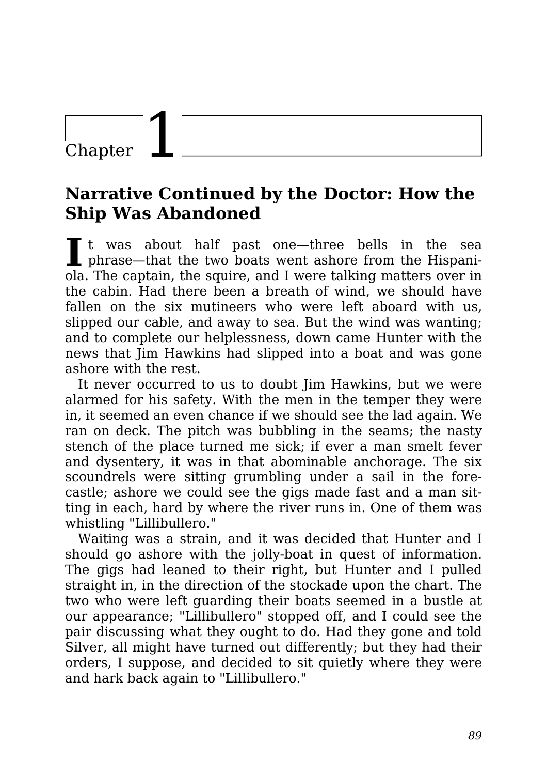### Chapter

#### **Narrative Continued by the Doctor: How the Ship Was Abandoned**

It was about half past one—three bells in the sea<br>
phrase—that the two boats went ashore from the Hispanit was about half past one—three bells in the sea ola. The captain, the squire, and I were talking matters over in the cabin. Had there been a breath of wind, we should have fallen on the six mutineers who were left aboard with us, slipped our cable, and away to sea. But the wind was wanting; and to complete our helplessness, down came Hunter with the news that Jim Hawkins had slipped into a boat and was gone ashore with the rest.

It never occurred to us to doubt Jim Hawkins, but we were alarmed for his safety. With the men in the temper they were in, it seemed an even chance if we should see the lad again. We ran on deck. The pitch was bubbling in the seams; the nasty stench of the place turned me sick; if ever a man smelt fever and dysentery, it was in that abominable anchorage. The six scoundrels were sitting grumbling under a sail in the forecastle; ashore we could see the gigs made fast and a man sitting in each, hard by where the river runs in. One of them was whistling "Lillibullero."

Waiting was a strain, and it was decided that Hunter and I should go ashore with the jolly-boat in quest of information. The gigs had leaned to their right, but Hunter and I pulled straight in, in the direction of the stockade upon the chart. The two who were left guarding their boats seemed in a bustle at our appearance; "Lillibullero" stopped off, and I could see the pair discussing what they ought to do. Had they gone and told Silver, all might have turned out differently; but they had their orders, I suppose, and decided to sit quietly where they were and hark back again to "Lillibullero."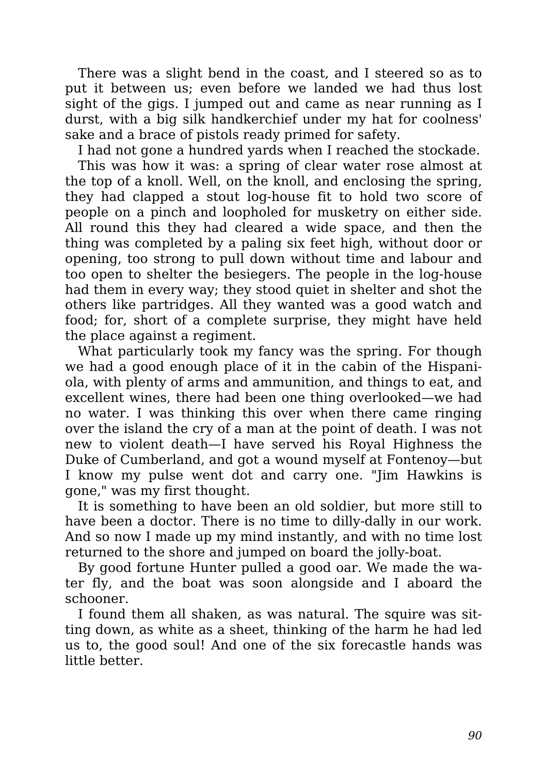There was a slight bend in the coast, and I steered so as to put it between us; even before we landed we had thus lost sight of the gigs. I jumped out and came as near running as I durst, with a big silk handkerchief under my hat for coolness' sake and a brace of pistols ready primed for safety.

I had not gone a hundred yards when I reached the stockade.

This was how it was: a spring of clear water rose almost at the top of a knoll. Well, on the knoll, and enclosing the spring, they had clapped a stout log-house fit to hold two score of people on a pinch and loopholed for musketry on either side. All round this they had cleared a wide space, and then the thing was completed by a paling six feet high, without door or opening, too strong to pull down without time and labour and too open to shelter the besiegers. The people in the log-house had them in every way; they stood quiet in shelter and shot the others like partridges. All they wanted was a good watch and food; for, short of a complete surprise, they might have held the place against a regiment.

What particularly took my fancy was the spring. For though we had a good enough place of it in the cabin of the Hispaniola, with plenty of arms and ammunition, and things to eat, and excellent wines, there had been one thing overlooked—we had no water. I was thinking this over when there came ringing over the island the cry of a man at the point of death. I was not new to violent death—I have served his Royal Highness the Duke of Cumberland, and got a wound myself at Fontenoy—but I know my pulse went dot and carry one. "Jim Hawkins is gone," was my first thought.

It is something to have been an old soldier, but more still to have been a doctor. There is no time to dilly-dally in our work. And so now I made up my mind instantly, and with no time lost returned to the shore and jumped on board the jolly-boat.

By good fortune Hunter pulled a good oar. We made the water fly, and the boat was soon alongside and I aboard the schooner.

I found them all shaken, as was natural. The squire was sitting down, as white as a sheet, thinking of the harm he had led us to, the good soul! And one of the six forecastle hands was little better.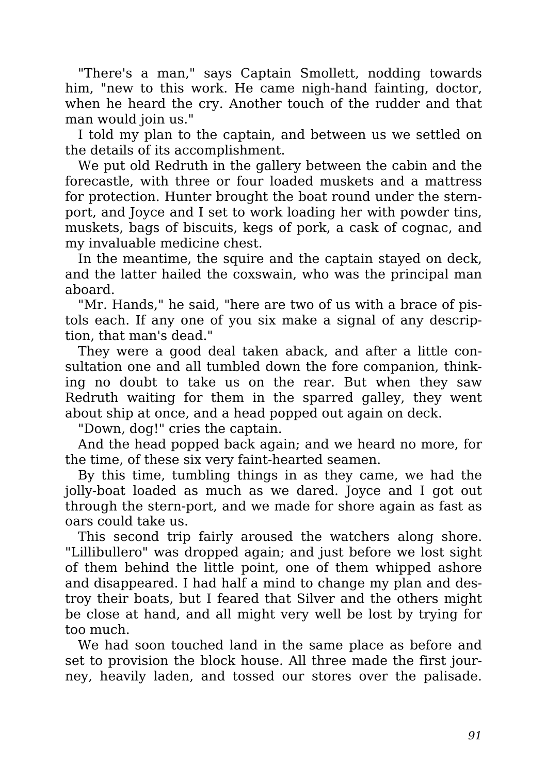"There's a man," says Captain Smollett, nodding towards him, "new to this work. He came nigh-hand fainting, doctor, when he heard the cry. Another touch of the rudder and that man would join us."

I told my plan to the captain, and between us we settled on the details of its accomplishment.

We put old Redruth in the gallery between the cabin and the forecastle, with three or four loaded muskets and a mattress for protection. Hunter brought the boat round under the sternport, and Joyce and I set to work loading her with powder tins, muskets, bags of biscuits, kegs of pork, a cask of cognac, and my invaluable medicine chest.

In the meantime, the squire and the captain stayed on deck, and the latter hailed the coxswain, who was the principal man aboard.

"Mr. Hands," he said, "here are two of us with a brace of pistols each. If any one of you six make a signal of any description, that man's dead."

They were a good deal taken aback, and after a little consultation one and all tumbled down the fore companion, thinking no doubt to take us on the rear. But when they saw Redruth waiting for them in the sparred galley, they went about ship at once, and a head popped out again on deck.

"Down, dog!" cries the captain.

And the head popped back again; and we heard no more, for the time, of these six very faint-hearted seamen.

By this time, tumbling things in as they came, we had the jolly-boat loaded as much as we dared. Joyce and I got out through the stern-port, and we made for shore again as fast as oars could take us.

This second trip fairly aroused the watchers along shore. "Lillibullero" was dropped again; and just before we lost sight of them behind the little point, one of them whipped ashore and disappeared. I had half a mind to change my plan and destroy their boats, but I feared that Silver and the others might be close at hand, and all might very well be lost by trying for too much.

We had soon touched land in the same place as before and set to provision the block house. All three made the first journey, heavily laden, and tossed our stores over the palisade.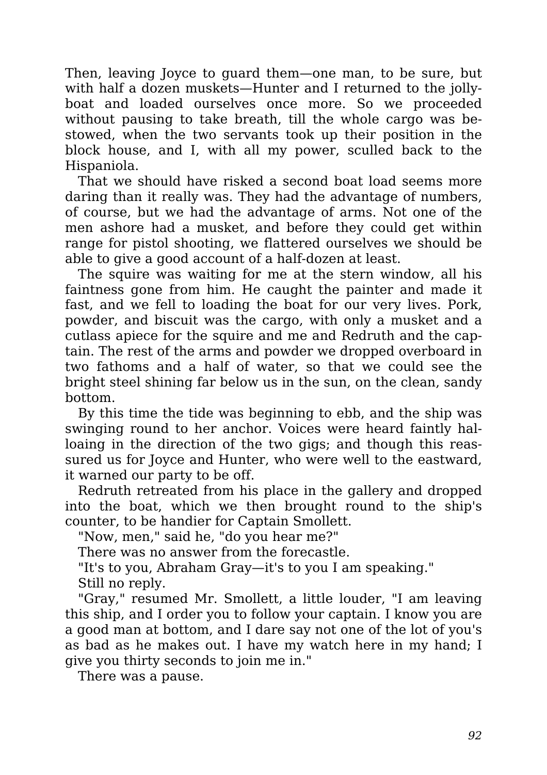Then, leaving Joyce to guard them—one man, to be sure, but with half a dozen muskets—Hunter and I returned to the jollyboat and loaded ourselves once more. So we proceeded without pausing to take breath, till the whole cargo was bestowed, when the two servants took up their position in the block house, and I, with all my power, sculled back to the Hispaniola.

That we should have risked a second boat load seems more daring than it really was. They had the advantage of numbers, of course, but we had the advantage of arms. Not one of the men ashore had a musket, and before they could get within range for pistol shooting, we flattered ourselves we should be able to give a good account of a half-dozen at least.

The squire was waiting for me at the stern window, all his faintness gone from him. He caught the painter and made it fast, and we fell to loading the boat for our very lives. Pork, powder, and biscuit was the cargo, with only a musket and a cutlass apiece for the squire and me and Redruth and the captain. The rest of the arms and powder we dropped overboard in two fathoms and a half of water, so that we could see the bright steel shining far below us in the sun, on the clean, sandy bottom.

By this time the tide was beginning to ebb, and the ship was swinging round to her anchor. Voices were heard faintly halloaing in the direction of the two gigs; and though this reassured us for Joyce and Hunter, who were well to the eastward, it warned our party to be off.

Redruth retreated from his place in the gallery and dropped into the boat, which we then brought round to the ship's counter, to be handier for Captain Smollett.

"Now, men," said he, "do you hear me?"

There was no answer from the forecastle.

"It's to you, Abraham Gray—it's to you I am speaking."

Still no reply.

"Gray," resumed Mr. Smollett, a little louder, "I am leaving this ship, and I order you to follow your captain. I know you are a good man at bottom, and I dare say not one of the lot of you's as bad as he makes out. I have my watch here in my hand; I give you thirty seconds to join me in."

There was a pause.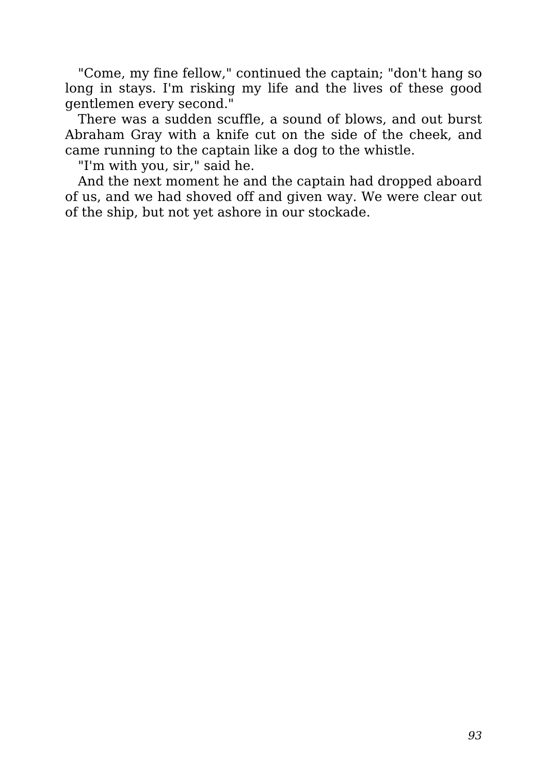"Come, my fine fellow," continued the captain; "don't hang so long in stays. I'm risking my life and the lives of these good gentlemen every second."

There was a sudden scuffle, a sound of blows, and out burst Abraham Gray with a knife cut on the side of the cheek, and came running to the captain like a dog to the whistle.

"I'm with you, sir," said he.

And the next moment he and the captain had dropped aboard of us, and we had shoved off and given way. We were clear out of the ship, but not yet ashore in our stockade.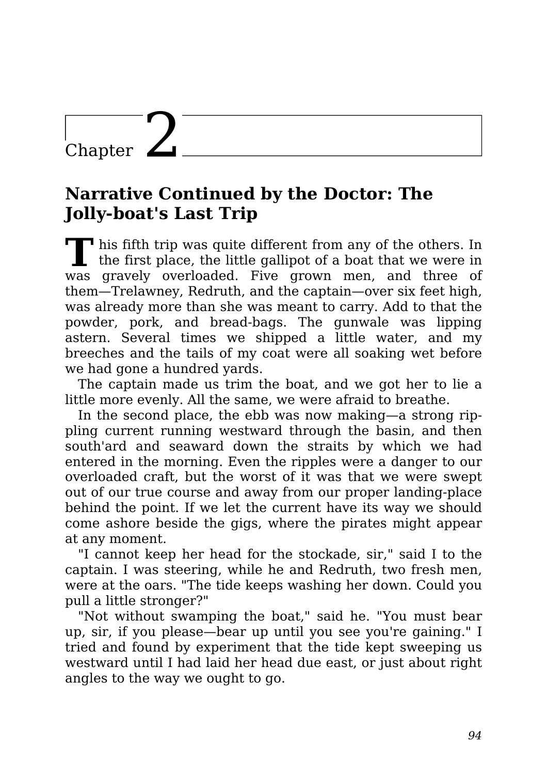### Chapter  $\angle$

#### **Narrative Continued by the Doctor: The Jolly-boat's Last Trip**

**T** his fifth trip was quite different from any of the others. In the first place, the little gallipot of a boat that we were in was gravely overloaded. Five grown men, and three of them—Trelawney, Redruth, and the captain—over six feet high, was already more than she was meant to carry. Add to that the powder, pork, and bread-bags. The gunwale was lipping astern. Several times we shipped a little water, and my breeches and the tails of my coat were all soaking wet before we had gone a hundred yards.

The captain made us trim the boat, and we got her to lie a little more evenly. All the same, we were afraid to breathe.

In the second place, the ebb was now making—a strong rippling current running westward through the basin, and then south'ard and seaward down the straits by which we had entered in the morning. Even the ripples were a danger to our overloaded craft, but the worst of it was that we were swept out of our true course and away from our proper landing-place behind the point. If we let the current have its way we should come ashore beside the gigs, where the pirates might appear at any moment.

"I cannot keep her head for the stockade, sir," said I to the captain. I was steering, while he and Redruth, two fresh men, were at the oars. "The tide keeps washing her down. Could you pull a little stronger?"

"Not without swamping the boat," said he. "You must bear up, sir, if you please—bear up until you see you're gaining." I tried and found by experiment that the tide kept sweeping us westward until I had laid her head due east, or just about right angles to the way we ought to go.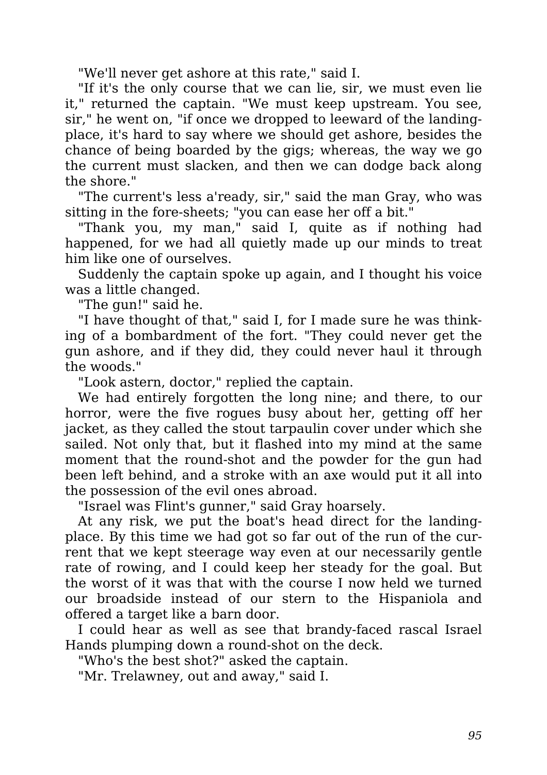"We'll never get ashore at this rate," said I.

"If it's the only course that we can lie, sir, we must even lie it," returned the captain. "We must keep upstream. You see, sir," he went on, "if once we dropped to leeward of the landingplace, it's hard to say where we should get ashore, besides the chance of being boarded by the gigs; whereas, the way we go the current must slacken, and then we can dodge back along the shore."

"The current's less a'ready, sir," said the man Gray, who was sitting in the fore-sheets; "you can ease her off a bit."

"Thank you, my man," said I, quite as if nothing had happened, for we had all quietly made up our minds to treat him like one of ourselves.

Suddenly the captain spoke up again, and I thought his voice was a little changed.

"The gun!" said he.

"I have thought of that," said I, for I made sure he was thinking of a bombardment of the fort. "They could never get the gun ashore, and if they did, they could never haul it through the woods."

"Look astern, doctor," replied the captain.

We had entirely forgotten the long nine; and there, to our horror, were the five rogues busy about her, getting off her jacket, as they called the stout tarpaulin cover under which she sailed. Not only that, but it flashed into my mind at the same moment that the round-shot and the powder for the gun had been left behind, and a stroke with an axe would put it all into the possession of the evil ones abroad.

"Israel was Flint's gunner," said Gray hoarsely.

At any risk, we put the boat's head direct for the landingplace. By this time we had got so far out of the run of the current that we kept steerage way even at our necessarily gentle rate of rowing, and I could keep her steady for the goal. But the worst of it was that with the course I now held we turned our broadside instead of our stern to the Hispaniola and offered a target like a barn door.

I could hear as well as see that brandy-faced rascal Israel Hands plumping down a round-shot on the deck.

"Who's the best shot?" asked the captain.

"Mr. Trelawney, out and away," said I.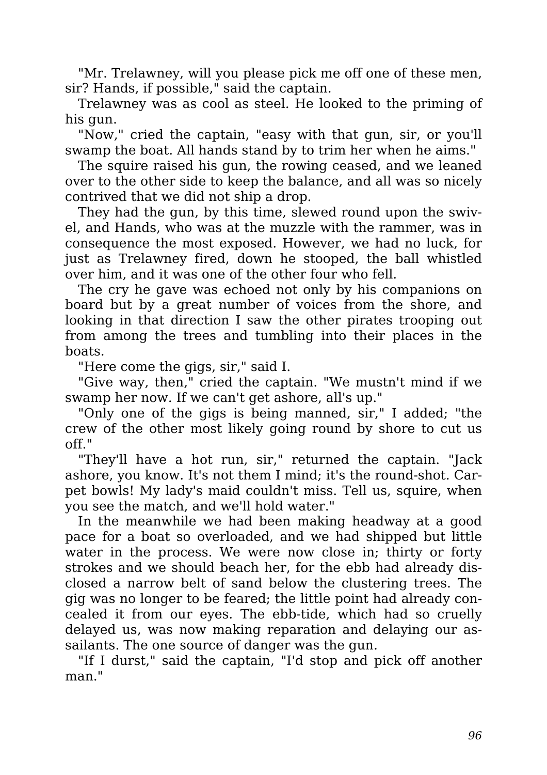"Mr. Trelawney, will you please pick me off one of these men, sir? Hands, if possible," said the captain.

Trelawney was as cool as steel. He looked to the priming of his gun.

"Now," cried the captain, "easy with that gun, sir, or you'll swamp the boat. All hands stand by to trim her when he aims."

The squire raised his gun, the rowing ceased, and we leaned over to the other side to keep the balance, and all was so nicely contrived that we did not ship a drop.

They had the gun, by this time, slewed round upon the swivel, and Hands, who was at the muzzle with the rammer, was in consequence the most exposed. However, we had no luck, for just as Trelawney fired, down he stooped, the ball whistled over him, and it was one of the other four who fell.

The cry he gave was echoed not only by his companions on board but by a great number of voices from the shore, and looking in that direction I saw the other pirates trooping out from among the trees and tumbling into their places in the boats.

"Here come the gigs, sir," said I.

"Give way, then," cried the captain. "We mustn't mind if we swamp her now. If we can't get ashore, all's up."

"Only one of the gigs is being manned, sir," I added; "the crew of the other most likely going round by shore to cut us off."

"They'll have a hot run, sir," returned the captain. "Jack ashore, you know. It's not them I mind; it's the round-shot. Carpet bowls! My lady's maid couldn't miss. Tell us, squire, when you see the match, and we'll hold water."

In the meanwhile we had been making headway at a good pace for a boat so overloaded, and we had shipped but little water in the process. We were now close in; thirty or forty strokes and we should beach her, for the ebb had already disclosed a narrow belt of sand below the clustering trees. The gig was no longer to be feared; the little point had already concealed it from our eyes. The ebb-tide, which had so cruelly delayed us, was now making reparation and delaying our assailants. The one source of danger was the gun.

"If I durst," said the captain, "I'd stop and pick off another man."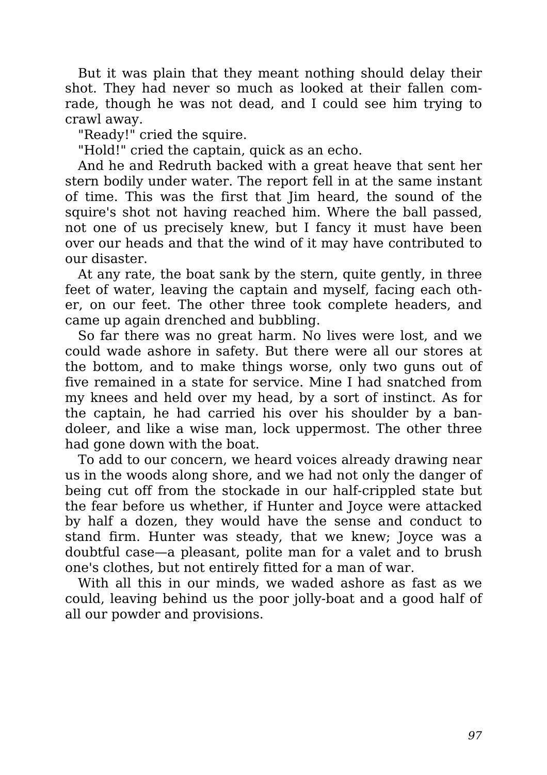But it was plain that they meant nothing should delay their shot. They had never so much as looked at their fallen comrade, though he was not dead, and I could see him trying to crawl away.

"Ready!" cried the squire.

"Hold!" cried the captain, quick as an echo.

And he and Redruth backed with a great heave that sent her stern bodily under water. The report fell in at the same instant of time. This was the first that Jim heard, the sound of the squire's shot not having reached him. Where the ball passed, not one of us precisely knew, but I fancy it must have been over our heads and that the wind of it may have contributed to our disaster.

At any rate, the boat sank by the stern, quite gently, in three feet of water, leaving the captain and myself, facing each other, on our feet. The other three took complete headers, and came up again drenched and bubbling.

So far there was no great harm. No lives were lost, and we could wade ashore in safety. But there were all our stores at the bottom, and to make things worse, only two guns out of five remained in a state for service. Mine I had snatched from my knees and held over my head, by a sort of instinct. As for the captain, he had carried his over his shoulder by a bandoleer, and like a wise man, lock uppermost. The other three had gone down with the boat.

To add to our concern, we heard voices already drawing near us in the woods along shore, and we had not only the danger of being cut off from the stockade in our half-crippled state but the fear before us whether, if Hunter and Joyce were attacked by half a dozen, they would have the sense and conduct to stand firm. Hunter was steady, that we knew; Joyce was a doubtful case—a pleasant, polite man for a valet and to brush one's clothes, but not entirely fitted for a man of war.

With all this in our minds, we waded ashore as fast as we could, leaving behind us the poor jolly-boat and a good half of all our powder and provisions.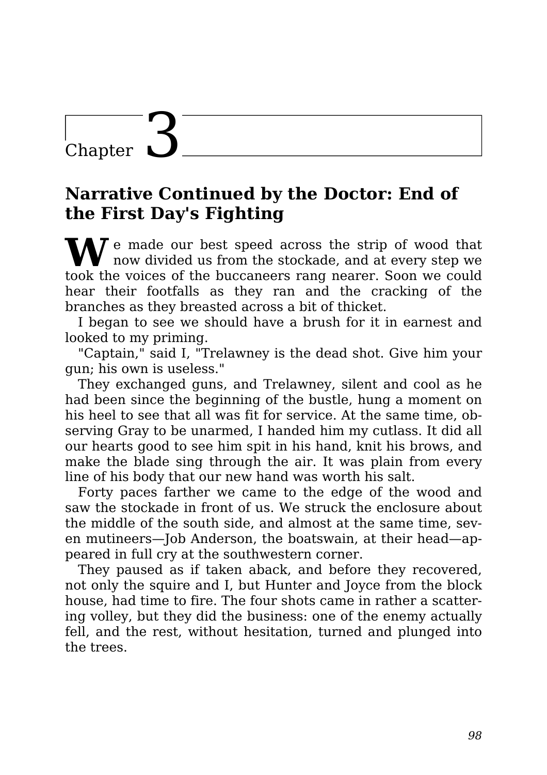### Chapter  $\Box$

#### **Narrative Continued by the Doctor: End of the First Day's Fighting**

**N** is made our best speed across the strip of wood that now divided us from the stockade, and at every step we took the voices of the buccaneers rang nearer. Soon we could hear their footfalls as they ran and the cracking of the branches as they breasted across a bit of thicket.

I began to see we should have a brush for it in earnest and looked to my priming.

"Captain," said I, "Trelawney is the dead shot. Give him your gun; his own is useless."

They exchanged guns, and Trelawney, silent and cool as he had been since the beginning of the bustle, hung a moment on his heel to see that all was fit for service. At the same time, observing Gray to be unarmed, I handed him my cutlass. It did all our hearts good to see him spit in his hand, knit his brows, and make the blade sing through the air. It was plain from every line of his body that our new hand was worth his salt.

Forty paces farther we came to the edge of the wood and saw the stockade in front of us. We struck the enclosure about the middle of the south side, and almost at the same time, seven mutineers—Job Anderson, the boatswain, at their head—appeared in full cry at the southwestern corner.

They paused as if taken aback, and before they recovered, not only the squire and I, but Hunter and Joyce from the block house, had time to fire. The four shots came in rather a scattering volley, but they did the business: one of the enemy actually fell, and the rest, without hesitation, turned and plunged into the trees.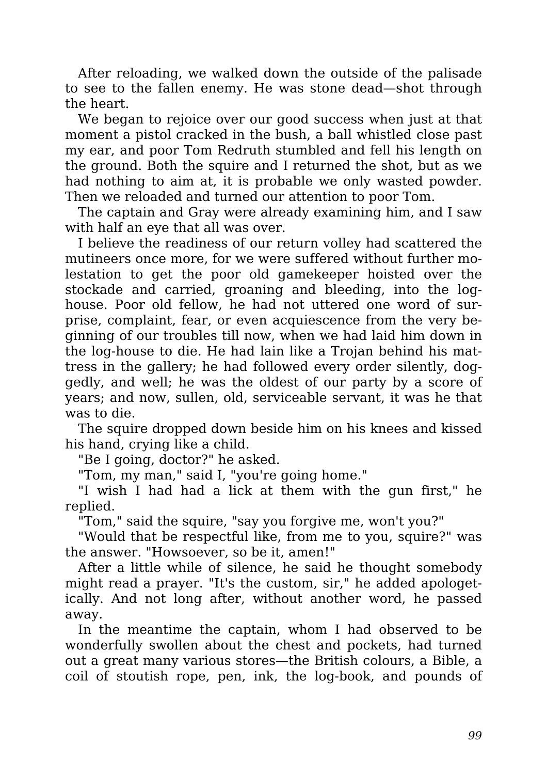After reloading, we walked down the outside of the palisade to see to the fallen enemy. He was stone dead—shot through the heart.

We began to rejoice over our good success when just at that moment a pistol cracked in the bush, a ball whistled close past my ear, and poor Tom Redruth stumbled and fell his length on the ground. Both the squire and I returned the shot, but as we had nothing to aim at, it is probable we only wasted powder. Then we reloaded and turned our attention to poor Tom.

The captain and Gray were already examining him, and I saw with half an eye that all was over.

I believe the readiness of our return volley had scattered the mutineers once more, for we were suffered without further molestation to get the poor old gamekeeper hoisted over the stockade and carried, groaning and bleeding, into the loghouse. Poor old fellow, he had not uttered one word of surprise, complaint, fear, or even acquiescence from the very beginning of our troubles till now, when we had laid him down in the log-house to die. He had lain like a Trojan behind his mattress in the gallery; he had followed every order silently, doggedly, and well; he was the oldest of our party by a score of years; and now, sullen, old, serviceable servant, it was he that was to die.

The squire dropped down beside him on his knees and kissed his hand, crying like a child.

"Be I going, doctor?" he asked.

"Tom, my man," said I, "you're going home."

"I wish I had had a lick at them with the gun first," he replied.

"Tom," said the squire, "say you forgive me, won't you?"

"Would that be respectful like, from me to you, squire?" was the answer. "Howsoever, so be it, amen!"

After a little while of silence, he said he thought somebody might read a prayer. "It's the custom, sir," he added apologetically. And not long after, without another word, he passed away.

In the meantime the captain, whom I had observed to be wonderfully swollen about the chest and pockets, had turned out a great many various stores—the British colours, a Bible, a coil of stoutish rope, pen, ink, the log-book, and pounds of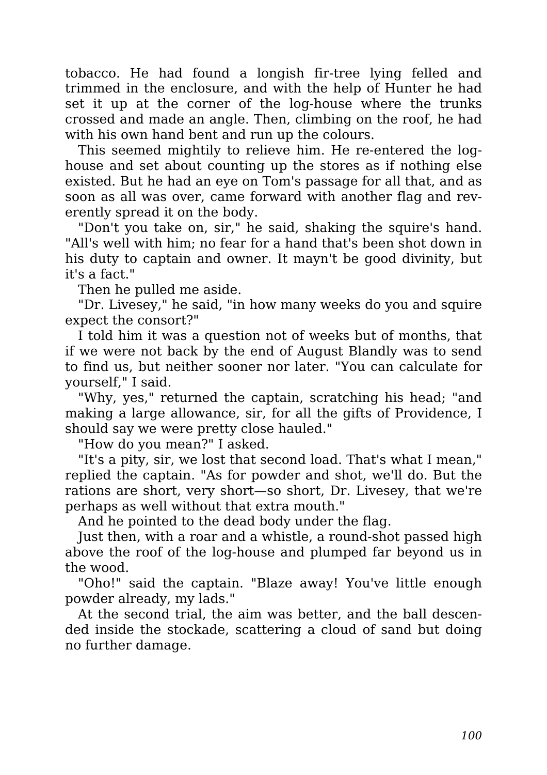tobacco. He had found a longish fir-tree lying felled and trimmed in the enclosure, and with the help of Hunter he had set it up at the corner of the log-house where the trunks crossed and made an angle. Then, climbing on the roof, he had with his own hand bent and run up the colours.

This seemed mightily to relieve him. He re-entered the loghouse and set about counting up the stores as if nothing else existed. But he had an eye on Tom's passage for all that, and as soon as all was over, came forward with another flag and reverently spread it on the body.

"Don't you take on, sir," he said, shaking the squire's hand. "All's well with him; no fear for a hand that's been shot down in his duty to captain and owner. It mayn't be good divinity, but it's a fact."

Then he pulled me aside.

"Dr. Livesey," he said, "in how many weeks do you and squire expect the consort?"

I told him it was a question not of weeks but of months, that if we were not back by the end of August Blandly was to send to find us, but neither sooner nor later. "You can calculate for yourself," I said.

"Why, yes," returned the captain, scratching his head; "and making a large allowance, sir, for all the gifts of Providence, I should say we were pretty close hauled."

"How do you mean?" I asked.

"It's a pity, sir, we lost that second load. That's what I mean," replied the captain. "As for powder and shot, we'll do. But the rations are short, very short—so short, Dr. Livesey, that we're perhaps as well without that extra mouth."

And he pointed to the dead body under the flag.

Just then, with a roar and a whistle, a round-shot passed high above the roof of the log-house and plumped far beyond us in the wood.

"Oho!" said the captain. "Blaze away! You've little enough powder already, my lads."

At the second trial, the aim was better, and the ball descended inside the stockade, scattering a cloud of sand but doing no further damage.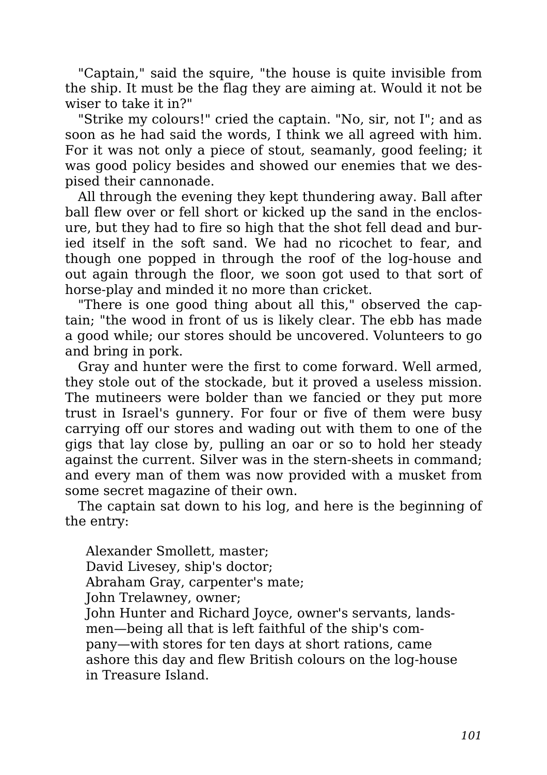"Captain," said the squire, "the house is quite invisible from the ship. It must be the flag they are aiming at. Would it not be wiser to take it in?"

"Strike my colours!" cried the captain. "No, sir, not I"; and as soon as he had said the words, I think we all agreed with him. For it was not only a piece of stout, seamanly, good feeling; it was good policy besides and showed our enemies that we despised their cannonade.

All through the evening they kept thundering away. Ball after ball flew over or fell short or kicked up the sand in the enclosure, but they had to fire so high that the shot fell dead and buried itself in the soft sand. We had no ricochet to fear, and though one popped in through the roof of the log-house and out again through the floor, we soon got used to that sort of horse-play and minded it no more than cricket.

"There is one good thing about all this," observed the captain; "the wood in front of us is likely clear. The ebb has made a good while; our stores should be uncovered. Volunteers to go and bring in pork.

Gray and hunter were the first to come forward. Well armed, they stole out of the stockade, but it proved a useless mission. The mutineers were bolder than we fancied or they put more trust in Israel's gunnery. For four or five of them were busy carrying off our stores and wading out with them to one of the gigs that lay close by, pulling an oar or so to hold her steady against the current. Silver was in the stern-sheets in command; and every man of them was now provided with a musket from some secret magazine of their own.

The captain sat down to his log, and here is the beginning of the entry:

Alexander Smollett, master; David Livesey, ship's doctor; Abraham Gray, carpenter's mate; John Trelawney, owner; John Hunter and Richard Joyce, owner's servants, landsmen—being all that is left faithful of the ship's company—with stores for ten days at short rations, came ashore this day and flew British colours on the log-house in Treasure Island.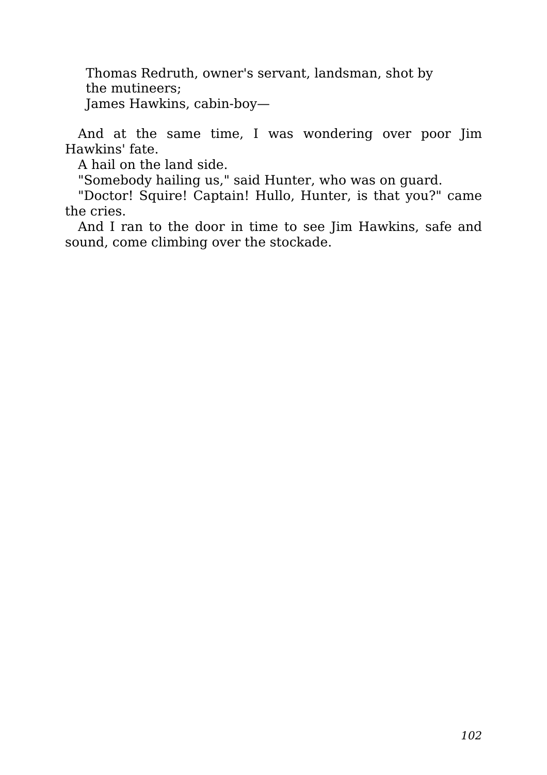Thomas Redruth, owner's servant, landsman, shot by the mutineers; James Hawkins, cabin-boy—

And at the same time, I was wondering over poor Jim Hawkins' fate.

A hail on the land side.

"Somebody hailing us," said Hunter, who was on guard.

"Doctor! Squire! Captain! Hullo, Hunter, is that you?" came the cries.

And I ran to the door in time to see Jim Hawkins, safe and sound, come climbing over the stockade.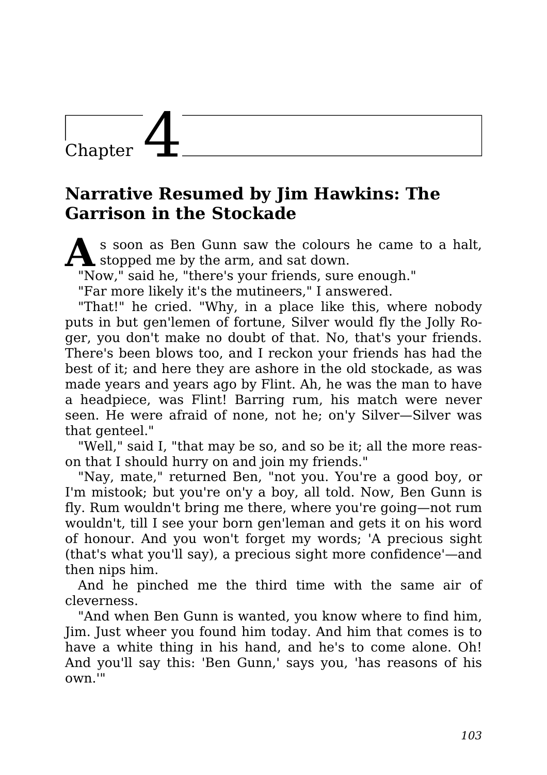## Chapter

#### **Narrative Resumed by Jim Hawkins: The Garrison in the Stockade**

**A** s soon as Ben Gunn saw the colours<br>stopped me by the arm, and sat down. s soon as Ben Gunn saw the colours he came to a halt,

"Now," said he, "there's your friends, sure enough."

"Far more likely it's the mutineers," I answered.

"That!" he cried. "Why, in a place like this, where nobody puts in but gen'lemen of fortune, Silver would fly the Jolly Roger, you don't make no doubt of that. No, that's your friends. There's been blows too, and I reckon your friends has had the best of it; and here they are ashore in the old stockade, as was made years and years ago by Flint. Ah, he was the man to have a headpiece, was Flint! Barring rum, his match were never seen. He were afraid of none, not he; on'y Silver—Silver was that genteel."

"Well," said I, "that may be so, and so be it; all the more reason that I should hurry on and join my friends."

"Nay, mate," returned Ben, "not you. You're a good boy, or I'm mistook; but you're on'y a boy, all told. Now, Ben Gunn is fly. Rum wouldn't bring me there, where you're going—not rum wouldn't, till I see your born gen'leman and gets it on his word of honour. And you won't forget my words; 'A precious sight (that's what you'll say), a precious sight more confidence'—and then nips him.

And he pinched me the third time with the same air of cleverness.

"And when Ben Gunn is wanted, you know where to find him, Jim. Just wheer you found him today. And him that comes is to have a white thing in his hand, and he's to come alone. Oh! And you'll say this: 'Ben Gunn,' says you, 'has reasons of his own.'"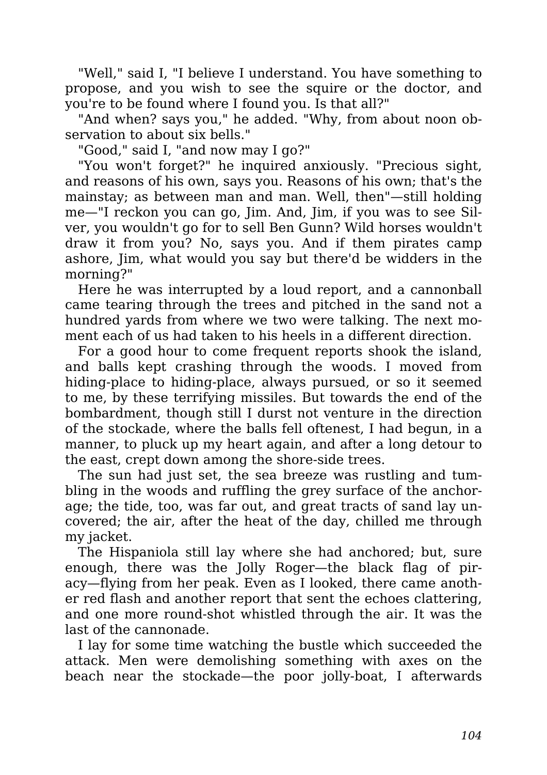"Well," said I, "I believe I understand. You have something to propose, and you wish to see the squire or the doctor, and you're to be found where I found you. Is that all?"

"And when? says you," he added. "Why, from about noon observation to about six bells."

"Good," said I, "and now may I go?"

"You won't forget?" he inquired anxiously. "Precious sight, and reasons of his own, says you. Reasons of his own; that's the mainstay; as between man and man. Well, then"—still holding me—"I reckon you can go, Jim. And, Jim, if you was to see Silver, you wouldn't go for to sell Ben Gunn? Wild horses wouldn't draw it from you? No, says you. And if them pirates camp ashore, Jim, what would you say but there'd be widders in the morning?"

Here he was interrupted by a loud report, and a cannonball came tearing through the trees and pitched in the sand not a hundred yards from where we two were talking. The next moment each of us had taken to his heels in a different direction.

For a good hour to come frequent reports shook the island, and balls kept crashing through the woods. I moved from hiding-place to hiding-place, always pursued, or so it seemed to me, by these terrifying missiles. But towards the end of the bombardment, though still I durst not venture in the direction of the stockade, where the balls fell oftenest, I had begun, in a manner, to pluck up my heart again, and after a long detour to the east, crept down among the shore-side trees.

The sun had just set, the sea breeze was rustling and tumbling in the woods and ruffling the grey surface of the anchorage; the tide, too, was far out, and great tracts of sand lay uncovered; the air, after the heat of the day, chilled me through my jacket.

The Hispaniola still lay where she had anchored; but, sure enough, there was the Jolly Roger—the black flag of piracy—flying from her peak. Even as I looked, there came another red flash and another report that sent the echoes clattering, and one more round-shot whistled through the air. It was the last of the cannonade.

I lay for some time watching the bustle which succeeded the attack. Men were demolishing something with axes on the beach near the stockade—the poor jolly-boat, I afterwards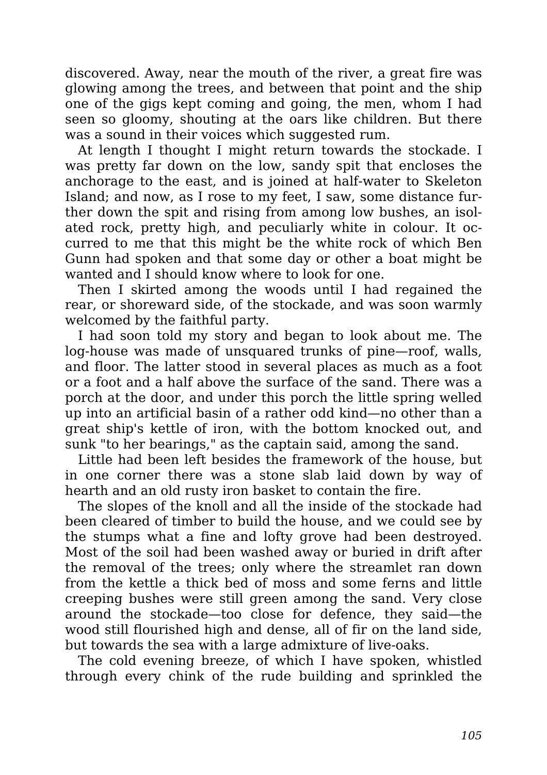discovered. Away, near the mouth of the river, a great fire was glowing among the trees, and between that point and the ship one of the gigs kept coming and going, the men, whom I had seen so gloomy, shouting at the oars like children. But there was a sound in their voices which suggested rum.

At length I thought I might return towards the stockade. I was pretty far down on the low, sandy spit that encloses the anchorage to the east, and is joined at half-water to Skeleton Island; and now, as I rose to my feet, I saw, some distance further down the spit and rising from among low bushes, an isolated rock, pretty high, and peculiarly white in colour. It occurred to me that this might be the white rock of which Ben Gunn had spoken and that some day or other a boat might be wanted and I should know where to look for one.

Then I skirted among the woods until I had regained the rear, or shoreward side, of the stockade, and was soon warmly welcomed by the faithful party.

I had soon told my story and began to look about me. The log-house was made of unsquared trunks of pine—roof, walls, and floor. The latter stood in several places as much as a foot or a foot and a half above the surface of the sand. There was a porch at the door, and under this porch the little spring welled up into an artificial basin of a rather odd kind—no other than a great ship's kettle of iron, with the bottom knocked out, and sunk "to her bearings," as the captain said, among the sand.

Little had been left besides the framework of the house, but in one corner there was a stone slab laid down by way of hearth and an old rusty iron basket to contain the fire.

The slopes of the knoll and all the inside of the stockade had been cleared of timber to build the house, and we could see by the stumps what a fine and lofty grove had been destroyed. Most of the soil had been washed away or buried in drift after the removal of the trees; only where the streamlet ran down from the kettle a thick bed of moss and some ferns and little creeping bushes were still green among the sand. Very close around the stockade—too close for defence, they said—the wood still flourished high and dense, all of fir on the land side, but towards the sea with a large admixture of live-oaks.

The cold evening breeze, of which I have spoken, whistled through every chink of the rude building and sprinkled the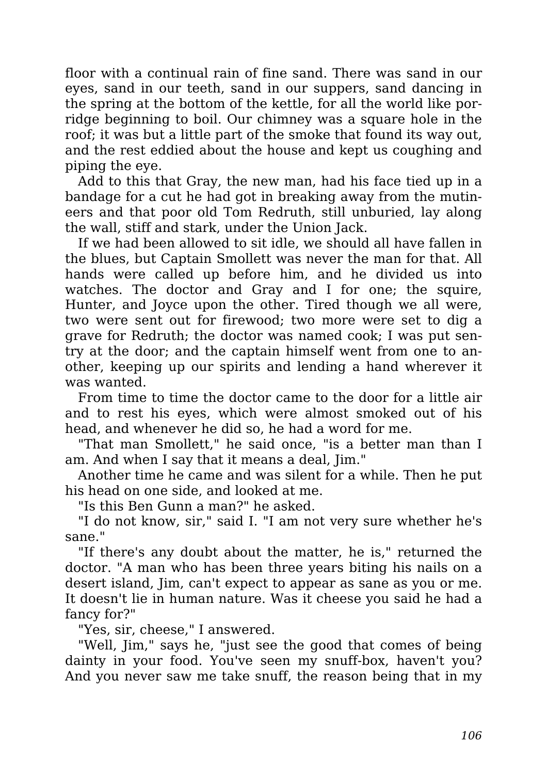floor with a continual rain of fine sand. There was sand in our eyes, sand in our teeth, sand in our suppers, sand dancing in the spring at the bottom of the kettle, for all the world like porridge beginning to boil. Our chimney was a square hole in the roof; it was but a little part of the smoke that found its way out, and the rest eddied about the house and kept us coughing and piping the eye.

Add to this that Gray, the new man, had his face tied up in a bandage for a cut he had got in breaking away from the mutineers and that poor old Tom Redruth, still unburied, lay along the wall, stiff and stark, under the Union Jack.

If we had been allowed to sit idle, we should all have fallen in the blues, but Captain Smollett was never the man for that. All hands were called up before him, and he divided us into watches. The doctor and Gray and I for one; the squire, Hunter, and Joyce upon the other. Tired though we all were, two were sent out for firewood; two more were set to dig a grave for Redruth; the doctor was named cook; I was put sentry at the door; and the captain himself went from one to another, keeping up our spirits and lending a hand wherever it was wanted.

From time to time the doctor came to the door for a little air and to rest his eyes, which were almost smoked out of his head, and whenever he did so, he had a word for me.

"That man Smollett," he said once, "is a better man than I am. And when I say that it means a deal, Jim."

Another time he came and was silent for a while. Then he put his head on one side, and looked at me.

"Is this Ben Gunn a man?" he asked.

"I do not know, sir," said I. "I am not very sure whether he's sane."

"If there's any doubt about the matter, he is," returned the doctor. "A man who has been three years biting his nails on a desert island, Jim, can't expect to appear as sane as you or me. It doesn't lie in human nature. Was it cheese you said he had a fancy for?"

"Yes, sir, cheese," I answered.

"Well, Jim," says he, "just see the good that comes of being dainty in your food. You've seen my snuff-box, haven't you? And you never saw me take snuff, the reason being that in my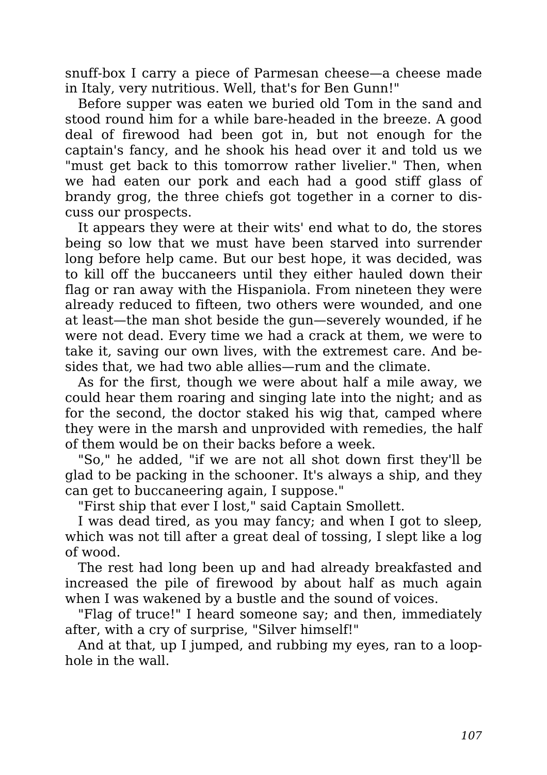snuff-box I carry a piece of Parmesan cheese—a cheese made in Italy, very nutritious. Well, that's for Ben Gunn!"

Before supper was eaten we buried old Tom in the sand and stood round him for a while bare-headed in the breeze. A good deal of firewood had been got in, but not enough for the captain's fancy, and he shook his head over it and told us we "must get back to this tomorrow rather livelier." Then, when we had eaten our pork and each had a good stiff glass of brandy grog, the three chiefs got together in a corner to discuss our prospects.

It appears they were at their wits' end what to do, the stores being so low that we must have been starved into surrender long before help came. But our best hope, it was decided, was to kill off the buccaneers until they either hauled down their flag or ran away with the Hispaniola. From nineteen they were already reduced to fifteen, two others were wounded, and one at least—the man shot beside the gun—severely wounded, if he were not dead. Every time we had a crack at them, we were to take it, saving our own lives, with the extremest care. And besides that, we had two able allies—rum and the climate.

As for the first, though we were about half a mile away, we could hear them roaring and singing late into the night; and as for the second, the doctor staked his wig that, camped where they were in the marsh and unprovided with remedies, the half of them would be on their backs before a week.

"So," he added, "if we are not all shot down first they'll be glad to be packing in the schooner. It's always a ship, and they can get to buccaneering again, I suppose."

"First ship that ever I lost," said Captain Smollett.

I was dead tired, as you may fancy; and when I got to sleep, which was not till after a great deal of tossing, I slept like a log of wood.

The rest had long been up and had already breakfasted and increased the pile of firewood by about half as much again when I was wakened by a bustle and the sound of voices.

"Flag of truce!" I heard someone say; and then, immediately after, with a cry of surprise, "Silver himself!"

And at that, up I jumped, and rubbing my eyes, ran to a loophole in the wall.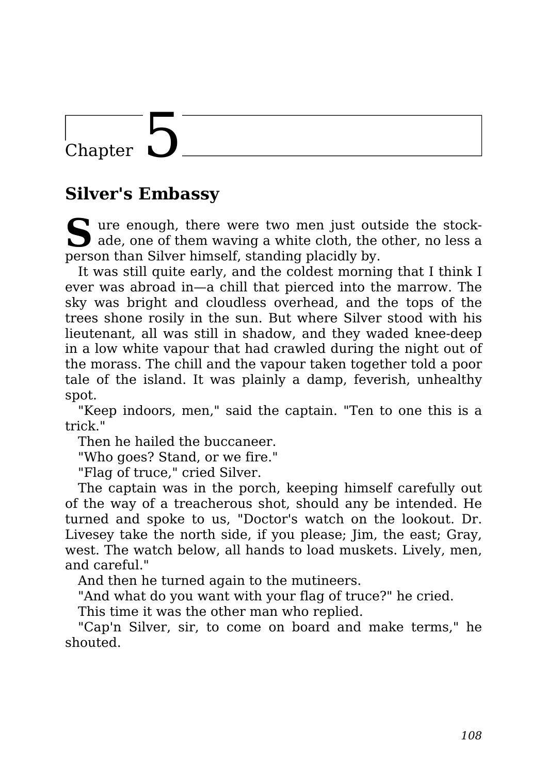### Chapter

#### **Silver's Embassy**

S ure enough, there were two men just outside the stock-<br>ade, one of them waving a white cloth, the other, no less a ade, one of them waving a white cloth, the other, no less a person than Silver himself, standing placidly by.

It was still quite early, and the coldest morning that I think I ever was abroad in—a chill that pierced into the marrow. The sky was bright and cloudless overhead, and the tops of the trees shone rosily in the sun. But where Silver stood with his lieutenant, all was still in shadow, and they waded knee-deep in a low white vapour that had crawled during the night out of the morass. The chill and the vapour taken together told a poor tale of the island. It was plainly a damp, feverish, unhealthy spot.

"Keep indoors, men," said the captain. "Ten to one this is a trick."

Then he hailed the buccaneer.

"Who goes? Stand, or we fire."

"Flag of truce," cried Silver.

The captain was in the porch, keeping himself carefully out of the way of a treacherous shot, should any be intended. He turned and spoke to us, "Doctor's watch on the lookout. Dr. Livesey take the north side, if you please; Jim, the east; Gray, west. The watch below, all hands to load muskets. Lively, men, and careful."

And then he turned again to the mutineers.

"And what do you want with your flag of truce?" he cried.

This time it was the other man who replied.

"Cap'n Silver, sir, to come on board and make terms," he shouted.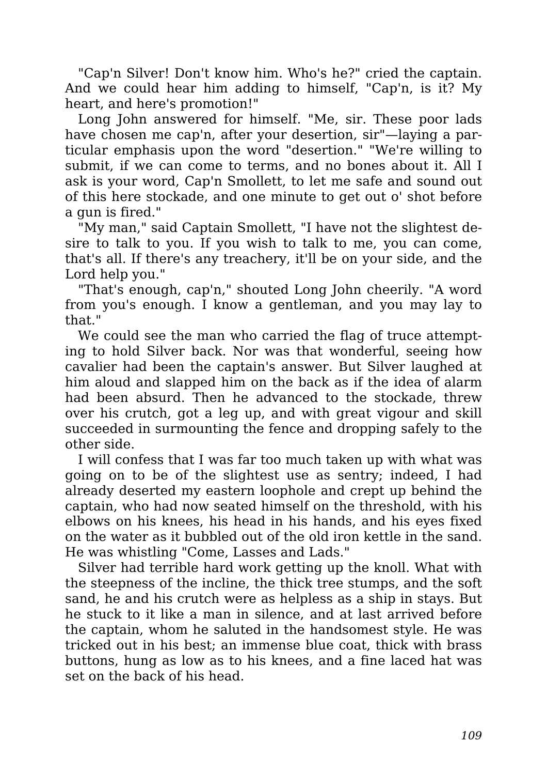"Cap'n Silver! Don't know him. Who's he?" cried the captain. And we could hear him adding to himself, "Cap'n, is it? My heart, and here's promotion!"

Long John answered for himself. "Me, sir. These poor lads have chosen me cap'n, after your desertion, sir"—laying a particular emphasis upon the word "desertion." "We're willing to submit, if we can come to terms, and no bones about it. All I ask is your word, Cap'n Smollett, to let me safe and sound out of this here stockade, and one minute to get out o' shot before a gun is fired."

"My man," said Captain Smollett, "I have not the slightest desire to talk to you. If you wish to talk to me, you can come, that's all. If there's any treachery, it'll be on your side, and the Lord help you."

"That's enough, cap'n," shouted Long John cheerily. "A word from you's enough. I know a gentleman, and you may lay to that."

We could see the man who carried the flag of truce attempting to hold Silver back. Nor was that wonderful, seeing how cavalier had been the captain's answer. But Silver laughed at him aloud and slapped him on the back as if the idea of alarm had been absurd. Then he advanced to the stockade, threw over his crutch, got a leg up, and with great vigour and skill succeeded in surmounting the fence and dropping safely to the other side.

I will confess that I was far too much taken up with what was going on to be of the slightest use as sentry; indeed, I had already deserted my eastern loophole and crept up behind the captain, who had now seated himself on the threshold, with his elbows on his knees, his head in his hands, and his eyes fixed on the water as it bubbled out of the old iron kettle in the sand. He was whistling "Come, Lasses and Lads."

Silver had terrible hard work getting up the knoll. What with the steepness of the incline, the thick tree stumps, and the soft sand, he and his crutch were as helpless as a ship in stays. But he stuck to it like a man in silence, and at last arrived before the captain, whom he saluted in the handsomest style. He was tricked out in his best; an immense blue coat, thick with brass buttons, hung as low as to his knees, and a fine laced hat was set on the back of his head.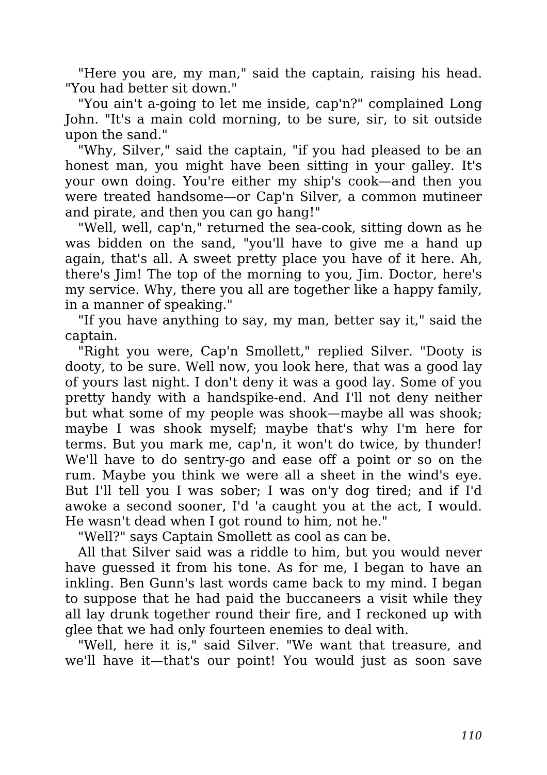"Here you are, my man," said the captain, raising his head. "You had better sit down."

"You ain't a-going to let me inside, cap'n?" complained Long John. "It's a main cold morning, to be sure, sir, to sit outside upon the sand."

"Why, Silver," said the captain, "if you had pleased to be an honest man, you might have been sitting in your galley. It's your own doing. You're either my ship's cook—and then you were treated handsome—or Cap'n Silver, a common mutineer and pirate, and then you can go hang!"

"Well, well, cap'n," returned the sea-cook, sitting down as he was bidden on the sand, "you'll have to give me a hand up again, that's all. A sweet pretty place you have of it here. Ah, there's Jim! The top of the morning to you, Jim. Doctor, here's my service. Why, there you all are together like a happy family, in a manner of speaking."

"If you have anything to say, my man, better say it," said the captain.

"Right you were, Cap'n Smollett," replied Silver. "Dooty is dooty, to be sure. Well now, you look here, that was a good lay of yours last night. I don't deny it was a good lay. Some of you pretty handy with a handspike-end. And I'll not deny neither but what some of my people was shook—maybe all was shook; maybe I was shook myself; maybe that's why I'm here for terms. But you mark me, cap'n, it won't do twice, by thunder! We'll have to do sentry-go and ease off a point or so on the rum. Maybe you think we were all a sheet in the wind's eye. But I'll tell you I was sober; I was on'y dog tired; and if I'd awoke a second sooner, I'd 'a caught you at the act, I would. He wasn't dead when I got round to him, not he."

"Well?" says Captain Smollett as cool as can be.

All that Silver said was a riddle to him, but you would never have guessed it from his tone. As for me, I began to have an inkling. Ben Gunn's last words came back to my mind. I began to suppose that he had paid the buccaneers a visit while they all lay drunk together round their fire, and I reckoned up with glee that we had only fourteen enemies to deal with.

"Well, here it is," said Silver. "We want that treasure, and we'll have it—that's our point! You would just as soon save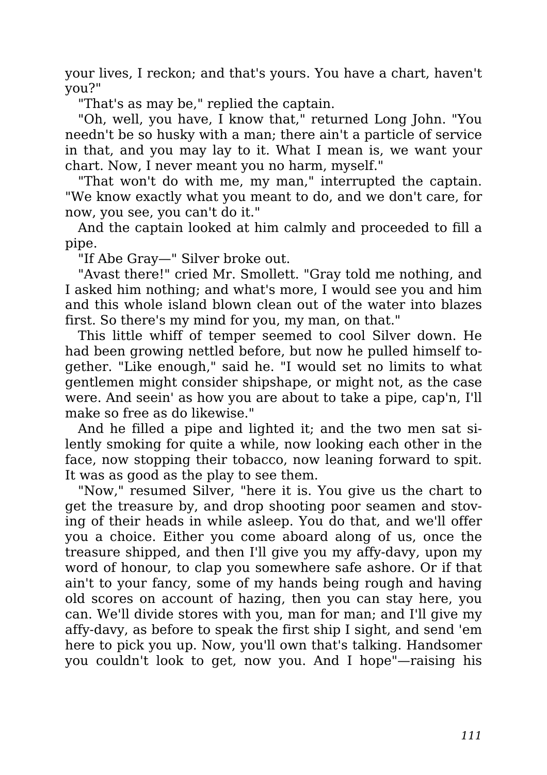your lives, I reckon; and that's yours. You have a chart, haven't you?"

"That's as may be," replied the captain.

"Oh, well, you have, I know that," returned Long John. "You needn't be so husky with a man; there ain't a particle of service in that, and you may lay to it. What I mean is, we want your chart. Now, I never meant you no harm, myself."

"That won't do with me, my man," interrupted the captain. "We know exactly what you meant to do, and we don't care, for now, you see, you can't do it."

And the captain looked at him calmly and proceeded to fill a pipe.

"If Abe Gray—" Silver broke out.

"Avast there!" cried Mr. Smollett. "Gray told me nothing, and I asked him nothing; and what's more, I would see you and him and this whole island blown clean out of the water into blazes first. So there's my mind for you, my man, on that."

This little whiff of temper seemed to cool Silver down. He had been growing nettled before, but now he pulled himself together. "Like enough," said he. "I would set no limits to what gentlemen might consider shipshape, or might not, as the case were. And seein' as how you are about to take a pipe, cap'n, I'll make so free as do likewise."

And he filled a pipe and lighted it; and the two men sat silently smoking for quite a while, now looking each other in the face, now stopping their tobacco, now leaning forward to spit. It was as good as the play to see them.

"Now," resumed Silver, "here it is. You give us the chart to get the treasure by, and drop shooting poor seamen and stoving of their heads in while asleep. You do that, and we'll offer you a choice. Either you come aboard along of us, once the treasure shipped, and then I'll give you my affy-davy, upon my word of honour, to clap you somewhere safe ashore. Or if that ain't to your fancy, some of my hands being rough and having old scores on account of hazing, then you can stay here, you can. We'll divide stores with you, man for man; and I'll give my affy-davy, as before to speak the first ship I sight, and send 'em here to pick you up. Now, you'll own that's talking. Handsomer you couldn't look to get, now you. And I hope"—raising his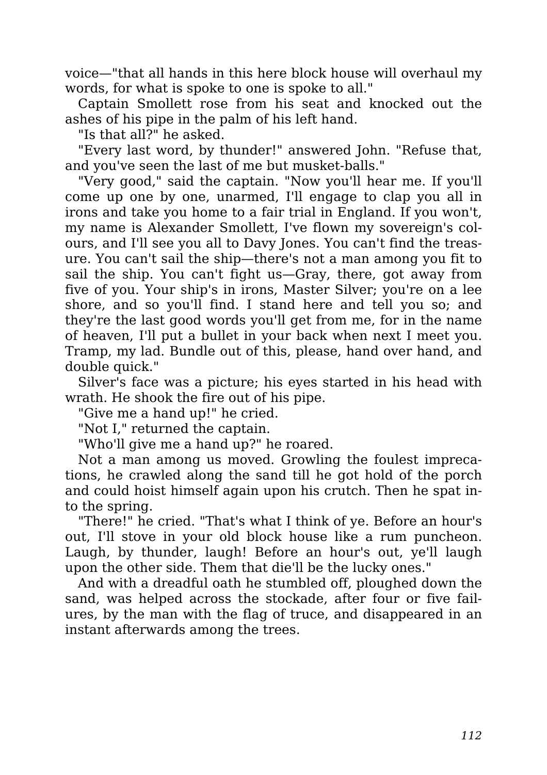voice—"that all hands in this here block house will overhaul my words, for what is spoke to one is spoke to all."

Captain Smollett rose from his seat and knocked out the ashes of his pipe in the palm of his left hand.

"Is that all?" he asked.

"Every last word, by thunder!" answered John. "Refuse that, and you've seen the last of me but musket-balls."

"Very good," said the captain. "Now you'll hear me. If you'll come up one by one, unarmed, I'll engage to clap you all in irons and take you home to a fair trial in England. If you won't, my name is Alexander Smollett, I've flown my sovereign's colours, and I'll see you all to Davy Jones. You can't find the treasure. You can't sail the ship—there's not a man among you fit to sail the ship. You can't fight us—Gray, there, got away from five of you. Your ship's in irons, Master Silver; you're on a lee shore, and so you'll find. I stand here and tell you so; and they're the last good words you'll get from me, for in the name of heaven, I'll put a bullet in your back when next I meet you. Tramp, my lad. Bundle out of this, please, hand over hand, and double quick."

Silver's face was a picture; his eyes started in his head with wrath. He shook the fire out of his pipe.

"Give me a hand up!" he cried.

"Not I," returned the captain.

"Who'll give me a hand up?" he roared.

Not a man among us moved. Growling the foulest imprecations, he crawled along the sand till he got hold of the porch and could hoist himself again upon his crutch. Then he spat into the spring.

"There!" he cried. "That's what I think of ye. Before an hour's out, I'll stove in your old block house like a rum puncheon. Laugh, by thunder, laugh! Before an hour's out, ye'll laugh upon the other side. Them that die'll be the lucky ones."

And with a dreadful oath he stumbled off, ploughed down the sand, was helped across the stockade, after four or five failures, by the man with the flag of truce, and disappeared in an instant afterwards among the trees.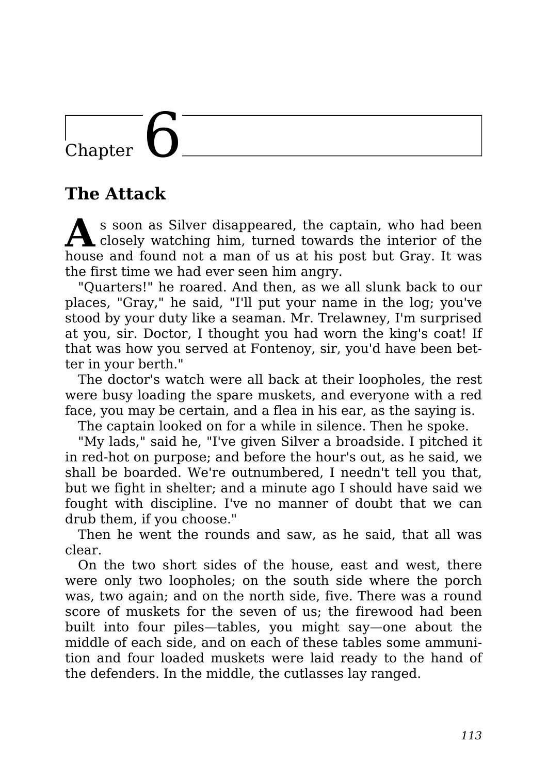# Chapter 6

#### **The Attack**

**A** s soon as Silver disappeared, the captain, who had been closely watching him, turned towards the interior of the house and found not a man of us at his post but Gray. It was the first time we had ever seen him angry.

"Quarters!" he roared. And then, as we all slunk back to our places, "Gray," he said, "I'll put your name in the log; you've stood by your duty like a seaman. Mr. Trelawney, I'm surprised at you, sir. Doctor, I thought you had worn the king's coat! If that was how you served at Fontenoy, sir, you'd have been better in your berth."

The doctor's watch were all back at their loopholes, the rest were busy loading the spare muskets, and everyone with a red face, you may be certain, and a flea in his ear, as the saying is.

The captain looked on for a while in silence. Then he spoke.

"My lads," said he, "I've given Silver a broadside. I pitched it in red-hot on purpose; and before the hour's out, as he said, we shall be boarded. We're outnumbered, I needn't tell you that, but we fight in shelter; and a minute ago I should have said we fought with discipline. I've no manner of doubt that we can drub them, if you choose."

Then he went the rounds and saw, as he said, that all was clear.

On the two short sides of the house, east and west, there were only two loopholes; on the south side where the porch was, two again; and on the north side, five. There was a round score of muskets for the seven of us; the firewood had been built into four piles—tables, you might say—one about the middle of each side, and on each of these tables some ammunition and four loaded muskets were laid ready to the hand of the defenders. In the middle, the cutlasses lay ranged.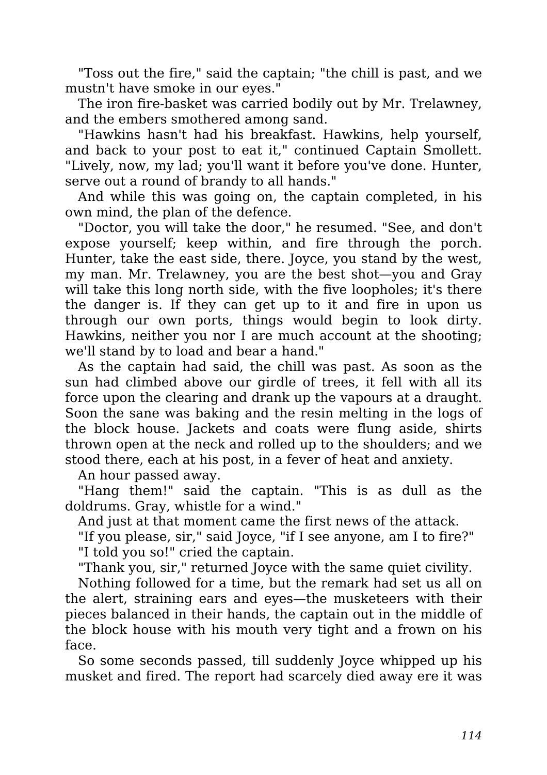"Toss out the fire," said the captain; "the chill is past, and we mustn't have smoke in our eyes."

The iron fire-basket was carried bodily out by Mr. Trelawney, and the embers smothered among sand.

"Hawkins hasn't had his breakfast. Hawkins, help yourself, and back to your post to eat it," continued Captain Smollett. "Lively, now, my lad; you'll want it before you've done. Hunter, serve out a round of brandy to all hands."

And while this was going on, the captain completed, in his own mind, the plan of the defence.

"Doctor, you will take the door," he resumed. "See, and don't expose yourself; keep within, and fire through the porch. Hunter, take the east side, there. Joyce, you stand by the west, my man. Mr. Trelawney, you are the best shot—you and Gray will take this long north side, with the five loopholes; it's there the danger is. If they can get up to it and fire in upon us through our own ports, things would begin to look dirty. Hawkins, neither you nor I are much account at the shooting; we'll stand by to load and bear a hand."

As the captain had said, the chill was past. As soon as the sun had climbed above our girdle of trees, it fell with all its force upon the clearing and drank up the vapours at a draught. Soon the sane was baking and the resin melting in the logs of the block house. Jackets and coats were flung aside, shirts thrown open at the neck and rolled up to the shoulders; and we stood there, each at his post, in a fever of heat and anxiety.

An hour passed away.

"Hang them!" said the captain. "This is as dull as the doldrums. Gray, whistle for a wind."

And just at that moment came the first news of the attack.

"If you please, sir," said Joyce, "if I see anyone, am I to fire?" "I told you so!" cried the captain.

"Thank you, sir," returned Joyce with the same quiet civility.

Nothing followed for a time, but the remark had set us all on the alert, straining ears and eyes—the musketeers with their pieces balanced in their hands, the captain out in the middle of the block house with his mouth very tight and a frown on his face.

So some seconds passed, till suddenly Joyce whipped up his musket and fired. The report had scarcely died away ere it was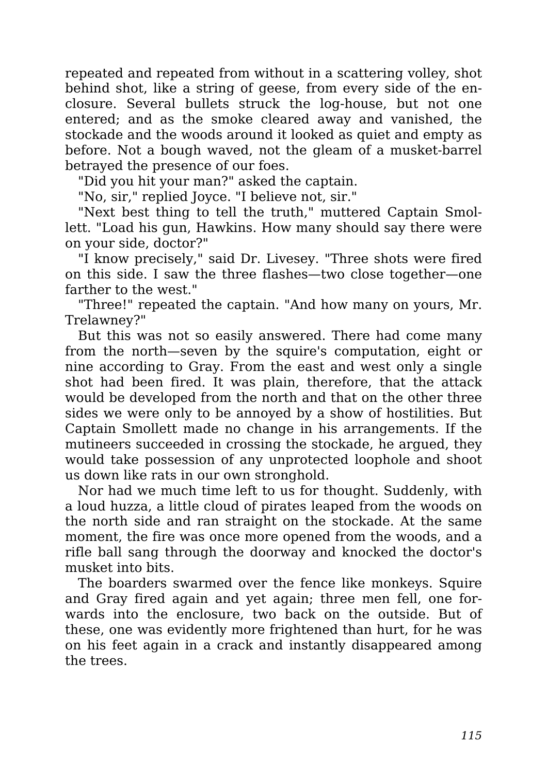repeated and repeated from without in a scattering volley, shot behind shot, like a string of geese, from every side of the enclosure. Several bullets struck the log-house, but not one entered; and as the smoke cleared away and vanished, the stockade and the woods around it looked as quiet and empty as before. Not a bough waved, not the gleam of a musket-barrel betrayed the presence of our foes.

"Did you hit your man?" asked the captain.

"No, sir," replied Joyce. "I believe not, sir."

"Next best thing to tell the truth," muttered Captain Smollett. "Load his gun, Hawkins. How many should say there were on your side, doctor?"

"I know precisely," said Dr. Livesey. "Three shots were fired on this side. I saw the three flashes—two close together—one farther to the west."

"Three!" repeated the captain. "And how many on yours, Mr. Trelawney?"

But this was not so easily answered. There had come many from the north—seven by the squire's computation, eight or nine according to Gray. From the east and west only a single shot had been fired. It was plain, therefore, that the attack would be developed from the north and that on the other three sides we were only to be annoyed by a show of hostilities. But Captain Smollett made no change in his arrangements. If the mutineers succeeded in crossing the stockade, he argued, they would take possession of any unprotected loophole and shoot us down like rats in our own stronghold.

Nor had we much time left to us for thought. Suddenly, with a loud huzza, a little cloud of pirates leaped from the woods on the north side and ran straight on the stockade. At the same moment, the fire was once more opened from the woods, and a rifle ball sang through the doorway and knocked the doctor's musket into bits.

The boarders swarmed over the fence like monkeys. Squire and Gray fired again and yet again; three men fell, one forwards into the enclosure, two back on the outside. But of these, one was evidently more frightened than hurt, for he was on his feet again in a crack and instantly disappeared among the trees.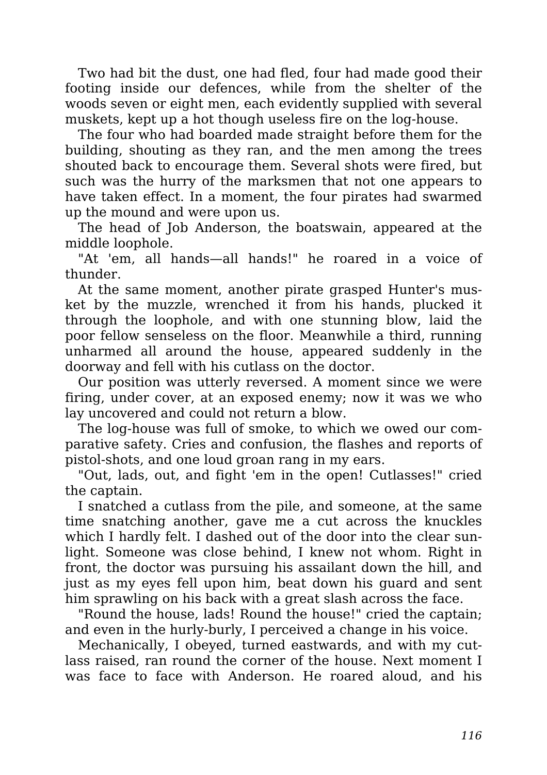Two had bit the dust, one had fled, four had made good their footing inside our defences, while from the shelter of the woods seven or eight men, each evidently supplied with several muskets, kept up a hot though useless fire on the log-house.

The four who had boarded made straight before them for the building, shouting as they ran, and the men among the trees shouted back to encourage them. Several shots were fired, but such was the hurry of the marksmen that not one appears to have taken effect. In a moment, the four pirates had swarmed up the mound and were upon us.

The head of Job Anderson, the boatswain, appeared at the middle loophole.

"At 'em, all hands—all hands!" he roared in a voice of thunder.

At the same moment, another pirate grasped Hunter's musket by the muzzle, wrenched it from his hands, plucked it through the loophole, and with one stunning blow, laid the poor fellow senseless on the floor. Meanwhile a third, running unharmed all around the house, appeared suddenly in the doorway and fell with his cutlass on the doctor.

Our position was utterly reversed. A moment since we were firing, under cover, at an exposed enemy; now it was we who lay uncovered and could not return a blow.

The log-house was full of smoke, to which we owed our comparative safety. Cries and confusion, the flashes and reports of pistol-shots, and one loud groan rang in my ears.

"Out, lads, out, and fight 'em in the open! Cutlasses!" cried the captain.

I snatched a cutlass from the pile, and someone, at the same time snatching another, gave me a cut across the knuckles which I hardly felt. I dashed out of the door into the clear sunlight. Someone was close behind, I knew not whom. Right in front, the doctor was pursuing his assailant down the hill, and just as my eyes fell upon him, beat down his guard and sent him sprawling on his back with a great slash across the face.

"Round the house, lads! Round the house!" cried the captain; and even in the hurly-burly, I perceived a change in his voice.

Mechanically, I obeyed, turned eastwards, and with my cutlass raised, ran round the corner of the house. Next moment I was face to face with Anderson. He roared aloud, and his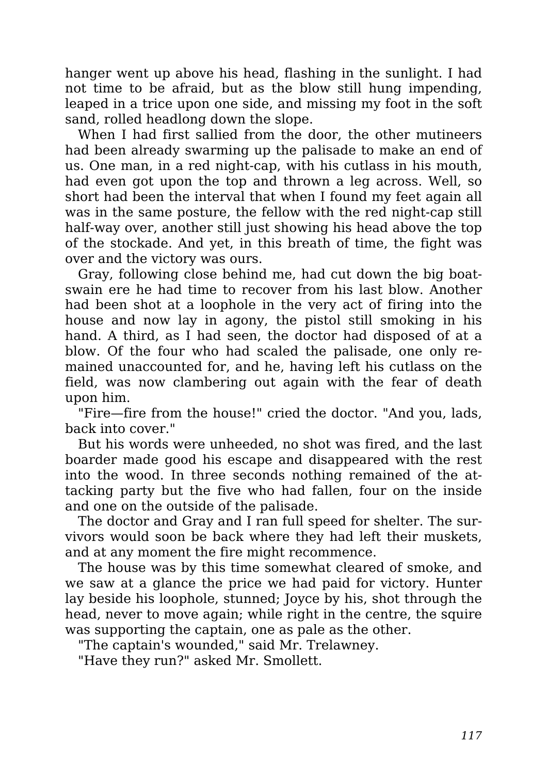hanger went up above his head, flashing in the sunlight. I had not time to be afraid, but as the blow still hung impending, leaped in a trice upon one side, and missing my foot in the soft sand, rolled headlong down the slope.

When I had first sallied from the door, the other mutineers had been already swarming up the palisade to make an end of us. One man, in a red night-cap, with his cutlass in his mouth, had even got upon the top and thrown a leg across. Well, so short had been the interval that when I found my feet again all was in the same posture, the fellow with the red night-cap still half-way over, another still just showing his head above the top of the stockade. And yet, in this breath of time, the fight was over and the victory was ours.

Gray, following close behind me, had cut down the big boatswain ere he had time to recover from his last blow. Another had been shot at a loophole in the very act of firing into the house and now lay in agony, the pistol still smoking in his hand. A third, as I had seen, the doctor had disposed of at a blow. Of the four who had scaled the palisade, one only remained unaccounted for, and he, having left his cutlass on the field, was now clambering out again with the fear of death upon him.

"Fire—fire from the house!" cried the doctor. "And you, lads, back into cover."

But his words were unheeded, no shot was fired, and the last boarder made good his escape and disappeared with the rest into the wood. In three seconds nothing remained of the attacking party but the five who had fallen, four on the inside and one on the outside of the palisade.

The doctor and Gray and I ran full speed for shelter. The survivors would soon be back where they had left their muskets, and at any moment the fire might recommence.

The house was by this time somewhat cleared of smoke, and we saw at a glance the price we had paid for victory. Hunter lay beside his loophole, stunned; Joyce by his, shot through the head, never to move again; while right in the centre, the squire was supporting the captain, one as pale as the other.

"The captain's wounded," said Mr. Trelawney.

"Have they run?" asked Mr. Smollett.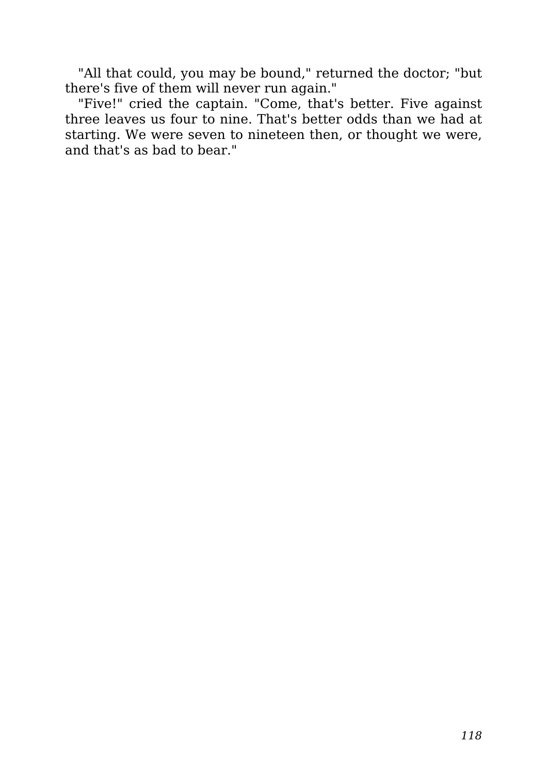"All that could, you may be bound," returned the doctor; "but there's five of them will never run again."

"Five!" cried the captain. "Come, that's better. Five against three leaves us four to nine. That's better odds than we had at starting. We were seven to nineteen then, or thought we were, and that's as bad to bear."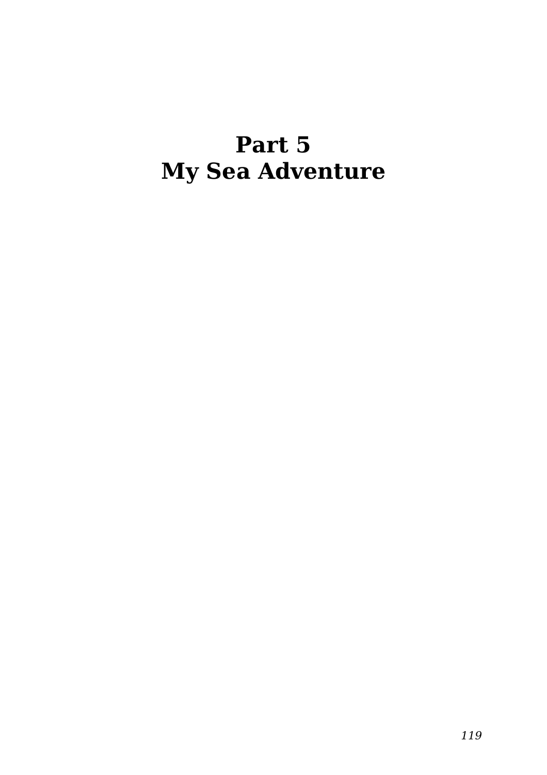### **Part 5 My Sea Adventure**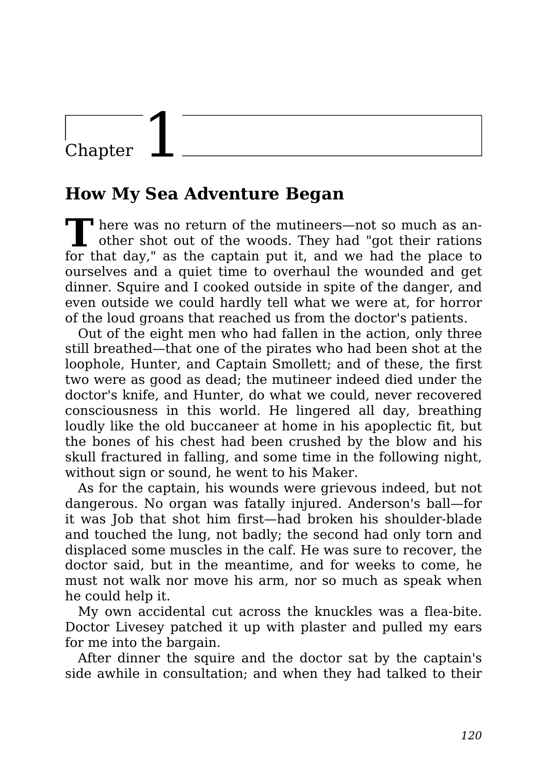### Chapter

#### **How My Sea Adventure Began**

**T here was no return of the mutineers—not so much as an**other shot out of the woods. They had "got their rations for that day," as the captain put it, and we had the place to ourselves and a quiet time to overhaul the wounded and get dinner. Squire and I cooked outside in spite of the danger, and even outside we could hardly tell what we were at, for horror of the loud groans that reached us from the doctor's patients.

Out of the eight men who had fallen in the action, only three still breathed—that one of the pirates who had been shot at the loophole, Hunter, and Captain Smollett; and of these, the first two were as good as dead; the mutineer indeed died under the doctor's knife, and Hunter, do what we could, never recovered consciousness in this world. He lingered all day, breathing loudly like the old buccaneer at home in his apoplectic fit, but the bones of his chest had been crushed by the blow and his skull fractured in falling, and some time in the following night, without sign or sound, he went to his Maker.

As for the captain, his wounds were grievous indeed, but not dangerous. No organ was fatally injured. Anderson's ball—for it was Job that shot him first—had broken his shoulder-blade and touched the lung, not badly; the second had only torn and displaced some muscles in the calf. He was sure to recover, the doctor said, but in the meantime, and for weeks to come, he must not walk nor move his arm, nor so much as speak when he could help it.

My own accidental cut across the knuckles was a flea-bite. Doctor Livesey patched it up with plaster and pulled my ears for me into the bargain.

After dinner the squire and the doctor sat by the captain's side awhile in consultation; and when they had talked to their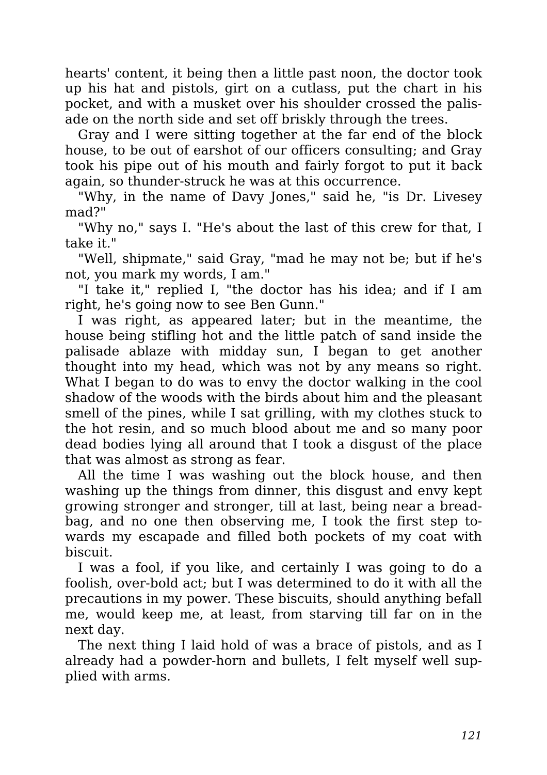hearts' content, it being then a little past noon, the doctor took up his hat and pistols, girt on a cutlass, put the chart in his pocket, and with a musket over his shoulder crossed the palisade on the north side and set off briskly through the trees.

Gray and I were sitting together at the far end of the block house, to be out of earshot of our officers consulting; and Gray took his pipe out of his mouth and fairly forgot to put it back again, so thunder-struck he was at this occurrence.

"Why, in the name of Davy Jones," said he, "is Dr. Livesey mad?"

"Why no," says I. "He's about the last of this crew for that, I take it."

"Well, shipmate," said Gray, "mad he may not be; but if he's not, you mark my words, I am."

"I take it," replied I, "the doctor has his idea; and if I am right, he's going now to see Ben Gunn."

I was right, as appeared later; but in the meantime, the house being stifling hot and the little patch of sand inside the palisade ablaze with midday sun, I began to get another thought into my head, which was not by any means so right. What I began to do was to envy the doctor walking in the cool shadow of the woods with the birds about him and the pleasant smell of the pines, while I sat grilling, with my clothes stuck to the hot resin, and so much blood about me and so many poor dead bodies lying all around that I took a disgust of the place that was almost as strong as fear.

All the time I was washing out the block house, and then washing up the things from dinner, this disgust and envy kept growing stronger and stronger, till at last, being near a breadbag, and no one then observing me, I took the first step towards my escapade and filled both pockets of my coat with biscuit.

I was a fool, if you like, and certainly I was going to do a foolish, over-bold act; but I was determined to do it with all the precautions in my power. These biscuits, should anything befall me, would keep me, at least, from starving till far on in the next day.

The next thing I laid hold of was a brace of pistols, and as I already had a powder-horn and bullets, I felt myself well supplied with arms.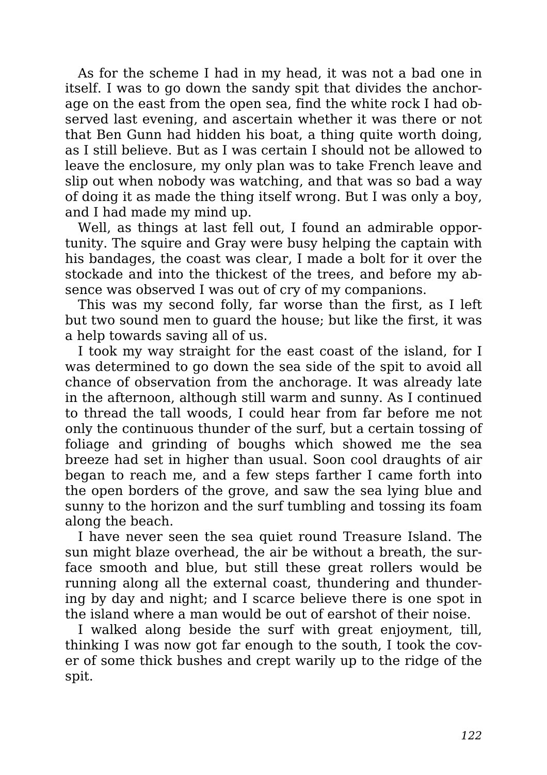As for the scheme I had in my head, it was not a bad one in itself. I was to go down the sandy spit that divides the anchorage on the east from the open sea, find the white rock I had observed last evening, and ascertain whether it was there or not that Ben Gunn had hidden his boat, a thing quite worth doing, as I still believe. But as I was certain I should not be allowed to leave the enclosure, my only plan was to take French leave and slip out when nobody was watching, and that was so bad a way of doing it as made the thing itself wrong. But I was only a boy, and I had made my mind up.

Well, as things at last fell out, I found an admirable opportunity. The squire and Gray were busy helping the captain with his bandages, the coast was clear, I made a bolt for it over the stockade and into the thickest of the trees, and before my absence was observed I was out of cry of my companions.

This was my second folly, far worse than the first, as I left but two sound men to guard the house; but like the first, it was a help towards saving all of us.

I took my way straight for the east coast of the island, for I was determined to go down the sea side of the spit to avoid all chance of observation from the anchorage. It was already late in the afternoon, although still warm and sunny. As I continued to thread the tall woods, I could hear from far before me not only the continuous thunder of the surf, but a certain tossing of foliage and grinding of boughs which showed me the sea breeze had set in higher than usual. Soon cool draughts of air began to reach me, and a few steps farther I came forth into the open borders of the grove, and saw the sea lying blue and sunny to the horizon and the surf tumbling and tossing its foam along the beach.

I have never seen the sea quiet round Treasure Island. The sun might blaze overhead, the air be without a breath, the surface smooth and blue, but still these great rollers would be running along all the external coast, thundering and thundering by day and night; and I scarce believe there is one spot in the island where a man would be out of earshot of their noise.

I walked along beside the surf with great enjoyment, till, thinking I was now got far enough to the south, I took the cover of some thick bushes and crept warily up to the ridge of the spit.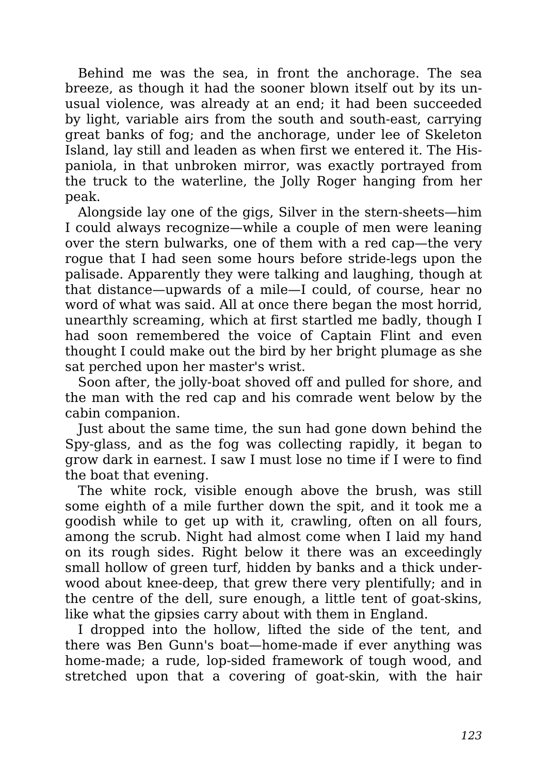Behind me was the sea, in front the anchorage. The sea breeze, as though it had the sooner blown itself out by its unusual violence, was already at an end; it had been succeeded by light, variable airs from the south and south-east, carrying great banks of fog; and the anchorage, under lee of Skeleton Island, lay still and leaden as when first we entered it. The Hispaniola, in that unbroken mirror, was exactly portrayed from the truck to the waterline, the Jolly Roger hanging from her peak.

Alongside lay one of the gigs, Silver in the stern-sheets—him I could always recognize—while a couple of men were leaning over the stern bulwarks, one of them with a red cap—the very rogue that I had seen some hours before stride-legs upon the palisade. Apparently they were talking and laughing, though at that distance—upwards of a mile—I could, of course, hear no word of what was said. All at once there began the most horrid, unearthly screaming, which at first startled me badly, though I had soon remembered the voice of Captain Flint and even thought I could make out the bird by her bright plumage as she sat perched upon her master's wrist.

Soon after, the jolly-boat shoved off and pulled for shore, and the man with the red cap and his comrade went below by the cabin companion.

Just about the same time, the sun had gone down behind the Spy-glass, and as the fog was collecting rapidly, it began to grow dark in earnest. I saw I must lose no time if I were to find the boat that evening.

The white rock, visible enough above the brush, was still some eighth of a mile further down the spit, and it took me a goodish while to get up with it, crawling, often on all fours, among the scrub. Night had almost come when I laid my hand on its rough sides. Right below it there was an exceedingly small hollow of green turf, hidden by banks and a thick underwood about knee-deep, that grew there very plentifully; and in the centre of the dell, sure enough, a little tent of goat-skins, like what the gipsies carry about with them in England.

I dropped into the hollow, lifted the side of the tent, and there was Ben Gunn's boat—home-made if ever anything was home-made; a rude, lop-sided framework of tough wood, and stretched upon that a covering of goat-skin, with the hair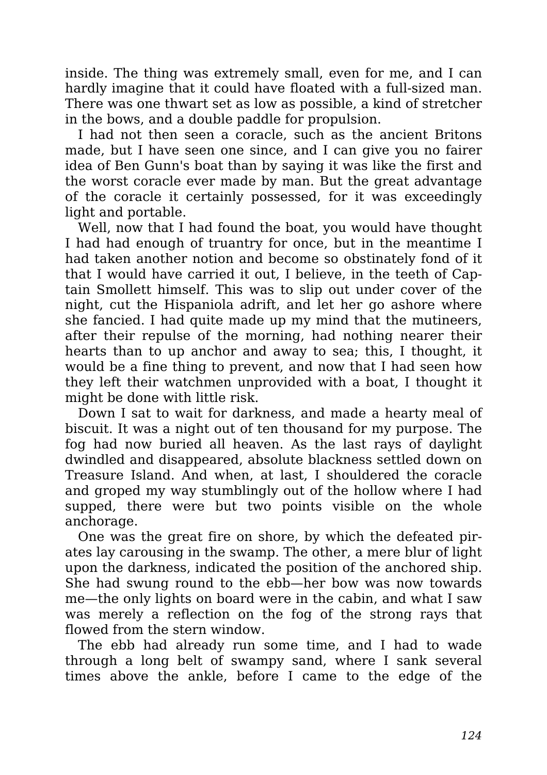inside. The thing was extremely small, even for me, and I can hardly imagine that it could have floated with a full-sized man. There was one thwart set as low as possible, a kind of stretcher in the bows, and a double paddle for propulsion.

I had not then seen a coracle, such as the ancient Britons made, but I have seen one since, and I can give you no fairer idea of Ben Gunn's boat than by saying it was like the first and the worst coracle ever made by man. But the great advantage of the coracle it certainly possessed, for it was exceedingly light and portable.

Well, now that I had found the boat, you would have thought I had had enough of truantry for once, but in the meantime I had taken another notion and become so obstinately fond of it that I would have carried it out, I believe, in the teeth of Captain Smollett himself. This was to slip out under cover of the night, cut the Hispaniola adrift, and let her go ashore where she fancied. I had quite made up my mind that the mutineers, after their repulse of the morning, had nothing nearer their hearts than to up anchor and away to sea; this, I thought, it would be a fine thing to prevent, and now that I had seen how they left their watchmen unprovided with a boat, I thought it might be done with little risk.

Down I sat to wait for darkness, and made a hearty meal of biscuit. It was a night out of ten thousand for my purpose. The fog had now buried all heaven. As the last rays of daylight dwindled and disappeared, absolute blackness settled down on Treasure Island. And when, at last, I shouldered the coracle and groped my way stumblingly out of the hollow where I had supped, there were but two points visible on the whole anchorage.

One was the great fire on shore, by which the defeated pirates lay carousing in the swamp. The other, a mere blur of light upon the darkness, indicated the position of the anchored ship. She had swung round to the ebb—her bow was now towards me—the only lights on board were in the cabin, and what I saw was merely a reflection on the fog of the strong rays that flowed from the stern window.

The ebb had already run some time, and I had to wade through a long belt of swampy sand, where I sank several times above the ankle, before I came to the edge of the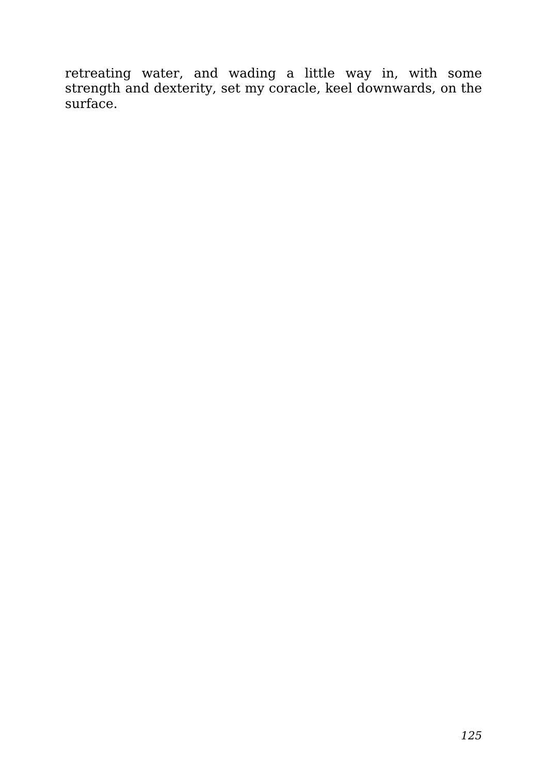retreating water, and wading a little way in, with some strength and dexterity, set my coracle, keel downwards, on the surface.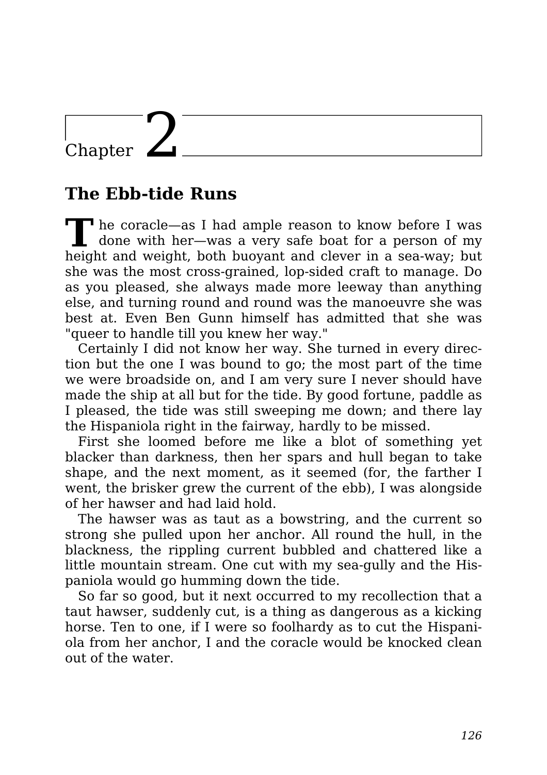### Chapter  $\mathbf{\angle}$

#### **The Ebb-tide Runs**

**T** he coracle—as I had ample reason to know before I was done with her—was a very safe boat for a person of my height and weight, both buoyant and clever in a sea-way; but she was the most cross-grained, lop-sided craft to manage. Do as you pleased, she always made more leeway than anything else, and turning round and round was the manoeuvre she was best at. Even Ben Gunn himself has admitted that she was "queer to handle till you knew her way."

Certainly I did not know her way. She turned in every direction but the one I was bound to go; the most part of the time we were broadside on, and I am very sure I never should have made the ship at all but for the tide. By good fortune, paddle as I pleased, the tide was still sweeping me down; and there lay the Hispaniola right in the fairway, hardly to be missed.

First she loomed before me like a blot of something yet blacker than darkness, then her spars and hull began to take shape, and the next moment, as it seemed (for, the farther I went, the brisker grew the current of the ebb), I was alongside of her hawser and had laid hold.

The hawser was as taut as a bowstring, and the current so strong she pulled upon her anchor. All round the hull, in the blackness, the rippling current bubbled and chattered like a little mountain stream. One cut with my sea-gully and the Hispaniola would go humming down the tide.

So far so good, but it next occurred to my recollection that a taut hawser, suddenly cut, is a thing as dangerous as a kicking horse. Ten to one, if I were so foolhardy as to cut the Hispaniola from her anchor, I and the coracle would be knocked clean out of the water.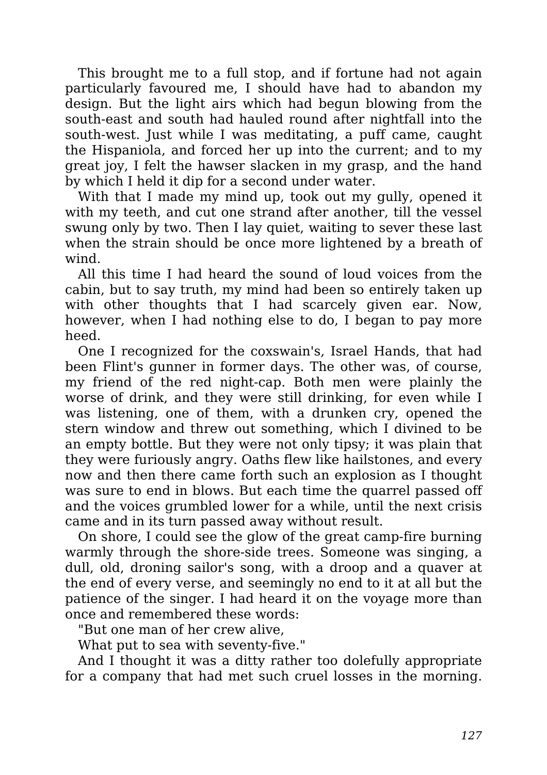This brought me to a full stop, and if fortune had not again particularly favoured me, I should have had to abandon my design. But the light airs which had begun blowing from the south-east and south had hauled round after nightfall into the south-west. Just while I was meditating, a puff came, caught the Hispaniola, and forced her up into the current; and to my great joy, I felt the hawser slacken in my grasp, and the hand by which I held it dip for a second under water.

With that I made my mind up, took out my gully, opened it with my teeth, and cut one strand after another, till the vessel swung only by two. Then I lay quiet, waiting to sever these last when the strain should be once more lightened by a breath of wind.

All this time I had heard the sound of loud voices from the cabin, but to say truth, my mind had been so entirely taken up with other thoughts that I had scarcely given ear. Now, however, when I had nothing else to do, I began to pay more heed.

One I recognized for the coxswain's, Israel Hands, that had been Flint's gunner in former days. The other was, of course, my friend of the red night-cap. Both men were plainly the worse of drink, and they were still drinking, for even while I was listening, one of them, with a drunken cry, opened the stern window and threw out something, which I divined to be an empty bottle. But they were not only tipsy; it was plain that they were furiously angry. Oaths flew like hailstones, and every now and then there came forth such an explosion as I thought was sure to end in blows. But each time the quarrel passed off and the voices grumbled lower for a while, until the next crisis came and in its turn passed away without result.

On shore, I could see the glow of the great camp-fire burning warmly through the shore-side trees. Someone was singing, a dull, old, droning sailor's song, with a droop and a quaver at the end of every verse, and seemingly no end to it at all but the patience of the singer. I had heard it on the voyage more than once and remembered these words:

"But one man of her crew alive,

What put to sea with seventy-five."

And I thought it was a ditty rather too dolefully appropriate for a company that had met such cruel losses in the morning.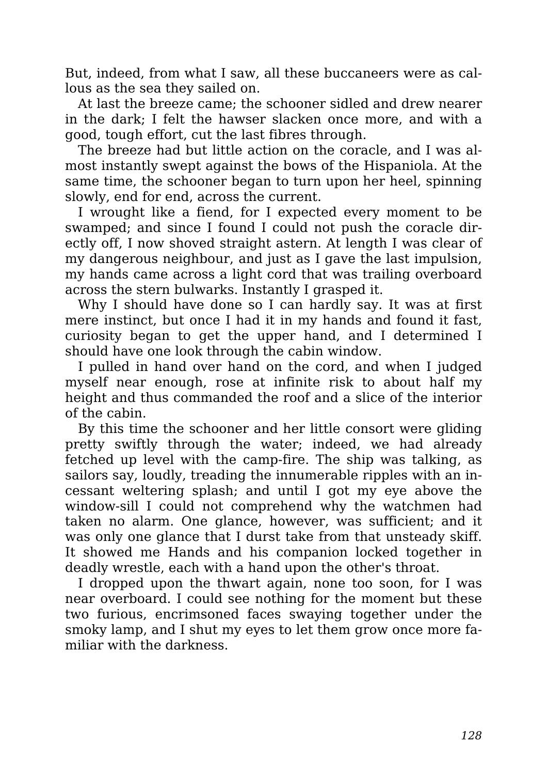But, indeed, from what I saw, all these buccaneers were as callous as the sea they sailed on.

At last the breeze came; the schooner sidled and drew nearer in the dark; I felt the hawser slacken once more, and with a good, tough effort, cut the last fibres through.

The breeze had but little action on the coracle, and I was almost instantly swept against the bows of the Hispaniola. At the same time, the schooner began to turn upon her heel, spinning slowly, end for end, across the current.

I wrought like a fiend, for I expected every moment to be swamped; and since I found I could not push the coracle directly off, I now shoved straight astern. At length I was clear of my dangerous neighbour, and just as I gave the last impulsion, my hands came across a light cord that was trailing overboard across the stern bulwarks. Instantly I grasped it.

Why I should have done so I can hardly say. It was at first mere instinct, but once I had it in my hands and found it fast, curiosity began to get the upper hand, and I determined I should have one look through the cabin window.

I pulled in hand over hand on the cord, and when I judged myself near enough, rose at infinite risk to about half my height and thus commanded the roof and a slice of the interior of the cabin.

By this time the schooner and her little consort were gliding pretty swiftly through the water; indeed, we had already fetched up level with the camp-fire. The ship was talking, as sailors say, loudly, treading the innumerable ripples with an incessant weltering splash; and until I got my eye above the window-sill I could not comprehend why the watchmen had taken no alarm. One glance, however, was sufficient; and it was only one glance that I durst take from that unsteady skiff. It showed me Hands and his companion locked together in deadly wrestle, each with a hand upon the other's throat.

I dropped upon the thwart again, none too soon, for I was near overboard. I could see nothing for the moment but these two furious, encrimsoned faces swaying together under the smoky lamp, and I shut my eyes to let them grow once more familiar with the darkness.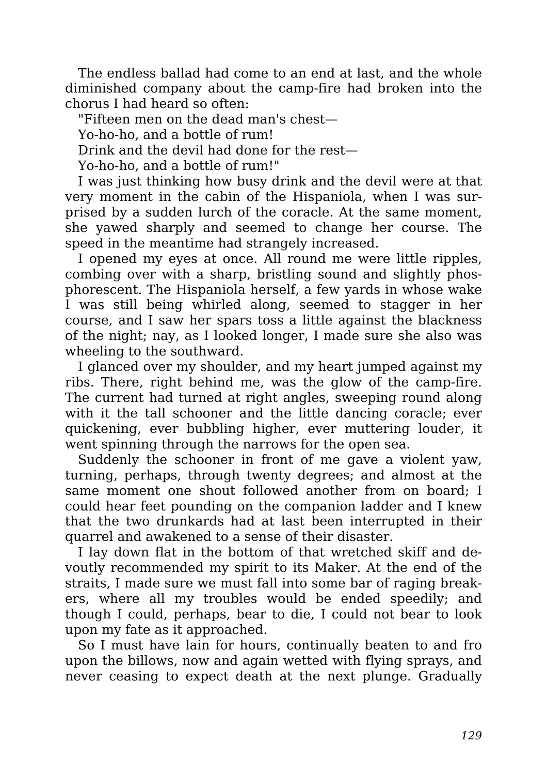The endless ballad had come to an end at last, and the whole diminished company about the camp-fire had broken into the chorus I had heard so often:

"Fifteen men on the dead man's chest—

Yo-ho-ho, and a bottle of rum!

Drink and the devil had done for the rest—

Yo-ho-ho, and a bottle of rum!"

I was just thinking how busy drink and the devil were at that very moment in the cabin of the Hispaniola, when I was surprised by a sudden lurch of the coracle. At the same moment, she yawed sharply and seemed to change her course. The speed in the meantime had strangely increased.

I opened my eyes at once. All round me were little ripples, combing over with a sharp, bristling sound and slightly phosphorescent. The Hispaniola herself, a few yards in whose wake I was still being whirled along, seemed to stagger in her course, and I saw her spars toss a little against the blackness of the night; nay, as I looked longer, I made sure she also was wheeling to the southward.

I glanced over my shoulder, and my heart jumped against my ribs. There, right behind me, was the glow of the camp-fire. The current had turned at right angles, sweeping round along with it the tall schooner and the little dancing coracle; ever quickening, ever bubbling higher, ever muttering louder, it went spinning through the narrows for the open sea.

Suddenly the schooner in front of me gave a violent yaw, turning, perhaps, through twenty degrees; and almost at the same moment one shout followed another from on board; I could hear feet pounding on the companion ladder and I knew that the two drunkards had at last been interrupted in their quarrel and awakened to a sense of their disaster.

I lay down flat in the bottom of that wretched skiff and devoutly recommended my spirit to its Maker. At the end of the straits, I made sure we must fall into some bar of raging breakers, where all my troubles would be ended speedily; and though I could, perhaps, bear to die, I could not bear to look upon my fate as it approached.

So I must have lain for hours, continually beaten to and fro upon the billows, now and again wetted with flying sprays, and never ceasing to expect death at the next plunge. Gradually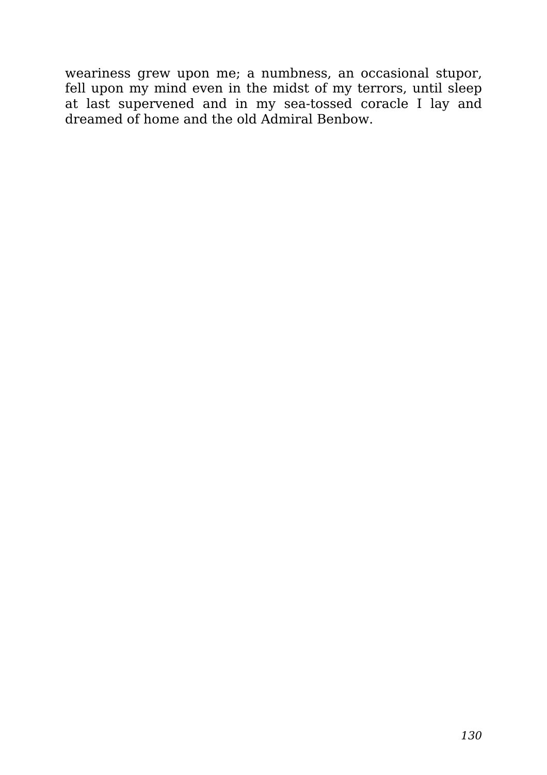weariness grew upon me; a numbness, an occasional stupor, fell upon my mind even in the midst of my terrors, until sleep at last supervened and in my sea-tossed coracle I lay and dreamed of home and the old Admiral Benbow.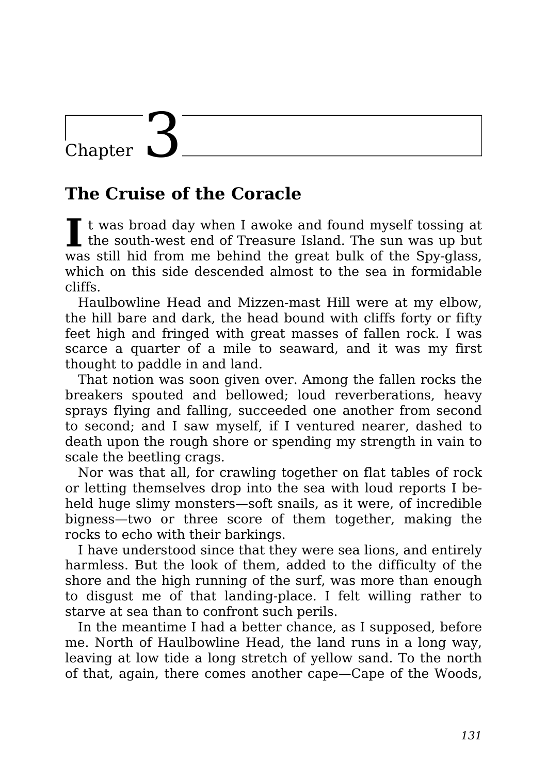## Chapter

#### **The Cruise of the Coracle**

I t was broad day when I awoke and found myself tossing at the south-west end of Treasure Island. The sun was up but t was broad day when I awoke and found myself tossing at was still hid from me behind the great bulk of the Spy-glass, which on this side descended almost to the sea in formidable cliffs.

Haulbowline Head and Mizzen-mast Hill were at my elbow, the hill bare and dark, the head bound with cliffs forty or fifty feet high and fringed with great masses of fallen rock. I was scarce a quarter of a mile to seaward, and it was my first thought to paddle in and land.

That notion was soon given over. Among the fallen rocks the breakers spouted and bellowed; loud reverberations, heavy sprays flying and falling, succeeded one another from second to second; and I saw myself, if I ventured nearer, dashed to death upon the rough shore or spending my strength in vain to scale the beetling crags.

Nor was that all, for crawling together on flat tables of rock or letting themselves drop into the sea with loud reports I beheld huge slimy monsters—soft snails, as it were, of incredible bigness—two or three score of them together, making the rocks to echo with their barkings.

I have understood since that they were sea lions, and entirely harmless. But the look of them, added to the difficulty of the shore and the high running of the surf, was more than enough to disgust me of that landing-place. I felt willing rather to starve at sea than to confront such perils.

In the meantime I had a better chance, as I supposed, before me. North of Haulbowline Head, the land runs in a long way, leaving at low tide a long stretch of yellow sand. To the north of that, again, there comes another cape—Cape of the Woods,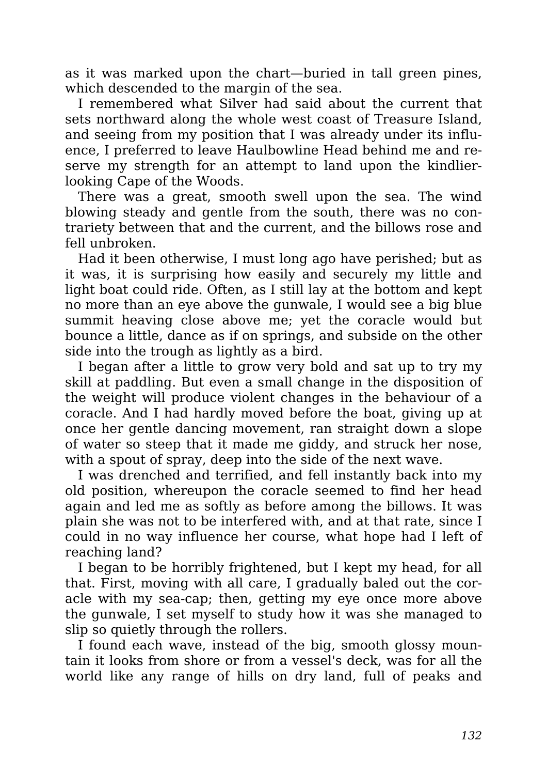as it was marked upon the chart—buried in tall green pines, which descended to the margin of the sea.

I remembered what Silver had said about the current that sets northward along the whole west coast of Treasure Island, and seeing from my position that I was already under its influence, I preferred to leave Haulbowline Head behind me and reserve my strength for an attempt to land upon the kindlierlooking Cape of the Woods.

There was a great, smooth swell upon the sea. The wind blowing steady and gentle from the south, there was no contrariety between that and the current, and the billows rose and fell unbroken.

Had it been otherwise, I must long ago have perished; but as it was, it is surprising how easily and securely my little and light boat could ride. Often, as I still lay at the bottom and kept no more than an eye above the gunwale, I would see a big blue summit heaving close above me; yet the coracle would but bounce a little, dance as if on springs, and subside on the other side into the trough as lightly as a bird.

I began after a little to grow very bold and sat up to try my skill at paddling. But even a small change in the disposition of the weight will produce violent changes in the behaviour of a coracle. And I had hardly moved before the boat, giving up at once her gentle dancing movement, ran straight down a slope of water so steep that it made me giddy, and struck her nose, with a spout of spray, deep into the side of the next wave.

I was drenched and terrified, and fell instantly back into my old position, whereupon the coracle seemed to find her head again and led me as softly as before among the billows. It was plain she was not to be interfered with, and at that rate, since I could in no way influence her course, what hope had I left of reaching land?

I began to be horribly frightened, but I kept my head, for all that. First, moving with all care, I gradually baled out the coracle with my sea-cap; then, getting my eye once more above the gunwale, I set myself to study how it was she managed to slip so quietly through the rollers.

I found each wave, instead of the big, smooth glossy mountain it looks from shore or from a vessel's deck, was for all the world like any range of hills on dry land, full of peaks and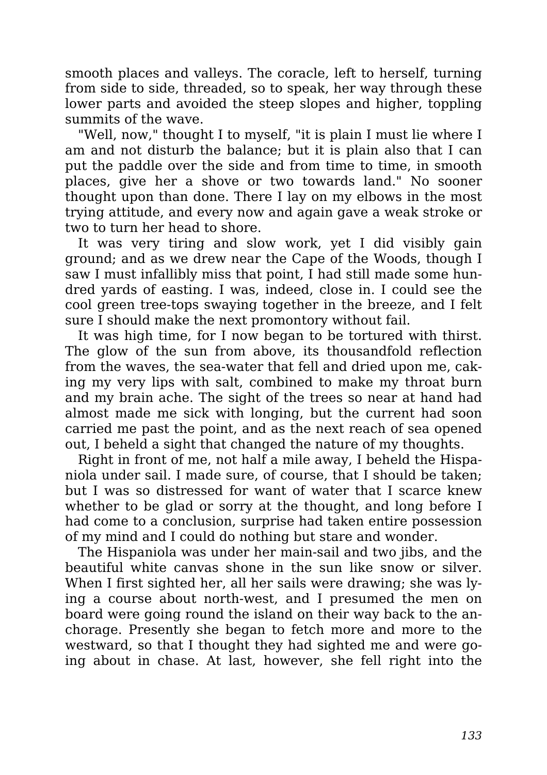smooth places and valleys. The coracle, left to herself, turning from side to side, threaded, so to speak, her way through these lower parts and avoided the steep slopes and higher, toppling summits of the wave.

"Well, now," thought I to myself, "it is plain I must lie where I am and not disturb the balance; but it is plain also that I can put the paddle over the side and from time to time, in smooth places, give her a shove or two towards land." No sooner thought upon than done. There I lay on my elbows in the most trying attitude, and every now and again gave a weak stroke or two to turn her head to shore.

It was very tiring and slow work, yet I did visibly gain ground; and as we drew near the Cape of the Woods, though I saw I must infallibly miss that point, I had still made some hundred yards of easting. I was, indeed, close in. I could see the cool green tree-tops swaying together in the breeze, and I felt sure I should make the next promontory without fail.

It was high time, for I now began to be tortured with thirst. The glow of the sun from above, its thousandfold reflection from the waves, the sea-water that fell and dried upon me, caking my very lips with salt, combined to make my throat burn and my brain ache. The sight of the trees so near at hand had almost made me sick with longing, but the current had soon carried me past the point, and as the next reach of sea opened out, I beheld a sight that changed the nature of my thoughts.

Right in front of me, not half a mile away, I beheld the Hispaniola under sail. I made sure, of course, that I should be taken; but I was so distressed for want of water that I scarce knew whether to be glad or sorry at the thought, and long before I had come to a conclusion, surprise had taken entire possession of my mind and I could do nothing but stare and wonder.

The Hispaniola was under her main-sail and two jibs, and the beautiful white canvas shone in the sun like snow or silver. When I first sighted her, all her sails were drawing; she was lying a course about north-west, and I presumed the men on board were going round the island on their way back to the anchorage. Presently she began to fetch more and more to the westward, so that I thought they had sighted me and were going about in chase. At last, however, she fell right into the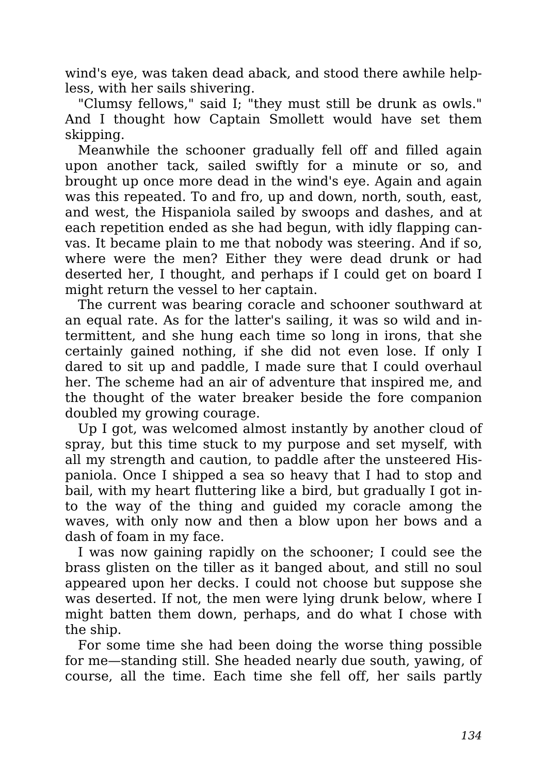wind's eye, was taken dead aback, and stood there awhile helpless, with her sails shivering.

"Clumsy fellows," said I; "they must still be drunk as owls." And I thought how Captain Smollett would have set them skipping.

Meanwhile the schooner gradually fell off and filled again upon another tack, sailed swiftly for a minute or so, and brought up once more dead in the wind's eye. Again and again was this repeated. To and fro, up and down, north, south, east, and west, the Hispaniola sailed by swoops and dashes, and at each repetition ended as she had begun, with idly flapping canvas. It became plain to me that nobody was steering. And if so, where were the men? Either they were dead drunk or had deserted her, I thought, and perhaps if I could get on board I might return the vessel to her captain.

The current was bearing coracle and schooner southward at an equal rate. As for the latter's sailing, it was so wild and intermittent, and she hung each time so long in irons, that she certainly gained nothing, if she did not even lose. If only I dared to sit up and paddle, I made sure that I could overhaul her. The scheme had an air of adventure that inspired me, and the thought of the water breaker beside the fore companion doubled my growing courage.

Up I got, was welcomed almost instantly by another cloud of spray, but this time stuck to my purpose and set myself, with all my strength and caution, to paddle after the unsteered Hispaniola. Once I shipped a sea so heavy that I had to stop and bail, with my heart fluttering like a bird, but gradually I got into the way of the thing and guided my coracle among the waves, with only now and then a blow upon her bows and a dash of foam in my face.

I was now gaining rapidly on the schooner; I could see the brass glisten on the tiller as it banged about, and still no soul appeared upon her decks. I could not choose but suppose she was deserted. If not, the men were lying drunk below, where I might batten them down, perhaps, and do what I chose with the ship.

For some time she had been doing the worse thing possible for me—standing still. She headed nearly due south, yawing, of course, all the time. Each time she fell off, her sails partly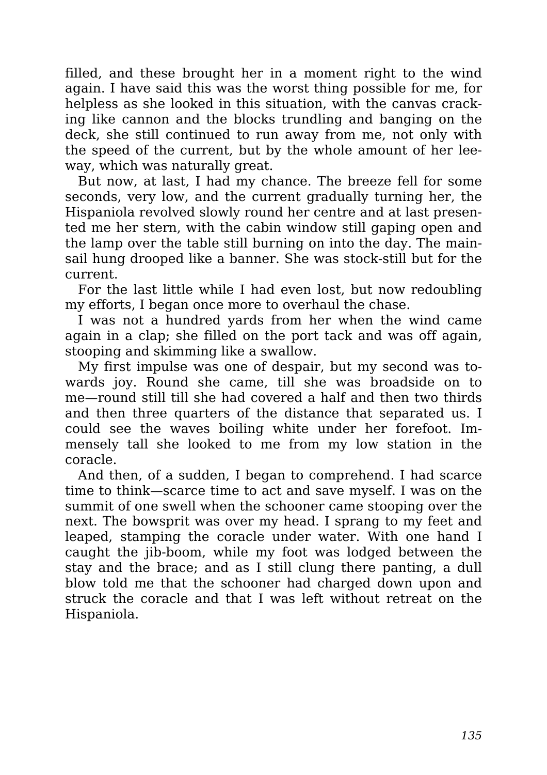filled, and these brought her in a moment right to the wind again. I have said this was the worst thing possible for me, for helpless as she looked in this situation, with the canvas cracking like cannon and the blocks trundling and banging on the deck, she still continued to run away from me, not only with the speed of the current, but by the whole amount of her leeway, which was naturally great.

But now, at last, I had my chance. The breeze fell for some seconds, very low, and the current gradually turning her, the Hispaniola revolved slowly round her centre and at last presented me her stern, with the cabin window still gaping open and the lamp over the table still burning on into the day. The mainsail hung drooped like a banner. She was stock-still but for the current.

For the last little while I had even lost, but now redoubling my efforts, I began once more to overhaul the chase.

I was not a hundred yards from her when the wind came again in a clap; she filled on the port tack and was off again, stooping and skimming like a swallow.

My first impulse was one of despair, but my second was towards joy. Round she came, till she was broadside on to me—round still till she had covered a half and then two thirds and then three quarters of the distance that separated us. I could see the waves boiling white under her forefoot. Immensely tall she looked to me from my low station in the coracle.

And then, of a sudden, I began to comprehend. I had scarce time to think—scarce time to act and save myself. I was on the summit of one swell when the schooner came stooping over the next. The bowsprit was over my head. I sprang to my feet and leaped, stamping the coracle under water. With one hand I caught the jib-boom, while my foot was lodged between the stay and the brace; and as I still clung there panting, a dull blow told me that the schooner had charged down upon and struck the coracle and that I was left without retreat on the Hispaniola.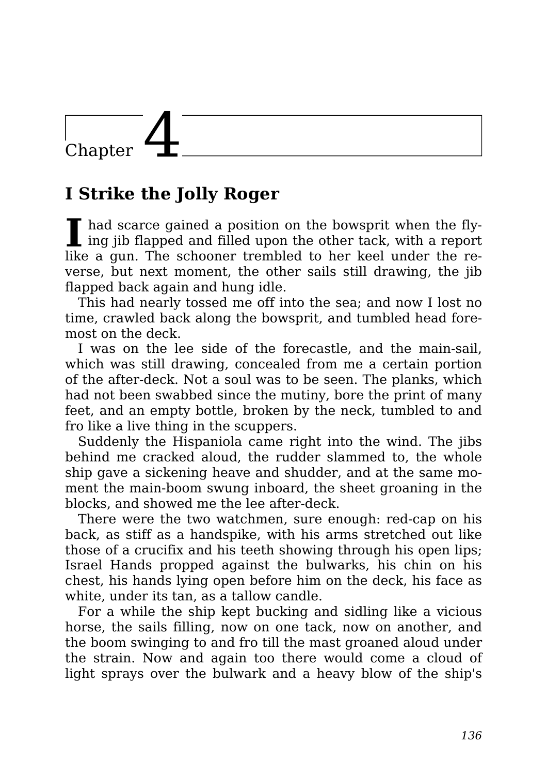## Chapter

### **I Strike the Jolly Roger**

II had scarce gained a position on the bowsprit when the flying jib flapped and filled upon the other tack, with a report had scarce gained a position on the bowsprit when the flylike a gun. The schooner trembled to her keel under the reverse, but next moment, the other sails still drawing, the jib flapped back again and hung idle.

This had nearly tossed me off into the sea; and now I lost no time, crawled back along the bowsprit, and tumbled head foremost on the deck.

I was on the lee side of the forecastle, and the main-sail, which was still drawing, concealed from me a certain portion of the after-deck. Not a soul was to be seen. The planks, which had not been swabbed since the mutiny, bore the print of many feet, and an empty bottle, broken by the neck, tumbled to and fro like a live thing in the scuppers.

Suddenly the Hispaniola came right into the wind. The jibs behind me cracked aloud, the rudder slammed to, the whole ship gave a sickening heave and shudder, and at the same moment the main-boom swung inboard, the sheet groaning in the blocks, and showed me the lee after-deck.

There were the two watchmen, sure enough: red-cap on his back, as stiff as a handspike, with his arms stretched out like those of a crucifix and his teeth showing through his open lips; Israel Hands propped against the bulwarks, his chin on his chest, his hands lying open before him on the deck, his face as white, under its tan, as a tallow candle.

For a while the ship kept bucking and sidling like a vicious horse, the sails filling, now on one tack, now on another, and the boom swinging to and fro till the mast groaned aloud under the strain. Now and again too there would come a cloud of light sprays over the bulwark and a heavy blow of the ship's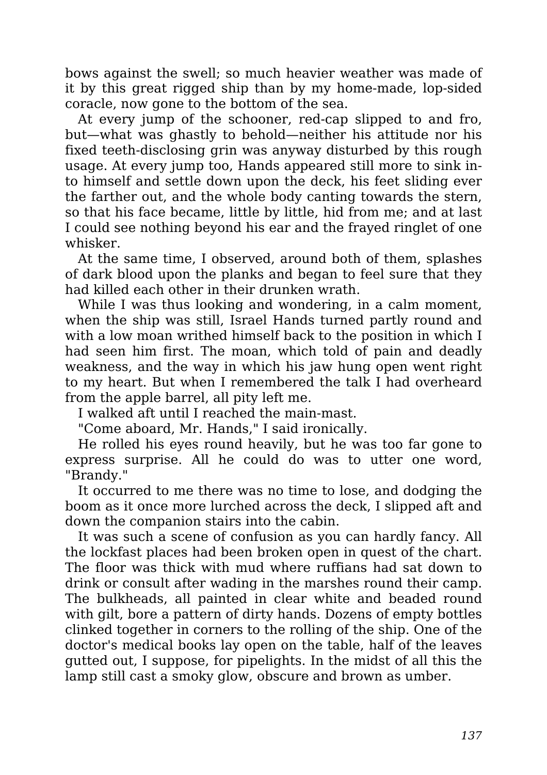bows against the swell; so much heavier weather was made of it by this great rigged ship than by my home-made, lop-sided coracle, now gone to the bottom of the sea.

At every jump of the schooner, red-cap slipped to and fro, but—what was ghastly to behold—neither his attitude nor his fixed teeth-disclosing grin was anyway disturbed by this rough usage. At every jump too, Hands appeared still more to sink into himself and settle down upon the deck, his feet sliding ever the farther out, and the whole body canting towards the stern, so that his face became, little by little, hid from me; and at last I could see nothing beyond his ear and the frayed ringlet of one whisker.

At the same time, I observed, around both of them, splashes of dark blood upon the planks and began to feel sure that they had killed each other in their drunken wrath.

While I was thus looking and wondering, in a calm moment, when the ship was still, Israel Hands turned partly round and with a low moan writhed himself back to the position in which I had seen him first. The moan, which told of pain and deadly weakness, and the way in which his jaw hung open went right to my heart. But when I remembered the talk I had overheard from the apple barrel, all pity left me.

I walked aft until I reached the main-mast.

"Come aboard, Mr. Hands," I said ironically.

He rolled his eyes round heavily, but he was too far gone to express surprise. All he could do was to utter one word, "Brandy."

It occurred to me there was no time to lose, and dodging the boom as it once more lurched across the deck, I slipped aft and down the companion stairs into the cabin.

It was such a scene of confusion as you can hardly fancy. All the lockfast places had been broken open in quest of the chart. The floor was thick with mud where ruffians had sat down to drink or consult after wading in the marshes round their camp. The bulkheads, all painted in clear white and beaded round with gilt, bore a pattern of dirty hands. Dozens of empty bottles clinked together in corners to the rolling of the ship. One of the doctor's medical books lay open on the table, half of the leaves gutted out, I suppose, for pipelights. In the midst of all this the lamp still cast a smoky glow, obscure and brown as umber.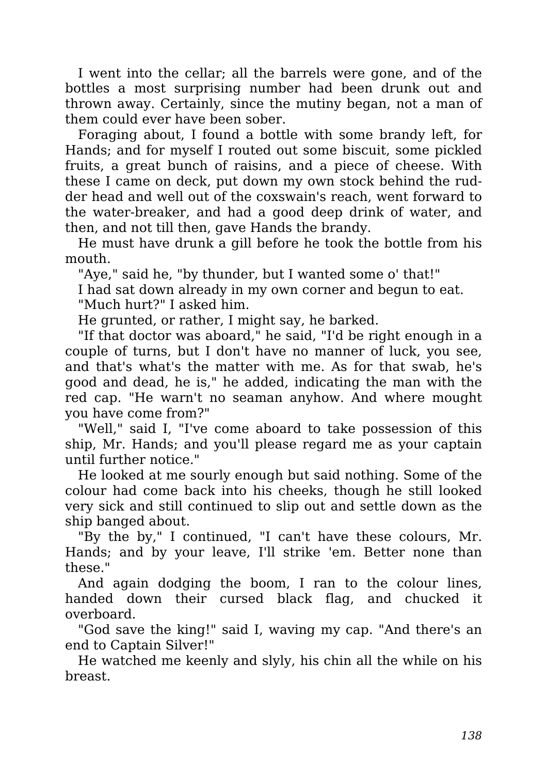I went into the cellar; all the barrels were gone, and of the bottles a most surprising number had been drunk out and thrown away. Certainly, since the mutiny began, not a man of them could ever have been sober.

Foraging about, I found a bottle with some brandy left, for Hands; and for myself I routed out some biscuit, some pickled fruits, a great bunch of raisins, and a piece of cheese. With these I came on deck, put down my own stock behind the rudder head and well out of the coxswain's reach, went forward to the water-breaker, and had a good deep drink of water, and then, and not till then, gave Hands the brandy.

He must have drunk a gill before he took the bottle from his mouth.

"Aye," said he, "by thunder, but I wanted some o' that!"

I had sat down already in my own corner and begun to eat.

"Much hurt?" I asked him.

He grunted, or rather, I might say, he barked.

"If that doctor was aboard," he said, "I'd be right enough in a couple of turns, but I don't have no manner of luck, you see, and that's what's the matter with me. As for that swab, he's good and dead, he is," he added, indicating the man with the red cap. "He warn't no seaman anyhow. And where mought you have come from?"

"Well," said I, "I've come aboard to take possession of this ship, Mr. Hands; and you'll please regard me as your captain until further notice."

He looked at me sourly enough but said nothing. Some of the colour had come back into his cheeks, though he still looked very sick and still continued to slip out and settle down as the ship banged about.

"By the by," I continued, "I can't have these colours, Mr. Hands; and by your leave, I'll strike 'em. Better none than these."

And again dodging the boom, I ran to the colour lines, handed down their cursed black flag, and chucked it overboard.

"God save the king!" said I, waving my cap. "And there's an end to Captain Silver!"

He watched me keenly and slyly, his chin all the while on his breast.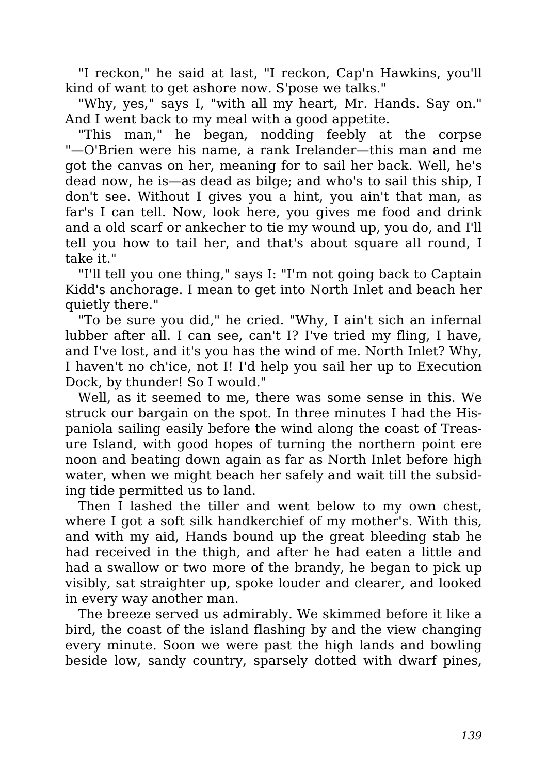"I reckon," he said at last, "I reckon, Cap'n Hawkins, you'll kind of want to get ashore now. S'pose we talks."

"Why, yes," says I, "with all my heart, Mr. Hands. Say on." And I went back to my meal with a good appetite.

"This man," he began, nodding feebly at the corpse "—O'Brien were his name, a rank Irelander—this man and me got the canvas on her, meaning for to sail her back. Well, he's dead now, he is—as dead as bilge; and who's to sail this ship, I don't see. Without I gives you a hint, you ain't that man, as far's I can tell. Now, look here, you gives me food and drink and a old scarf or ankecher to tie my wound up, you do, and I'll tell you how to tail her, and that's about square all round, I take it."

"I'll tell you one thing," says I: "I'm not going back to Captain Kidd's anchorage. I mean to get into North Inlet and beach her quietly there."

"To be sure you did," he cried. "Why, I ain't sich an infernal lubber after all. I can see, can't I? I've tried my fling, I have, and I've lost, and it's you has the wind of me. North Inlet? Why, I haven't no ch'ice, not I! I'd help you sail her up to Execution Dock, by thunder! So I would."

Well, as it seemed to me, there was some sense in this. We struck our bargain on the spot. In three minutes I had the Hispaniola sailing easily before the wind along the coast of Treasure Island, with good hopes of turning the northern point ere noon and beating down again as far as North Inlet before high water, when we might beach her safely and wait till the subsiding tide permitted us to land.

Then I lashed the tiller and went below to my own chest, where I got a soft silk handkerchief of my mother's. With this, and with my aid, Hands bound up the great bleeding stab he had received in the thigh, and after he had eaten a little and had a swallow or two more of the brandy, he began to pick up visibly, sat straighter up, spoke louder and clearer, and looked in every way another man.

The breeze served us admirably. We skimmed before it like a bird, the coast of the island flashing by and the view changing every minute. Soon we were past the high lands and bowling beside low, sandy country, sparsely dotted with dwarf pines,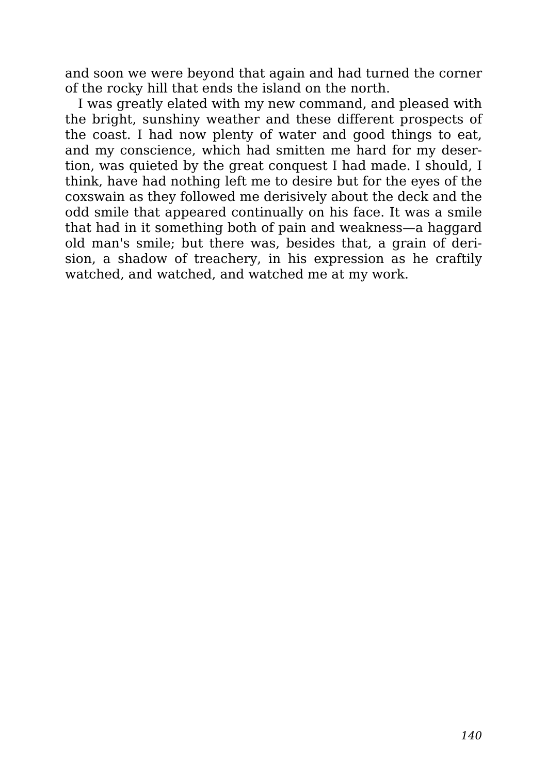and soon we were beyond that again and had turned the corner of the rocky hill that ends the island on the north.

I was greatly elated with my new command, and pleased with the bright, sunshiny weather and these different prospects of the coast. I had now plenty of water and good things to eat, and my conscience, which had smitten me hard for my desertion, was quieted by the great conquest I had made. I should, I think, have had nothing left me to desire but for the eyes of the coxswain as they followed me derisively about the deck and the odd smile that appeared continually on his face. It was a smile that had in it something both of pain and weakness—a haggard old man's smile; but there was, besides that, a grain of derision, a shadow of treachery, in his expression as he craftily watched, and watched, and watched me at my work.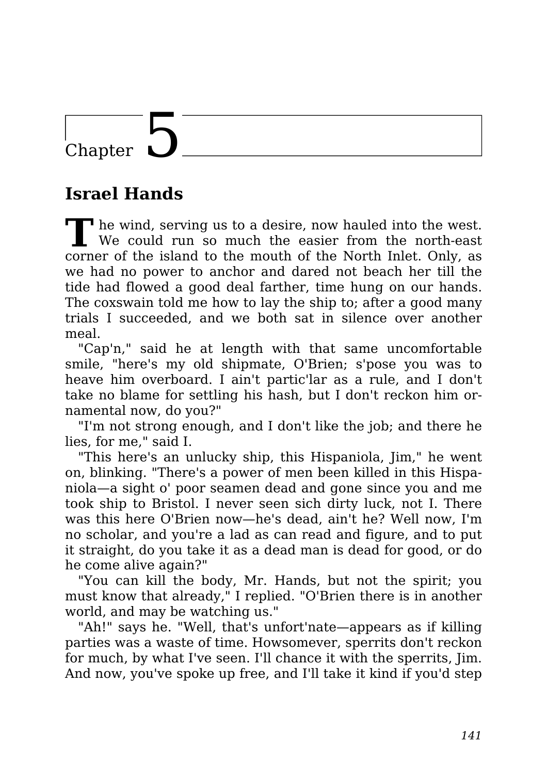### Chapter

#### **Israel Hands**

**T** <sup>•</sup> he wind, serving us to a desire, now hauled into the west. We could run so much the easier from the north-east corner of the island to the mouth of the North Inlet. Only, as we had no power to anchor and dared not beach her till the tide had flowed a good deal farther, time hung on our hands. The coxswain told me how to lay the ship to; after a good many trials I succeeded, and we both sat in silence over another meal.

"Cap'n," said he at length with that same uncomfortable smile, "here's my old shipmate, O'Brien; s'pose you was to heave him overboard. I ain't partic'lar as a rule, and I don't take no blame for settling his hash, but I don't reckon him ornamental now, do you?"

"I'm not strong enough, and I don't like the job; and there he lies, for me," said I.

"This here's an unlucky ship, this Hispaniola, Jim," he went on, blinking. "There's a power of men been killed in this Hispaniola—a sight o' poor seamen dead and gone since you and me took ship to Bristol. I never seen sich dirty luck, not I. There was this here O'Brien now—he's dead, ain't he? Well now, I'm no scholar, and you're a lad as can read and figure, and to put it straight, do you take it as a dead man is dead for good, or do he come alive again?"

"You can kill the body, Mr. Hands, but not the spirit; you must know that already," I replied. "O'Brien there is in another world, and may be watching us."

"Ah!" says he. "Well, that's unfort'nate—appears as if killing parties was a waste of time. Howsomever, sperrits don't reckon for much, by what I've seen. I'll chance it with the sperrits, Jim. And now, you've spoke up free, and I'll take it kind if you'd step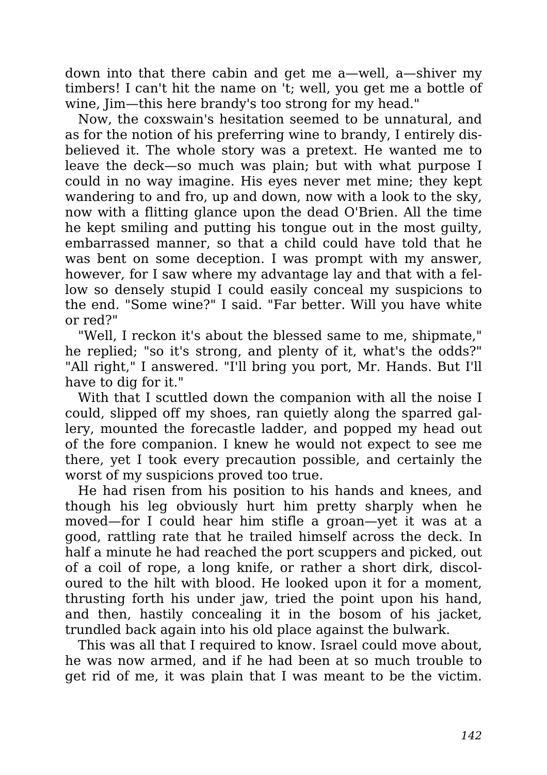down into that there cabin and get me a—well, a—shiver my timbers! I can't hit the name on 't; well, you get me a bottle of wine, Jim—this here brandy's too strong for my head."

Now, the coxswain's hesitation seemed to be unnatural, and as for the notion of his preferring wine to brandy, I entirely disbelieved it. The whole story was a pretext. He wanted me to leave the deck—so much was plain; but with what purpose I could in no way imagine. His eyes never met mine; they kept wandering to and fro, up and down, now with a look to the sky, now with a flitting glance upon the dead O'Brien. All the time he kept smiling and putting his tongue out in the most guilty, embarrassed manner, so that a child could have told that he was bent on some deception. I was prompt with my answer, however, for I saw where my advantage lay and that with a fellow so densely stupid I could easily conceal my suspicions to the end. "Some wine?" I said. "Far better. Will you have white or red?"

"Well, I reckon it's about the blessed same to me, shipmate," he replied; "so it's strong, and plenty of it, what's the odds?" "All right," I answered. "I'll bring you port, Mr. Hands. But I'll have to dig for it."

With that I scuttled down the companion with all the noise I could, slipped off my shoes, ran quietly along the sparred gallery, mounted the forecastle ladder, and popped my head out of the fore companion. I knew he would not expect to see me there, yet I took every precaution possible, and certainly the worst of my suspicions proved too true.

He had risen from his position to his hands and knees, and though his leg obviously hurt him pretty sharply when he moved—for I could hear him stifle a groan—yet it was at a good, rattling rate that he trailed himself across the deck. In half a minute he had reached the port scuppers and picked, out of a coil of rope, a long knife, or rather a short dirk, discoloured to the hilt with blood. He looked upon it for a moment, thrusting forth his under jaw, tried the point upon his hand, and then, hastily concealing it in the bosom of his jacket, trundled back again into his old place against the bulwark.

This was all that I required to know. Israel could move about, he was now armed, and if he had been at so much trouble to get rid of me, it was plain that I was meant to be the victim.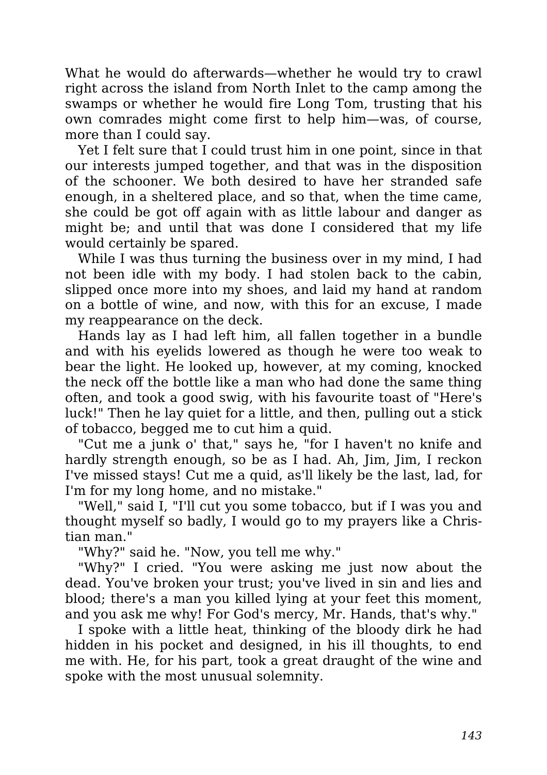What he would do afterwards—whether he would try to crawl right across the island from North Inlet to the camp among the swamps or whether he would fire Long Tom, trusting that his own comrades might come first to help him—was, of course, more than I could say.

Yet I felt sure that I could trust him in one point, since in that our interests jumped together, and that was in the disposition of the schooner. We both desired to have her stranded safe enough, in a sheltered place, and so that, when the time came, she could be got off again with as little labour and danger as might be; and until that was done I considered that my life would certainly be spared.

While I was thus turning the business over in my mind, I had not been idle with my body. I had stolen back to the cabin, slipped once more into my shoes, and laid my hand at random on a bottle of wine, and now, with this for an excuse, I made my reappearance on the deck.

Hands lay as I had left him, all fallen together in a bundle and with his eyelids lowered as though he were too weak to bear the light. He looked up, however, at my coming, knocked the neck off the bottle like a man who had done the same thing often, and took a good swig, with his favourite toast of "Here's luck!" Then he lay quiet for a little, and then, pulling out a stick of tobacco, begged me to cut him a quid.

"Cut me a junk o' that," says he, "for I haven't no knife and hardly strength enough, so be as I had. Ah, Jim, Jim, I reckon I've missed stays! Cut me a quid, as'll likely be the last, lad, for I'm for my long home, and no mistake."

"Well," said I, "I'll cut you some tobacco, but if I was you and thought myself so badly, I would go to my prayers like a Christian man."

"Why?" said he. "Now, you tell me why."

"Why?" I cried. "You were asking me just now about the dead. You've broken your trust; you've lived in sin and lies and blood; there's a man you killed lying at your feet this moment, and you ask me why! For God's mercy, Mr. Hands, that's why."

I spoke with a little heat, thinking of the bloody dirk he had hidden in his pocket and designed, in his ill thoughts, to end me with. He, for his part, took a great draught of the wine and spoke with the most unusual solemnity.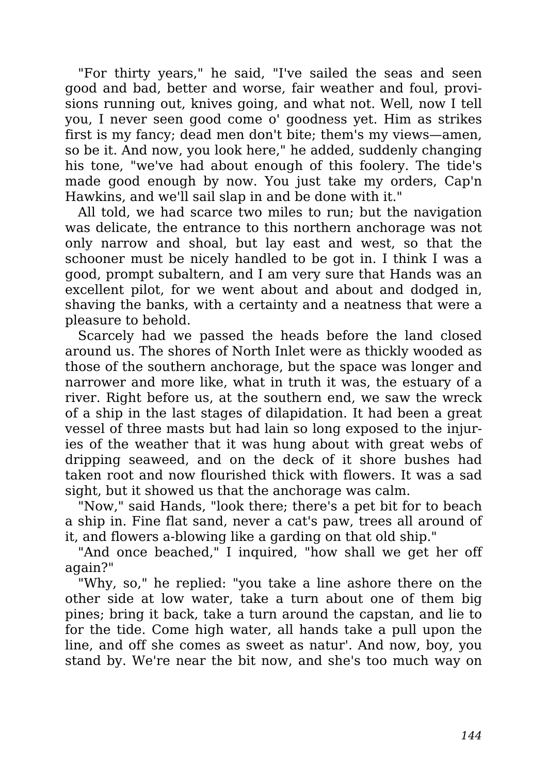"For thirty years," he said, "I've sailed the seas and seen good and bad, better and worse, fair weather and foul, provisions running out, knives going, and what not. Well, now I tell you, I never seen good come o' goodness yet. Him as strikes first is my fancy; dead men don't bite; them's my views—amen, so be it. And now, you look here," he added, suddenly changing his tone, "we've had about enough of this foolery. The tide's made good enough by now. You just take my orders, Cap'n Hawkins, and we'll sail slap in and be done with it."

All told, we had scarce two miles to run; but the navigation was delicate, the entrance to this northern anchorage was not only narrow and shoal, but lay east and west, so that the schooner must be nicely handled to be got in. I think I was a good, prompt subaltern, and I am very sure that Hands was an excellent pilot, for we went about and about and dodged in, shaving the banks, with a certainty and a neatness that were a pleasure to behold.

Scarcely had we passed the heads before the land closed around us. The shores of North Inlet were as thickly wooded as those of the southern anchorage, but the space was longer and narrower and more like, what in truth it was, the estuary of a river. Right before us, at the southern end, we saw the wreck of a ship in the last stages of dilapidation. It had been a great vessel of three masts but had lain so long exposed to the injuries of the weather that it was hung about with great webs of dripping seaweed, and on the deck of it shore bushes had taken root and now flourished thick with flowers. It was a sad sight, but it showed us that the anchorage was calm.

"Now," said Hands, "look there; there's a pet bit for to beach a ship in. Fine flat sand, never a cat's paw, trees all around of it, and flowers a-blowing like a garding on that old ship."

"And once beached," I inquired, "how shall we get her off again?"

"Why, so," he replied: "you take a line ashore there on the other side at low water, take a turn about one of them big pines; bring it back, take a turn around the capstan, and lie to for the tide. Come high water, all hands take a pull upon the line, and off she comes as sweet as natur'. And now, boy, you stand by. We're near the bit now, and she's too much way on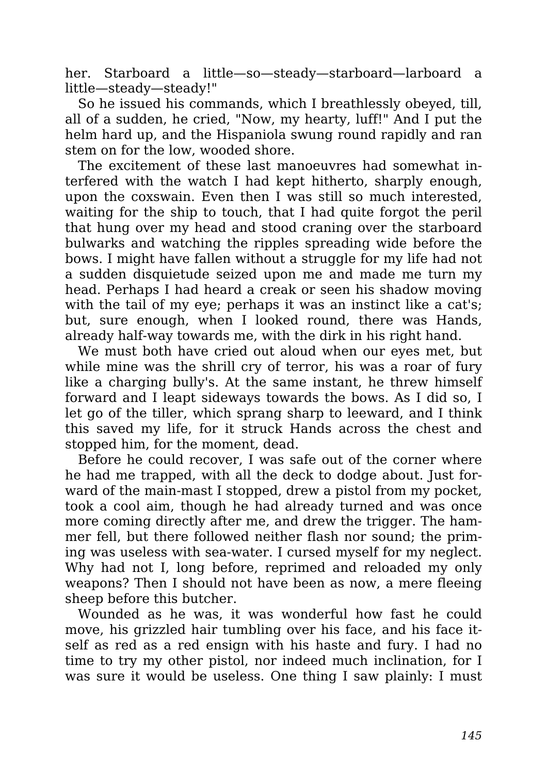her. Starboard a little—so—steady—starboard—larboard a little—steady—steady!"

So he issued his commands, which I breathlessly obeyed, till, all of a sudden, he cried, "Now, my hearty, luff!" And I put the helm hard up, and the Hispaniola swung round rapidly and ran stem on for the low, wooded shore.

The excitement of these last manoeuvres had somewhat interfered with the watch I had kept hitherto, sharply enough, upon the coxswain. Even then I was still so much interested, waiting for the ship to touch, that I had quite forgot the peril that hung over my head and stood craning over the starboard bulwarks and watching the ripples spreading wide before the bows. I might have fallen without a struggle for my life had not a sudden disquietude seized upon me and made me turn my head. Perhaps I had heard a creak or seen his shadow moving with the tail of my eye; perhaps it was an instinct like a cat's; but, sure enough, when I looked round, there was Hands, already half-way towards me, with the dirk in his right hand.

We must both have cried out aloud when our eyes met, but while mine was the shrill cry of terror, his was a roar of fury like a charging bully's. At the same instant, he threw himself forward and I leapt sideways towards the bows. As I did so, I let go of the tiller, which sprang sharp to leeward, and I think this saved my life, for it struck Hands across the chest and stopped him, for the moment, dead.

Before he could recover, I was safe out of the corner where he had me trapped, with all the deck to dodge about. Just forward of the main-mast I stopped, drew a pistol from my pocket, took a cool aim, though he had already turned and was once more coming directly after me, and drew the trigger. The hammer fell, but there followed neither flash nor sound; the priming was useless with sea-water. I cursed myself for my neglect. Why had not I, long before, reprimed and reloaded my only weapons? Then I should not have been as now, a mere fleeing sheep before this butcher.

Wounded as he was, it was wonderful how fast he could move, his grizzled hair tumbling over his face, and his face itself as red as a red ensign with his haste and fury. I had no time to try my other pistol, nor indeed much inclination, for I was sure it would be useless. One thing I saw plainly: I must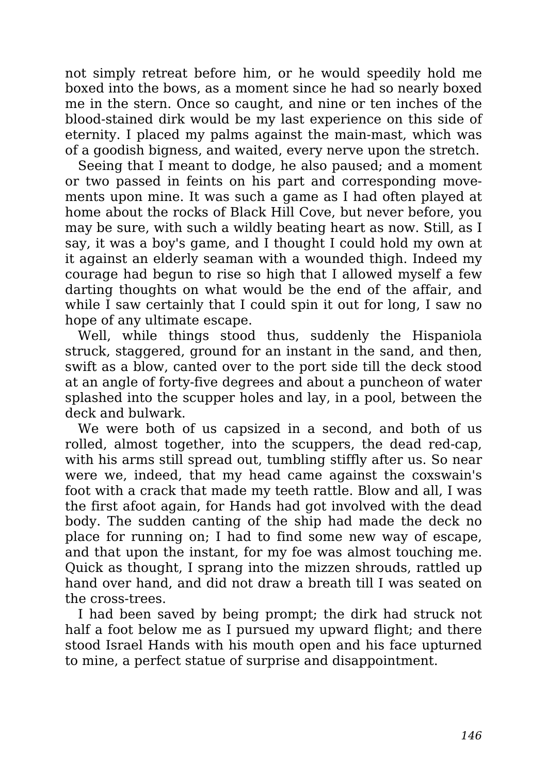not simply retreat before him, or he would speedily hold me boxed into the bows, as a moment since he had so nearly boxed me in the stern. Once so caught, and nine or ten inches of the blood-stained dirk would be my last experience on this side of eternity. I placed my palms against the main-mast, which was of a goodish bigness, and waited, every nerve upon the stretch.

Seeing that I meant to dodge, he also paused; and a moment or two passed in feints on his part and corresponding movements upon mine. It was such a game as I had often played at home about the rocks of Black Hill Cove, but never before, you may be sure, with such a wildly beating heart as now. Still, as I say, it was a boy's game, and I thought I could hold my own at it against an elderly seaman with a wounded thigh. Indeed my courage had begun to rise so high that I allowed myself a few darting thoughts on what would be the end of the affair, and while I saw certainly that I could spin it out for long, I saw no hope of any ultimate escape.

Well, while things stood thus, suddenly the Hispaniola struck, staggered, ground for an instant in the sand, and then, swift as a blow, canted over to the port side till the deck stood at an angle of forty-five degrees and about a puncheon of water splashed into the scupper holes and lay, in a pool, between the deck and bulwark.

We were both of us capsized in a second, and both of us rolled, almost together, into the scuppers, the dead red-cap, with his arms still spread out, tumbling stiffly after us. So near were we, indeed, that my head came against the coxswain's foot with a crack that made my teeth rattle. Blow and all, I was the first afoot again, for Hands had got involved with the dead body. The sudden canting of the ship had made the deck no place for running on; I had to find some new way of escape, and that upon the instant, for my foe was almost touching me. Quick as thought, I sprang into the mizzen shrouds, rattled up hand over hand, and did not draw a breath till I was seated on the cross-trees.

I had been saved by being prompt; the dirk had struck not half a foot below me as I pursued my upward flight; and there stood Israel Hands with his mouth open and his face upturned to mine, a perfect statue of surprise and disappointment.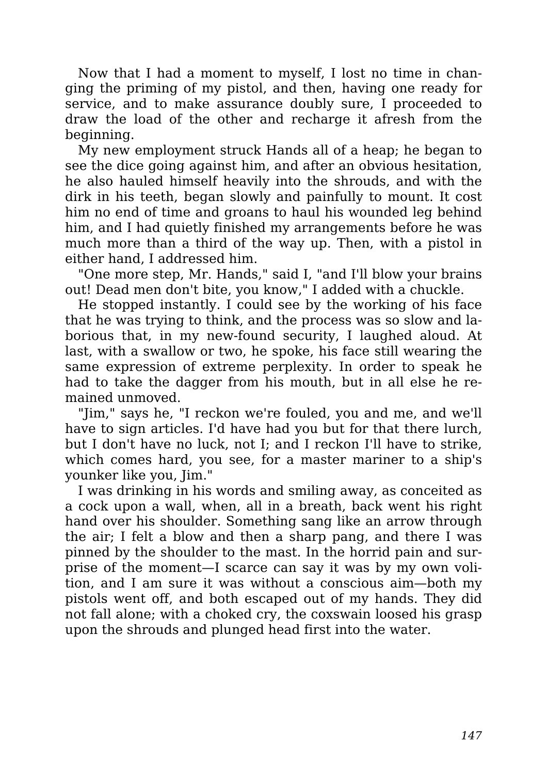Now that I had a moment to myself, I lost no time in changing the priming of my pistol, and then, having one ready for service, and to make assurance doubly sure, I proceeded to draw the load of the other and recharge it afresh from the beginning.

My new employment struck Hands all of a heap; he began to see the dice going against him, and after an obvious hesitation, he also hauled himself heavily into the shrouds, and with the dirk in his teeth, began slowly and painfully to mount. It cost him no end of time and groans to haul his wounded leg behind him, and I had quietly finished my arrangements before he was much more than a third of the way up. Then, with a pistol in either hand, I addressed him.

"One more step, Mr. Hands," said I, "and I'll blow your brains out! Dead men don't bite, you know," I added with a chuckle.

He stopped instantly. I could see by the working of his face that he was trying to think, and the process was so slow and laborious that, in my new-found security, I laughed aloud. At last, with a swallow or two, he spoke, his face still wearing the same expression of extreme perplexity. In order to speak he had to take the dagger from his mouth, but in all else he remained unmoved.

"Jim," says he, "I reckon we're fouled, you and me, and we'll have to sign articles. I'd have had you but for that there lurch, but I don't have no luck, not I; and I reckon I'll have to strike, which comes hard, you see, for a master mariner to a ship's younker like you, Jim."

I was drinking in his words and smiling away, as conceited as a cock upon a wall, when, all in a breath, back went his right hand over his shoulder. Something sang like an arrow through the air; I felt a blow and then a sharp pang, and there I was pinned by the shoulder to the mast. In the horrid pain and surprise of the moment—I scarce can say it was by my own volition, and I am sure it was without a conscious aim—both my pistols went off, and both escaped out of my hands. They did not fall alone; with a choked cry, the coxswain loosed his grasp upon the shrouds and plunged head first into the water.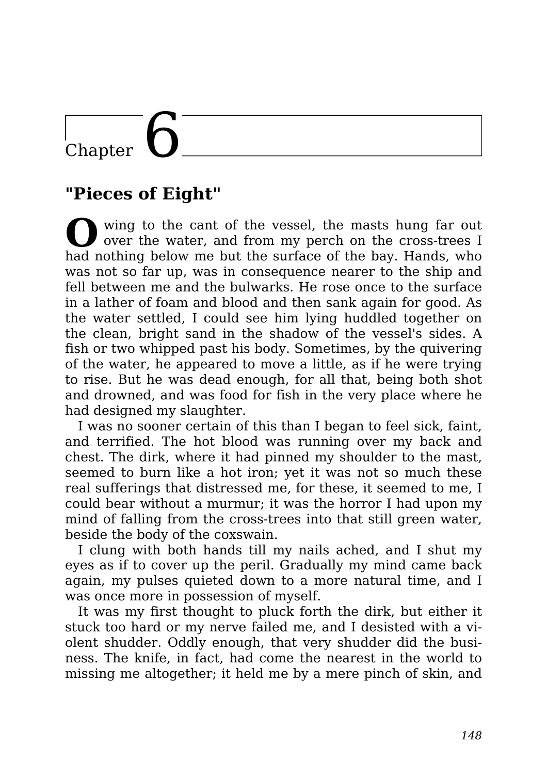# $\overline{\text{Chapter}}$

### **"Pieces of Eight"**

**O** wing to the cant of the vessel, the masts hung far out over the water, and from my perch on the cross-trees I had nothing below me but the surface of the bay. Hands, who was not so far up, was in consequence nearer to the ship and fell between me and the bulwarks. He rose once to the surface in a lather of foam and blood and then sank again for good. As the water settled, I could see him lying huddled together on the clean, bright sand in the shadow of the vessel's sides. A fish or two whipped past his body. Sometimes, by the quivering of the water, he appeared to move a little, as if he were trying to rise. But he was dead enough, for all that, being both shot and drowned, and was food for fish in the very place where he had designed my slaughter.

I was no sooner certain of this than I began to feel sick, faint, and terrified. The hot blood was running over my back and chest. The dirk, where it had pinned my shoulder to the mast, seemed to burn like a hot iron; yet it was not so much these real sufferings that distressed me, for these, it seemed to me, I could bear without a murmur; it was the horror I had upon my mind of falling from the cross-trees into that still green water, beside the body of the coxswain.

I clung with both hands till my nails ached, and I shut my eyes as if to cover up the peril. Gradually my mind came back again, my pulses quieted down to a more natural time, and I was once more in possession of myself.

It was my first thought to pluck forth the dirk, but either it stuck too hard or my nerve failed me, and I desisted with a violent shudder. Oddly enough, that very shudder did the business. The knife, in fact, had come the nearest in the world to missing me altogether; it held me by a mere pinch of skin, and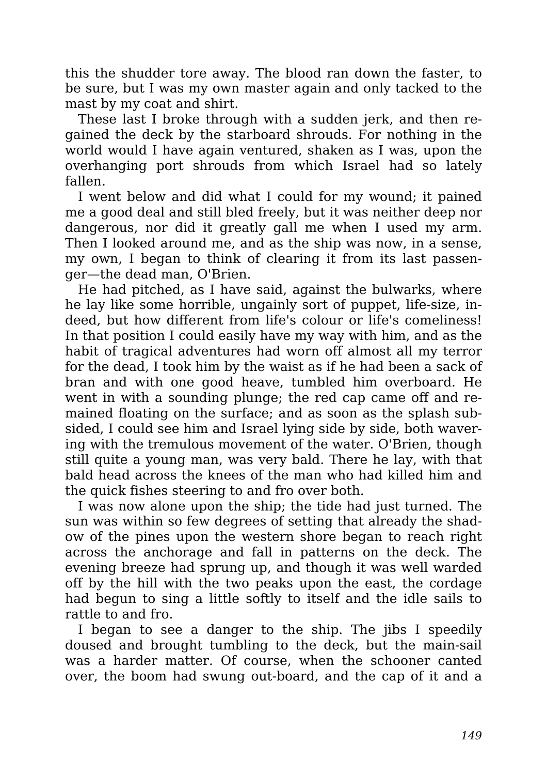this the shudder tore away. The blood ran down the faster, to be sure, but I was my own master again and only tacked to the mast by my coat and shirt.

These last I broke through with a sudden jerk, and then regained the deck by the starboard shrouds. For nothing in the world would I have again ventured, shaken as I was, upon the overhanging port shrouds from which Israel had so lately fallen.

I went below and did what I could for my wound; it pained me a good deal and still bled freely, but it was neither deep nor dangerous, nor did it greatly gall me when I used my arm. Then I looked around me, and as the ship was now, in a sense, my own, I began to think of clearing it from its last passenger—the dead man, O'Brien.

He had pitched, as I have said, against the bulwarks, where he lay like some horrible, ungainly sort of puppet, life-size, indeed, but how different from life's colour or life's comeliness! In that position I could easily have my way with him, and as the habit of tragical adventures had worn off almost all my terror for the dead, I took him by the waist as if he had been a sack of bran and with one good heave, tumbled him overboard. He went in with a sounding plunge; the red cap came off and remained floating on the surface; and as soon as the splash subsided, I could see him and Israel lying side by side, both wavering with the tremulous movement of the water. O'Brien, though still quite a young man, was very bald. There he lay, with that bald head across the knees of the man who had killed him and the quick fishes steering to and fro over both.

I was now alone upon the ship; the tide had just turned. The sun was within so few degrees of setting that already the shadow of the pines upon the western shore began to reach right across the anchorage and fall in patterns on the deck. The evening breeze had sprung up, and though it was well warded off by the hill with the two peaks upon the east, the cordage had begun to sing a little softly to itself and the idle sails to rattle to and fro.

I began to see a danger to the ship. The jibs I speedily doused and brought tumbling to the deck, but the main-sail was a harder matter. Of course, when the schooner canted over, the boom had swung out-board, and the cap of it and a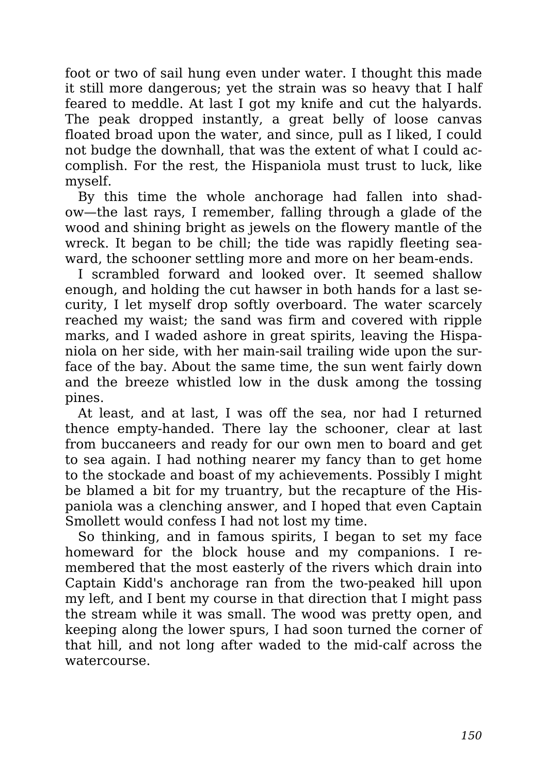foot or two of sail hung even under water. I thought this made it still more dangerous; yet the strain was so heavy that I half feared to meddle. At last I got my knife and cut the halyards. The peak dropped instantly, a great belly of loose canvas floated broad upon the water, and since, pull as I liked, I could not budge the downhall, that was the extent of what I could accomplish. For the rest, the Hispaniola must trust to luck, like myself.

By this time the whole anchorage had fallen into shadow—the last rays, I remember, falling through a glade of the wood and shining bright as jewels on the flowery mantle of the wreck. It began to be chill; the tide was rapidly fleeting seaward, the schooner settling more and more on her beam-ends.

I scrambled forward and looked over. It seemed shallow enough, and holding the cut hawser in both hands for a last security, I let myself drop softly overboard. The water scarcely reached my waist; the sand was firm and covered with ripple marks, and I waded ashore in great spirits, leaving the Hispaniola on her side, with her main-sail trailing wide upon the surface of the bay. About the same time, the sun went fairly down and the breeze whistled low in the dusk among the tossing pines.

At least, and at last, I was off the sea, nor had I returned thence empty-handed. There lay the schooner, clear at last from buccaneers and ready for our own men to board and get to sea again. I had nothing nearer my fancy than to get home to the stockade and boast of my achievements. Possibly I might be blamed a bit for my truantry, but the recapture of the Hispaniola was a clenching answer, and I hoped that even Captain Smollett would confess I had not lost my time.

So thinking, and in famous spirits, I began to set my face homeward for the block house and my companions. I remembered that the most easterly of the rivers which drain into Captain Kidd's anchorage ran from the two-peaked hill upon my left, and I bent my course in that direction that I might pass the stream while it was small. The wood was pretty open, and keeping along the lower spurs, I had soon turned the corner of that hill, and not long after waded to the mid-calf across the watercourse.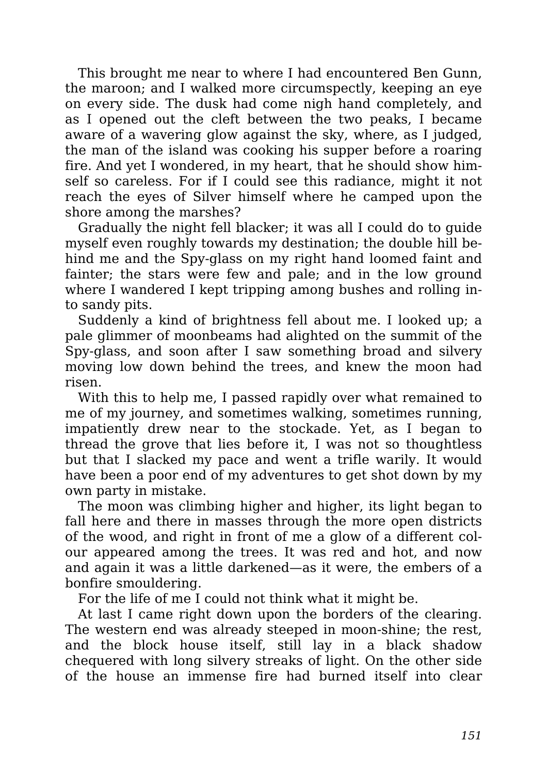This brought me near to where I had encountered Ben Gunn, the maroon; and I walked more circumspectly, keeping an eye on every side. The dusk had come nigh hand completely, and as I opened out the cleft between the two peaks, I became aware of a wavering glow against the sky, where, as I judged, the man of the island was cooking his supper before a roaring fire. And yet I wondered, in my heart, that he should show himself so careless. For if I could see this radiance, might it not reach the eyes of Silver himself where he camped upon the shore among the marshes?

Gradually the night fell blacker; it was all I could do to guide myself even roughly towards my destination; the double hill behind me and the Spy-glass on my right hand loomed faint and fainter; the stars were few and pale; and in the low ground where I wandered I kept tripping among bushes and rolling into sandy pits.

Suddenly a kind of brightness fell about me. I looked up; a pale glimmer of moonbeams had alighted on the summit of the Spy-glass, and soon after I saw something broad and silvery moving low down behind the trees, and knew the moon had risen.

With this to help me, I passed rapidly over what remained to me of my journey, and sometimes walking, sometimes running, impatiently drew near to the stockade. Yet, as I began to thread the grove that lies before it, I was not so thoughtless but that I slacked my pace and went a trifle warily. It would have been a poor end of my adventures to get shot down by my own party in mistake.

The moon was climbing higher and higher, its light began to fall here and there in masses through the more open districts of the wood, and right in front of me a glow of a different colour appeared among the trees. It was red and hot, and now and again it was a little darkened—as it were, the embers of a bonfire smouldering.

For the life of me I could not think what it might be.

At last I came right down upon the borders of the clearing. The western end was already steeped in moon-shine; the rest, and the block house itself, still lay in a black shadow chequered with long silvery streaks of light. On the other side of the house an immense fire had burned itself into clear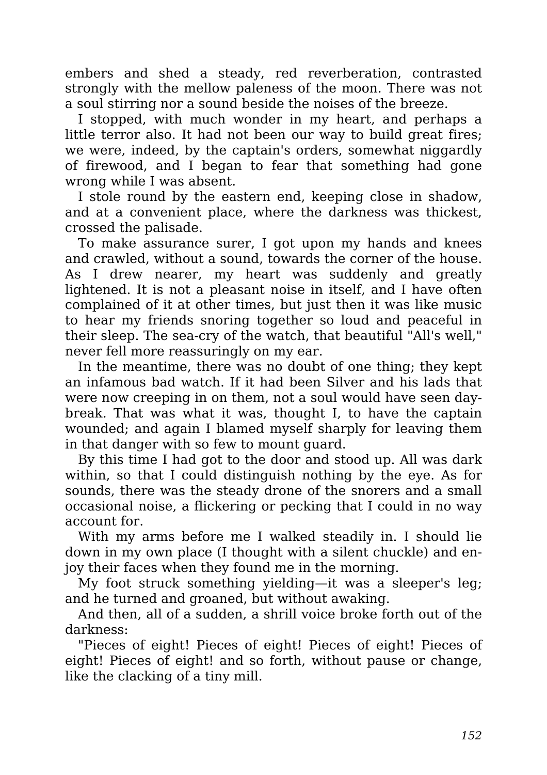embers and shed a steady, red reverberation, contrasted strongly with the mellow paleness of the moon. There was not a soul stirring nor a sound beside the noises of the breeze.

I stopped, with much wonder in my heart, and perhaps a little terror also. It had not been our way to build great fires; we were, indeed, by the captain's orders, somewhat niggardly of firewood, and I began to fear that something had gone wrong while I was absent.

I stole round by the eastern end, keeping close in shadow, and at a convenient place, where the darkness was thickest, crossed the palisade.

To make assurance surer, I got upon my hands and knees and crawled, without a sound, towards the corner of the house. As I drew nearer, my heart was suddenly and greatly lightened. It is not a pleasant noise in itself, and I have often complained of it at other times, but just then it was like music to hear my friends snoring together so loud and peaceful in their sleep. The sea-cry of the watch, that beautiful "All's well," never fell more reassuringly on my ear.

In the meantime, there was no doubt of one thing; they kept an infamous bad watch. If it had been Silver and his lads that were now creeping in on them, not a soul would have seen daybreak. That was what it was, thought I, to have the captain wounded; and again I blamed myself sharply for leaving them in that danger with so few to mount guard.

By this time I had got to the door and stood up. All was dark within, so that I could distinguish nothing by the eye. As for sounds, there was the steady drone of the snorers and a small occasional noise, a flickering or pecking that I could in no way account for.

With my arms before me I walked steadily in. I should lie down in my own place (I thought with a silent chuckle) and enjoy their faces when they found me in the morning.

My foot struck something yielding—it was a sleeper's leg; and he turned and groaned, but without awaking.

And then, all of a sudden, a shrill voice broke forth out of the darkness:

"Pieces of eight! Pieces of eight! Pieces of eight! Pieces of eight! Pieces of eight! and so forth, without pause or change, like the clacking of a tiny mill.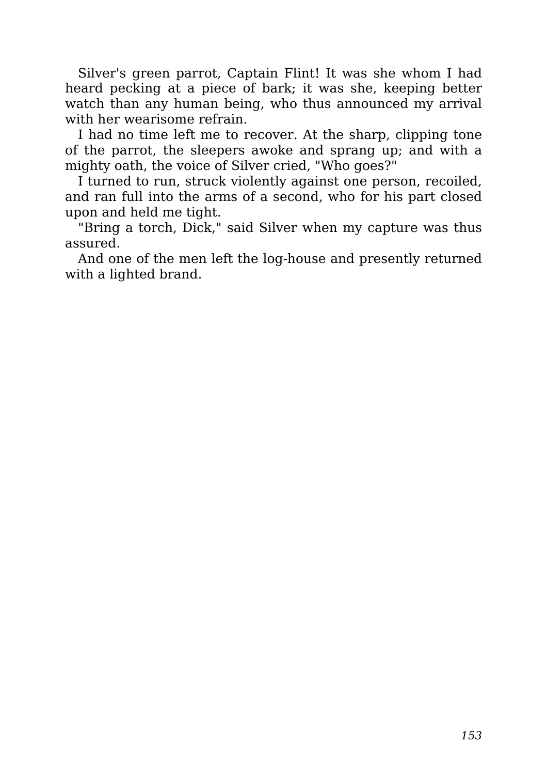Silver's green parrot, Captain Flint! It was she whom I had heard pecking at a piece of bark; it was she, keeping better watch than any human being, who thus announced my arrival with her wearisome refrain.

I had no time left me to recover. At the sharp, clipping tone of the parrot, the sleepers awoke and sprang up; and with a mighty oath, the voice of Silver cried, "Who goes?"

I turned to run, struck violently against one person, recoiled, and ran full into the arms of a second, who for his part closed upon and held me tight.

"Bring a torch, Dick," said Silver when my capture was thus assured.

And one of the men left the log-house and presently returned with a lighted brand.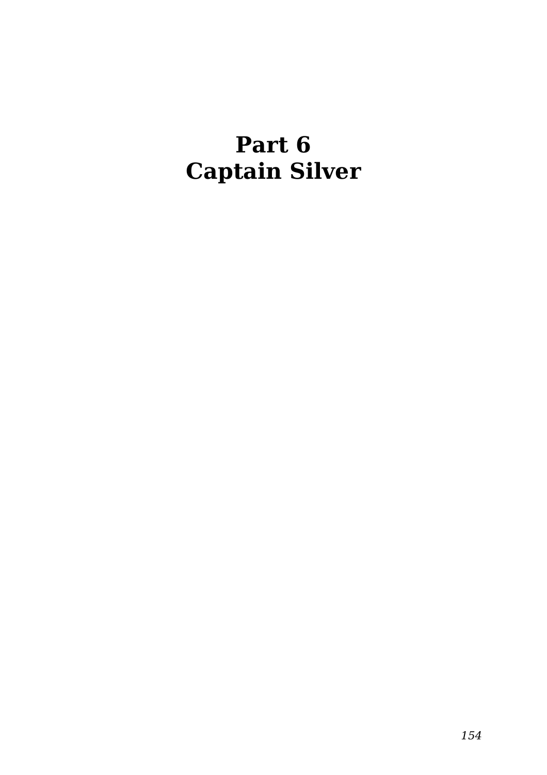### **Part 6 Captain Silver**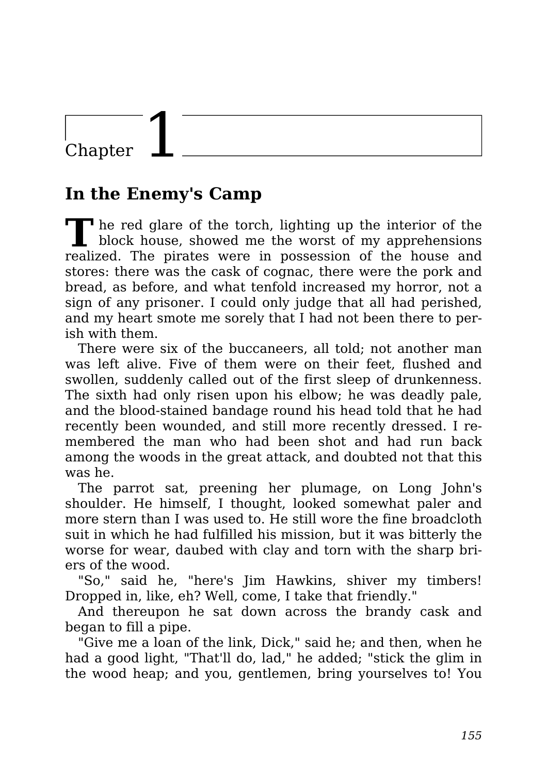### Chapter

### **In the Enemy's Camp**

**T** he red glare of the torch, lighting up the interior of the block house, showed me the worst of my apprehensions realized. The pirates were in possession of the house and stores: there was the cask of cognac, there were the pork and bread, as before, and what tenfold increased my horror, not a sign of any prisoner. I could only judge that all had perished, and my heart smote me sorely that I had not been there to perish with them.

There were six of the buccaneers, all told; not another man was left alive. Five of them were on their feet, flushed and swollen, suddenly called out of the first sleep of drunkenness. The sixth had only risen upon his elbow; he was deadly pale, and the blood-stained bandage round his head told that he had recently been wounded, and still more recently dressed. I remembered the man who had been shot and had run back among the woods in the great attack, and doubted not that this was he.

The parrot sat, preening her plumage, on Long John's shoulder. He himself, I thought, looked somewhat paler and more stern than I was used to. He still wore the fine broadcloth suit in which he had fulfilled his mission, but it was bitterly the worse for wear, daubed with clay and torn with the sharp briers of the wood.

"So," said he, "here's Jim Hawkins, shiver my timbers! Dropped in, like, eh? Well, come, I take that friendly."

And thereupon he sat down across the brandy cask and began to fill a pipe.

"Give me a loan of the link, Dick," said he; and then, when he had a good light, "That'll do, lad," he added; "stick the glim in the wood heap; and you, gentlemen, bring yourselves to! You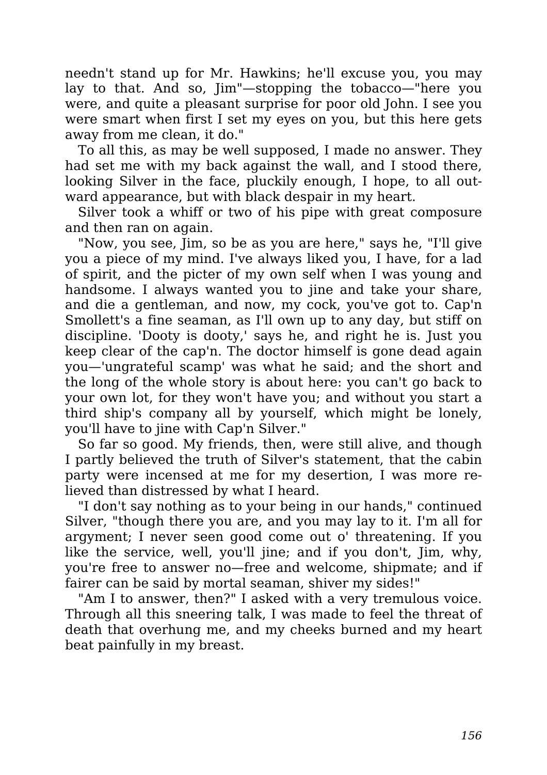needn't stand up for Mr. Hawkins; he'll excuse you, you may lay to that. And so, Jim"—stopping the tobacco—"here you were, and quite a pleasant surprise for poor old John. I see you were smart when first I set my eyes on you, but this here gets away from me clean, it do."

To all this, as may be well supposed, I made no answer. They had set me with my back against the wall, and I stood there, looking Silver in the face, pluckily enough, I hope, to all outward appearance, but with black despair in my heart.

Silver took a whiff or two of his pipe with great composure and then ran on again.

"Now, you see, Jim, so be as you are here," says he, "I'll give you a piece of my mind. I've always liked you, I have, for a lad of spirit, and the picter of my own self when I was young and handsome. I always wanted you to jine and take your share, and die a gentleman, and now, my cock, you've got to. Cap'n Smollett's a fine seaman, as I'll own up to any day, but stiff on discipline. 'Dooty is dooty,' says he, and right he is. Just you keep clear of the cap'n. The doctor himself is gone dead again you—'ungrateful scamp' was what he said; and the short and the long of the whole story is about here: you can't go back to your own lot, for they won't have you; and without you start a third ship's company all by yourself, which might be lonely, you'll have to jine with Cap'n Silver."

So far so good. My friends, then, were still alive, and though I partly believed the truth of Silver's statement, that the cabin party were incensed at me for my desertion, I was more relieved than distressed by what I heard.

"I don't say nothing as to your being in our hands," continued Silver, "though there you are, and you may lay to it. I'm all for argyment; I never seen good come out o' threatening. If you like the service, well, you'll jine; and if you don't, Jim, why, you're free to answer no—free and welcome, shipmate; and if fairer can be said by mortal seaman, shiver my sides!"

"Am I to answer, then?" I asked with a very tremulous voice. Through all this sneering talk, I was made to feel the threat of death that overhung me, and my cheeks burned and my heart beat painfully in my breast.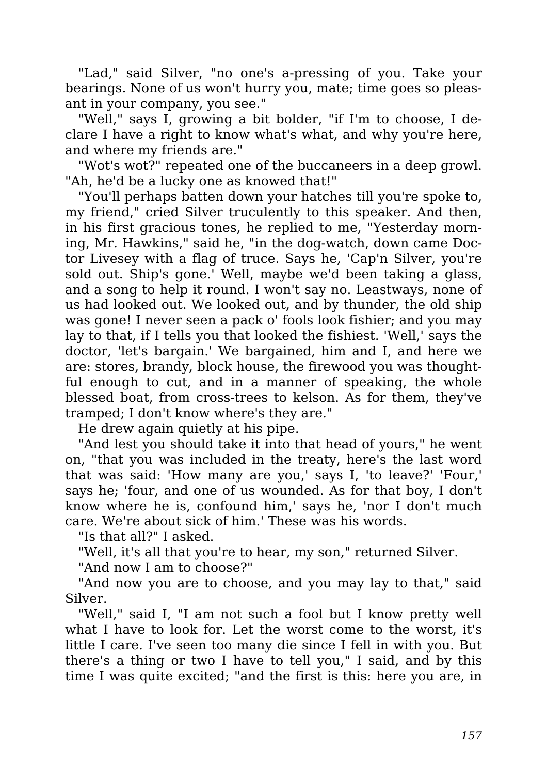"Lad," said Silver, "no one's a-pressing of you. Take your bearings. None of us won't hurry you, mate; time goes so pleasant in your company, you see."

"Well," says I, growing a bit bolder, "if I'm to choose, I declare I have a right to know what's what, and why you're here, and where my friends are."

"Wot's wot?" repeated one of the buccaneers in a deep growl. "Ah, he'd be a lucky one as knowed that!"

"You'll perhaps batten down your hatches till you're spoke to, my friend," cried Silver truculently to this speaker. And then, in his first gracious tones, he replied to me, "Yesterday morning, Mr. Hawkins," said he, "in the dog-watch, down came Doctor Livesey with a flag of truce. Says he, 'Cap'n Silver, you're sold out. Ship's gone.' Well, maybe we'd been taking a glass, and a song to help it round. I won't say no. Leastways, none of us had looked out. We looked out, and by thunder, the old ship was gone! I never seen a pack o' fools look fishier; and you may lay to that, if I tells you that looked the fishiest. 'Well,' says the doctor, 'let's bargain.' We bargained, him and I, and here we are: stores, brandy, block house, the firewood you was thoughtful enough to cut, and in a manner of speaking, the whole blessed boat, from cross-trees to kelson. As for them, they've tramped; I don't know where's they are."

He drew again quietly at his pipe.

"And lest you should take it into that head of yours," he went on, "that you was included in the treaty, here's the last word that was said: 'How many are you,' says I, 'to leave?' 'Four,' says he; 'four, and one of us wounded. As for that boy, I don't know where he is, confound him,' says he, 'nor I don't much care. We're about sick of him.' These was his words.

"Is that all?" I asked.

"Well, it's all that you're to hear, my son," returned Silver.

"And now I am to choose?"

"And now you are to choose, and you may lay to that," said Silver.

"Well," said I, "I am not such a fool but I know pretty well what I have to look for. Let the worst come to the worst, it's little I care. I've seen too many die since I fell in with you. But there's a thing or two I have to tell you," I said, and by this time I was quite excited; "and the first is this: here you are, in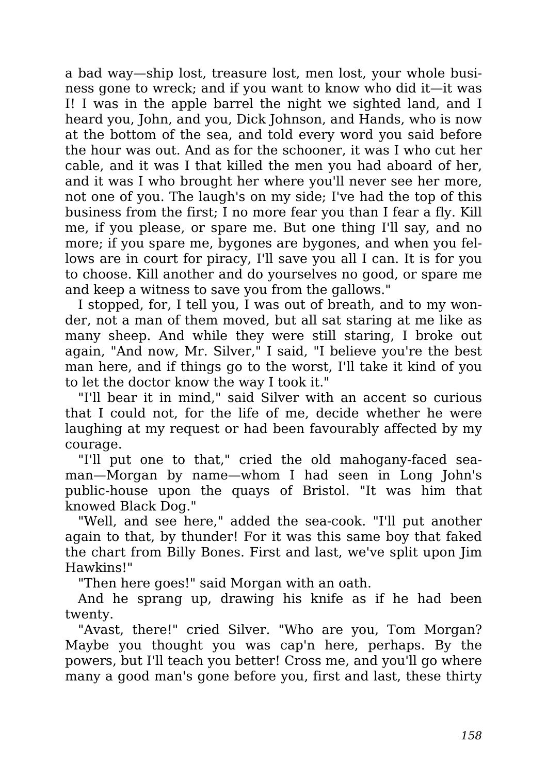a bad way—ship lost, treasure lost, men lost, your whole business gone to wreck; and if you want to know who did it—it was I! I was in the apple barrel the night we sighted land, and I heard you, John, and you, Dick Johnson, and Hands, who is now at the bottom of the sea, and told every word you said before the hour was out. And as for the schooner, it was I who cut her cable, and it was I that killed the men you had aboard of her, and it was I who brought her where you'll never see her more, not one of you. The laugh's on my side; I've had the top of this business from the first; I no more fear you than I fear a fly. Kill me, if you please, or spare me. But one thing I'll say, and no more; if you spare me, bygones are bygones, and when you fellows are in court for piracy, I'll save you all I can. It is for you to choose. Kill another and do yourselves no good, or spare me and keep a witness to save you from the gallows."

I stopped, for, I tell you, I was out of breath, and to my wonder, not a man of them moved, but all sat staring at me like as many sheep. And while they were still staring, I broke out again, "And now, Mr. Silver," I said, "I believe you're the best man here, and if things go to the worst, I'll take it kind of you to let the doctor know the way I took it."

"I'll bear it in mind," said Silver with an accent so curious that I could not, for the life of me, decide whether he were laughing at my request or had been favourably affected by my courage.

"I'll put one to that," cried the old mahogany-faced seaman—Morgan by name—whom I had seen in Long John's public-house upon the quays of Bristol. "It was him that knowed Black Dog."

"Well, and see here," added the sea-cook. "I'll put another again to that, by thunder! For it was this same boy that faked the chart from Billy Bones. First and last, we've split upon Jim Hawkins!"

"Then here goes!" said Morgan with an oath.

And he sprang up, drawing his knife as if he had been twenty.

"Avast, there!" cried Silver. "Who are you, Tom Morgan? Maybe you thought you was cap'n here, perhaps. By the powers, but I'll teach you better! Cross me, and you'll go where many a good man's gone before you, first and last, these thirty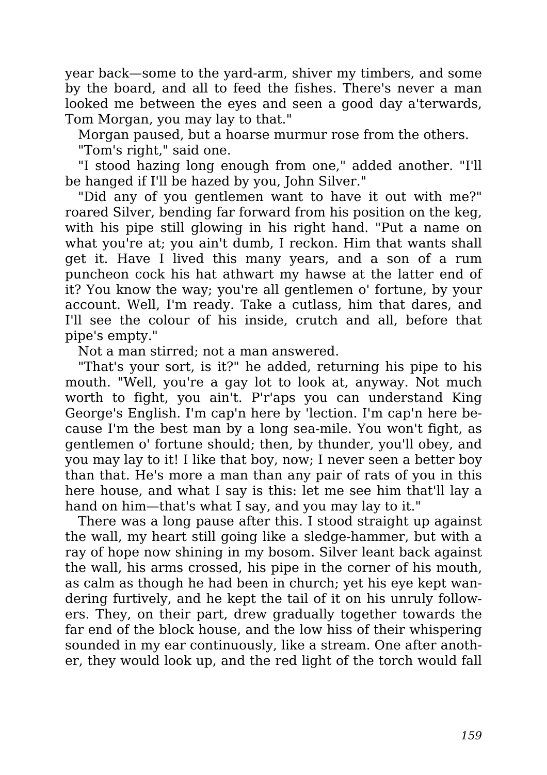year back—some to the yard-arm, shiver my timbers, and some by the board, and all to feed the fishes. There's never a man looked me between the eyes and seen a good day a'terwards, Tom Morgan, you may lay to that."

Morgan paused, but a hoarse murmur rose from the others. "Tom's right," said one.

"I stood hazing long enough from one," added another. "I'll be hanged if I'll be hazed by you, John Silver."

"Did any of you gentlemen want to have it out with me?" roared Silver, bending far forward from his position on the keg, with his pipe still glowing in his right hand. "Put a name on what you're at; you ain't dumb, I reckon. Him that wants shall get it. Have I lived this many years, and a son of a rum puncheon cock his hat athwart my hawse at the latter end of it? You know the way; you're all gentlemen o' fortune, by your account. Well, I'm ready. Take a cutlass, him that dares, and I'll see the colour of his inside, crutch and all, before that pipe's empty."

Not a man stirred; not a man answered.

"That's your sort, is it?" he added, returning his pipe to his mouth. "Well, you're a gay lot to look at, anyway. Not much worth to fight, you ain't. P'r'aps you can understand King George's English. I'm cap'n here by 'lection. I'm cap'n here because I'm the best man by a long sea-mile. You won't fight, as gentlemen o' fortune should; then, by thunder, you'll obey, and you may lay to it! I like that boy, now; I never seen a better boy than that. He's more a man than any pair of rats of you in this here house, and what I say is this: let me see him that'll lay a hand on him—that's what I say, and you may lay to it."

There was a long pause after this. I stood straight up against the wall, my heart still going like a sledge-hammer, but with a ray of hope now shining in my bosom. Silver leant back against the wall, his arms crossed, his pipe in the corner of his mouth, as calm as though he had been in church; yet his eye kept wandering furtively, and he kept the tail of it on his unruly followers. They, on their part, drew gradually together towards the far end of the block house, and the low hiss of their whispering sounded in my ear continuously, like a stream. One after another, they would look up, and the red light of the torch would fall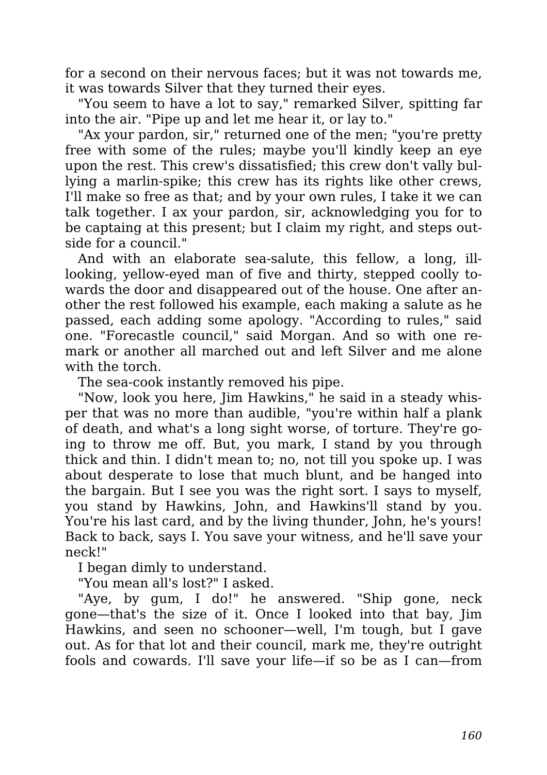for a second on their nervous faces; but it was not towards me, it was towards Silver that they turned their eyes.

"You seem to have a lot to say," remarked Silver, spitting far into the air. "Pipe up and let me hear it, or lay to."

"Ax your pardon, sir," returned one of the men; "you're pretty free with some of the rules; maybe you'll kindly keep an eye upon the rest. This crew's dissatisfied; this crew don't vally bullying a marlin-spike; this crew has its rights like other crews, I'll make so free as that; and by your own rules, I take it we can talk together. I ax your pardon, sir, acknowledging you for to be captaing at this present; but I claim my right, and steps outside for a council."

And with an elaborate sea-salute, this fellow, a long, illlooking, yellow-eyed man of five and thirty, stepped coolly towards the door and disappeared out of the house. One after another the rest followed his example, each making a salute as he passed, each adding some apology. "According to rules," said one. "Forecastle council," said Morgan. And so with one remark or another all marched out and left Silver and me alone with the torch.

The sea-cook instantly removed his pipe.

"Now, look you here, Jim Hawkins," he said in a steady whisper that was no more than audible, "you're within half a plank of death, and what's a long sight worse, of torture. They're going to throw me off. But, you mark, I stand by you through thick and thin. I didn't mean to; no, not till you spoke up. I was about desperate to lose that much blunt, and be hanged into the bargain. But I see you was the right sort. I says to myself, you stand by Hawkins, John, and Hawkins'll stand by you. You're his last card, and by the living thunder, John, he's yours! Back to back, says I. You save your witness, and he'll save your neck!"

I began dimly to understand.

"You mean all's lost?" I asked.

"Aye, by gum, I do!" he answered. "Ship gone, neck gone—that's the size of it. Once I looked into that bay, Jim Hawkins, and seen no schooner—well, I'm tough, but I gave out. As for that lot and their council, mark me, they're outright fools and cowards. I'll save your life—if so be as I can—from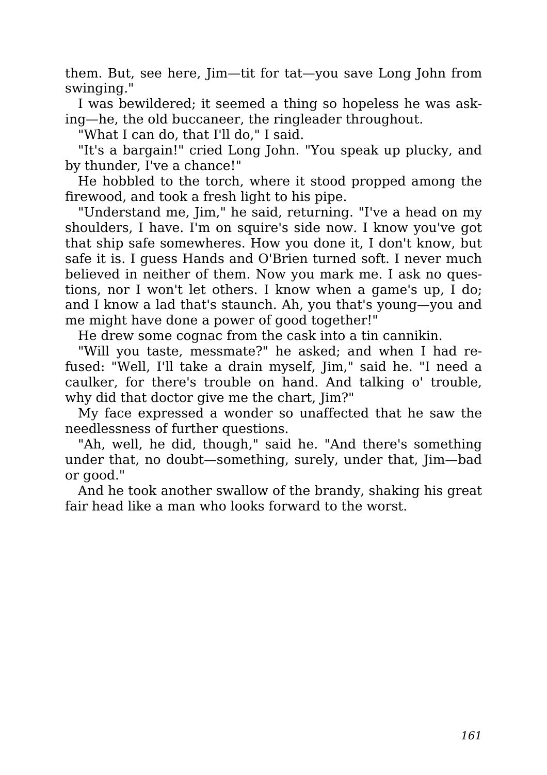them. But, see here, Jim—tit for tat—you save Long John from swinging."

I was bewildered; it seemed a thing so hopeless he was asking—he, the old buccaneer, the ringleader throughout.

"What I can do, that I'll do," I said.

"It's a bargain!" cried Long John. "You speak up plucky, and by thunder, I've a chance!"

He hobbled to the torch, where it stood propped among the firewood, and took a fresh light to his pipe.

"Understand me, Jim," he said, returning. "I've a head on my shoulders, I have. I'm on squire's side now. I know you've got that ship safe somewheres. How you done it, I don't know, but safe it is. I guess Hands and O'Brien turned soft. I never much believed in neither of them. Now you mark me. I ask no questions, nor I won't let others. I know when a game's up, I do; and I know a lad that's staunch. Ah, you that's young—you and me might have done a power of good together!"

He drew some cognac from the cask into a tin cannikin.

"Will you taste, messmate?" he asked; and when I had refused: "Well, I'll take a drain myself, Jim," said he. "I need a caulker, for there's trouble on hand. And talking o' trouble, why did that doctor give me the chart,  $\lim$ ?"

My face expressed a wonder so unaffected that he saw the needlessness of further questions.

"Ah, well, he did, though," said he. "And there's something under that, no doubt—something, surely, under that, Jim—bad or good."

And he took another swallow of the brandy, shaking his great fair head like a man who looks forward to the worst.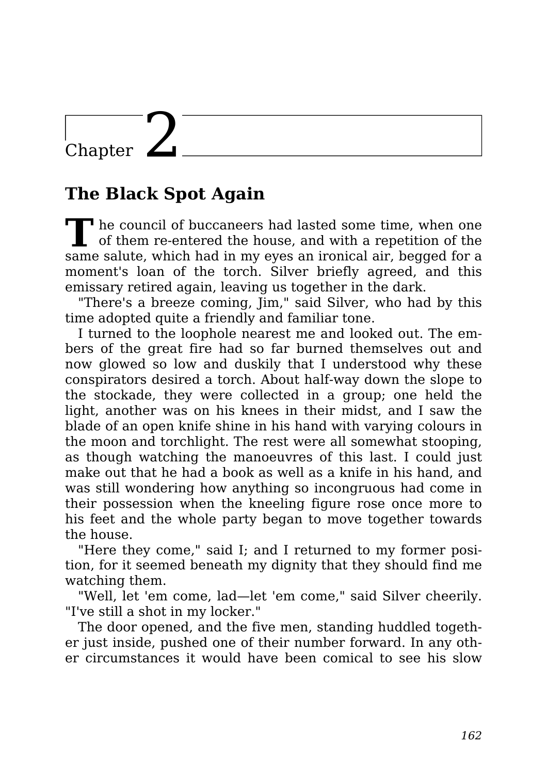### Chapter  $\angle$

#### **The Black Spot Again**

**T** The council of buccaneers had lasted some time, when one of them re-entered the house, and with a repetition of the same salute, which had in my eyes an ironical air, begged for a moment's loan of the torch. Silver briefly agreed, and this emissary retired again, leaving us together in the dark.

"There's a breeze coming, Jim," said Silver, who had by this time adopted quite a friendly and familiar tone.

I turned to the loophole nearest me and looked out. The embers of the great fire had so far burned themselves out and now glowed so low and duskily that I understood why these conspirators desired a torch. About half-way down the slope to the stockade, they were collected in a group; one held the light, another was on his knees in their midst, and I saw the blade of an open knife shine in his hand with varying colours in the moon and torchlight. The rest were all somewhat stooping, as though watching the manoeuvres of this last. I could just make out that he had a book as well as a knife in his hand, and was still wondering how anything so incongruous had come in their possession when the kneeling figure rose once more to his feet and the whole party began to move together towards the house.

"Here they come," said I; and I returned to my former position, for it seemed beneath my dignity that they should find me watching them.

"Well, let 'em come, lad—let 'em come," said Silver cheerily. "I've still a shot in my locker."

The door opened, and the five men, standing huddled together just inside, pushed one of their number forward. In any other circumstances it would have been comical to see his slow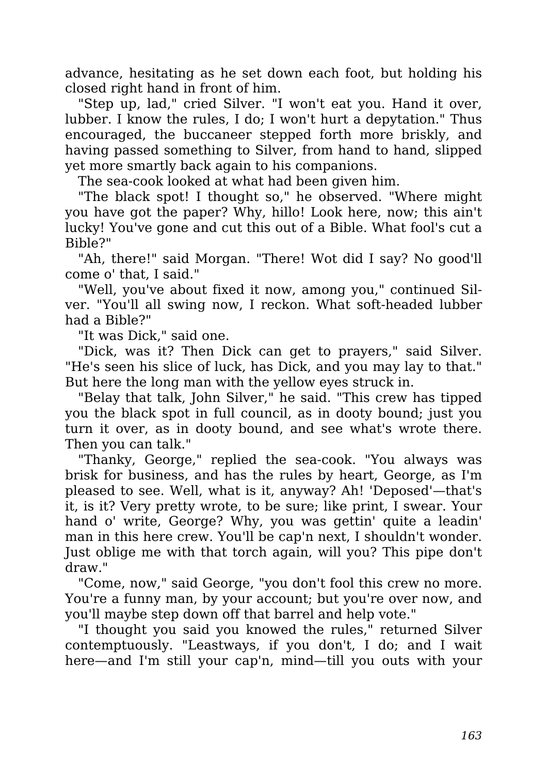advance, hesitating as he set down each foot, but holding his closed right hand in front of him.

"Step up, lad," cried Silver. "I won't eat you. Hand it over, lubber. I know the rules, I do; I won't hurt a depytation." Thus encouraged, the buccaneer stepped forth more briskly, and having passed something to Silver, from hand to hand, slipped yet more smartly back again to his companions.

The sea-cook looked at what had been given him.

"The black spot! I thought so," he observed. "Where might you have got the paper? Why, hillo! Look here, now; this ain't lucky! You've gone and cut this out of a Bible. What fool's cut a Bible?"

"Ah, there!" said Morgan. "There! Wot did I say? No good'll come o' that, I said."

"Well, you've about fixed it now, among you," continued Silver. "You'll all swing now, I reckon. What soft-headed lubber had a Bible?"

"It was Dick," said one.

"Dick, was it? Then Dick can get to prayers," said Silver. "He's seen his slice of luck, has Dick, and you may lay to that." But here the long man with the yellow eyes struck in.

"Belay that talk, John Silver," he said. "This crew has tipped you the black spot in full council, as in dooty bound; just you turn it over, as in dooty bound, and see what's wrote there. Then you can talk."

"Thanky, George," replied the sea-cook. "You always was brisk for business, and has the rules by heart, George, as I'm pleased to see. Well, what is it, anyway? Ah! 'Deposed'—that's it, is it? Very pretty wrote, to be sure; like print, I swear. Your hand o' write, George? Why, you was gettin' quite a leadin' man in this here crew. You'll be cap'n next, I shouldn't wonder. Just oblige me with that torch again, will you? This pipe don't draw."

"Come, now," said George, "you don't fool this crew no more. You're a funny man, by your account; but you're over now, and you'll maybe step down off that barrel and help vote."

"I thought you said you knowed the rules," returned Silver contemptuously. "Leastways, if you don't, I do; and I wait here—and I'm still your cap'n, mind—till you outs with your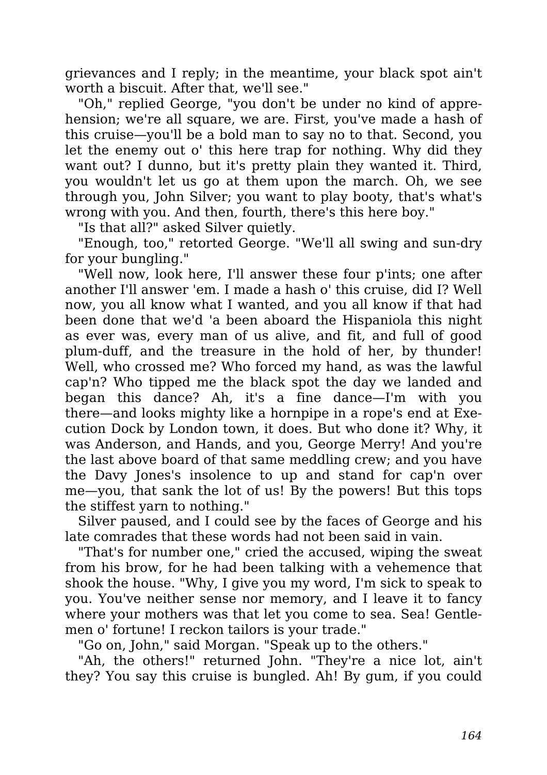grievances and I reply; in the meantime, your black spot ain't worth a biscuit. After that, we'll see."

"Oh," replied George, "you don't be under no kind of apprehension; we're all square, we are. First, you've made a hash of this cruise—you'll be a bold man to say no to that. Second, you let the enemy out o' this here trap for nothing. Why did they want out? I dunno, but it's pretty plain they wanted it. Third, you wouldn't let us go at them upon the march. Oh, we see through you, John Silver; you want to play booty, that's what's wrong with you. And then, fourth, there's this here boy."

"Is that all?" asked Silver quietly.

"Enough, too," retorted George. "We'll all swing and sun-dry for your bungling."

"Well now, look here, I'll answer these four p'ints; one after another I'll answer 'em. I made a hash o' this cruise, did I? Well now, you all know what I wanted, and you all know if that had been done that we'd 'a been aboard the Hispaniola this night as ever was, every man of us alive, and fit, and full of good plum-duff, and the treasure in the hold of her, by thunder! Well, who crossed me? Who forced my hand, as was the lawful cap'n? Who tipped me the black spot the day we landed and began this dance? Ah, it's a fine dance—I'm with you there—and looks mighty like a hornpipe in a rope's end at Execution Dock by London town, it does. But who done it? Why, it was Anderson, and Hands, and you, George Merry! And you're the last above board of that same meddling crew; and you have the Davy Jones's insolence to up and stand for cap'n over me—you, that sank the lot of us! By the powers! But this tops the stiffest yarn to nothing."

Silver paused, and I could see by the faces of George and his late comrades that these words had not been said in vain.

"That's for number one," cried the accused, wiping the sweat from his brow, for he had been talking with a vehemence that shook the house. "Why, I give you my word, I'm sick to speak to you. You've neither sense nor memory, and I leave it to fancy where your mothers was that let you come to sea. Sea! Gentlemen o' fortune! I reckon tailors is your trade."

"Go on, John," said Morgan. "Speak up to the others."

"Ah, the others!" returned John. "They're a nice lot, ain't they? You say this cruise is bungled. Ah! By gum, if you could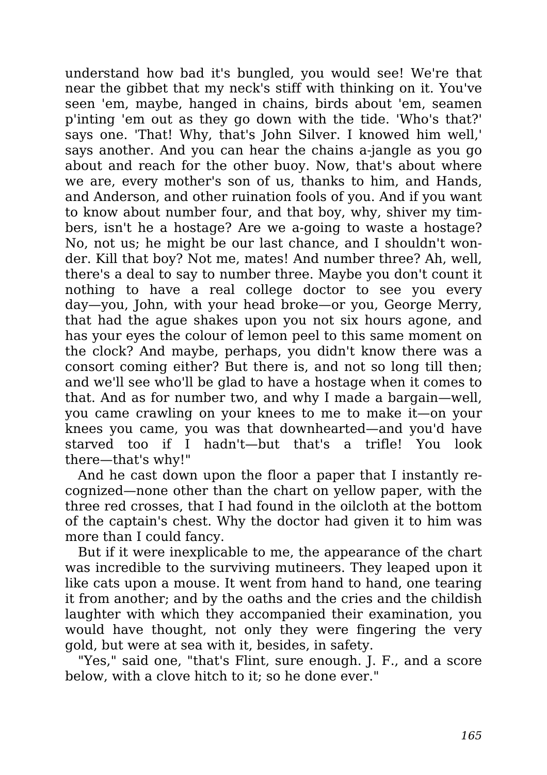understand how bad it's bungled, you would see! We're that near the gibbet that my neck's stiff with thinking on it. You've seen 'em, maybe, hanged in chains, birds about 'em, seamen p'inting 'em out as they go down with the tide. 'Who's that?' says one. 'That! Why, that's John Silver. I knowed him well,' says another. And you can hear the chains a-jangle as you go about and reach for the other buoy. Now, that's about where we are, every mother's son of us, thanks to him, and Hands, and Anderson, and other ruination fools of you. And if you want to know about number four, and that boy, why, shiver my timbers, isn't he a hostage? Are we a-going to waste a hostage? No, not us; he might be our last chance, and I shouldn't wonder. Kill that boy? Not me, mates! And number three? Ah, well, there's a deal to say to number three. Maybe you don't count it nothing to have a real college doctor to see you every day—you, John, with your head broke—or you, George Merry, that had the ague shakes upon you not six hours agone, and has your eyes the colour of lemon peel to this same moment on the clock? And maybe, perhaps, you didn't know there was a consort coming either? But there is, and not so long till then; and we'll see who'll be glad to have a hostage when it comes to that. And as for number two, and why I made a bargain—well, you came crawling on your knees to me to make it—on your knees you came, you was that downhearted—and you'd have starved too if I hadn't—but that's a trifle! You look there—that's why!"

And he cast down upon the floor a paper that I instantly recognized—none other than the chart on yellow paper, with the three red crosses, that I had found in the oilcloth at the bottom of the captain's chest. Why the doctor had given it to him was more than I could fancy.

But if it were inexplicable to me, the appearance of the chart was incredible to the surviving mutineers. They leaped upon it like cats upon a mouse. It went from hand to hand, one tearing it from another; and by the oaths and the cries and the childish laughter with which they accompanied their examination, you would have thought, not only they were fingering the very gold, but were at sea with it, besides, in safety.

"Yes," said one, "that's Flint, sure enough. J. F., and a score below, with a clove hitch to it; so he done ever."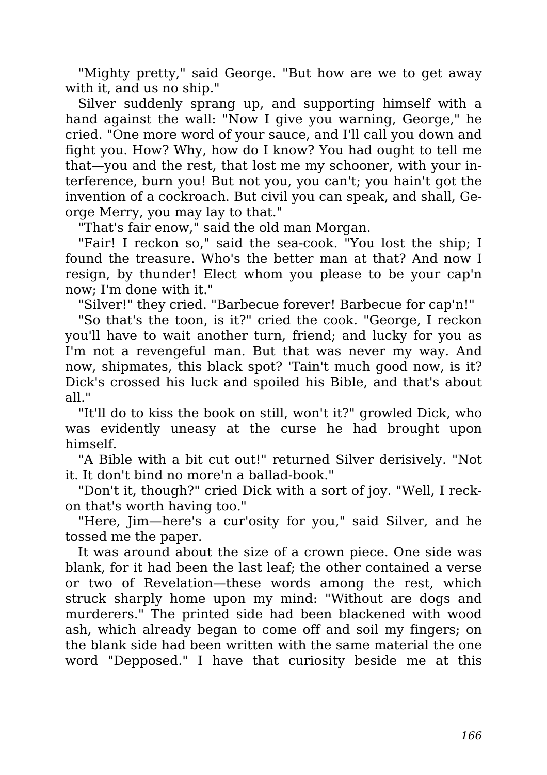"Mighty pretty," said George. "But how are we to get away with it, and us no ship."

Silver suddenly sprang up, and supporting himself with a hand against the wall: "Now I give you warning, George," he cried. "One more word of your sauce, and I'll call you down and fight you. How? Why, how do I know? You had ought to tell me that—you and the rest, that lost me my schooner, with your interference, burn you! But not you, you can't; you hain't got the invention of a cockroach. But civil you can speak, and shall, George Merry, you may lay to that."

"That's fair enow," said the old man Morgan.

"Fair! I reckon so," said the sea-cook. "You lost the ship; I found the treasure. Who's the better man at that? And now I resign, by thunder! Elect whom you please to be your cap'n now; I'm done with it."

"Silver!" they cried. "Barbecue forever! Barbecue for cap'n!"

"So that's the toon, is it?" cried the cook. "George, I reckon you'll have to wait another turn, friend; and lucky for you as I'm not a revengeful man. But that was never my way. And now, shipmates, this black spot? 'Tain't much good now, is it? Dick's crossed his luck and spoiled his Bible, and that's about all."

"It'll do to kiss the book on still, won't it?" growled Dick, who was evidently uneasy at the curse he had brought upon himself.

"A Bible with a bit cut out!" returned Silver derisively. "Not it. It don't bind no more'n a ballad-book."

"Don't it, though?" cried Dick with a sort of joy. "Well, I reckon that's worth having too."

"Here, Jim—here's a cur'osity for you," said Silver, and he tossed me the paper.

It was around about the size of a crown piece. One side was blank, for it had been the last leaf; the other contained a verse or two of Revelation—these words among the rest, which struck sharply home upon my mind: "Without are dogs and murderers." The printed side had been blackened with wood ash, which already began to come off and soil my fingers; on the blank side had been written with the same material the one word "Depposed." I have that curiosity beside me at this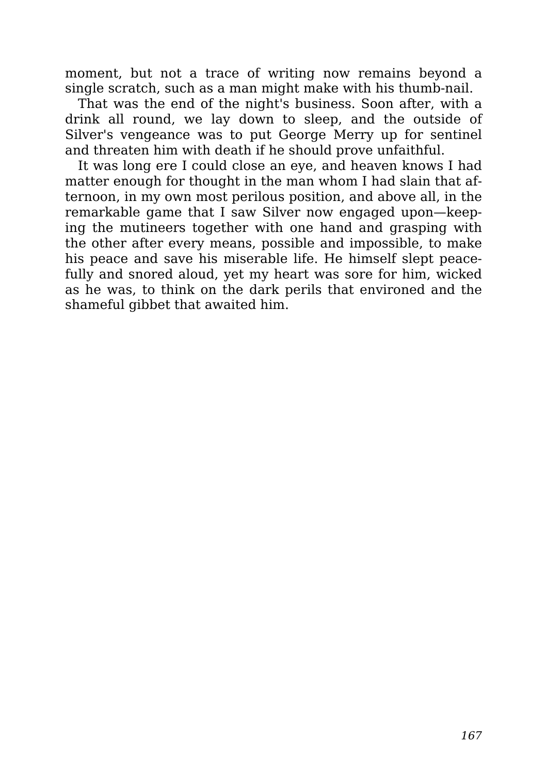moment, but not a trace of writing now remains beyond a single scratch, such as a man might make with his thumb-nail.

That was the end of the night's business. Soon after, with a drink all round, we lay down to sleep, and the outside of Silver's vengeance was to put George Merry up for sentinel and threaten him with death if he should prove unfaithful.

It was long ere I could close an eye, and heaven knows I had matter enough for thought in the man whom I had slain that afternoon, in my own most perilous position, and above all, in the remarkable game that I saw Silver now engaged upon—keeping the mutineers together with one hand and grasping with the other after every means, possible and impossible, to make his peace and save his miserable life. He himself slept peacefully and snored aloud, yet my heart was sore for him, wicked as he was, to think on the dark perils that environed and the shameful gibbet that awaited him.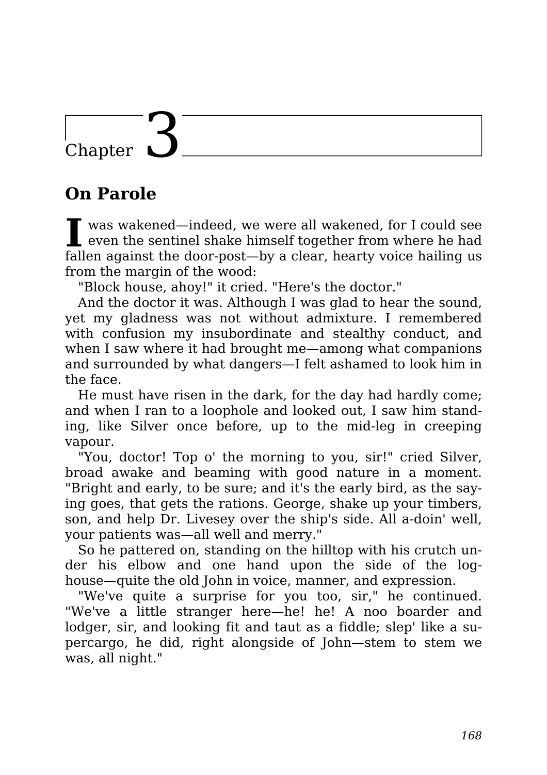### Chapter 1

### **On Parole**

**I** was wakened—indeed, we were all wakened, for I could see<br>
even the sentinel shake himself together from where he had was wakened—indeed, we were all wakened, for I could see fallen against the door-post—by a clear, hearty voice hailing us from the margin of the wood:

"Block house, ahoy!" it cried. "Here's the doctor."

And the doctor it was. Although I was glad to hear the sound, yet my gladness was not without admixture. I remembered with confusion my insubordinate and stealthy conduct, and when I saw where it had brought me—among what companions and surrounded by what dangers—I felt ashamed to look him in the face.

He must have risen in the dark, for the day had hardly come; and when I ran to a loophole and looked out, I saw him standing, like Silver once before, up to the mid-leg in creeping vapour.

"You, doctor! Top o' the morning to you, sir!" cried Silver, broad awake and beaming with good nature in a moment. "Bright and early, to be sure; and it's the early bird, as the saying goes, that gets the rations. George, shake up your timbers, son, and help Dr. Livesey over the ship's side. All a-doin' well, your patients was—all well and merry."

So he pattered on, standing on the hilltop with his crutch under his elbow and one hand upon the side of the loghouse—quite the old John in voice, manner, and expression.

"We've quite a surprise for you too, sir," he continued. "We've a little stranger here—he! he! A noo boarder and lodger, sir, and looking fit and taut as a fiddle; slep' like a supercargo, he did, right alongside of John—stem to stem we was, all night."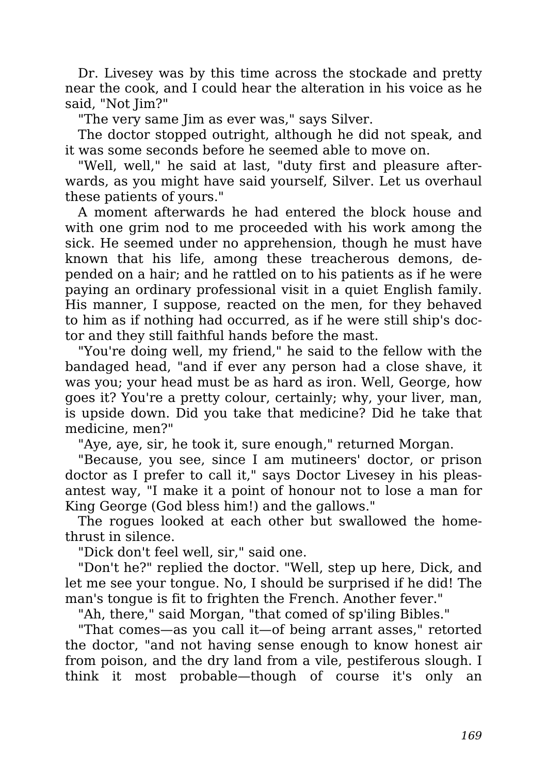Dr. Livesey was by this time across the stockade and pretty near the cook, and I could hear the alteration in his voice as he said, "Not Jim?"

"The very same Jim as ever was," says Silver.

The doctor stopped outright, although he did not speak, and it was some seconds before he seemed able to move on.

"Well, well," he said at last, "duty first and pleasure afterwards, as you might have said yourself, Silver. Let us overhaul these patients of yours."

A moment afterwards he had entered the block house and with one grim nod to me proceeded with his work among the sick. He seemed under no apprehension, though he must have known that his life, among these treacherous demons, depended on a hair; and he rattled on to his patients as if he were paying an ordinary professional visit in a quiet English family. His manner, I suppose, reacted on the men, for they behaved to him as if nothing had occurred, as if he were still ship's doctor and they still faithful hands before the mast.

"You're doing well, my friend," he said to the fellow with the bandaged head, "and if ever any person had a close shave, it was you; your head must be as hard as iron. Well, George, how goes it? You're a pretty colour, certainly; why, your liver, man, is upside down. Did you take that medicine? Did he take that medicine, men?"

"Aye, aye, sir, he took it, sure enough," returned Morgan.

"Because, you see, since I am mutineers' doctor, or prison doctor as I prefer to call it," says Doctor Livesey in his pleasantest way, "I make it a point of honour not to lose a man for King George (God bless him!) and the gallows."

The rogues looked at each other but swallowed the homethrust in silence.

"Dick don't feel well, sir," said one.

"Don't he?" replied the doctor. "Well, step up here, Dick, and let me see your tongue. No, I should be surprised if he did! The man's tongue is fit to frighten the French. Another fever."

"Ah, there," said Morgan, "that comed of sp'iling Bibles."

"That comes—as you call it—of being arrant asses," retorted the doctor, "and not having sense enough to know honest air from poison, and the dry land from a vile, pestiferous slough. I think it most probable—though of course it's only an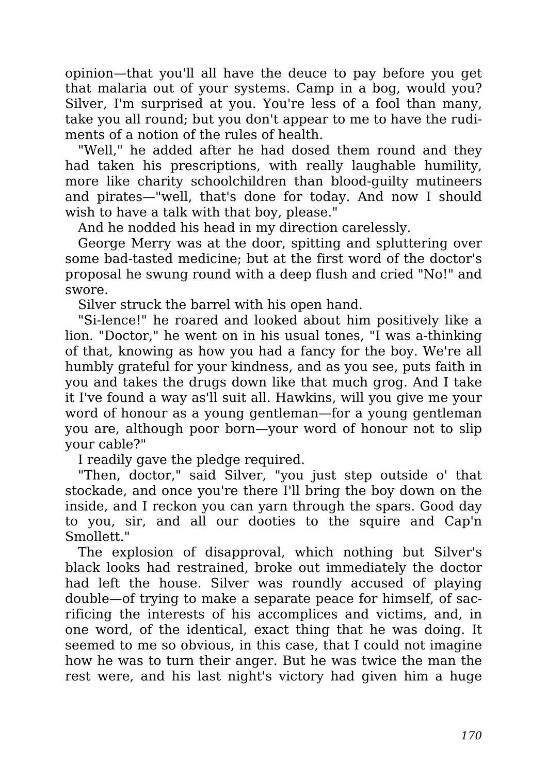opinion—that you'll all have the deuce to pay before you get that malaria out of your systems. Camp in a bog, would you? Silver, I'm surprised at you. You're less of a fool than many, take you all round; but you don't appear to me to have the rudiments of a notion of the rules of health.

"Well," he added after he had dosed them round and they had taken his prescriptions, with really laughable humility, more like charity schoolchildren than blood-guilty mutineers and pirates—"well, that's done for today. And now I should wish to have a talk with that boy, please."

And he nodded his head in my direction carelessly.

George Merry was at the door, spitting and spluttering over some bad-tasted medicine; but at the first word of the doctor's proposal he swung round with a deep flush and cried "No!" and swore.

Silver struck the barrel with his open hand.

"Si-lence!" he roared and looked about him positively like a lion. "Doctor," he went on in his usual tones, "I was a-thinking of that, knowing as how you had a fancy for the boy. We're all humbly grateful for your kindness, and as you see, puts faith in you and takes the drugs down like that much grog. And I take it I've found a way as'll suit all. Hawkins, will you give me your word of honour as a young gentleman—for a young gentleman you are, although poor born—your word of honour not to slip your cable?"

I readily gave the pledge required.

"Then, doctor," said Silver, "you just step outside o' that stockade, and once you're there I'll bring the boy down on the inside, and I reckon you can yarn through the spars. Good day to you, sir, and all our dooties to the squire and Cap'n Smollett."

The explosion of disapproval, which nothing but Silver's black looks had restrained, broke out immediately the doctor had left the house. Silver was roundly accused of playing double—of trying to make a separate peace for himself, of sacrificing the interests of his accomplices and victims, and, in one word, of the identical, exact thing that he was doing. It seemed to me so obvious, in this case, that I could not imagine how he was to turn their anger. But he was twice the man the rest were, and his last night's victory had given him a huge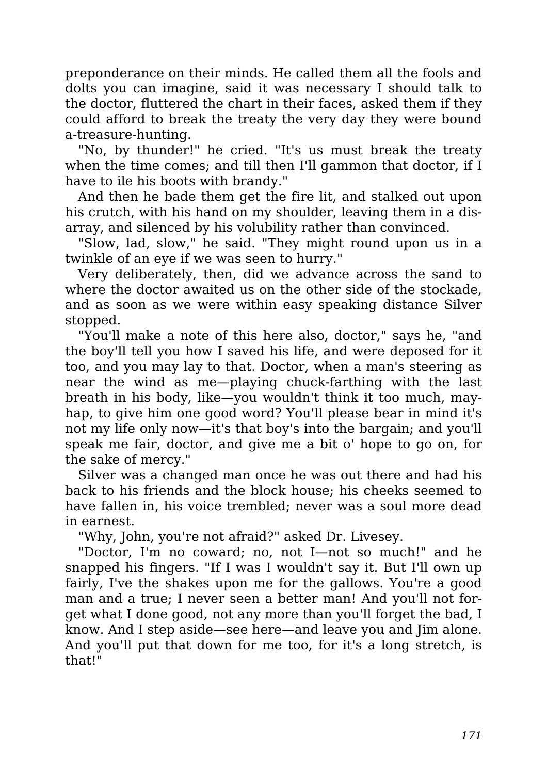preponderance on their minds. He called them all the fools and dolts you can imagine, said it was necessary I should talk to the doctor, fluttered the chart in their faces, asked them if they could afford to break the treaty the very day they were bound a-treasure-hunting.

"No, by thunder!" he cried. "It's us must break the treaty when the time comes; and till then I'll gammon that doctor, if I have to ile his boots with brandy."

And then he bade them get the fire lit, and stalked out upon his crutch, with his hand on my shoulder, leaving them in a disarray, and silenced by his volubility rather than convinced.

"Slow, lad, slow," he said. "They might round upon us in a twinkle of an eye if we was seen to hurry."

Very deliberately, then, did we advance across the sand to where the doctor awaited us on the other side of the stockade, and as soon as we were within easy speaking distance Silver stopped.

"You'll make a note of this here also, doctor," says he, "and the boy'll tell you how I saved his life, and were deposed for it too, and you may lay to that. Doctor, when a man's steering as near the wind as me—playing chuck-farthing with the last breath in his body, like—you wouldn't think it too much, mayhap, to give him one good word? You'll please bear in mind it's not my life only now—it's that boy's into the bargain; and you'll speak me fair, doctor, and give me a bit o' hope to go on, for the sake of mercy."

Silver was a changed man once he was out there and had his back to his friends and the block house; his cheeks seemed to have fallen in, his voice trembled; never was a soul more dead in earnest.

"Why, John, you're not afraid?" asked Dr. Livesey.

"Doctor, I'm no coward; no, not I—not so much!" and he snapped his fingers. "If I was I wouldn't say it. But I'll own up fairly, I've the shakes upon me for the gallows. You're a good man and a true; I never seen a better man! And you'll not forget what I done good, not any more than you'll forget the bad, I know. And I step aside—see here—and leave you and Jim alone. And you'll put that down for me too, for it's a long stretch, is that!"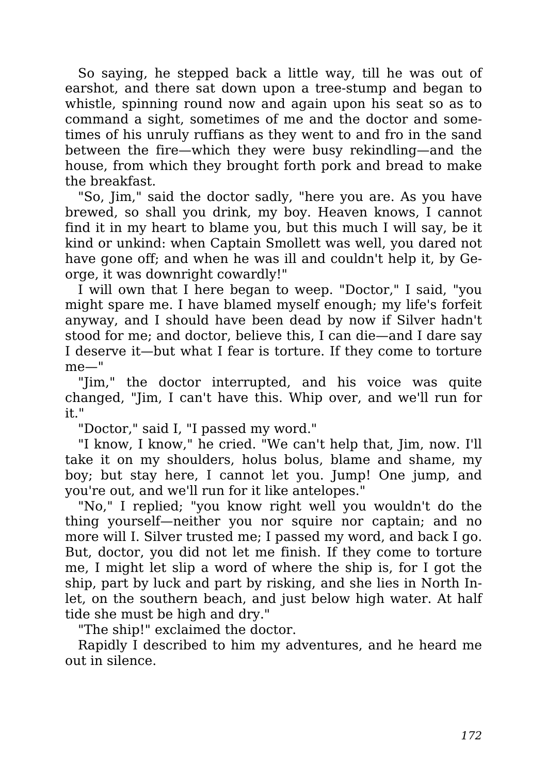So saying, he stepped back a little way, till he was out of earshot, and there sat down upon a tree-stump and began to whistle, spinning round now and again upon his seat so as to command a sight, sometimes of me and the doctor and sometimes of his unruly ruffians as they went to and fro in the sand between the fire—which they were busy rekindling—and the house, from which they brought forth pork and bread to make the breakfast.

"So, Jim," said the doctor sadly, "here you are. As you have brewed, so shall you drink, my boy. Heaven knows, I cannot find it in my heart to blame you, but this much I will say, be it kind or unkind: when Captain Smollett was well, you dared not have gone off; and when he was ill and couldn't help it, by George, it was downright cowardly!"

I will own that I here began to weep. "Doctor," I said, "you might spare me. I have blamed myself enough; my life's forfeit anyway, and I should have been dead by now if Silver hadn't stood for me; and doctor, believe this, I can die—and I dare say I deserve it—but what I fear is torture. If they come to torture me—"

"Jim," the doctor interrupted, and his voice was quite changed, "Jim, I can't have this. Whip over, and we'll run for it."

"Doctor," said I, "I passed my word."

"I know, I know," he cried. "We can't help that, Jim, now. I'll take it on my shoulders, holus bolus, blame and shame, my boy; but stay here, I cannot let you. Jump! One jump, and you're out, and we'll run for it like antelopes."

"No," I replied; "you know right well you wouldn't do the thing yourself—neither you nor squire nor captain; and no more will I. Silver trusted me; I passed my word, and back I go. But, doctor, you did not let me finish. If they come to torture me, I might let slip a word of where the ship is, for I got the ship, part by luck and part by risking, and she lies in North Inlet, on the southern beach, and just below high water. At half tide she must be high and dry."

"The ship!" exclaimed the doctor.

Rapidly I described to him my adventures, and he heard me out in silence.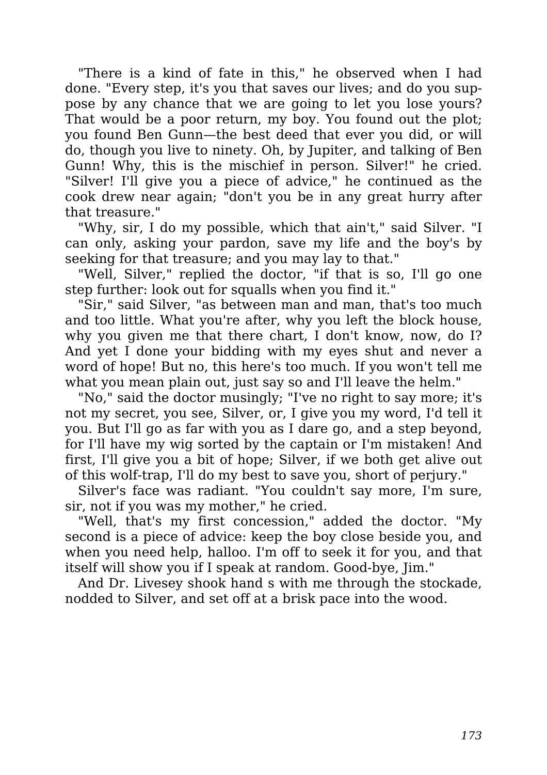"There is a kind of fate in this," he observed when I had done. "Every step, it's you that saves our lives; and do you suppose by any chance that we are going to let you lose yours? That would be a poor return, my boy. You found out the plot; you found Ben Gunn—the best deed that ever you did, or will do, though you live to ninety. Oh, by Jupiter, and talking of Ben Gunn! Why, this is the mischief in person. Silver!" he cried. "Silver! I'll give you a piece of advice," he continued as the cook drew near again; "don't you be in any great hurry after that treasure."

"Why, sir, I do my possible, which that ain't," said Silver. "I can only, asking your pardon, save my life and the boy's by seeking for that treasure; and you may lay to that."

"Well, Silver," replied the doctor, "if that is so, I'll go one step further: look out for squalls when you find it."

"Sir," said Silver, "as between man and man, that's too much and too little. What you're after, why you left the block house, why you given me that there chart, I don't know, now, do I? And yet I done your bidding with my eyes shut and never a word of hope! But no, this here's too much. If you won't tell me what you mean plain out, just say so and I'll leave the helm."

"No," said the doctor musingly; "I've no right to say more; it's not my secret, you see, Silver, or, I give you my word, I'd tell it you. But I'll go as far with you as I dare go, and a step beyond, for I'll have my wig sorted by the captain or I'm mistaken! And first, I'll give you a bit of hope; Silver, if we both get alive out of this wolf-trap, I'll do my best to save you, short of perjury."

Silver's face was radiant. "You couldn't say more, I'm sure, sir, not if you was my mother," he cried.

"Well, that's my first concession," added the doctor. "My second is a piece of advice: keep the boy close beside you, and when you need help, halloo. I'm off to seek it for you, and that itself will show you if I speak at random. Good-bye, Jim."

And Dr. Livesey shook hand s with me through the stockade, nodded to Silver, and set off at a brisk pace into the wood.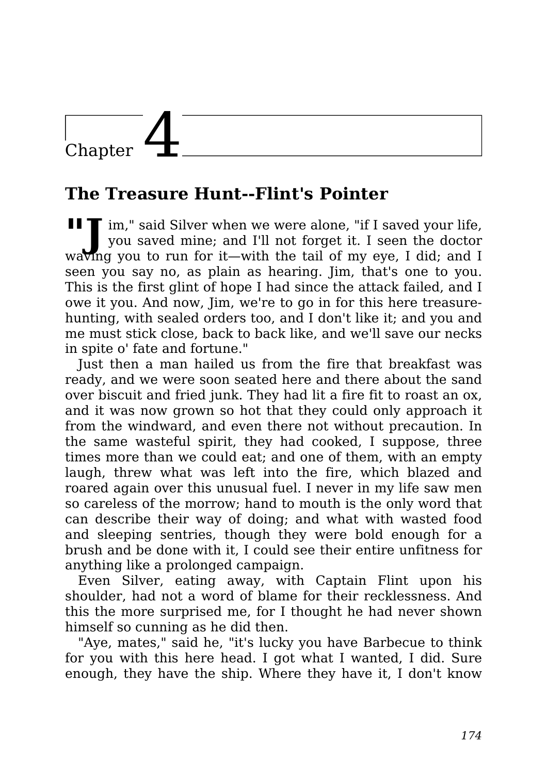## Chapter

### **The Treasure Hunt--Flint's Pointer**

**"J** im," said Silver when we were alone, "if <sup>I</sup> saved your life, you saved mine; and I'll not forget it. I seen the doctor waving you to run for it—with the tail of my eye, I did; and I seen you say no, as plain as hearing. Jim, that's one to you. This is the first glint of hope I had since the attack failed, and I owe it you. And now, Jim, we're to go in for this here treasurehunting, with sealed orders too, and I don't like it; and you and me must stick close, back to back like, and we'll save our necks in spite o' fate and fortune."

Just then a man hailed us from the fire that breakfast was ready, and we were soon seated here and there about the sand over biscuit and fried junk. They had lit a fire fit to roast an ox, and it was now grown so hot that they could only approach it from the windward, and even there not without precaution. In the same wasteful spirit, they had cooked, I suppose, three times more than we could eat; and one of them, with an empty laugh, threw what was left into the fire, which blazed and roared again over this unusual fuel. I never in my life saw men so careless of the morrow; hand to mouth is the only word that can describe their way of doing; and what with wasted food and sleeping sentries, though they were bold enough for a brush and be done with it, I could see their entire unfitness for anything like a prolonged campaign.

Even Silver, eating away, with Captain Flint upon his shoulder, had not a word of blame for their recklessness. And this the more surprised me, for I thought he had never shown himself so cunning as he did then.

"Aye, mates," said he, "it's lucky you have Barbecue to think for you with this here head. I got what I wanted, I did. Sure enough, they have the ship. Where they have it, I don't know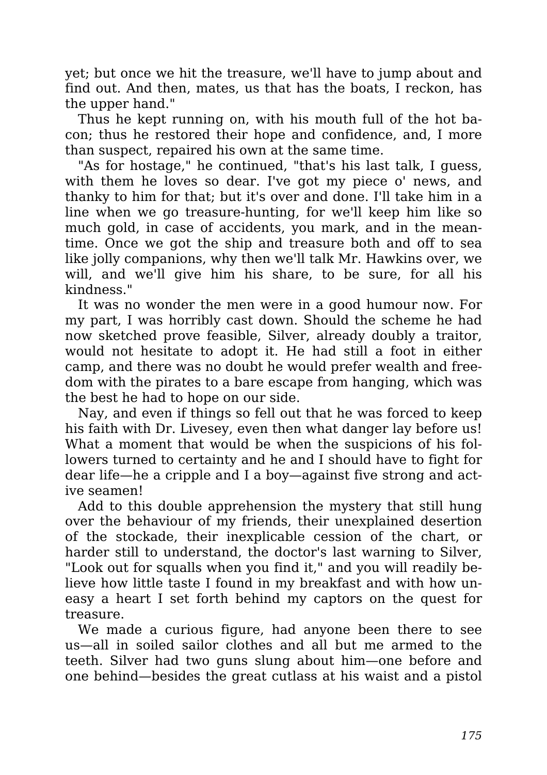yet; but once we hit the treasure, we'll have to jump about and find out. And then, mates, us that has the boats, I reckon, has the upper hand."

Thus he kept running on, with his mouth full of the hot bacon; thus he restored their hope and confidence, and, I more than suspect, repaired his own at the same time.

"As for hostage," he continued, "that's his last talk, I guess, with them he loves so dear. I've got my piece o' news, and thanky to him for that; but it's over and done. I'll take him in a line when we go treasure-hunting, for we'll keep him like so much gold, in case of accidents, you mark, and in the meantime. Once we got the ship and treasure both and off to sea like jolly companions, why then we'll talk Mr. Hawkins over, we will, and we'll give him his share, to be sure, for all his kindness."

It was no wonder the men were in a good humour now. For my part, I was horribly cast down. Should the scheme he had now sketched prove feasible, Silver, already doubly a traitor, would not hesitate to adopt it. He had still a foot in either camp, and there was no doubt he would prefer wealth and freedom with the pirates to a bare escape from hanging, which was the best he had to hope on our side.

Nay, and even if things so fell out that he was forced to keep his faith with Dr. Livesey, even then what danger lay before us! What a moment that would be when the suspicions of his followers turned to certainty and he and I should have to fight for dear life—he a cripple and I a boy—against five strong and active seamen!

Add to this double apprehension the mystery that still hung over the behaviour of my friends, their unexplained desertion of the stockade, their inexplicable cession of the chart, or harder still to understand, the doctor's last warning to Silver, "Look out for squalls when you find it," and you will readily believe how little taste I found in my breakfast and with how uneasy a heart I set forth behind my captors on the quest for treasure.

We made a curious figure, had anyone been there to see us—all in soiled sailor clothes and all but me armed to the teeth. Silver had two guns slung about him—one before and one behind—besides the great cutlass at his waist and a pistol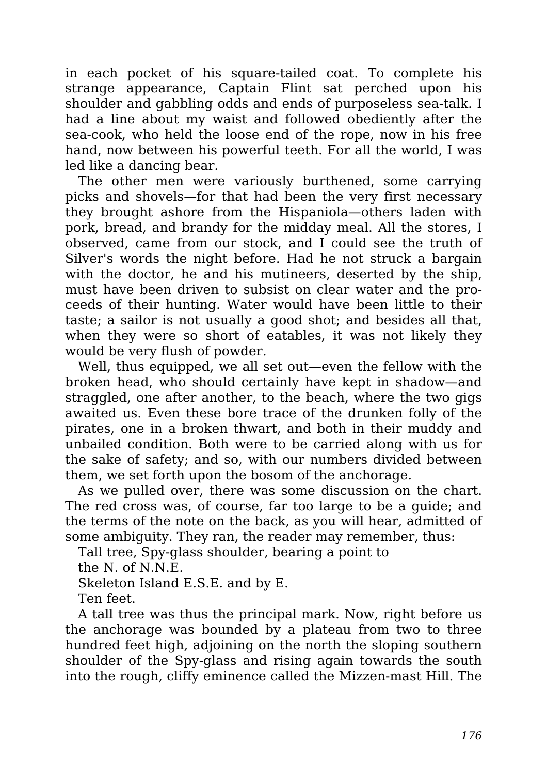in each pocket of his square-tailed coat. To complete his strange appearance, Captain Flint sat perched upon his shoulder and gabbling odds and ends of purposeless sea-talk. I had a line about my waist and followed obediently after the sea-cook, who held the loose end of the rope, now in his free hand, now between his powerful teeth. For all the world, I was led like a dancing bear.

The other men were variously burthened, some carrying picks and shovels—for that had been the very first necessary they brought ashore from the Hispaniola—others laden with pork, bread, and brandy for the midday meal. All the stores, I observed, came from our stock, and I could see the truth of Silver's words the night before. Had he not struck a bargain with the doctor, he and his mutineers, deserted by the ship, must have been driven to subsist on clear water and the proceeds of their hunting. Water would have been little to their taste; a sailor is not usually a good shot; and besides all that, when they were so short of eatables, it was not likely they would be very flush of powder.

Well, thus equipped, we all set out—even the fellow with the broken head, who should certainly have kept in shadow—and straggled, one after another, to the beach, where the two gigs awaited us. Even these bore trace of the drunken folly of the pirates, one in a broken thwart, and both in their muddy and unbailed condition. Both were to be carried along with us for the sake of safety; and so, with our numbers divided between them, we set forth upon the bosom of the anchorage.

As we pulled over, there was some discussion on the chart. The red cross was, of course, far too large to be a guide; and the terms of the note on the back, as you will hear, admitted of some ambiguity. They ran, the reader may remember, thus:

Tall tree, Spy-glass shoulder, bearing a point to

the N. of N.N.E.

Skeleton Island E.S.E. and by E.

Ten feet.

A tall tree was thus the principal mark. Now, right before us the anchorage was bounded by a plateau from two to three hundred feet high, adjoining on the north the sloping southern shoulder of the Spy-glass and rising again towards the south into the rough, cliffy eminence called the Mizzen-mast Hill. The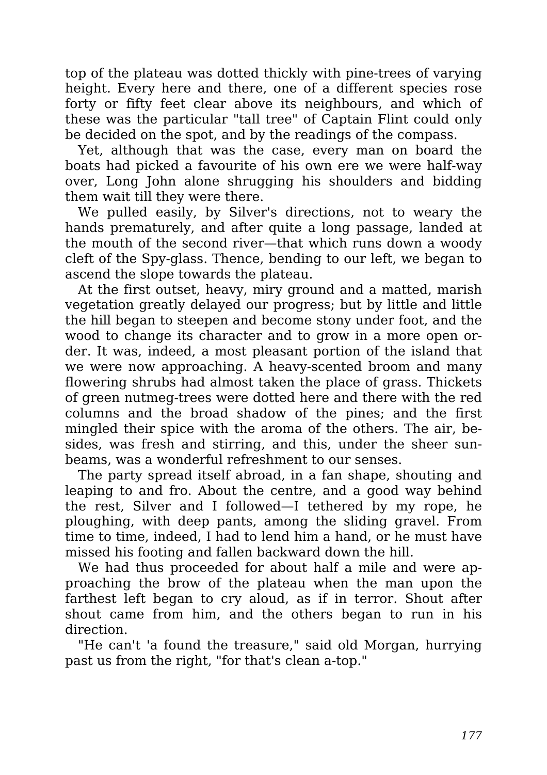top of the plateau was dotted thickly with pine-trees of varying height. Every here and there, one of a different species rose forty or fifty feet clear above its neighbours, and which of these was the particular "tall tree" of Captain Flint could only be decided on the spot, and by the readings of the compass.

Yet, although that was the case, every man on board the boats had picked a favourite of his own ere we were half-way over, Long John alone shrugging his shoulders and bidding them wait till they were there.

We pulled easily, by Silver's directions, not to weary the hands prematurely, and after quite a long passage, landed at the mouth of the second river—that which runs down a woody cleft of the Spy-glass. Thence, bending to our left, we began to ascend the slope towards the plateau.

At the first outset, heavy, miry ground and a matted, marish vegetation greatly delayed our progress; but by little and little the hill began to steepen and become stony under foot, and the wood to change its character and to grow in a more open order. It was, indeed, a most pleasant portion of the island that we were now approaching. A heavy-scented broom and many flowering shrubs had almost taken the place of grass. Thickets of green nutmeg-trees were dotted here and there with the red columns and the broad shadow of the pines; and the first mingled their spice with the aroma of the others. The air, besides, was fresh and stirring, and this, under the sheer sunbeams, was a wonderful refreshment to our senses.

The party spread itself abroad, in a fan shape, shouting and leaping to and fro. About the centre, and a good way behind the rest, Silver and I followed—I tethered by my rope, he ploughing, with deep pants, among the sliding gravel. From time to time, indeed, I had to lend him a hand, or he must have missed his footing and fallen backward down the hill.

We had thus proceeded for about half a mile and were approaching the brow of the plateau when the man upon the farthest left began to cry aloud, as if in terror. Shout after shout came from him, and the others began to run in his direction.

"He can't 'a found the treasure," said old Morgan, hurrying past us from the right, "for that's clean a-top."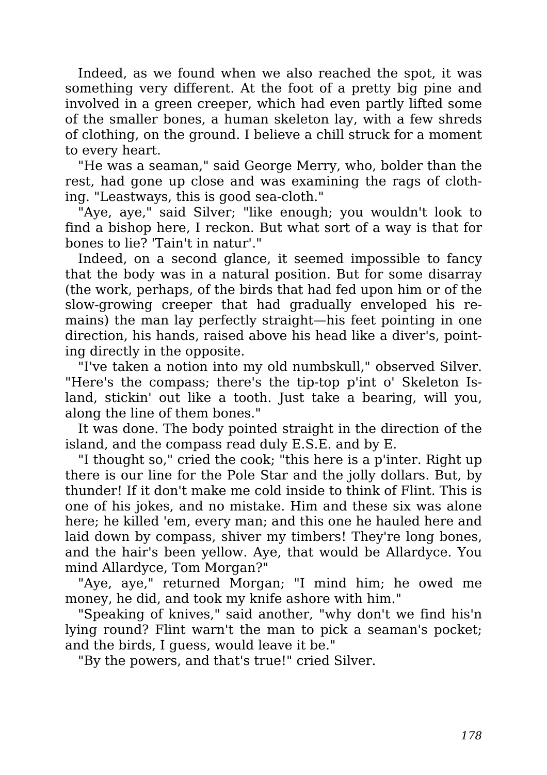Indeed, as we found when we also reached the spot, it was something very different. At the foot of a pretty big pine and involved in a green creeper, which had even partly lifted some of the smaller bones, a human skeleton lay, with a few shreds of clothing, on the ground. I believe a chill struck for a moment to every heart.

"He was a seaman," said George Merry, who, bolder than the rest, had gone up close and was examining the rags of clothing. "Leastways, this is good sea-cloth."

"Aye, aye," said Silver; "like enough; you wouldn't look to find a bishop here, I reckon. But what sort of a way is that for bones to lie? 'Tain't in natur'."

Indeed, on a second glance, it seemed impossible to fancy that the body was in a natural position. But for some disarray (the work, perhaps, of the birds that had fed upon him or of the slow-growing creeper that had gradually enveloped his remains) the man lay perfectly straight—his feet pointing in one direction, his hands, raised above his head like a diver's, pointing directly in the opposite.

"I've taken a notion into my old numbskull," observed Silver. "Here's the compass; there's the tip-top p'int o' Skeleton Island, stickin' out like a tooth. Just take a bearing, will you, along the line of them bones."

It was done. The body pointed straight in the direction of the island, and the compass read duly E.S.E. and by E.

"I thought so," cried the cook; "this here is a p'inter. Right up there is our line for the Pole Star and the jolly dollars. But, by thunder! If it don't make me cold inside to think of Flint. This is one of his jokes, and no mistake. Him and these six was alone here; he killed 'em, every man; and this one he hauled here and laid down by compass, shiver my timbers! They're long bones, and the hair's been yellow. Aye, that would be Allardyce. You mind Allardyce, Tom Morgan?"

"Aye, aye," returned Morgan; "I mind him; he owed me money, he did, and took my knife ashore with him."

"Speaking of knives," said another, "why don't we find his'n lying round? Flint warn't the man to pick a seaman's pocket; and the birds, I guess, would leave it be."

"By the powers, and that's true!" cried Silver.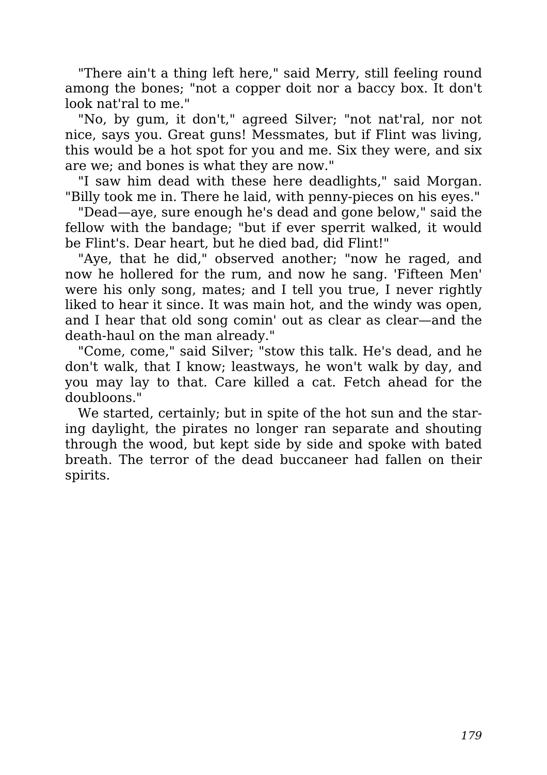"There ain't a thing left here," said Merry, still feeling round among the bones; "not a copper doit nor a baccy box. It don't look nat'ral to me."

"No, by gum, it don't," agreed Silver; "not nat'ral, nor not nice, says you. Great guns! Messmates, but if Flint was living, this would be a hot spot for you and me. Six they were, and six are we; and bones is what they are now."

"I saw him dead with these here deadlights," said Morgan. "Billy took me in. There he laid, with penny-pieces on his eyes."

"Dead—aye, sure enough he's dead and gone below," said the fellow with the bandage; "but if ever sperrit walked, it would be Flint's. Dear heart, but he died bad, did Flint!"

"Aye, that he did," observed another; "now he raged, and now he hollered for the rum, and now he sang. 'Fifteen Men' were his only song, mates; and I tell you true, I never rightly liked to hear it since. It was main hot, and the windy was open, and I hear that old song comin' out as clear as clear—and the death-haul on the man already."

"Come, come," said Silver; "stow this talk. He's dead, and he don't walk, that I know; leastways, he won't walk by day, and you may lay to that. Care killed a cat. Fetch ahead for the doubloons."

We started, certainly; but in spite of the hot sun and the staring daylight, the pirates no longer ran separate and shouting through the wood, but kept side by side and spoke with bated breath. The terror of the dead buccaneer had fallen on their spirits.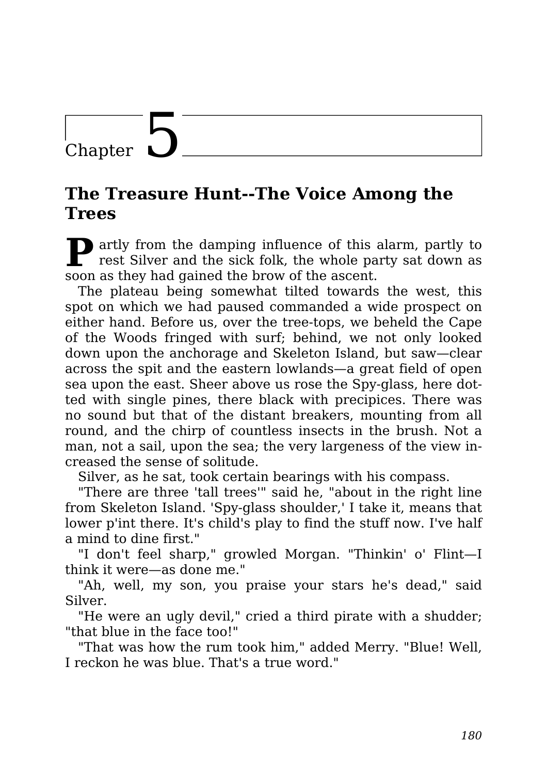### Chapter

#### **The Treasure Hunt--The Voice Among the Trees**

**P** artly from the damping influence of this alarm, partly to rest Silver and the sick folk, the whole party sat down as rest Silver and the sick folk, the whole party sat down as soon as they had gained the brow of the ascent.

The plateau being somewhat tilted towards the west, this spot on which we had paused commanded a wide prospect on either hand. Before us, over the tree-tops, we beheld the Cape of the Woods fringed with surf; behind, we not only looked down upon the anchorage and Skeleton Island, but saw—clear across the spit and the eastern lowlands—a great field of open sea upon the east. Sheer above us rose the Spy-glass, here dotted with single pines, there black with precipices. There was no sound but that of the distant breakers, mounting from all round, and the chirp of countless insects in the brush. Not a man, not a sail, upon the sea; the very largeness of the view increased the sense of solitude.

Silver, as he sat, took certain bearings with his compass.

"There are three 'tall trees'" said he, "about in the right line from Skeleton Island. 'Spy-glass shoulder,' I take it, means that lower p'int there. It's child's play to find the stuff now. I've half a mind to dine first."

"I don't feel sharp," growled Morgan. "Thinkin' o' Flint—I think it were—as done me."

"Ah, well, my son, you praise your stars he's dead," said Silver.

"He were an ugly devil," cried a third pirate with a shudder; "that blue in the face too!"

"That was how the rum took him," added Merry. "Blue! Well, I reckon he was blue. That's a true word."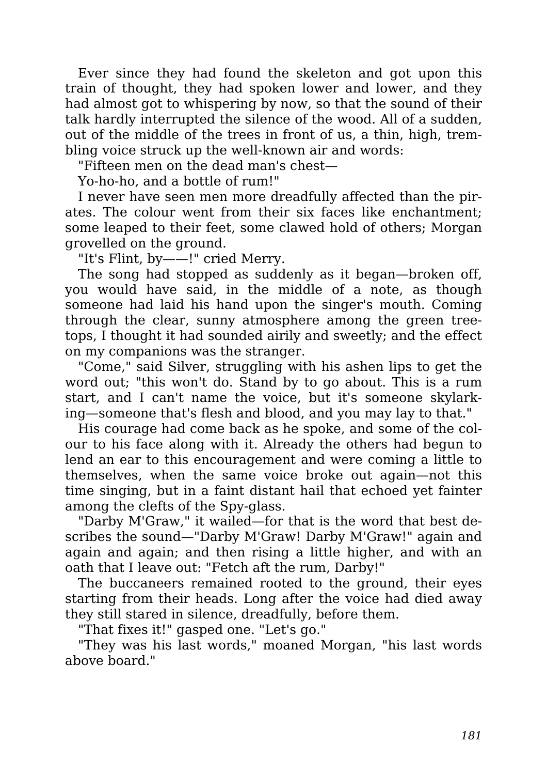Ever since they had found the skeleton and got upon this train of thought, they had spoken lower and lower, and they had almost got to whispering by now, so that the sound of their talk hardly interrupted the silence of the wood. All of a sudden, out of the middle of the trees in front of us, a thin, high, trembling voice struck up the well-known air and words:

"Fifteen men on the dead man's chest—

Yo-ho-ho, and a bottle of rum!"

I never have seen men more dreadfully affected than the pirates. The colour went from their six faces like enchantment; some leaped to their feet, some clawed hold of others; Morgan grovelled on the ground.

"It's Flint, by——!" cried Merry.

The song had stopped as suddenly as it began—broken off, you would have said, in the middle of a note, as though someone had laid his hand upon the singer's mouth. Coming through the clear, sunny atmosphere among the green treetops, I thought it had sounded airily and sweetly; and the effect on my companions was the stranger.

"Come," said Silver, struggling with his ashen lips to get the word out; "this won't do. Stand by to go about. This is a rum start, and I can't name the voice, but it's someone skylarking—someone that's flesh and blood, and you may lay to that."

His courage had come back as he spoke, and some of the colour to his face along with it. Already the others had begun to lend an ear to this encouragement and were coming a little to themselves, when the same voice broke out again—not this time singing, but in a faint distant hail that echoed yet fainter among the clefts of the Spy-glass.

"Darby M'Graw," it wailed—for that is the word that best describes the sound—"Darby M'Graw! Darby M'Graw!" again and again and again; and then rising a little higher, and with an oath that I leave out: "Fetch aft the rum, Darby!"

The buccaneers remained rooted to the ground, their eyes starting from their heads. Long after the voice had died away they still stared in silence, dreadfully, before them.

"That fixes it!" gasped one. "Let's go."

"They was his last words," moaned Morgan, "his last words above board."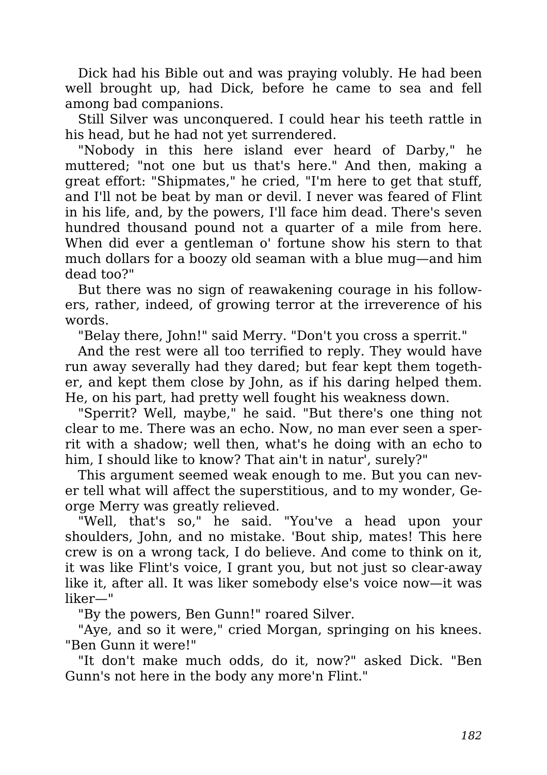Dick had his Bible out and was praying volubly. He had been well brought up, had Dick, before he came to sea and fell among bad companions.

Still Silver was unconquered. I could hear his teeth rattle in his head, but he had not yet surrendered.

"Nobody in this here island ever heard of Darby," he muttered; "not one but us that's here." And then, making a great effort: "Shipmates," he cried, "I'm here to get that stuff, and I'll not be beat by man or devil. I never was feared of Flint in his life, and, by the powers, I'll face him dead. There's seven hundred thousand pound not a quarter of a mile from here. When did ever a gentleman o' fortune show his stern to that much dollars for a boozy old seaman with a blue mug—and him dead too?"

But there was no sign of reawakening courage in his followers, rather, indeed, of growing terror at the irreverence of his words.

"Belay there, John!" said Merry. "Don't you cross a sperrit."

And the rest were all too terrified to reply. They would have run away severally had they dared; but fear kept them together, and kept them close by John, as if his daring helped them. He, on his part, had pretty well fought his weakness down.

"Sperrit? Well, maybe," he said. "But there's one thing not clear to me. There was an echo. Now, no man ever seen a sperrit with a shadow; well then, what's he doing with an echo to him, I should like to know? That ain't in natur', surely?"

This argument seemed weak enough to me. But you can never tell what will affect the superstitious, and to my wonder, George Merry was greatly relieved.

"Well, that's so," he said. "You've a head upon your shoulders, John, and no mistake. 'Bout ship, mates! This here crew is on a wrong tack, I do believe. And come to think on it, it was like Flint's voice, I grant you, but not just so clear-away like it, after all. It was liker somebody else's voice now—it was liker—"

"By the powers, Ben Gunn!" roared Silver.

"Aye, and so it were," cried Morgan, springing on his knees. "Ben Gunn it were!"

"It don't make much odds, do it, now?" asked Dick. "Ben Gunn's not here in the body any more'n Flint."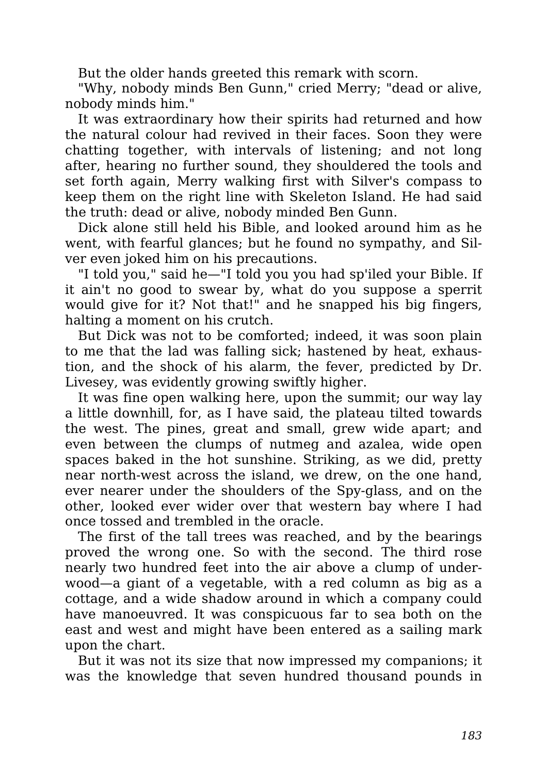But the older hands greeted this remark with scorn.

"Why, nobody minds Ben Gunn," cried Merry; "dead or alive, nobody minds him."

It was extraordinary how their spirits had returned and how the natural colour had revived in their faces. Soon they were chatting together, with intervals of listening; and not long after, hearing no further sound, they shouldered the tools and set forth again, Merry walking first with Silver's compass to keep them on the right line with Skeleton Island. He had said the truth: dead or alive, nobody minded Ben Gunn.

Dick alone still held his Bible, and looked around him as he went, with fearful glances; but he found no sympathy, and Silver even joked him on his precautions.

"I told you," said he—"I told you you had sp'iled your Bible. If it ain't no good to swear by, what do you suppose a sperrit would give for it? Not that!" and he snapped his big fingers, halting a moment on his crutch.

But Dick was not to be comforted; indeed, it was soon plain to me that the lad was falling sick; hastened by heat, exhaustion, and the shock of his alarm, the fever, predicted by Dr. Livesey, was evidently growing swiftly higher.

It was fine open walking here, upon the summit; our way lay a little downhill, for, as I have said, the plateau tilted towards the west. The pines, great and small, grew wide apart; and even between the clumps of nutmeg and azalea, wide open spaces baked in the hot sunshine. Striking, as we did, pretty near north-west across the island, we drew, on the one hand, ever nearer under the shoulders of the Spy-glass, and on the other, looked ever wider over that western bay where I had once tossed and trembled in the oracle.

The first of the tall trees was reached, and by the bearings proved the wrong one. So with the second. The third rose nearly two hundred feet into the air above a clump of underwood—a giant of a vegetable, with a red column as big as a cottage, and a wide shadow around in which a company could have manoeuvred. It was conspicuous far to sea both on the east and west and might have been entered as a sailing mark upon the chart.

But it was not its size that now impressed my companions; it was the knowledge that seven hundred thousand pounds in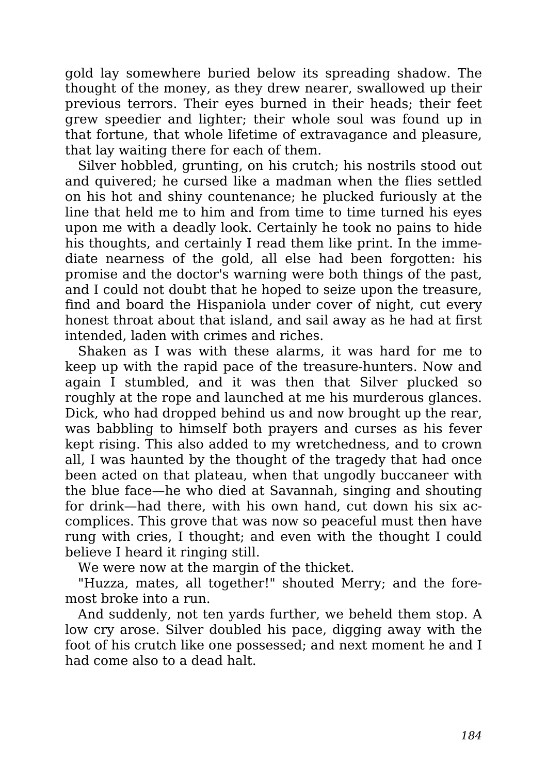gold lay somewhere buried below its spreading shadow. The thought of the money, as they drew nearer, swallowed up their previous terrors. Their eyes burned in their heads; their feet grew speedier and lighter; their whole soul was found up in that fortune, that whole lifetime of extravagance and pleasure, that lay waiting there for each of them.

Silver hobbled, grunting, on his crutch; his nostrils stood out and quivered; he cursed like a madman when the flies settled on his hot and shiny countenance; he plucked furiously at the line that held me to him and from time to time turned his eyes upon me with a deadly look. Certainly he took no pains to hide his thoughts, and certainly I read them like print. In the immediate nearness of the gold, all else had been forgotten: his promise and the doctor's warning were both things of the past, and I could not doubt that he hoped to seize upon the treasure, find and board the Hispaniola under cover of night, cut every honest throat about that island, and sail away as he had at first intended, laden with crimes and riches.

Shaken as I was with these alarms, it was hard for me to keep up with the rapid pace of the treasure-hunters. Now and again I stumbled, and it was then that Silver plucked so roughly at the rope and launched at me his murderous glances. Dick, who had dropped behind us and now brought up the rear, was babbling to himself both prayers and curses as his fever kept rising. This also added to my wretchedness, and to crown all, I was haunted by the thought of the tragedy that had once been acted on that plateau, when that ungodly buccaneer with the blue face—he who died at Savannah, singing and shouting for drink—had there, with his own hand, cut down his six accomplices. This grove that was now so peaceful must then have rung with cries, I thought; and even with the thought I could believe I heard it ringing still.

We were now at the margin of the thicket.

"Huzza, mates, all together!" shouted Merry; and the foremost broke into a run.

And suddenly, not ten yards further, we beheld them stop. A low cry arose. Silver doubled his pace, digging away with the foot of his crutch like one possessed; and next moment he and I had come also to a dead halt.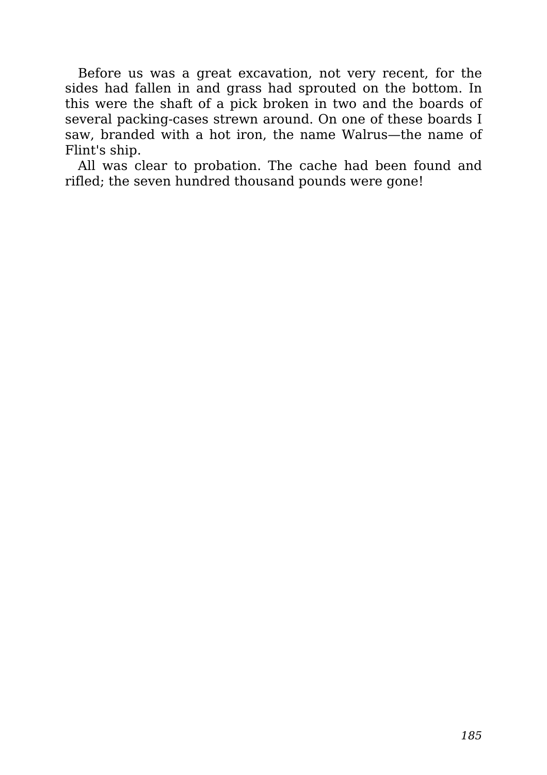Before us was a great excavation, not very recent, for the sides had fallen in and grass had sprouted on the bottom. In this were the shaft of a pick broken in two and the boards of several packing-cases strewn around. On one of these boards I saw, branded with a hot iron, the name Walrus—the name of Flint's ship.

All was clear to probation. The cache had been found and rifled; the seven hundred thousand pounds were gone!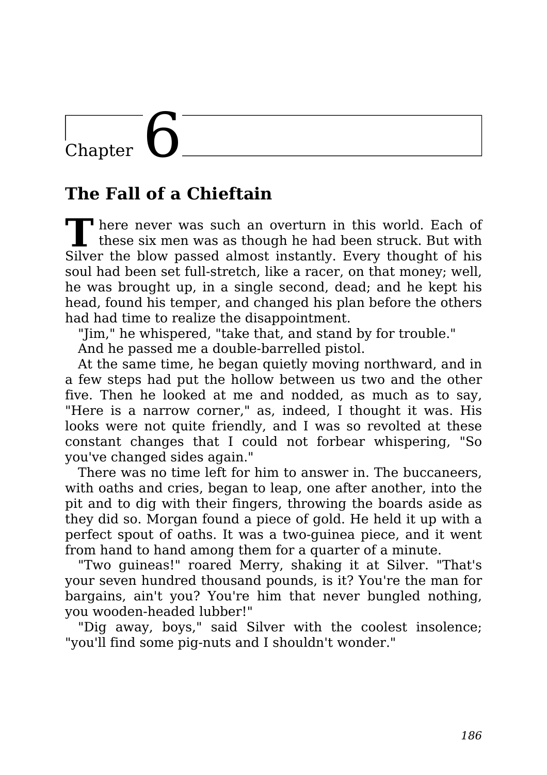## $\overline{\text{Chapter}}$

## **The Fall of a Chieftain**

**T** There never was such an overturn in this world. Each of these six men was as though he had been struck. But with Silver the blow passed almost instantly. Every thought of his soul had been set full-stretch, like a racer, on that money; well, he was brought up, in a single second, dead; and he kept his head, found his temper, and changed his plan before the others had had time to realize the disappointment.

"Jim," he whispered, "take that, and stand by for trouble."

And he passed me a double-barrelled pistol.

At the same time, he began quietly moving northward, and in a few steps had put the hollow between us two and the other five. Then he looked at me and nodded, as much as to say, "Here is a narrow corner," as, indeed, I thought it was. His looks were not quite friendly, and I was so revolted at these constant changes that I could not forbear whispering, "So you've changed sides again."

There was no time left for him to answer in. The buccaneers, with oaths and cries, began to leap, one after another, into the pit and to dig with their fingers, throwing the boards aside as they did so. Morgan found a piece of gold. He held it up with a perfect spout of oaths. It was a two-guinea piece, and it went from hand to hand among them for a quarter of a minute.

"Two guineas!" roared Merry, shaking it at Silver. "That's your seven hundred thousand pounds, is it? You're the man for bargains, ain't you? You're him that never bungled nothing, you wooden-headed lubber!"

"Dig away, boys," said Silver with the coolest insolence; "you'll find some pig-nuts and I shouldn't wonder."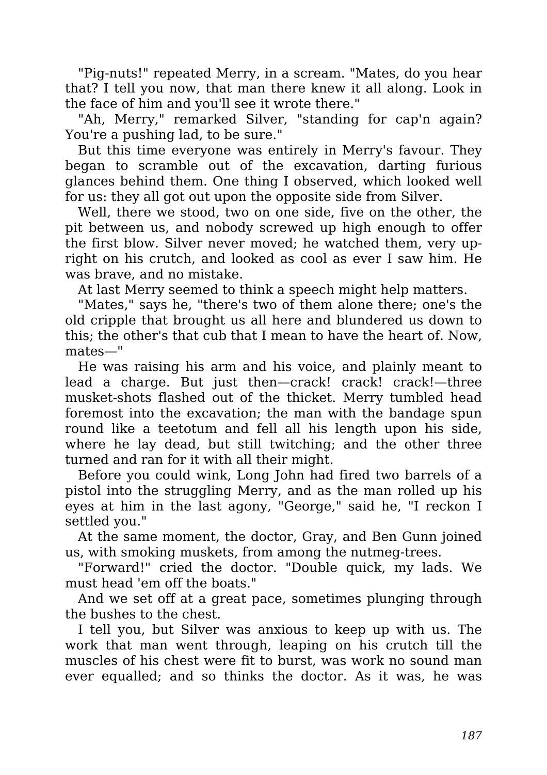"Pig-nuts!" repeated Merry, in a scream. "Mates, do you hear that? I tell you now, that man there knew it all along. Look in the face of him and you'll see it wrote there."

"Ah, Merry," remarked Silver, "standing for cap'n again? You're a pushing lad, to be sure."

But this time everyone was entirely in Merry's favour. They began to scramble out of the excavation, darting furious glances behind them. One thing I observed, which looked well for us: they all got out upon the opposite side from Silver.

Well, there we stood, two on one side, five on the other, the pit between us, and nobody screwed up high enough to offer the first blow. Silver never moved; he watched them, very upright on his crutch, and looked as cool as ever I saw him. He was brave, and no mistake.

At last Merry seemed to think a speech might help matters.

"Mates," says he, "there's two of them alone there; one's the old cripple that brought us all here and blundered us down to this; the other's that cub that I mean to have the heart of. Now, mates—"

He was raising his arm and his voice, and plainly meant to lead a charge. But just then—crack! crack! crack!—three musket-shots flashed out of the thicket. Merry tumbled head foremost into the excavation; the man with the bandage spun round like a teetotum and fell all his length upon his side, where he lay dead, but still twitching; and the other three turned and ran for it with all their might.

Before you could wink, Long John had fired two barrels of a pistol into the struggling Merry, and as the man rolled up his eyes at him in the last agony, "George," said he, "I reckon I settled you."

At the same moment, the doctor, Gray, and Ben Gunn joined us, with smoking muskets, from among the nutmeg-trees.

"Forward!" cried the doctor. "Double quick, my lads. We must head 'em off the boats."

And we set off at a great pace, sometimes plunging through the bushes to the chest.

I tell you, but Silver was anxious to keep up with us. The work that man went through, leaping on his crutch till the muscles of his chest were fit to burst, was work no sound man ever equalled; and so thinks the doctor. As it was, he was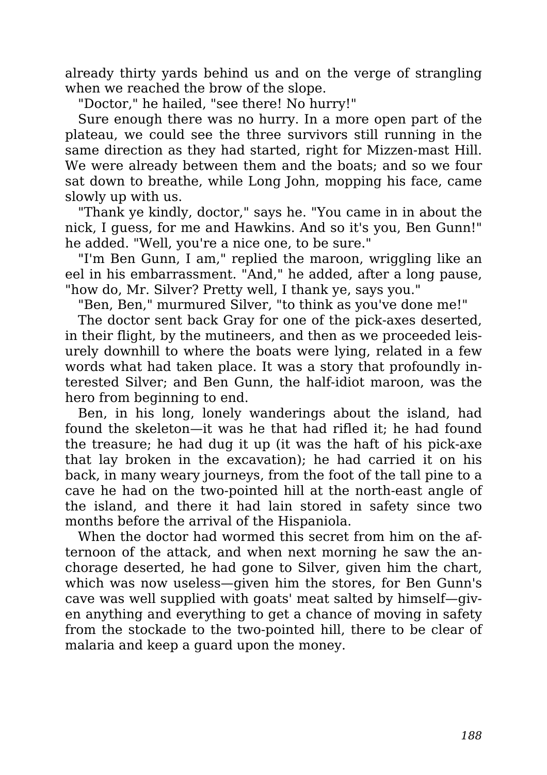already thirty yards behind us and on the verge of strangling when we reached the brow of the slope.

"Doctor," he hailed, "see there! No hurry!"

Sure enough there was no hurry. In a more open part of the plateau, we could see the three survivors still running in the same direction as they had started, right for Mizzen-mast Hill. We were already between them and the boats; and so we four sat down to breathe, while Long John, mopping his face, came slowly up with us.

"Thank ye kindly, doctor," says he. "You came in in about the nick, I guess, for me and Hawkins. And so it's you, Ben Gunn!" he added. "Well, you're a nice one, to be sure."

"I'm Ben Gunn, I am," replied the maroon, wriggling like an eel in his embarrassment. "And," he added, after a long pause, "how do, Mr. Silver? Pretty well, I thank ye, says you."

"Ben, Ben," murmured Silver, "to think as you've done me!"

The doctor sent back Gray for one of the pick-axes deserted, in their flight, by the mutineers, and then as we proceeded leisurely downhill to where the boats were lying, related in a few words what had taken place. It was a story that profoundly interested Silver; and Ben Gunn, the half-idiot maroon, was the hero from beginning to end.

Ben, in his long, lonely wanderings about the island, had found the skeleton—it was he that had rifled it; he had found the treasure; he had dug it up (it was the haft of his pick-axe that lay broken in the excavation); he had carried it on his back, in many weary journeys, from the foot of the tall pine to a cave he had on the two-pointed hill at the north-east angle of the island, and there it had lain stored in safety since two months before the arrival of the Hispaniola.

When the doctor had wormed this secret from him on the afternoon of the attack, and when next morning he saw the anchorage deserted, he had gone to Silver, given him the chart, which was now useless—given him the stores, for Ben Gunn's cave was well supplied with goats' meat salted by himself—given anything and everything to get a chance of moving in safety from the stockade to the two-pointed hill, there to be clear of malaria and keep a guard upon the money.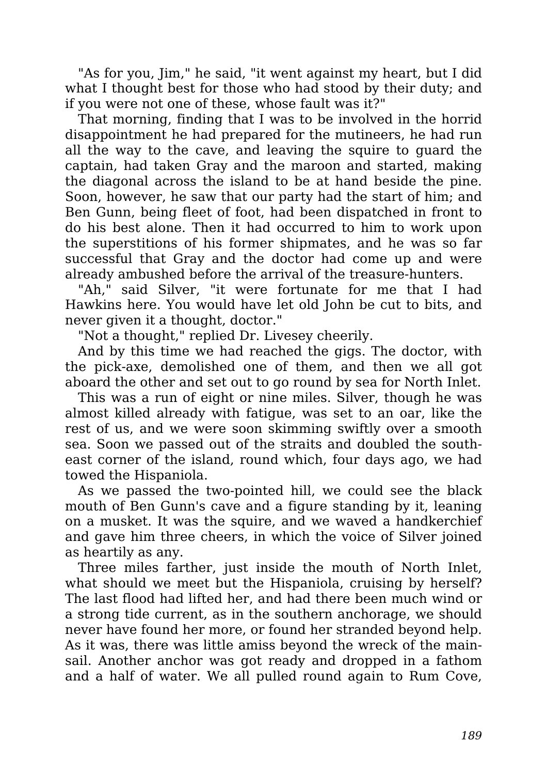"As for you, Jim," he said, "it went against my heart, but I did what I thought best for those who had stood by their duty; and if you were not one of these, whose fault was it?"

That morning, finding that I was to be involved in the horrid disappointment he had prepared for the mutineers, he had run all the way to the cave, and leaving the squire to guard the captain, had taken Gray and the maroon and started, making the diagonal across the island to be at hand beside the pine. Soon, however, he saw that our party had the start of him; and Ben Gunn, being fleet of foot, had been dispatched in front to do his best alone. Then it had occurred to him to work upon the superstitions of his former shipmates, and he was so far successful that Gray and the doctor had come up and were already ambushed before the arrival of the treasure-hunters.

"Ah," said Silver, "it were fortunate for me that I had Hawkins here. You would have let old John be cut to bits, and never given it a thought, doctor."

"Not a thought," replied Dr. Livesey cheerily.

And by this time we had reached the gigs. The doctor, with the pick-axe, demolished one of them, and then we all got aboard the other and set out to go round by sea for North Inlet.

This was a run of eight or nine miles. Silver, though he was almost killed already with fatigue, was set to an oar, like the rest of us, and we were soon skimming swiftly over a smooth sea. Soon we passed out of the straits and doubled the southeast corner of the island, round which, four days ago, we had towed the Hispaniola.

As we passed the two-pointed hill, we could see the black mouth of Ben Gunn's cave and a figure standing by it, leaning on a musket. It was the squire, and we waved a handkerchief and gave him three cheers, in which the voice of Silver joined as heartily as any.

Three miles farther, just inside the mouth of North Inlet, what should we meet but the Hispaniola, cruising by herself? The last flood had lifted her, and had there been much wind or a strong tide current, as in the southern anchorage, we should never have found her more, or found her stranded beyond help. As it was, there was little amiss beyond the wreck of the mainsail. Another anchor was got ready and dropped in a fathom and a half of water. We all pulled round again to Rum Cove,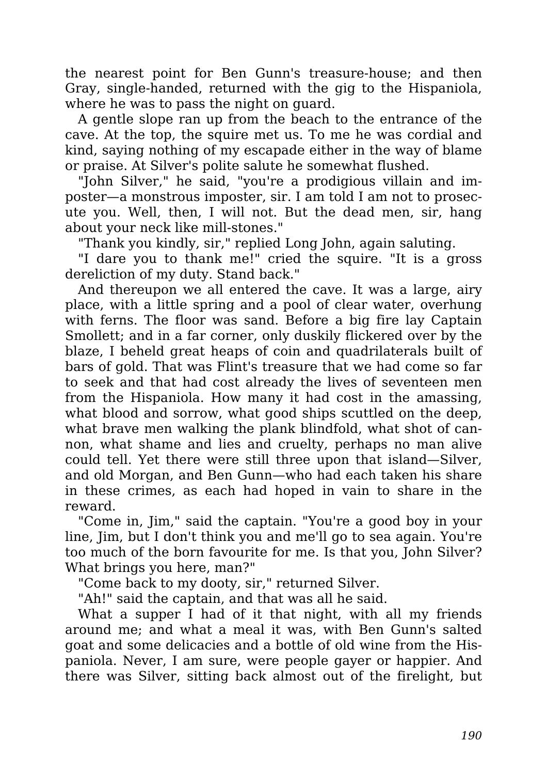the nearest point for Ben Gunn's treasure-house; and then Gray, single-handed, returned with the gig to the Hispaniola, where he was to pass the night on guard.

A gentle slope ran up from the beach to the entrance of the cave. At the top, the squire met us. To me he was cordial and kind, saying nothing of my escapade either in the way of blame or praise. At Silver's polite salute he somewhat flushed.

"John Silver," he said, "you're a prodigious villain and imposter—a monstrous imposter, sir. I am told I am not to prosecute you. Well, then, I will not. But the dead men, sir, hang about your neck like mill-stones."

"Thank you kindly, sir," replied Long John, again saluting.

"I dare you to thank me!" cried the squire. "It is a gross dereliction of my duty. Stand back."

And thereupon we all entered the cave. It was a large, airy place, with a little spring and a pool of clear water, overhung with ferns. The floor was sand. Before a big fire lay Captain Smollett; and in a far corner, only duskily flickered over by the blaze, I beheld great heaps of coin and quadrilaterals built of bars of gold. That was Flint's treasure that we had come so far to seek and that had cost already the lives of seventeen men from the Hispaniola. How many it had cost in the amassing, what blood and sorrow, what good ships scuttled on the deep, what brave men walking the plank blindfold, what shot of cannon, what shame and lies and cruelty, perhaps no man alive could tell. Yet there were still three upon that island—Silver, and old Morgan, and Ben Gunn—who had each taken his share in these crimes, as each had hoped in vain to share in the reward.

"Come in, Jim," said the captain. "You're a good boy in your line, Jim, but I don't think you and me'll go to sea again. You're too much of the born favourite for me. Is that you, John Silver? What brings you here, man?"

"Come back to my dooty, sir," returned Silver.

"Ah!" said the captain, and that was all he said.

What a supper I had of it that night, with all my friends around me; and what a meal it was, with Ben Gunn's salted goat and some delicacies and a bottle of old wine from the Hispaniola. Never, I am sure, were people gayer or happier. And there was Silver, sitting back almost out of the firelight, but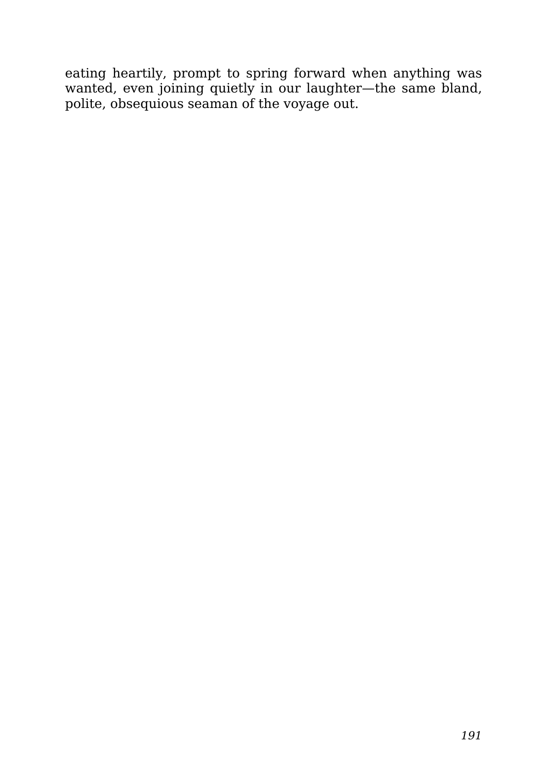eating heartily, prompt to spring forward when anything was wanted, even joining quietly in our laughter—the same bland, polite, obsequious seaman of the voyage out.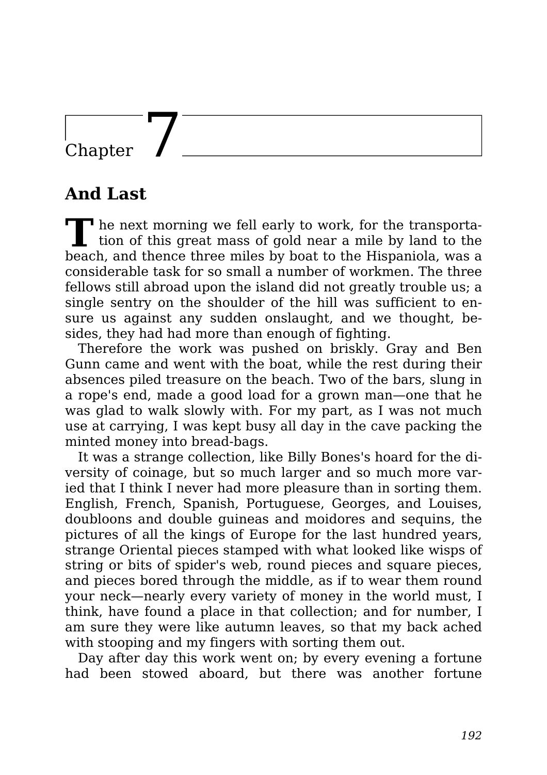## Chapter

## **And Last**

**T** <sup>t</sup> he next morning we fell early to work, for the transportation of this great mass of gold near a mile by land to the beach, and thence three miles by boat to the Hispaniola, was a considerable task for so small a number of workmen. The three fellows still abroad upon the island did not greatly trouble us; a single sentry on the shoulder of the hill was sufficient to ensure us against any sudden onslaught, and we thought, besides, they had had more than enough of fighting.

Therefore the work was pushed on briskly. Gray and Ben Gunn came and went with the boat, while the rest during their absences piled treasure on the beach. Two of the bars, slung in a rope's end, made a good load for a grown man—one that he was glad to walk slowly with. For my part, as I was not much use at carrying, I was kept busy all day in the cave packing the minted money into bread-bags.

It was a strange collection, like Billy Bones's hoard for the diversity of coinage, but so much larger and so much more varied that I think I never had more pleasure than in sorting them. English, French, Spanish, Portuguese, Georges, and Louises, doubloons and double guineas and moidores and sequins, the pictures of all the kings of Europe for the last hundred years, strange Oriental pieces stamped with what looked like wisps of string or bits of spider's web, round pieces and square pieces, and pieces bored through the middle, as if to wear them round your neck—nearly every variety of money in the world must, I think, have found a place in that collection; and for number, I am sure they were like autumn leaves, so that my back ached with stooping and my fingers with sorting them out.

Day after day this work went on; by every evening a fortune had been stowed aboard, but there was another fortune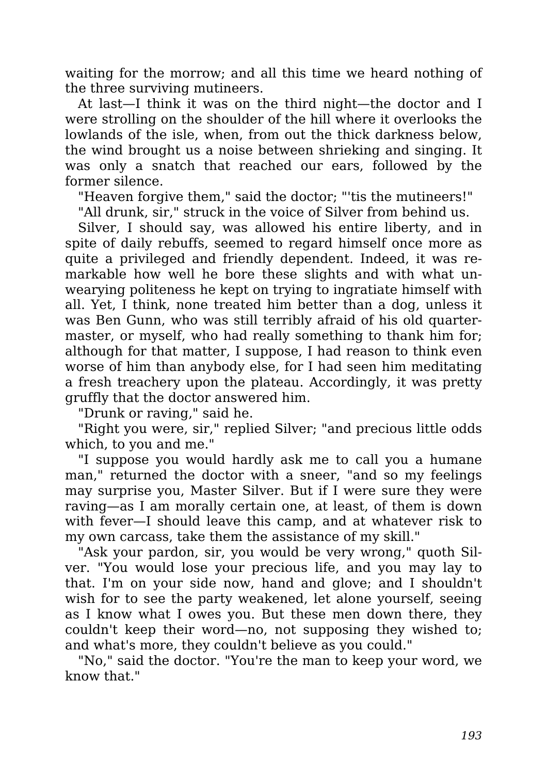waiting for the morrow; and all this time we heard nothing of the three surviving mutineers.

At last—I think it was on the third night—the doctor and I were strolling on the shoulder of the hill where it overlooks the lowlands of the isle, when, from out the thick darkness below, the wind brought us a noise between shrieking and singing. It was only a snatch that reached our ears, followed by the former silence.

"Heaven forgive them," said the doctor; "'tis the mutineers!"

"All drunk, sir," struck in the voice of Silver from behind us.

Silver, I should say, was allowed his entire liberty, and in spite of daily rebuffs, seemed to regard himself once more as quite a privileged and friendly dependent. Indeed, it was remarkable how well he bore these slights and with what unwearying politeness he kept on trying to ingratiate himself with all. Yet, I think, none treated him better than a dog, unless it was Ben Gunn, who was still terribly afraid of his old quartermaster, or myself, who had really something to thank him for; although for that matter, I suppose, I had reason to think even worse of him than anybody else, for I had seen him meditating a fresh treachery upon the plateau. Accordingly, it was pretty gruffly that the doctor answered him.

"Drunk or raving," said he.

"Right you were, sir," replied Silver; "and precious little odds which, to you and me."

"I suppose you would hardly ask me to call you a humane man," returned the doctor with a sneer, "and so my feelings may surprise you, Master Silver. But if I were sure they were raving—as I am morally certain one, at least, of them is down with fever—I should leave this camp, and at whatever risk to my own carcass, take them the assistance of my skill."

"Ask your pardon, sir, you would be very wrong," quoth Silver. "You would lose your precious life, and you may lay to that. I'm on your side now, hand and glove; and I shouldn't wish for to see the party weakened, let alone yourself, seeing as I know what I owes you. But these men down there, they couldn't keep their word—no, not supposing they wished to; and what's more, they couldn't believe as you could."

"No," said the doctor. "You're the man to keep your word, we know that."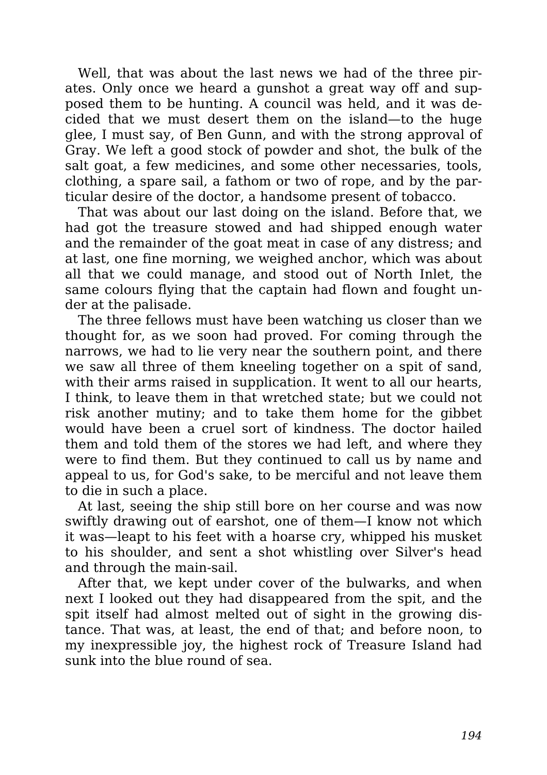Well, that was about the last news we had of the three pirates. Only once we heard a gunshot a great way off and supposed them to be hunting. A council was held, and it was decided that we must desert them on the island—to the huge glee, I must say, of Ben Gunn, and with the strong approval of Gray. We left a good stock of powder and shot, the bulk of the salt goat, a few medicines, and some other necessaries, tools, clothing, a spare sail, a fathom or two of rope, and by the particular desire of the doctor, a handsome present of tobacco.

That was about our last doing on the island. Before that, we had got the treasure stowed and had shipped enough water and the remainder of the goat meat in case of any distress; and at last, one fine morning, we weighed anchor, which was about all that we could manage, and stood out of North Inlet, the same colours flying that the captain had flown and fought under at the palisade.

The three fellows must have been watching us closer than we thought for, as we soon had proved. For coming through the narrows, we had to lie very near the southern point, and there we saw all three of them kneeling together on a spit of sand, with their arms raised in supplication. It went to all our hearts, I think, to leave them in that wretched state; but we could not risk another mutiny; and to take them home for the gibbet would have been a cruel sort of kindness. The doctor hailed them and told them of the stores we had left, and where they were to find them. But they continued to call us by name and appeal to us, for God's sake, to be merciful and not leave them to die in such a place.

At last, seeing the ship still bore on her course and was now swiftly drawing out of earshot, one of them—I know not which it was—leapt to his feet with a hoarse cry, whipped his musket to his shoulder, and sent a shot whistling over Silver's head and through the main-sail.

After that, we kept under cover of the bulwarks, and when next I looked out they had disappeared from the spit, and the spit itself had almost melted out of sight in the growing distance. That was, at least, the end of that; and before noon, to my inexpressible joy, the highest rock of Treasure Island had sunk into the blue round of sea.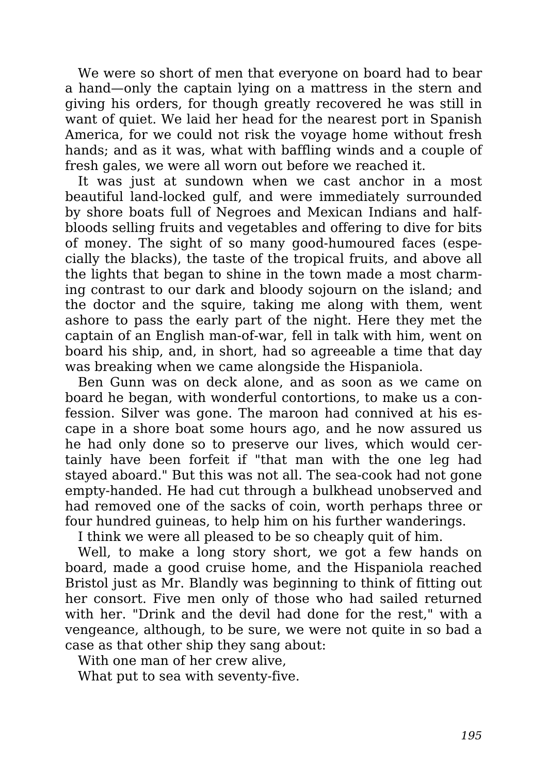We were so short of men that everyone on board had to bear a hand—only the captain lying on a mattress in the stern and giving his orders, for though greatly recovered he was still in want of quiet. We laid her head for the nearest port in Spanish America, for we could not risk the voyage home without fresh hands; and as it was, what with baffling winds and a couple of fresh gales, we were all worn out before we reached it.

It was just at sundown when we cast anchor in a most beautiful land-locked gulf, and were immediately surrounded by shore boats full of Negroes and Mexican Indians and halfbloods selling fruits and vegetables and offering to dive for bits of money. The sight of so many good-humoured faces (especially the blacks), the taste of the tropical fruits, and above all the lights that began to shine in the town made a most charming contrast to our dark and bloody sojourn on the island; and the doctor and the squire, taking me along with them, went ashore to pass the early part of the night. Here they met the captain of an English man-of-war, fell in talk with him, went on board his ship, and, in short, had so agreeable a time that day was breaking when we came alongside the Hispaniola.

Ben Gunn was on deck alone, and as soon as we came on board he began, with wonderful contortions, to make us a confession. Silver was gone. The maroon had connived at his escape in a shore boat some hours ago, and he now assured us he had only done so to preserve our lives, which would certainly have been forfeit if "that man with the one leg had stayed aboard." But this was not all. The sea-cook had not gone empty-handed. He had cut through a bulkhead unobserved and had removed one of the sacks of coin, worth perhaps three or four hundred guineas, to help him on his further wanderings.

I think we were all pleased to be so cheaply quit of him.

Well, to make a long story short, we got a few hands on board, made a good cruise home, and the Hispaniola reached Bristol just as Mr. Blandly was beginning to think of fitting out her consort. Five men only of those who had sailed returned with her. "Drink and the devil had done for the rest," with a vengeance, although, to be sure, we were not quite in so bad a case as that other ship they sang about:

With one man of her crew alive,

What put to sea with seventy-five.